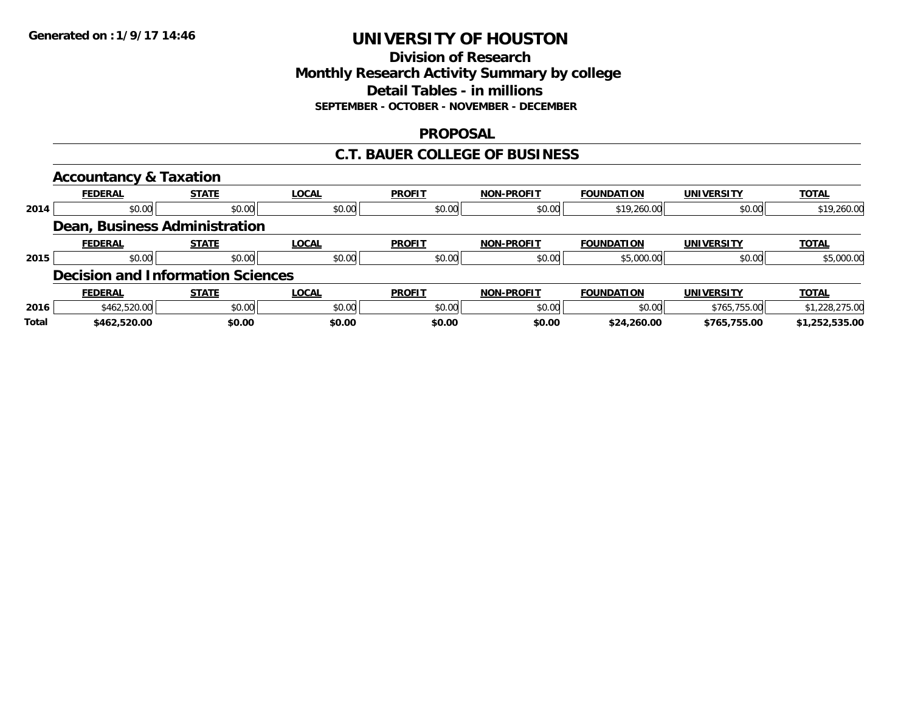### **Division of Research Monthly Research Activity Summary by college Detail Tables - in millions SEPTEMBER - OCTOBER - NOVEMBER - DECEMBER**

### **PROPOSAL**

### **C.T. BAUER COLLEGE OF BUSINESS**

|       | <b>Accountancy &amp; Taxation</b>        |              |              |               |                   |                   |                   |                |
|-------|------------------------------------------|--------------|--------------|---------------|-------------------|-------------------|-------------------|----------------|
|       | <b>FEDERAL</b>                           | <b>STATE</b> | <b>LOCAL</b> | <b>PROFIT</b> | <b>NON-PROFIT</b> | <b>FOUNDATION</b> | <b>UNIVERSITY</b> | <b>TOTAL</b>   |
| 2014  | \$0.00                                   | \$0.00       | \$0.00       | \$0.00        | \$0.00            | \$19,260.00       | \$0.00            | \$19,260.00    |
|       | Dean, Business Administration            |              |              |               |                   |                   |                   |                |
|       | <b>FEDERAL</b>                           | <b>STATE</b> | <b>LOCAL</b> | <b>PROFIT</b> | <b>NON-PROFIT</b> | <b>FOUNDATION</b> | <b>UNIVERSITY</b> | <b>TOTAL</b>   |
| 2015  | \$0.00                                   | \$0.00       | \$0.00       | \$0.00        | \$0.00            | \$5,000.00        | \$0.00            | \$5,000.00     |
|       | <b>Decision and Information Sciences</b> |              |              |               |                   |                   |                   |                |
|       | <b>FEDERAL</b>                           | <b>STATE</b> | <b>LOCAL</b> | <b>PROFIT</b> | <b>NON-PROFIT</b> | <b>FOUNDATION</b> | <b>UNIVERSITY</b> | <b>TOTAL</b>   |
| 2016  | \$462,520.00                             | \$0.00       | \$0.00       | \$0.00        | \$0.00            | \$0.00            | \$765,755.00      | \$1,228,275.00 |
| Total | \$462,520.00                             | \$0.00       | \$0.00       | \$0.00        | \$0.00            | \$24,260.00       | \$765,755.00      | \$1,252,535.00 |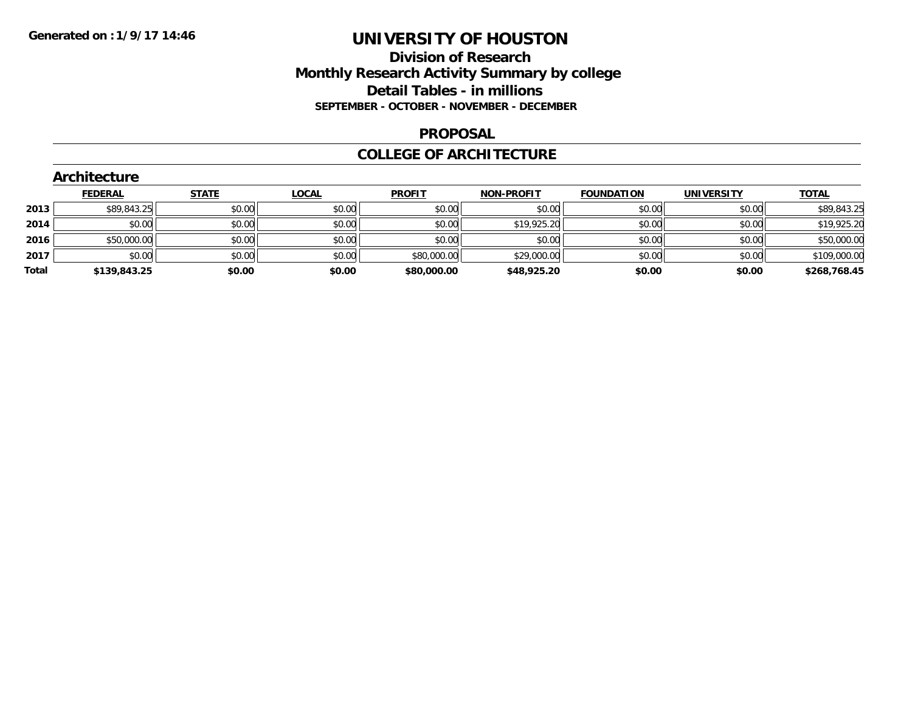### **Division of Research Monthly Research Activity Summary by college Detail Tables - in millions SEPTEMBER - OCTOBER - NOVEMBER - DECEMBER**

#### **PROPOSAL**

#### **COLLEGE OF ARCHITECTURE**

|                   |                   |                   |               |              |              | <b>Architecture</b> |       |
|-------------------|-------------------|-------------------|---------------|--------------|--------------|---------------------|-------|
| <b>UNIVERSITY</b> | <b>FOUNDATION</b> | <b>NON-PROFIT</b> | <b>PROFIT</b> | <u>LOCAL</u> | <b>STATE</b> | <b>FEDERAL</b>      |       |
| \$0.00            | \$0.00            | \$0.00            | \$0.00        | \$0.00       |              | \$89,843.25         | 2013  |
| \$0.00            | \$0.00            | \$19,925.20       | \$0.00        | \$0.00       | \$0.00       | \$0.00              | 2014  |
| \$0.00            | \$0.00            | \$0.00            | \$0.00        | \$0.00       | \$0.00       | \$50,000.00         | 2016  |
| \$0.00            | \$0.00            | \$29,000.00       | \$80,000.00   | \$0.00       | \$0.00       | \$0.00              | 2017  |
| \$0.00            | \$0.00            | \$48,925.20       | \$80,000.00   | \$0.00       | \$0.00       | \$139,843.25        | Total |
|                   |                   |                   |               |              |              |                     |       |
|                   |                   |                   |               |              |              | \$0.00              |       |

# **Architecture**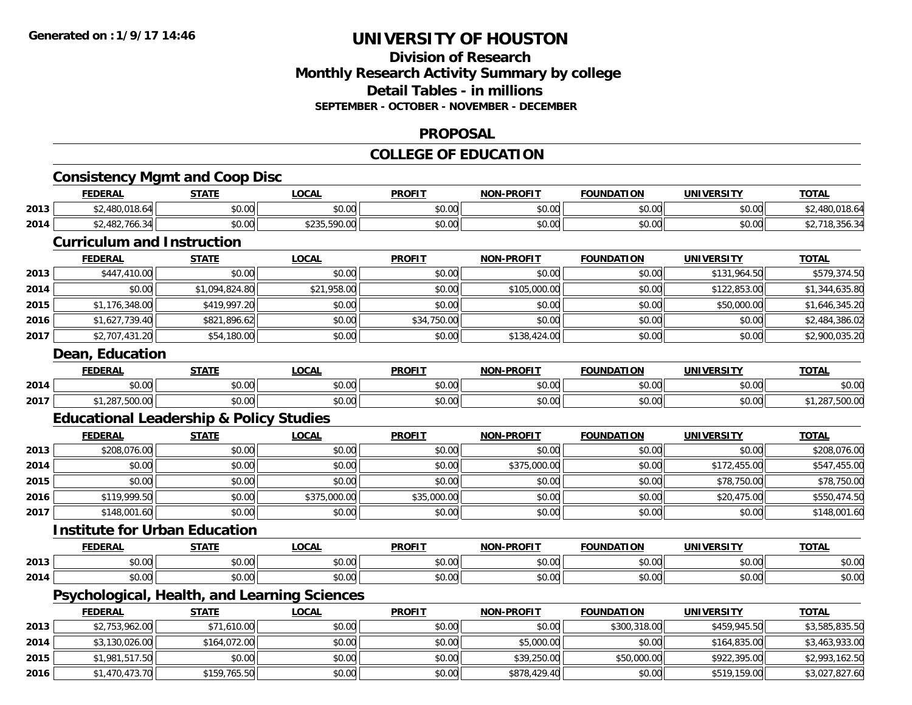### **Division of ResearchMonthly Research Activity Summary by college Detail Tables - in millions SEPTEMBER - OCTOBER - NOVEMBER - DECEMBER**

#### **PROPOSAL**

## **COLLEGE OF EDUCATION**

|      | <b>Consistency Mgmt and Coop Disc</b>              |                |              |               |                   |                   |                   |                |
|------|----------------------------------------------------|----------------|--------------|---------------|-------------------|-------------------|-------------------|----------------|
|      | <b>FEDERAL</b>                                     | <b>STATE</b>   | <b>LOCAL</b> | <b>PROFIT</b> | <b>NON-PROFIT</b> | <b>FOUNDATION</b> | <b>UNIVERSITY</b> | <b>TOTAL</b>   |
| 2013 | \$2,480,018.64                                     | \$0.00         | \$0.00       | \$0.00        | \$0.00            | \$0.00            | \$0.00            | \$2,480,018.64 |
| 2014 | \$2,482,766.34                                     | \$0.00         | \$235,590.00 | \$0.00        | \$0.00            | \$0.00            | \$0.00            | \$2,718,356.34 |
|      | <b>Curriculum and Instruction</b>                  |                |              |               |                   |                   |                   |                |
|      | <b>FEDERAL</b>                                     | <b>STATE</b>   | <b>LOCAL</b> | <b>PROFIT</b> | <b>NON-PROFIT</b> | <b>FOUNDATION</b> | <b>UNIVERSITY</b> | <b>TOTAL</b>   |
| 2013 | \$447,410.00                                       | \$0.00         | \$0.00       | \$0.00        | \$0.00            | \$0.00            | \$131,964.50      | \$579,374.50   |
| 2014 | \$0.00                                             | \$1,094,824.80 | \$21,958.00  | \$0.00        | \$105,000.00      | \$0.00            | \$122,853.00      | \$1,344,635.80 |
| 2015 | \$1,176,348.00                                     | \$419,997.20   | \$0.00       | \$0.00        | \$0.00            | \$0.00            | \$50,000.00       | \$1,646,345.20 |
| 2016 | \$1,627,739.40                                     | \$821,896.62   | \$0.00       | \$34,750.00   | \$0.00            | \$0.00            | \$0.00            | \$2,484,386.02 |
| 2017 | \$2,707,431.20                                     | \$54,180.00    | \$0.00       | \$0.00        | \$138,424.00      | \$0.00            | \$0.00            | \$2,900,035.20 |
|      | <b>Dean, Education</b>                             |                |              |               |                   |                   |                   |                |
|      | <b>FEDERAL</b>                                     | <b>STATE</b>   | <b>LOCAL</b> | <b>PROFIT</b> | <b>NON-PROFIT</b> | <b>FOUNDATION</b> | <b>UNIVERSITY</b> | <b>TOTAL</b>   |
| 2014 | \$0.00                                             | \$0.00         | \$0.00       | \$0.00        | \$0.00            | \$0.00            | \$0.00            | \$0.00         |
| 2017 | \$1,287,500.00                                     | \$0.00         | \$0.00       | \$0.00        | \$0.00            | \$0.00            | \$0.00            | \$1,287,500.00 |
|      | <b>Educational Leadership &amp; Policy Studies</b> |                |              |               |                   |                   |                   |                |
|      | <b>FEDERAL</b>                                     | <b>STATE</b>   | <b>LOCAL</b> | <b>PROFIT</b> | <b>NON-PROFIT</b> | <b>FOUNDATION</b> | <b>UNIVERSITY</b> | <b>TOTAL</b>   |
| 2013 | \$208,076.00                                       | \$0.00         | \$0.00       | \$0.00        | \$0.00            | \$0.00            | \$0.00            | \$208,076.00   |
| 2014 | \$0.00                                             | \$0.00         | \$0.00       | \$0.00        | \$375,000.00      | \$0.00            | \$172,455.00      | \$547,455.00   |
| 2015 | \$0.00                                             | \$0.00         | \$0.00       | \$0.00        | \$0.00            | \$0.00            | \$78,750.00       | \$78,750.00    |
| 2016 | \$119,999.50                                       | \$0.00         | \$375,000.00 | \$35,000.00   | \$0.00            | \$0.00            | \$20,475.00       | \$550,474.50   |
| 2017 | \$148,001.60                                       | \$0.00         | \$0.00       | \$0.00        | \$0.00            | \$0.00            | \$0.00            | \$148,001.60   |
|      | <b>Institute for Urban Education</b>               |                |              |               |                   |                   |                   |                |
|      | <b>FEDERAL</b>                                     | <b>STATE</b>   | <b>LOCAL</b> | <b>PROFIT</b> | <b>NON-PROFIT</b> | <b>FOUNDATION</b> | <b>UNIVERSITY</b> | <b>TOTAL</b>   |
| 2013 | \$0.00                                             | \$0.00         | \$0.00       | \$0.00        | \$0.00            | \$0.00            | \$0.00            | \$0.00         |
| 2014 | \$0.00                                             | \$0.00         | \$0.00       | \$0.00        | \$0.00            | \$0.00            | \$0.00            | \$0.00         |
|      | Psychological, Health, and Learning Sciences       |                |              |               |                   |                   |                   |                |
|      | <b>FEDERAL</b>                                     | <b>STATE</b>   | <b>LOCAL</b> | <b>PROFIT</b> | <b>NON-PROFIT</b> | <b>FOUNDATION</b> | <b>UNIVERSITY</b> | <b>TOTAL</b>   |
| 2013 | \$2,753,962.00                                     | \$71,610.00    | \$0.00       | \$0.00        | \$0.00            | \$300,318.00      | \$459,945.50      | \$3,585,835.50 |
| 2014 | \$3,130,026.00                                     | \$164,072.00   | \$0.00       | \$0.00        | \$5,000.00        | \$0.00            | \$164,835.00      | \$3,463,933.00 |
| 2015 | \$1,981,517.50                                     | \$0.00         | \$0.00       | \$0.00        | \$39,250.00       | \$50,000.00       | \$922,395.00      | \$2,993,162.50 |
| 2016 | \$1,470,473.70                                     | \$159,765.50   | \$0.00       | \$0.00        | \$878,429.40      | \$0.00            | \$519,159.00      | \$3,027,827.60 |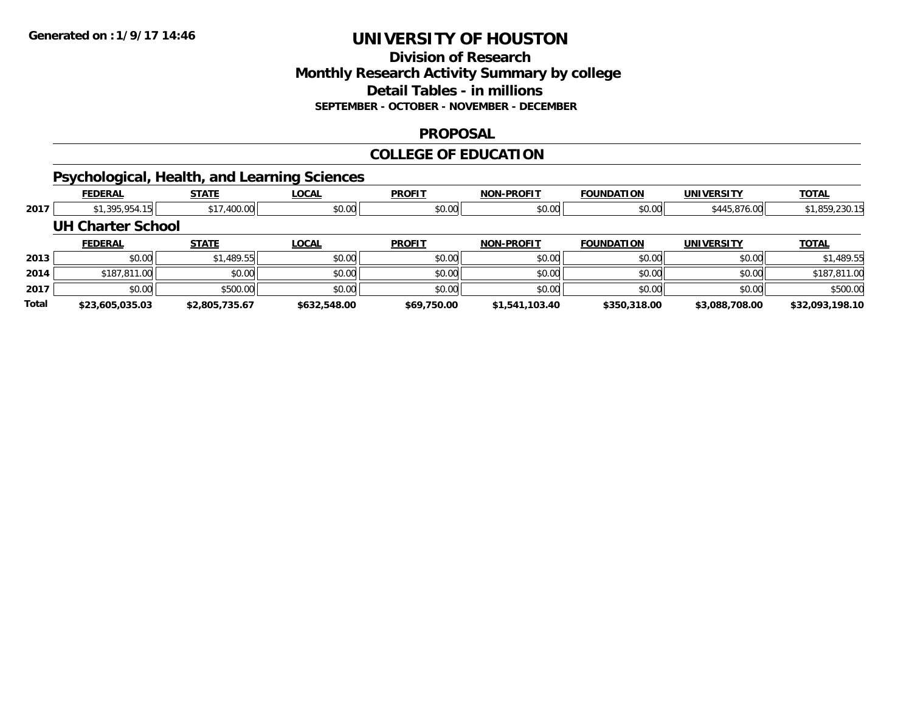### **Division of Research Monthly Research Activity Summary by college Detail Tables - in millions SEPTEMBER - OCTOBER - NOVEMBER - DECEMBER**

#### **PROPOSAL**

#### **COLLEGE OF EDUCATION**

## **Psychological, Health, and Learning Sciences**

|       | <b>FEDERAL</b>           | <b>STATE</b>   | <b>LOCAL</b> | <b>PROFIT</b> | <b>NON-PROFIT</b> | <b>FOUNDATION</b> | UNIVERSITY        | <b>TOTAL</b>    |
|-------|--------------------------|----------------|--------------|---------------|-------------------|-------------------|-------------------|-----------------|
| 2017  | \$1,395,954.15           | \$17,400.00    | \$0.00       | \$0.00        | \$0.00            | \$0.00            | \$445,876.00      | \$1,859,230.15  |
|       | <b>UH Charter School</b> |                |              |               |                   |                   |                   |                 |
|       | <b>FEDERAL</b>           | <b>STATE</b>   | <b>LOCAL</b> | <b>PROFIT</b> | <b>NON-PROFIT</b> | <b>FOUNDATION</b> | <b>UNIVERSITY</b> | <b>TOTAL</b>    |
| 2013  | \$0.00                   | \$1,489.55     | \$0.00       | \$0.00        | \$0.00            | \$0.00            | \$0.00            | \$1,489.55      |
| 2014  | \$187,811.00             | \$0.00         | \$0.00       | \$0.00        | \$0.00            | \$0.00            | \$0.00            | \$187,811.00    |
| 2017  | \$0.00                   | \$500.00       | \$0.00       | \$0.00        | \$0.00            | \$0.00            | \$0.00            | \$500.00        |
| Total | \$23,605,035.03          | \$2,805,735.67 | \$632,548.00 | \$69,750.00   | \$1,541,103.40    | \$350,318.00      | \$3,088,708.00    | \$32,093,198.10 |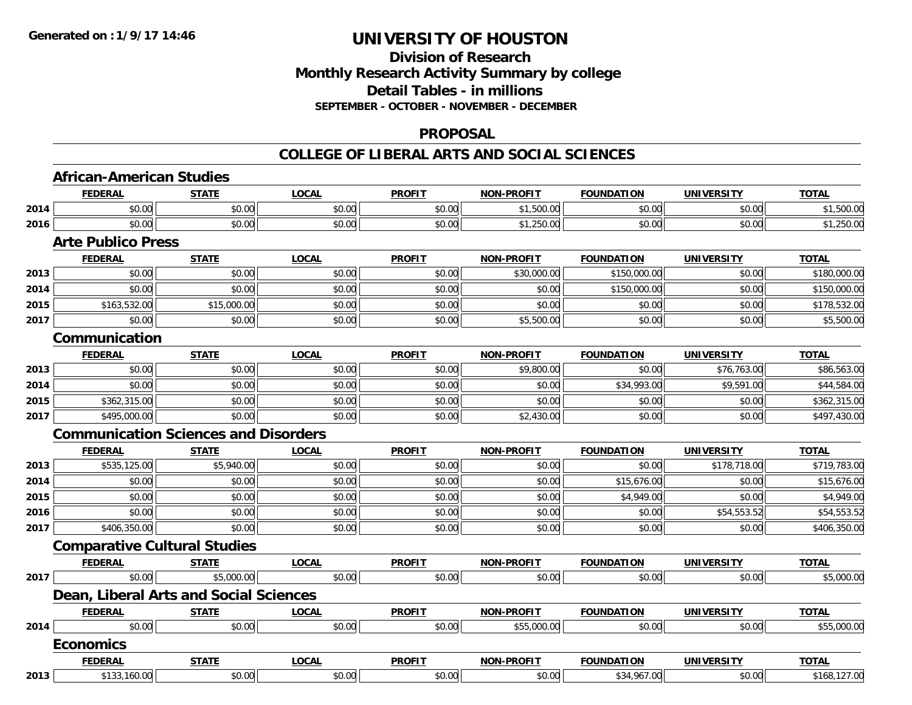### **Division of Research Monthly Research Activity Summary by college Detail Tables - in millions SEPTEMBER - OCTOBER - NOVEMBER - DECEMBER**

#### **PROPOSAL**

|      | <b>FEDERAL</b>                              | <b>STATE</b> | <b>LOCAL</b> | <b>PROFIT</b> | <b>NON-PROFIT</b> | <b>FOUNDATION</b> | <b>UNIVERSITY</b> | <b>TOTAL</b> |
|------|---------------------------------------------|--------------|--------------|---------------|-------------------|-------------------|-------------------|--------------|
| 2014 | \$0.00                                      | \$0.00       | \$0.00       | \$0.00        | \$1,500.00        | \$0.00            | \$0.00            | \$1,500.00   |
| 2016 | \$0.00                                      | \$0.00       | \$0.00       | \$0.00        | \$1,250.00        | \$0.00            | \$0.00            | \$1,250.00   |
|      | <b>Arte Publico Press</b>                   |              |              |               |                   |                   |                   |              |
|      | <b>FEDERAL</b>                              | <b>STATE</b> | <b>LOCAL</b> | <b>PROFIT</b> | <b>NON-PROFIT</b> | <b>FOUNDATION</b> | <b>UNIVERSITY</b> | <b>TOTAL</b> |
| 2013 | \$0.00                                      | \$0.00       | \$0.00       | \$0.00        | \$30,000.00       | \$150,000.00      | \$0.00            | \$180,000.00 |
| 2014 | \$0.00                                      | \$0.00       | \$0.00       | \$0.00        | \$0.00            | \$150,000.00      | \$0.00            | \$150,000.00 |
| 2015 | \$163,532.00                                | \$15,000.00  | \$0.00       | \$0.00        | \$0.00            | \$0.00            | \$0.00            | \$178,532.00 |
| 2017 | \$0.00                                      | \$0.00       | \$0.00       | \$0.00        | \$5,500.00        | \$0.00            | \$0.00            | \$5,500.00   |
|      | Communication                               |              |              |               |                   |                   |                   |              |
|      | <b>FEDERAL</b>                              | <b>STATE</b> | <b>LOCAL</b> | <b>PROFIT</b> | <b>NON-PROFIT</b> | <b>FOUNDATION</b> | <b>UNIVERSITY</b> | <b>TOTAL</b> |
| 2013 | \$0.00                                      | \$0.00       | \$0.00       | \$0.00        | \$9,800.00        | \$0.00            | \$76,763.00       | \$86,563.00  |
| 2014 | \$0.00                                      | \$0.00       | \$0.00       | \$0.00        | \$0.00            | \$34,993.00       | \$9,591.00        | \$44,584.00  |
| 2015 | \$362,315.00                                | \$0.00       | \$0.00       | \$0.00        | \$0.00            | \$0.00            | \$0.00            | \$362,315.00 |
| 2017 | \$495,000.00                                | \$0.00       | \$0.00       | \$0.00        | \$2,430.00        | \$0.00            | \$0.00            | \$497,430.00 |
|      | <b>Communication Sciences and Disorders</b> |              |              |               |                   |                   |                   |              |
|      | <b>FEDERAL</b>                              | <b>STATE</b> | <b>LOCAL</b> | <b>PROFIT</b> | <b>NON-PROFIT</b> | <b>FOUNDATION</b> | <b>UNIVERSITY</b> | <b>TOTAL</b> |
| 2013 | \$535,125.00                                | \$5,940.00   | \$0.00       | \$0.00        | \$0.00            | \$0.00            | \$178,718.00      | \$719,783.00 |
| 2014 | \$0.00                                      | \$0.00       | \$0.00       | \$0.00        | \$0.00            | \$15,676.00       | \$0.00            | \$15,676.00  |
| 2015 | \$0.00                                      | \$0.00       | \$0.00       | \$0.00        | \$0.00            | \$4,949.00        | \$0.00            | \$4,949.00   |
| 2016 | \$0.00                                      | \$0.00       | \$0.00       | \$0.00        | \$0.00            | \$0.00            | \$54,553.52       | \$54,553.52  |
| 2017 | \$406,350.00                                | \$0.00       | \$0.00       | \$0.00        | \$0.00            | \$0.00            | \$0.00            | \$406,350.00 |
|      | <b>Comparative Cultural Studies</b>         |              |              |               |                   |                   |                   |              |
|      | <b>FEDERAL</b>                              | <b>STATE</b> | <b>LOCAL</b> | <b>PROFIT</b> | NON-PROFIT        | <b>FOUNDATION</b> | <b>UNIVERSITY</b> | <b>TOTAL</b> |
| 2017 | \$0.00                                      | \$5,000.00   | \$0.00       | \$0.00        | \$0.00            | \$0.00            | \$0.00            | \$5,000.00   |
|      | Dean, Liberal Arts and Social Sciences      |              |              |               |                   |                   |                   |              |
|      | <b>FEDERAL</b>                              | <b>STATE</b> | <b>LOCAL</b> | <b>PROFIT</b> | <b>NON-PROFIT</b> | <b>FOUNDATION</b> | <b>UNIVERSITY</b> | <b>TOTAL</b> |
| 2014 | \$0.00                                      | \$0.00       | \$0.00       | \$0.00        | \$55,000.00       | \$0.00            | \$0.00            | \$55,000.00  |
|      | <b>Economics</b>                            |              |              |               |                   |                   |                   |              |
|      |                                             |              |              |               |                   |                   |                   |              |
|      | <b>FEDERAL</b>                              | <b>STATE</b> | <b>LOCAL</b> | <b>PROFIT</b> | <b>NON-PROFIT</b> | <b>FOUNDATION</b> | <b>UNIVERSITY</b> | <b>TOTAL</b> |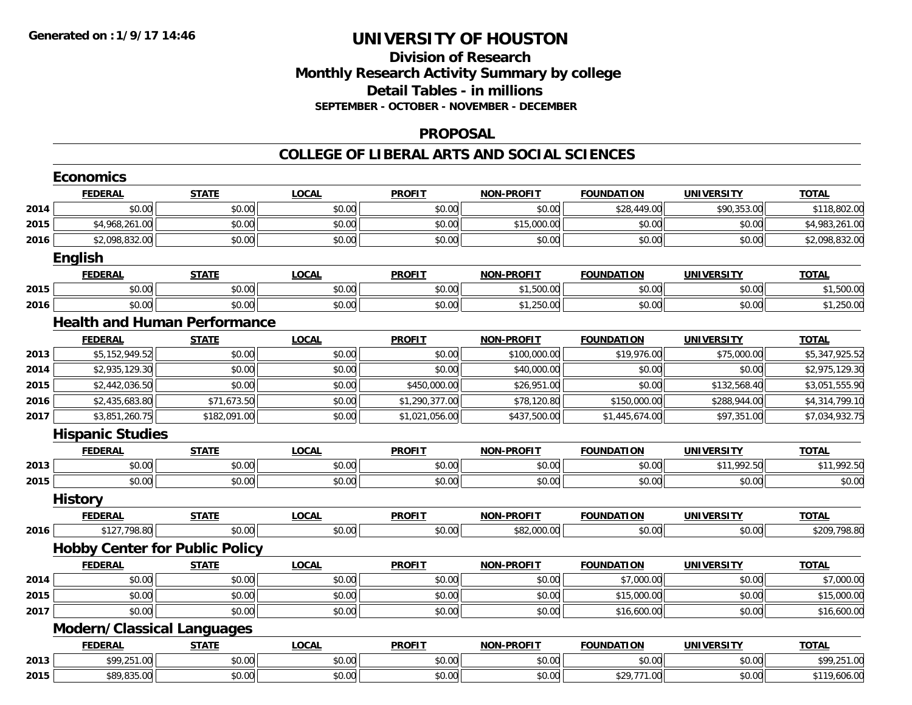### **Division of Research Monthly Research Activity Summary by college Detail Tables - in millions SEPTEMBER - OCTOBER - NOVEMBER - DECEMBER**

#### **PROPOSAL**

|      | <b>Economics</b>                      |              |              |                |                   |                   |                   |                |  |  |
|------|---------------------------------------|--------------|--------------|----------------|-------------------|-------------------|-------------------|----------------|--|--|
|      | <b>FEDERAL</b>                        | <b>STATE</b> | <b>LOCAL</b> | <b>PROFIT</b>  | <b>NON-PROFIT</b> | <b>FOUNDATION</b> | <b>UNIVERSITY</b> | <b>TOTAL</b>   |  |  |
| 2014 | \$0.00                                | \$0.00       | \$0.00       | \$0.00         | \$0.00            | \$28,449.00       | \$90,353.00       | \$118,802.00   |  |  |
| 2015 | \$4,968,261.00                        | \$0.00       | \$0.00       | \$0.00         | \$15,000.00       | \$0.00            | \$0.00            | \$4,983,261.00 |  |  |
| 2016 | \$2,098,832.00                        | \$0.00       | \$0.00       | \$0.00         | \$0.00            | \$0.00            | \$0.00            | \$2,098,832.00 |  |  |
|      | <b>English</b>                        |              |              |                |                   |                   |                   |                |  |  |
|      | <b>FEDERAL</b>                        | <b>STATE</b> | <b>LOCAL</b> | <b>PROFIT</b>  | <b>NON-PROFIT</b> | <b>FOUNDATION</b> | <b>UNIVERSITY</b> | <b>TOTAL</b>   |  |  |
| 2015 | \$0.00                                | \$0.00       | \$0.00       | \$0.00         | \$1,500.00        | \$0.00            | \$0.00            | \$1,500.00     |  |  |
| 2016 | \$0.00                                | \$0.00       | \$0.00       | \$0.00         | \$1,250.00        | \$0.00            | \$0.00            | \$1,250.00     |  |  |
|      | <b>Health and Human Performance</b>   |              |              |                |                   |                   |                   |                |  |  |
|      | <b>FEDERAL</b>                        | <b>STATE</b> | <b>LOCAL</b> | <b>PROFIT</b>  | <b>NON-PROFIT</b> | <b>FOUNDATION</b> | <b>UNIVERSITY</b> | <b>TOTAL</b>   |  |  |
| 2013 | \$5,152,949.52                        | \$0.00       | \$0.00       | \$0.00         | \$100,000.00      | \$19,976.00       | \$75,000.00       | \$5,347,925.52 |  |  |
| 2014 | \$2,935,129.30                        | \$0.00       | \$0.00       | \$0.00         | \$40,000.00       | \$0.00            | \$0.00            | \$2,975,129.30 |  |  |
| 2015 | \$2,442,036.50                        | \$0.00       | \$0.00       | \$450,000.00   | \$26,951.00       | \$0.00            | \$132,568.40      | \$3,051,555.90 |  |  |
| 2016 | \$2,435,683.80                        | \$71,673.50  | \$0.00       | \$1,290,377.00 | \$78,120.80       | \$150,000.00      | \$288,944.00      | \$4,314,799.10 |  |  |
| 2017 | \$3,851,260.75                        | \$182,091.00 | \$0.00       | \$1,021,056.00 | \$437,500.00      | \$1,445,674.00    | \$97,351.00       | \$7,034,932.75 |  |  |
|      | <b>Hispanic Studies</b>               |              |              |                |                   |                   |                   |                |  |  |
|      | <b>FEDERAL</b>                        | <b>STATE</b> | <b>LOCAL</b> | <b>PROFIT</b>  | <b>NON-PROFIT</b> | <b>FOUNDATION</b> | <b>UNIVERSITY</b> | <b>TOTAL</b>   |  |  |
| 2013 | \$0.00                                | \$0.00       | \$0.00       | \$0.00         | \$0.00            | \$0.00            | \$11,992.50       | \$11,992.50    |  |  |
| 2015 | \$0.00                                | \$0.00       | \$0.00       | \$0.00         | \$0.00            | \$0.00            | \$0.00            | \$0.00         |  |  |
|      | <b>History</b>                        |              |              |                |                   |                   |                   |                |  |  |
|      | <b>FEDERAL</b>                        | <b>STATE</b> | <b>LOCAL</b> | <b>PROFIT</b>  | <b>NON-PROFIT</b> | <b>FOUNDATION</b> | <b>UNIVERSITY</b> | <b>TOTAL</b>   |  |  |
| 2016 | \$127,798.80                          | \$0.00       | \$0.00       | \$0.00         | \$82,000.00       | \$0.00            | \$0.00            | \$209,798.80   |  |  |
|      | <b>Hobby Center for Public Policy</b> |              |              |                |                   |                   |                   |                |  |  |
|      | <b>FEDERAL</b>                        | <b>STATE</b> | <b>LOCAL</b> | <b>PROFIT</b>  | <b>NON-PROFIT</b> | <b>FOUNDATION</b> | <b>UNIVERSITY</b> | <b>TOTAL</b>   |  |  |
| 2014 | \$0.00                                | \$0.00       | \$0.00       | \$0.00         | \$0.00            | \$7,000.00        | \$0.00            | \$7,000.00     |  |  |
| 2015 | \$0.00                                | \$0.00       | \$0.00       | \$0.00         | \$0.00            | \$15,000.00       | \$0.00            | \$15,000.00    |  |  |
| 2017 | \$0.00                                | \$0.00       | \$0.00       | \$0.00         | \$0.00            | \$16,600.00       | \$0.00            | \$16,600.00    |  |  |
|      | <b>Modern/Classical Languages</b>     |              |              |                |                   |                   |                   |                |  |  |
|      | <b>FEDERAL</b>                        | <b>STATE</b> | <b>LOCAL</b> | <b>PROFIT</b>  | <b>NON-PROFIT</b> | <b>FOUNDATION</b> | <b>UNIVERSITY</b> | <b>TOTAL</b>   |  |  |
| 2013 | \$99,251.00                           | \$0.00       | \$0.00       | \$0.00         | \$0.00            | \$0.00            | \$0.00            | \$99,251.00    |  |  |
| 2015 | \$89,835.00                           | \$0.00       | \$0.00       | \$0.00         | \$0.00            | \$29,771.00       | \$0.00            | \$119,606.00   |  |  |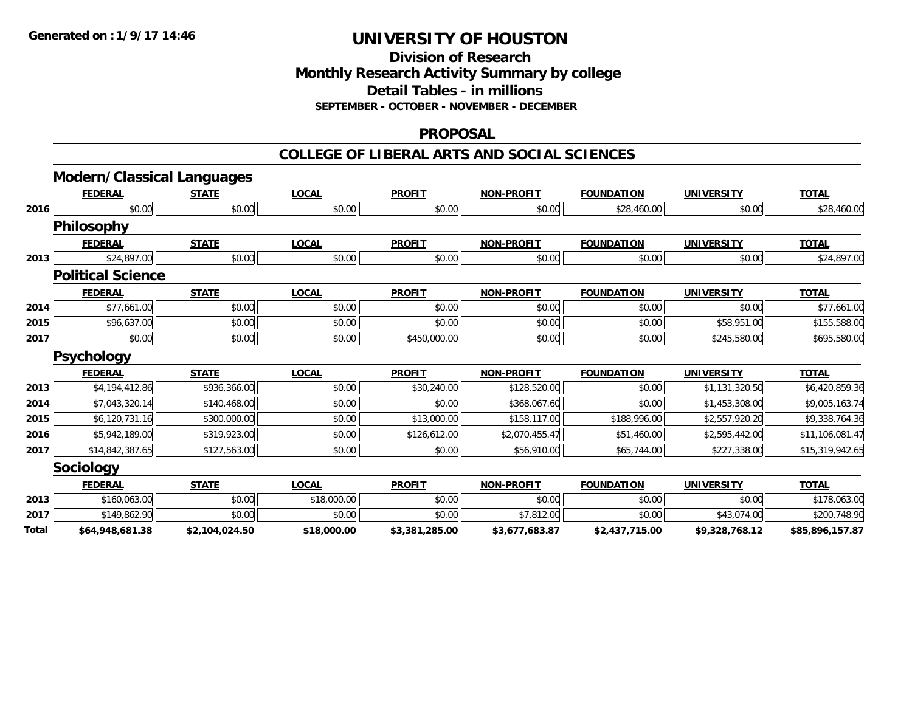**Division of Research Monthly Research Activity Summary by college Detail Tables - in millions SEPTEMBER - OCTOBER - NOVEMBER - DECEMBER**

### **PROPOSAL**

|       | <b>Modern/Classical Languages</b> |                |              |                |                   |                   |                   |                 |
|-------|-----------------------------------|----------------|--------------|----------------|-------------------|-------------------|-------------------|-----------------|
|       | <b>FEDERAL</b>                    | <b>STATE</b>   | <b>LOCAL</b> | <b>PROFIT</b>  | <b>NON-PROFIT</b> | <b>FOUNDATION</b> | <b>UNIVERSITY</b> | <b>TOTAL</b>    |
| 2016  | \$0.00                            | \$0.00         | \$0.00       | \$0.00         | \$0.00            | \$28,460.00       | \$0.00            | \$28,460.00     |
|       | <b>Philosophy</b>                 |                |              |                |                   |                   |                   |                 |
|       | <b>FEDERAL</b>                    | <b>STATE</b>   | <b>LOCAL</b> | <b>PROFIT</b>  | <b>NON-PROFIT</b> | <b>FOUNDATION</b> | <b>UNIVERSITY</b> | <b>TOTAL</b>    |
| 2013  | \$24,897.00                       | \$0.00         | \$0.00       | \$0.00         | \$0.00            | \$0.00            | \$0.00            | \$24,897.00     |
|       | <b>Political Science</b>          |                |              |                |                   |                   |                   |                 |
|       | <b>FEDERAL</b>                    | <b>STATE</b>   | <b>LOCAL</b> | <b>PROFIT</b>  | <b>NON-PROFIT</b> | <b>FOUNDATION</b> | <b>UNIVERSITY</b> | <b>TOTAL</b>    |
| 2014  | \$77,661.00                       | \$0.00         | \$0.00       | \$0.00         | \$0.00            | \$0.00            | \$0.00            | \$77,661.00     |
| 2015  | \$96,637.00                       | \$0.00         | \$0.00       | \$0.00         | \$0.00            | \$0.00            | \$58,951.00       | \$155,588.00    |
| 2017  | \$0.00                            | \$0.00         | \$0.00       | \$450,000.00   | \$0.00            | \$0.00            | \$245,580.00      | \$695,580.00    |
|       | <b>Psychology</b>                 |                |              |                |                   |                   |                   |                 |
|       | <b>FEDERAL</b>                    | <b>STATE</b>   | <b>LOCAL</b> | <b>PROFIT</b>  | <b>NON-PROFIT</b> | <b>FOUNDATION</b> | <b>UNIVERSITY</b> | <b>TOTAL</b>    |
| 2013  | \$4,194,412.86                    | \$936,366.00   | \$0.00       | \$30,240.00    | \$128,520.00      | \$0.00            | \$1,131,320.50    | \$6,420,859.36  |
| 2014  | \$7,043,320.14                    | \$140,468.00   | \$0.00       | \$0.00         | \$368,067.60      | \$0.00            | \$1,453,308.00    | \$9,005,163.74  |
| 2015  | \$6,120,731.16                    | \$300,000.00   | \$0.00       | \$13,000.00    | \$158,117.00      | \$188,996.00      | \$2,557,920.20    | \$9,338,764.36  |
| 2016  | \$5,942,189.00                    | \$319,923.00   | \$0.00       | \$126,612.00   | \$2,070,455.47    | \$51,460.00       | \$2,595,442.00    | \$11,106,081.47 |
| 2017  | \$14,842,387.65                   | \$127,563.00   | \$0.00       | \$0.00         | \$56,910.00       | \$65,744.00       | \$227,338.00      | \$15,319,942.65 |
|       | Sociology                         |                |              |                |                   |                   |                   |                 |
|       | <b>FEDERAL</b>                    | <b>STATE</b>   | <b>LOCAL</b> | <b>PROFIT</b>  | <b>NON-PROFIT</b> | <b>FOUNDATION</b> | <b>UNIVERSITY</b> | <b>TOTAL</b>    |
| 2013  | \$160,063.00                      | \$0.00         | \$18,000.00  | \$0.00         | \$0.00            | \$0.00            | \$0.00            | \$178,063.00    |
| 2017  | \$149,862.90                      | \$0.00         | \$0.00       | \$0.00         | \$7,812.00        | \$0.00            | \$43,074.00       | \$200,748.90    |
| Total | \$64,948,681.38                   | \$2,104,024.50 | \$18,000.00  | \$3,381,285.00 | \$3,677,683.87    | \$2,437,715.00    | \$9,328,768.12    | \$85,896,157.87 |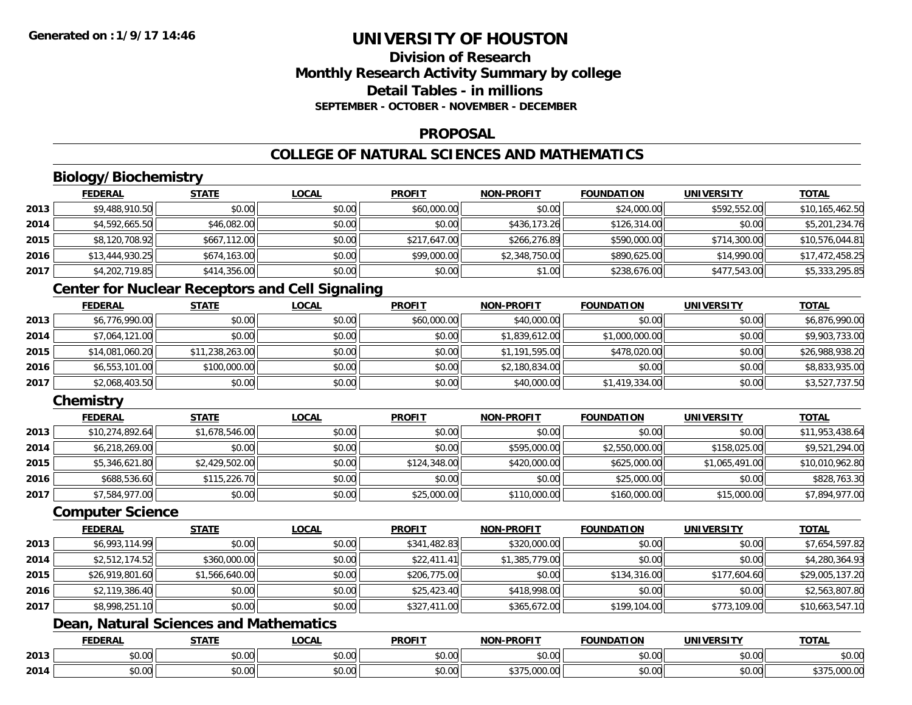### **Division of ResearchMonthly Research Activity Summary by college Detail Tables - in millionsSEPTEMBER - OCTOBER - NOVEMBER - DECEMBER**

#### **PROPOSAL**

## **COLLEGE OF NATURAL SCIENCES AND MATHEMATICS**

# **Biology/Biochemistry**

|      | <b>FEDERAL</b>  | <b>STATE</b> | <u>LOCAL</u> | <b>PROFIT</b> | <b>NON-PROFIT</b> | <b>FOUNDATION</b> | <b>UNIVERSITY</b> | <b>TOTAL</b>    |
|------|-----------------|--------------|--------------|---------------|-------------------|-------------------|-------------------|-----------------|
| 2013 | \$9,488,910.50  | \$0.00       | \$0.00       | \$60,000.00   | \$0.00            | \$24,000.00       | \$592,552.00      | \$10,165,462.50 |
| 2014 | \$4,592,665.50  | \$46,082.00  | \$0.00       | \$0.00        | \$436,173.26      | \$126,314.00      | \$0.00            | \$5,201,234.76  |
| 2015 | \$8,120,708.92  | \$667,112.00 | \$0.00       | \$217,647.00  | \$266,276.89      | \$590,000.00      | \$714,300.00      | \$10,576,044.81 |
| 2016 | \$13,444,930.25 | \$674,163.00 | \$0.00       | \$99,000.00   | \$2,348,750.00    | \$890,625.00      | \$14,990.00       | \$17,472,458.25 |
| 2017 | \$4,202,719.85  | \$414,356.00 | \$0.00       | \$0.00        | \$1.00            | \$238,676.00      | \$477,543.00      | \$5,333,295.85  |

## **Center for Nuclear Receptors and Cell Signaling**

|      | <b>FEDERAL</b>  | <u>STATE</u>    | <b>LOCAL</b> | <b>PROFIT</b> | <b>NON-PROFIT</b> | <b>FOUNDATION</b> | UNIVERSITY | <b>TOTAL</b>    |
|------|-----------------|-----------------|--------------|---------------|-------------------|-------------------|------------|-----------------|
| 2013 | \$6,776,990.00  | \$0.00          | \$0.00       | \$60,000.00   | \$40,000.00       | \$0.00            | \$0.00     | \$6,876,990.00  |
| 2014 | \$7,064,121.00  | \$0.00          | \$0.00       | \$0.00        | \$1,839,612.00    | \$1,000,000.00    | \$0.00     | \$9,903,733.00  |
| 2015 | \$14,081,060.20 | \$11,238,263.00 | \$0.00       | \$0.00        | \$1,191,595.00    | \$478,020.00      | \$0.00     | \$26,988,938.20 |
| 2016 | \$6,553,101.00  | \$100,000.00    | \$0.00       | \$0.00        | \$2,180,834.00    | \$0.00            | \$0.00     | \$8,833,935.00  |
| 2017 | \$2,068,403.50  | \$0.00          | \$0.00       | \$0.00        | \$40,000.00       | \$1,419,334.00    | \$0.00     | \$3,527,737.50  |

## **Chemistry**

|      | <b>FEDERAL</b>  | <b>STATE</b>   | <u>LOCAL</u> | <b>PROFIT</b> | <b>NON-PROFIT</b> | <b>FOUNDATION</b> | <b>UNIVERSITY</b> | <b>TOTAL</b>    |
|------|-----------------|----------------|--------------|---------------|-------------------|-------------------|-------------------|-----------------|
| 2013 | \$10,274,892.64 | \$1,678,546.00 | \$0.00       | \$0.00        | \$0.00            | \$0.00            | \$0.00            | \$11,953,438.64 |
| 2014 | \$6,218,269.00  | \$0.00         | \$0.00       | \$0.00        | \$595,000.00      | \$2,550,000.00    | \$158,025.00      | \$9,521,294.00  |
| 2015 | \$5,346,621.80  | \$2,429,502.00 | \$0.00       | \$124,348.00  | \$420,000.00      | \$625,000.00      | \$1,065,491.00    | \$10,010,962.80 |
| 2016 | \$688,536.60    | \$115,226.70   | \$0.00       | \$0.00        | \$0.00            | \$25,000.00       | \$0.00            | \$828,763.30    |
| 2017 | \$7,584,977.00  | \$0.00         | \$0.00       | \$25,000.00   | \$110,000.00      | \$160,000.00      | \$15,000.00       | \$7,894,977.00  |

#### **Computer Science**

|      | <b>FEDERAL</b>  | <b>STATE</b>   | <b>LOCAL</b> | <b>PROFIT</b> | <b>NON-PROFIT</b> | <b>FOUNDATION</b> | <b>UNIVERSITY</b> | <b>TOTAL</b>    |
|------|-----------------|----------------|--------------|---------------|-------------------|-------------------|-------------------|-----------------|
| 2013 | \$6,993,114.99  | \$0.00         | \$0.00       | \$341,482.83  | \$320,000.00      | \$0.00            | \$0.00            | \$7,654,597.82  |
| 2014 | \$2,512,174.52  | \$360,000.00   | \$0.00       | \$22,411.41   | \$1,385,779.00    | \$0.00            | \$0.00            | \$4,280,364.93  |
| 2015 | \$26,919,801.60 | \$1,566,640.00 | \$0.00       | \$206,775.00  | \$0.00            | \$134,316.00      | \$177,604.60      | \$29,005,137.20 |
| 2016 | \$2,119,386.40  | \$0.00         | \$0.00       | \$25,423.40   | \$418,998.00      | \$0.00            | \$0.00            | \$2,563,807.80  |
| 2017 | \$8,998,251.10  | \$0.00         | \$0.00       | \$327,411.00  | \$365,672.00      | \$199,104.00      | \$773,109.00      | \$10,663,547.10 |

## **Dean, Natural Sciences and Mathematics**

|      | <b>FEDERAL</b>                 | $- - - - -$       | $\sim$ $\sim$ $\sim$<br>$\cdots$ | <b>PROFIT</b>          | <b>LDDOFIT</b><br><b>NION</b>                  | .<br>INDA.<br>пол             | JN.           | <b>TOTAL</b>                                        |
|------|--------------------------------|-------------------|----------------------------------|------------------------|------------------------------------------------|-------------------------------|---------------|-----------------------------------------------------|
| 2013 | $\mathbf{A} \mathbf{A}$<br>ט.ט | $\sim$ 00<br>ט.טע | $\sim$ $\sim$<br>vv.vv           | $\sim$ $\sim$<br>וטטוע | 0 <sub>n</sub><br>vv.vv                        | $\sim$ $\sim$ $\sim$<br>JU.UU | 0000<br>JU.UU | $\triangle$ $\triangle$ $\triangle$<br><b>JU.UU</b> |
| 2014 | ₽∪.∪∪                          | $\sim$<br>ט.ט     | ሶስ ሰሰ<br>vv.vv                   | 0.00<br>DU.UG          | $+ - -$<br>$\sim$ $\sim$<br>$\cap$<br>J.VVV.VV | JU.UU                         | \$0.00        | $\sim$<br>,,,,,,,,,                                 |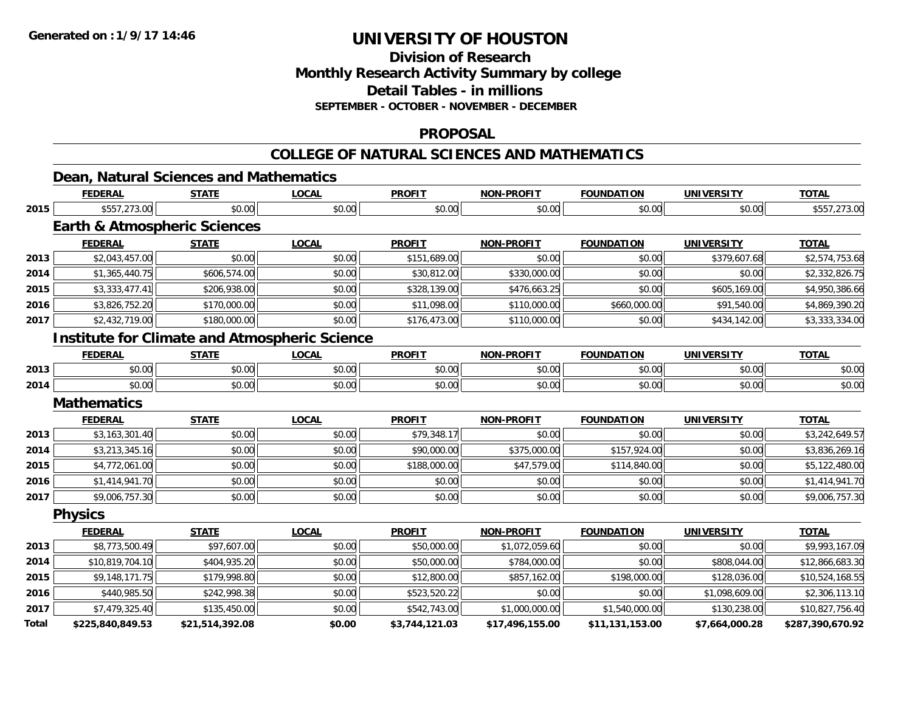**Total**

# **UNIVERSITY OF HOUSTON**

**Division of Research**

**Monthly Research Activity Summary by college**

**Detail Tables - in millions**

**SEPTEMBER - OCTOBER - NOVEMBER - DECEMBER**

#### **PROPOSAL**

#### **COLLEGE OF NATURAL SCIENCES AND MATHEMATICS**

|      |                                                          |              | COLLEGE OF NATURAL SCIENCES AND MATHEMATICS |               |                   |                   |                   |                 |
|------|----------------------------------------------------------|--------------|---------------------------------------------|---------------|-------------------|-------------------|-------------------|-----------------|
|      | Dean, Natural Sciences and Mathematics<br><b>FEDERAL</b> | <b>STATE</b> | <b>LOCAL</b>                                | <b>PROFIT</b> | <b>NON-PROFIT</b> | <b>FOUNDATION</b> | <b>UNIVERSITY</b> | <b>TOTAL</b>    |
| 2015 | \$557,273.00                                             | \$0.00       | \$0.00                                      | \$0.00        | \$0.00            | \$0.00            | \$0.00            | \$557,273.00    |
|      | <b>Earth &amp; Atmospheric Sciences</b>                  |              |                                             |               |                   |                   |                   |                 |
|      | <b>FEDERAL</b>                                           | <b>STATE</b> | <b>LOCAL</b>                                | <b>PROFIT</b> | <b>NON-PROFIT</b> | <b>FOUNDATION</b> | <b>UNIVERSITY</b> | <b>TOTAL</b>    |
| 2013 | \$2,043,457.00                                           | \$0.00       | \$0.00                                      | \$151,689.00  | \$0.00            | \$0.00            | \$379,607.68      | \$2,574,753.68  |
| 2014 | \$1,365,440.75                                           | \$606,574.00 | \$0.00                                      | \$30,812.00   | \$330,000.00      | \$0.00            | \$0.00            | \$2,332,826.75  |
| 2015 | \$3,333,477.41                                           | \$206,938.00 | \$0.00                                      | \$328,139.00  | \$476,663.25      | \$0.00            | \$605,169.00      | \$4,950,386.66  |
| 2016 | \$3,826,752.20                                           | \$170,000.00 | \$0.00                                      | \$11,098.00   | \$110,000.00      | \$660,000.00      | \$91,540.00       | \$4,869,390.20  |
| 2017 | \$2,432,719.00                                           | \$180,000.00 | \$0.00                                      | \$176,473.00  | \$110,000.00      | \$0.00            | \$434,142.00      | \$3,333,334.00  |
|      | <b>Institute for Climate and Atmospheric Science</b>     |              |                                             |               |                   |                   |                   |                 |
|      | <b>FEDERAL</b>                                           | <b>STATE</b> | <b>LOCAL</b>                                | <b>PROFIT</b> | <b>NON-PROFIT</b> | <b>FOUNDATION</b> | <b>UNIVERSITY</b> | <b>TOTAL</b>    |
| 2013 | \$0.00                                                   | \$0.00       | \$0.00                                      | \$0.00        | \$0.00            | \$0.00            | \$0.00            | \$0.00          |
| 2014 | \$0.00                                                   | \$0.00       | \$0.00                                      | \$0.00        | \$0.00            | \$0.00            | \$0.00            | \$0.00          |
|      | <b>Mathematics</b>                                       |              |                                             |               |                   |                   |                   |                 |
|      | <b>FEDERAL</b>                                           | <b>STATE</b> | <b>LOCAL</b>                                | <b>PROFIT</b> | <b>NON-PROFIT</b> | <b>FOUNDATION</b> | <b>UNIVERSITY</b> | <b>TOTAL</b>    |
| 2013 | \$3,163,301.40                                           | \$0.00       | \$0.00                                      | \$79,348.17   | \$0.00            | \$0.00            | \$0.00            | \$3,242,649.57  |
| 2014 | \$3,213,345.16                                           | \$0.00       | \$0.00                                      | \$90,000.00   | \$375,000.00      | \$157,924.00      | \$0.00            | \$3,836,269.16  |
| 2015 | \$4,772,061.00                                           | \$0.00       | \$0.00                                      | \$188,000.00  | \$47,579.00       | \$114,840.00      | \$0.00            | \$5,122,480.00  |
| 2016 | \$1,414,941.70                                           | \$0.00       | \$0.00                                      | \$0.00        | \$0.00            | \$0.00            | \$0.00            | \$1,414,941.70  |
| 2017 | \$9,006,757.30                                           | \$0.00       | \$0.00                                      | \$0.00        | \$0.00            | \$0.00            | \$0.00            | \$9,006,757.30  |
|      | <b>Physics</b>                                           |              |                                             |               |                   |                   |                   |                 |
|      | <b>FEDERAL</b>                                           | <b>STATE</b> | <b>LOCAL</b>                                | <b>PROFIT</b> | <b>NON-PROFIT</b> | <b>FOUNDATION</b> | <b>UNIVERSITY</b> | <b>TOTAL</b>    |
| 2013 | \$8,773,500.49                                           | \$97,607.00  | \$0.00                                      | \$50,000.00   | \$1,072,059.60    | \$0.00            | \$0.00            | \$9,993,167.09  |
| 2014 | \$10,819,704.10                                          | \$404,935.20 | \$0.00                                      | \$50,000.00   | \$784,000.00      | \$0.00            | \$808,044.00      | \$12,866,683.30 |
| 2015 | \$9,148,171.75                                           | \$179,998.80 | \$0.00                                      | \$12,800.00   | \$857,162.00      | \$198,000.00      | \$128,036.00      | \$10,524,168.55 |
| 2016 | \$440,985.50                                             | \$242,998.38 | \$0.00                                      | \$523,520.22  | \$0.00            | \$0.00            | \$1,098,609.00    | \$2,306,113.10  |
| 2017 | \$7,479,325.40                                           | \$135,450.00 | \$0.00                                      | \$542,743.00  | \$1,000,000.00    | \$1,540,000.00    | \$130,238.00      | \$10,827,756.40 |

**\$225,840,849.53 \$21,514,392.08 \$0.00 \$3,744,121.03 \$17,496,155.00 \$11,131,153.00 \$7,664,000.28 \$287,390,670.92**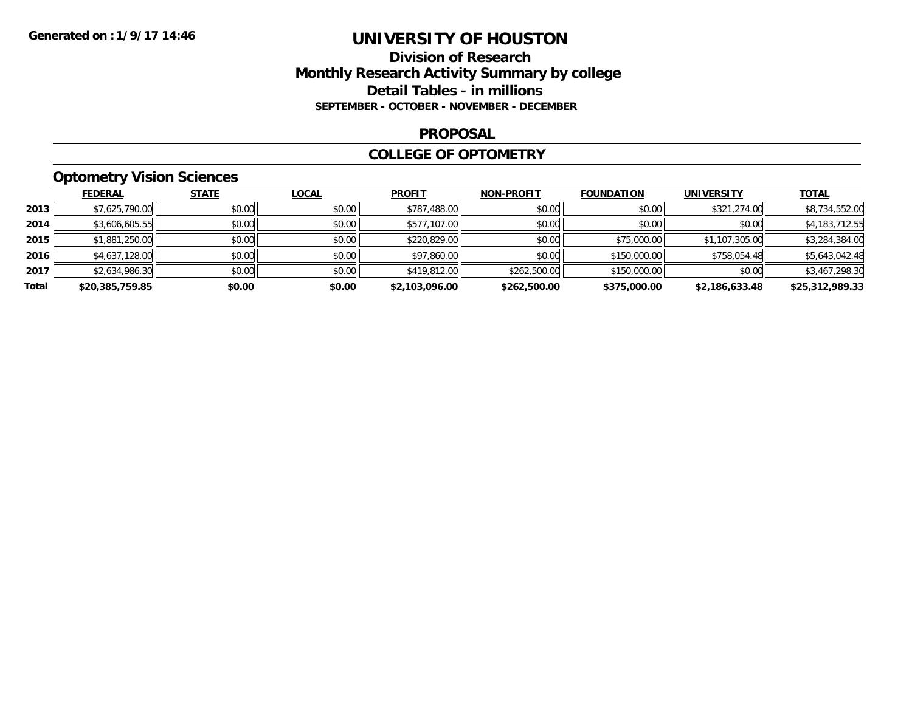### **Division of Research Monthly Research Activity Summary by college Detail Tables - in millions SEPTEMBER - OCTOBER - NOVEMBER - DECEMBER**

#### **PROPOSAL**

#### **COLLEGE OF OPTOMETRY**

## **Optometry Vision Sciences**

|       | <b>FEDERAL</b>  | <b>STATE</b> | <b>LOCAL</b> | <b>PROFIT</b>  | <b>NON-PROFIT</b> | <b>FOUNDATION</b> | <b>UNIVERSITY</b> | <b>TOTAL</b>    |
|-------|-----------------|--------------|--------------|----------------|-------------------|-------------------|-------------------|-----------------|
| 2013  | \$7,625,790.00  | \$0.00       | \$0.00       | \$787,488.00   | \$0.00            | \$0.00            | \$321,274.00      | \$8,734,552.00  |
| 2014  | \$3,606,605.55  | \$0.00       | \$0.00       | \$577,107.00   | \$0.00            | \$0.00            | \$0.00            | \$4,183,712.55  |
| 2015  | \$1,881,250.00  | \$0.00       | \$0.00       | \$220,829.00   | \$0.00            | \$75,000.00       | \$1,107,305.00    | \$3,284,384.00  |
| 2016  | \$4,637,128.00  | \$0.00       | \$0.00       | \$97,860.00    | \$0.00            | \$150,000.00      | \$758,054.48      | \$5,643,042.48  |
| 2017  | \$2,634,986.30  | \$0.00       | \$0.00       | \$419,812.00   | \$262,500.00      | \$150,000.00      | \$0.00            | \$3,467,298.30  |
| Total | \$20,385,759.85 | \$0.00       | \$0.00       | \$2,103,096.00 | \$262,500.00      | \$375,000.00      | \$2,186,633.48    | \$25,312,989.33 |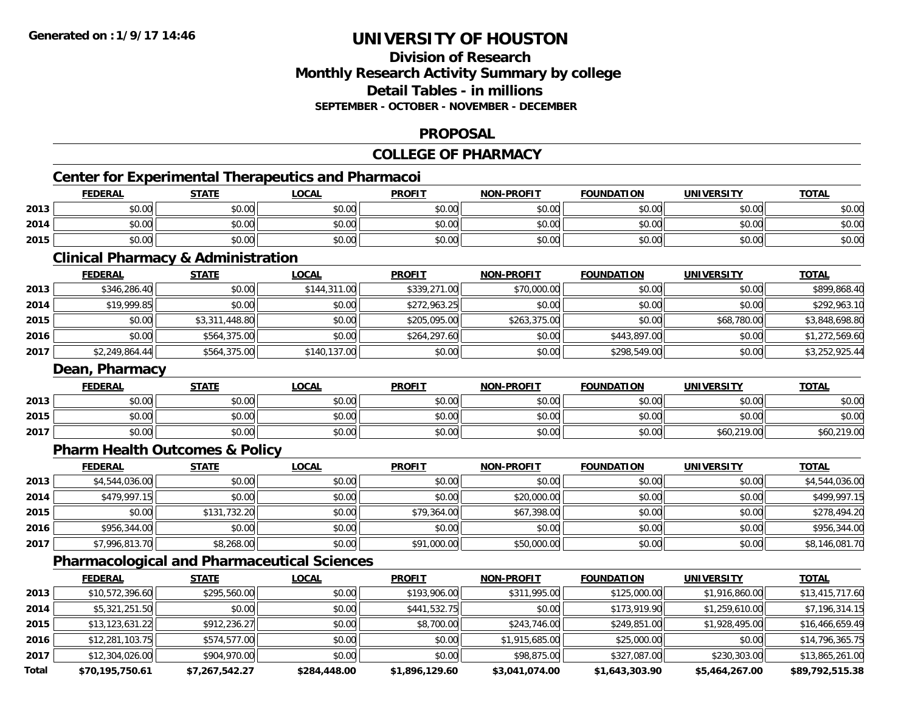### **Division of ResearchMonthly Research Activity Summary by college Detail Tables - in millions SEPTEMBER - OCTOBER - NOVEMBER - DECEMBER**

### **PROPOSAL**

### **COLLEGE OF PHARMACY**

# **Center for Experimental Therapeutics and Pharmacoi**

|      | <b>FEDERAL</b>        | <b>STATE</b>                                             | LOCAI  | <b>PROFIT</b> | <b>NON-PROFIT</b> | <b>FOUNDATION</b> | <b>UNIVERSITY</b> | <b>TOTAL</b>   |
|------|-----------------------|----------------------------------------------------------|--------|---------------|-------------------|-------------------|-------------------|----------------|
| 2013 | ⊄∩ ∩∩<br><b>DU.UU</b> | $\mathsf{A} \cap \mathsf{A} \cap$<br>JU.UU               | \$0.00 | \$0.00        | \$0.00            | \$0.00            | \$0.00            | ልስ ስስ<br>DU.UU |
| 2014 | ሶስ ስስ<br>ึง∪.∪∪       | 40.00<br>JU.UU                                           | \$0.00 | \$0.00        | \$0.00            | \$0.00            | \$0.00            | \$0.00         |
| 2015 | \$0.00                | $\mathsf{A}\cap\mathsf{A}\cap\mathsf{A}$<br><b>DU.UU</b> | \$0.00 | \$0.00        | \$0.00            | \$0.00            | \$0.00            | 0000<br>DU.UG  |

#### **Clinical Pharmacy & Administration**

|      | <b>FEDERAL</b> | <b>STATE</b>   | <u>LOCAL</u> | <b>PROFIT</b> | <b>NON-PROFIT</b> | <b>FOUNDATION</b> | <b>UNIVERSITY</b> | <b>TOTAL</b>   |
|------|----------------|----------------|--------------|---------------|-------------------|-------------------|-------------------|----------------|
| 2013 | \$346,286.40   | \$0.00         | \$144,311.00 | \$339,271.00  | \$70,000.00       | \$0.00            | \$0.00            | \$899,868.40   |
| 2014 | \$19,999.85    | \$0.00         | \$0.00       | \$272,963.25  | \$0.00            | \$0.00            | \$0.00            | \$292,963.10   |
| 2015 | \$0.00         | \$3,311,448.80 | \$0.00       | \$205,095,00  | \$263,375.00      | \$0.00            | \$68,780.00       | \$3,848,698.80 |
| 2016 | \$0.00         | \$564,375.00   | \$0.00       | \$264,297.60  | \$0.00            | \$443.897.00      | \$0.00            | \$1,272,569.60 |
| 2017 | \$2,249,864.44 | \$564,375.00   | \$140,137.00 | \$0.00        | \$0.00            | \$298,549.00      | \$0.00            | \$3,252,925.44 |

#### **Dean, Pharmacy**

|      | <u>FEDERAL</u> | <b>STATE</b> | <u>LOCAL</u> | <b>PROFIT</b>         | <b>NON-PROFIT</b> | <b>FOUNDATION</b> | <b>UNIVERSITY</b> | <b>TOTAL</b> |
|------|----------------|--------------|--------------|-----------------------|-------------------|-------------------|-------------------|--------------|
| 2013 | \$0.00         | \$0.00       | \$0.00       | t∩ ∪v<br><b>JU.UU</b> | \$0.00            | \$0.00            | \$0.00            | \$0.00       |
| 2015 | \$0.00         | \$0.00       | \$0.00       | \$0.00                | \$0.00            | \$0.00            | \$0.00            | \$0.00       |
| 2017 | \$0.00         | \$0.00       | \$0.00       | \$0.00                | \$0.00            | \$0.00            | \$60,219.00       | \$60,219.00  |

#### **Pharm Health Outcomes & Policy**

|      | <b>FEDERAL</b> | <u>STATE</u> | <u>LOCAL</u> | <b>PROFIT</b> | <b>NON-PROFIT</b> | <b>FOUNDATION</b> | <b>UNIVERSITY</b> | <b>TOTAL</b>   |
|------|----------------|--------------|--------------|---------------|-------------------|-------------------|-------------------|----------------|
| 2013 | \$4,544,036.00 | \$0.00       | \$0.00       | \$0.00        | \$0.00            | \$0.00            | \$0.00            | \$4,544,036.00 |
| 2014 | \$479,997.15   | \$0.00       | \$0.00       | \$0.00        | \$20,000.00       | \$0.00            | \$0.00            | \$499.997.15   |
| 2015 | \$0.00         | \$131,732.20 | \$0.00       | \$79,364.00   | \$67,398.00       | \$0.00            | \$0.00            | \$278,494.20   |
| 2016 | \$956,344.00   | \$0.00       | \$0.00       | \$0.00        | \$0.00            | \$0.00            | \$0.00            | \$956,344.00   |
| 2017 | \$7,996,813.70 | \$8,268.00   | \$0.00       | \$91,000.00   | \$50,000.00       | \$0.00            | \$0.00            | \$8,146,081.70 |

## **Pharmacological and Pharmaceutical Sciences**

|       | <b>FEDERAL</b>  | <b>STATE</b>   | <b>LOCAL</b> | <b>PROFIT</b>  | <b>NON-PROFIT</b> | <b>FOUNDATION</b> | <b>UNIVERSITY</b> | <b>TOTAL</b>    |
|-------|-----------------|----------------|--------------|----------------|-------------------|-------------------|-------------------|-----------------|
| 2013  | \$10,572,396.60 | \$295,560.00   | \$0.00       | \$193,906.00   | \$311,995.00      | \$125,000.00      | \$1,916,860.00    | \$13,415,717.60 |
| 2014  | \$5,321,251.50  | \$0.00         | \$0.00       | \$441,532.75   | \$0.00            | \$173,919.90      | \$1,259,610.00    | \$7,196,314.15  |
| 2015  | \$13,123,631.22 | \$912,236.27   | \$0.00       | \$8,700.00     | \$243,746.00      | \$249,851.00      | \$1,928,495.00    | \$16,466,659.49 |
| 2016  | \$12,281,103.75 | \$574,577.00   | \$0.00       | \$0.00         | \$1,915,685.00    | \$25,000.00       | \$0.00            | \$14,796,365.75 |
| 2017  | \$12,304,026.00 | \$904,970.00   | \$0.00       | \$0.00         | \$98,875.00       | \$327,087.00      | \$230,303.00      | \$13,865,261.00 |
| Total | \$70,195,750.61 | \$7,267,542.27 | \$284,448.00 | \$1,896,129.60 | \$3,041,074.00    | \$1,643,303.90    | \$5,464,267.00    | \$89,792,515.38 |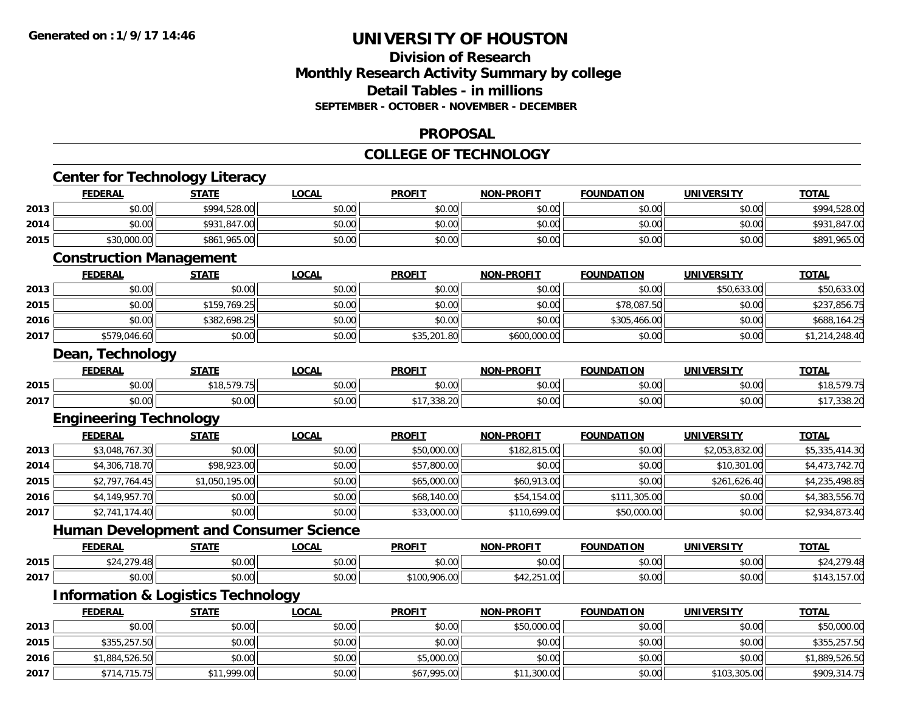### **Division of Research Monthly Research Activity Summary by college Detail Tables - in millions SEPTEMBER - OCTOBER - NOVEMBER - DECEMBER**

#### **PROPOSAL**

#### **COLLEGE OF TECHNOLOGY**

|                                      | <b>FEDERAL</b>                                | <b>STATE</b>   | <b>LOCAL</b> | <b>PROFIT</b> | <b>NON-PROFIT</b> | <b>FOUNDATION</b> | <b>UNIVERSITY</b> | <b>TOTAL</b>                                                                 |
|--------------------------------------|-----------------------------------------------|----------------|--------------|---------------|-------------------|-------------------|-------------------|------------------------------------------------------------------------------|
| 2013                                 | \$0.00                                        | \$994,528.00   | \$0.00       | \$0.00        | \$0.00            | \$0.00            | \$0.00            | \$994,528.00                                                                 |
| 2014                                 | \$0.00                                        | \$931,847.00   | \$0.00       | \$0.00        | \$0.00            | \$0.00            | \$0.00            | \$931,847.00                                                                 |
| 2015                                 | \$30,000.00                                   | \$861,965.00   | \$0.00       | \$0.00        | \$0.00            | \$0.00            | \$0.00            | \$891,965.00                                                                 |
|                                      | <b>Construction Management</b>                |                |              |               |                   |                   |                   |                                                                              |
|                                      | <b>FEDERAL</b>                                | <b>STATE</b>   | <b>LOCAL</b> | <b>PROFIT</b> | <b>NON-PROFIT</b> | <b>FOUNDATION</b> | <b>UNIVERSITY</b> | <b>TOTAL</b>                                                                 |
| 2013                                 | \$0.00                                        | \$0.00         | \$0.00       | \$0.00        | \$0.00            | \$0.00            | \$50,633.00       | \$50,633.00                                                                  |
| 2015                                 | \$0.00                                        | \$159,769.25   | \$0.00       | \$0.00        | \$0.00            | \$78,087.50       | \$0.00            | \$237,856.75                                                                 |
| 2016                                 | \$0.00                                        | \$382,698.25   | \$0.00       | \$0.00        | \$0.00            | \$305,466.00      | \$0.00            | \$688,164.25                                                                 |
| 2017                                 | \$579,046.60                                  | \$0.00         | \$0.00       | \$35,201.80   | \$600,000.00      | \$0.00            | \$0.00            | \$1,214,248.40                                                               |
|                                      | Dean, Technology                              |                |              |               |                   |                   |                   |                                                                              |
|                                      | <b>FEDERAL</b>                                | <b>STATE</b>   | <b>LOCAL</b> | <b>PROFIT</b> | <b>NON-PROFIT</b> | <b>FOUNDATION</b> | <b>UNIVERSITY</b> | <b>TOTAL</b>                                                                 |
| 2015                                 | \$0.00                                        | \$18,579.75    | \$0.00       | \$0.00        | \$0.00            | \$0.00            | \$0.00            | \$18,579.75                                                                  |
| 2017                                 | \$0.00                                        | \$0.00         | \$0.00       | \$17,338.20   | \$0.00            | \$0.00            | \$0.00            | \$17,338.20                                                                  |
|                                      | <b>Engineering Technology</b>                 |                |              |               |                   |                   |                   |                                                                              |
|                                      | <b>FEDERAL</b>                                | <b>STATE</b>   | <b>LOCAL</b> | <b>PROFIT</b> | <b>NON-PROFIT</b> | <b>FOUNDATION</b> | <b>UNIVERSITY</b> | <b>TOTAL</b>                                                                 |
| 2013                                 | \$3,048,767.30                                | \$0.00         | \$0.00       | \$50,000.00   | \$182,815.00      | \$0.00            | \$2,053,832.00    | \$5,335,414.30                                                               |
| 2014                                 | \$4,306,718.70                                | \$98,923.00    | \$0.00       | \$57,800.00   | \$0.00            | \$0.00            | \$10,301.00       | \$4,473,742.70                                                               |
| 2015                                 | \$2,797,764.45                                | \$1,050,195.00 | \$0.00       | \$65,000.00   | \$60,913.00       | \$0.00            | \$261,626.40      | \$4,235,498.85                                                               |
| 2016                                 | \$4,149,957.70                                | \$0.00         | \$0.00       | \$68,140.00   | \$54,154.00       | \$111,305.00      | \$0.00            | \$4,383,556.70                                                               |
| 2017                                 | \$2,741,174.40                                | \$0.00         | \$0.00       | \$33,000.00   | \$110,699.00      | \$50,000.00       | \$0.00            | \$2,934,873.40                                                               |
|                                      | <b>Human Development and Consumer Science</b> |                |              |               |                   |                   |                   |                                                                              |
|                                      |                                               |                |              |               |                   |                   |                   |                                                                              |
|                                      | <b>FEDERAL</b>                                | <b>STATE</b>   | <b>LOCAL</b> | <b>PROFIT</b> | NON-PROFIT        | <b>FOUNDATION</b> | <b>UNIVERSITY</b> | <b>TOTAL</b>                                                                 |
|                                      | \$24,279.48                                   | \$0.00         | \$0.00       | \$0.00        | \$0.00            | \$0.00            | \$0.00            |                                                                              |
|                                      | \$0.00                                        | \$0.00         | \$0.00       | \$100,906.00  | \$42,251.00       | \$0.00            | \$0.00            |                                                                              |
|                                      | <b>Information &amp; Logistics Technology</b> |                |              |               |                   |                   |                   |                                                                              |
|                                      | <b>FEDERAL</b>                                | <b>STATE</b>   | <b>LOCAL</b> | <b>PROFIT</b> | <b>NON-PROFIT</b> | <b>FOUNDATION</b> | <b>UNIVERSITY</b> | <b>TOTAL</b>                                                                 |
|                                      | \$0.00                                        | \$0.00         | \$0.00       | \$0.00        | \$50,000.00       | \$0.00            | \$0.00            |                                                                              |
|                                      | \$355,257.50                                  | \$0.00         | \$0.00       | \$0.00        | \$0.00            | \$0.00            | \$0.00            |                                                                              |
| 2015<br>2017<br>2013<br>2015<br>2016 | \$1,884,526.50                                | \$0.00         | \$0.00       | \$5,000.00    | \$0.00            | \$0.00            | \$0.00            | \$24,279.48<br>\$143,157.00<br>\$50,000.00<br>\$355,257.50<br>\$1,889,526.50 |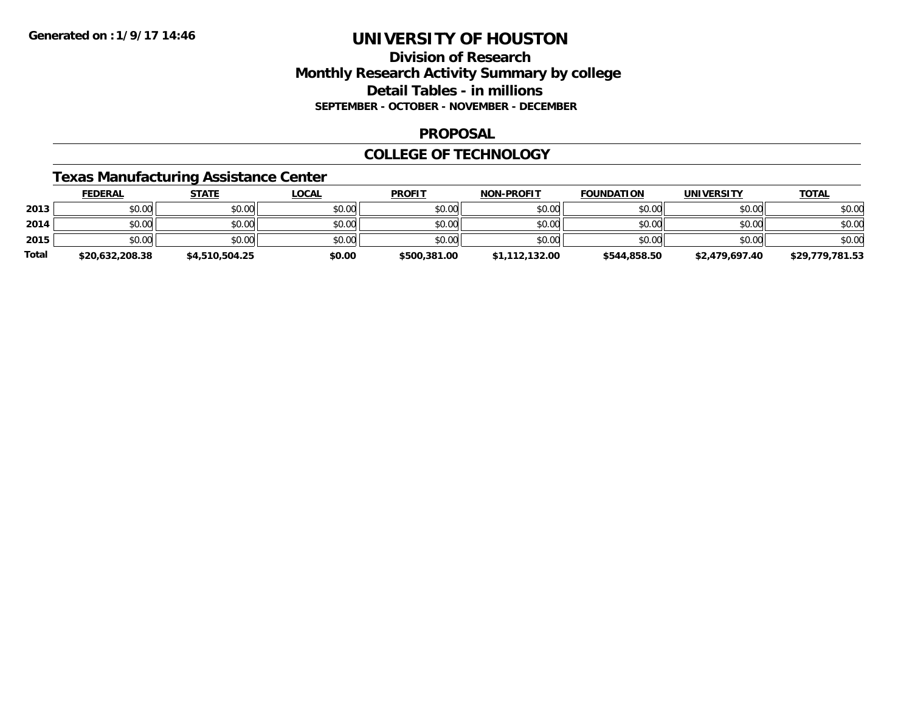## **Division of ResearchMonthly Research Activity Summary by college Detail Tables - in millions SEPTEMBER - OCTOBER - NOVEMBER - DECEMBER**

#### **PROPOSAL**

### **COLLEGE OF TECHNOLOGY**

### **Texas Manufacturing Assistance Center**

|              | <b>FEDERAL</b>  | <u>STATE</u>   | <u>LOCAL</u> | <b>PROFIT</b> | <b>NON-PROFIT</b> | <b>FOUNDATION</b> | UNIVERSITY     | <b>TOTAL</b>    |
|--------------|-----------------|----------------|--------------|---------------|-------------------|-------------------|----------------|-----------------|
| 2013         | \$0.00          | \$0.00         | \$0.00       | \$0.00        | \$0.00            | \$0.00            | \$0.00         | \$0.00          |
| 2014         | \$0.00          | \$0.00         | \$0.00       | \$0.00        | \$0.00            | \$0.00            | \$0.00         | \$0.00          |
| 2015         | \$0.00          | \$0.00         | \$0.00       | \$0.00        | \$0.00            | \$0.00            | \$0.00         | \$0.00          |
| <b>Total</b> | \$20,632,208.38 | \$4,510,504.25 | \$0.00       | \$500,381.00  | \$1,112,132.00    | \$544,858.50      | \$2,479,697.40 | \$29,779,781.53 |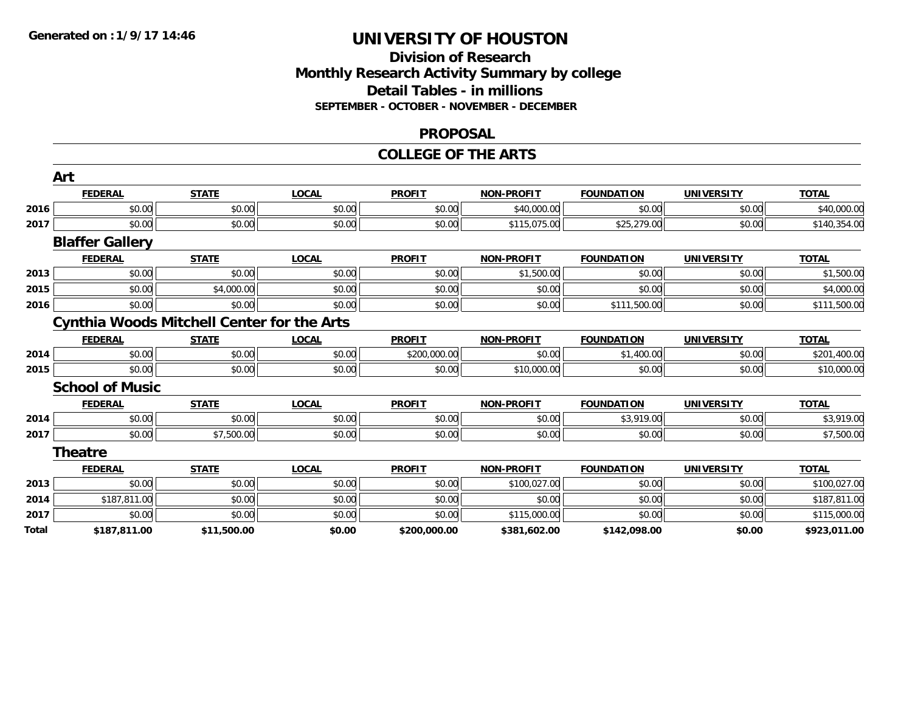### **Division of Research Monthly Research Activity Summary by college Detail Tables - in millions SEPTEMBER - OCTOBER - NOVEMBER - DECEMBER**

#### **PROPOSAL**

#### **COLLEGE OF THE ARTS**

|              | Art                                               |              |              |               |                   |                   |                   |              |
|--------------|---------------------------------------------------|--------------|--------------|---------------|-------------------|-------------------|-------------------|--------------|
|              | <b>FEDERAL</b>                                    | <b>STATE</b> | <b>LOCAL</b> | <b>PROFIT</b> | <b>NON-PROFIT</b> | <b>FOUNDATION</b> | <b>UNIVERSITY</b> | <b>TOTAL</b> |
| 2016         | \$0.00                                            | \$0.00       | \$0.00       | \$0.00        | \$40,000.00       | \$0.00            | \$0.00            | \$40,000.00  |
| 2017         | \$0.00                                            | \$0.00       | \$0.00       | \$0.00        | \$115,075.00      | \$25,279.00       | \$0.00            | \$140,354.00 |
|              | <b>Blaffer Gallery</b>                            |              |              |               |                   |                   |                   |              |
|              | <b>FEDERAL</b>                                    | <b>STATE</b> | <b>LOCAL</b> | <b>PROFIT</b> | <b>NON-PROFIT</b> | <b>FOUNDATION</b> | <b>UNIVERSITY</b> | <b>TOTAL</b> |
| 2013         | \$0.00                                            | \$0.00       | \$0.00       | \$0.00        | \$1,500.00        | \$0.00            | \$0.00            | \$1,500.00   |
| 2015         | \$0.00                                            | \$4,000.00   | \$0.00       | \$0.00        | \$0.00            | \$0.00            | \$0.00            | \$4,000.00   |
| 2016         | \$0.00                                            | \$0.00       | \$0.00       | \$0.00        | \$0.00            | \$111,500.00      | \$0.00            | \$111,500.00 |
|              | <b>Cynthia Woods Mitchell Center for the Arts</b> |              |              |               |                   |                   |                   |              |
|              | <b>FEDERAL</b>                                    | <b>STATE</b> | <b>LOCAL</b> | <b>PROFIT</b> | <b>NON-PROFIT</b> | <b>FOUNDATION</b> | <b>UNIVERSITY</b> | <b>TOTAL</b> |
| 2014         | \$0.00                                            | \$0.00       | \$0.00       | \$200,000.00  | \$0.00            | \$1,400.00        | \$0.00            | \$201,400.00 |
| 2015         | \$0.00                                            | \$0.00       | \$0.00       | \$0.00        | \$10,000.00       | \$0.00            | \$0.00            | \$10,000.00  |
|              | <b>School of Music</b>                            |              |              |               |                   |                   |                   |              |
|              | <b>FEDERAL</b>                                    | <b>STATE</b> | <b>LOCAL</b> | <b>PROFIT</b> | <b>NON-PROFIT</b> | <b>FOUNDATION</b> | <b>UNIVERSITY</b> | <b>TOTAL</b> |
| 2014         | \$0.00                                            | \$0.00       | \$0.00       | \$0.00        | \$0.00            | \$3,919.00        | \$0.00            | \$3,919.00   |
| 2017         | \$0.00                                            | \$7,500.00   | \$0.00       | \$0.00        | \$0.00            | \$0.00            | \$0.00            | \$7,500.00   |
|              | <b>Theatre</b>                                    |              |              |               |                   |                   |                   |              |
|              | <b>FEDERAL</b>                                    | <b>STATE</b> | <b>LOCAL</b> | <b>PROFIT</b> | <b>NON-PROFIT</b> | <b>FOUNDATION</b> | <b>UNIVERSITY</b> | <b>TOTAL</b> |
| 2013         | \$0.00                                            | \$0.00       | \$0.00       | \$0.00        | \$100,027.00      | \$0.00            | \$0.00            | \$100,027.00 |
| 2014         | \$187,811.00                                      | \$0.00       | \$0.00       | \$0.00        | \$0.00            | \$0.00            | \$0.00            | \$187,811.00 |
| 2017         | \$0.00                                            | \$0.00       | \$0.00       | \$0.00        | \$115,000.00      | \$0.00            | \$0.00            | \$115,000.00 |
| <b>Total</b> | \$187,811.00                                      | \$11,500.00  | \$0.00       | \$200,000.00  | \$381,602.00      | \$142,098.00      | \$0.00            | \$923,011.00 |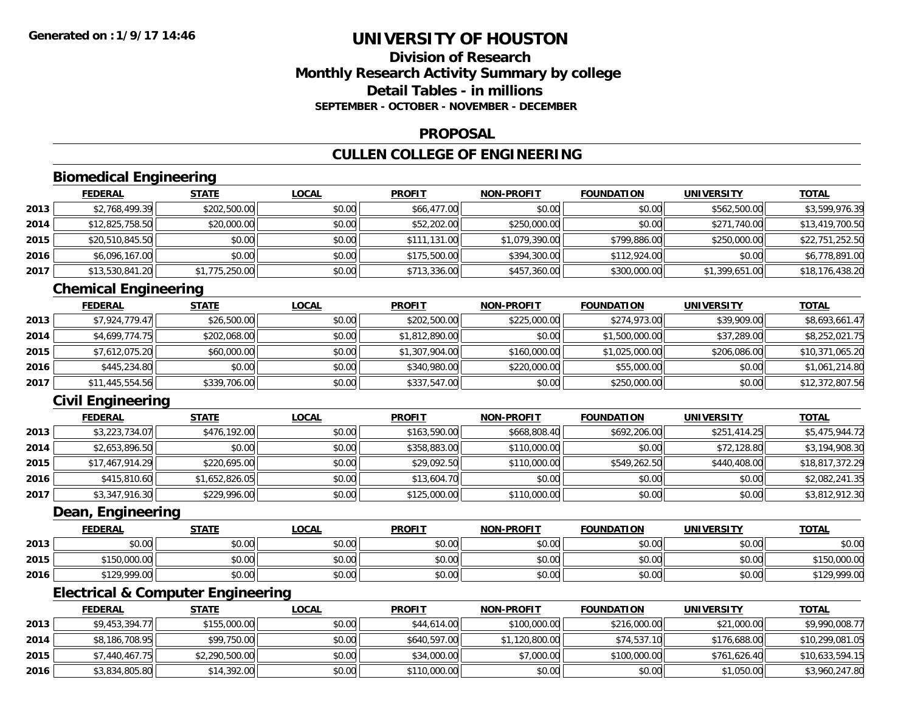### **Division of ResearchMonthly Research Activity Summary by college Detail Tables - in millionsSEPTEMBER - OCTOBER - NOVEMBER - DECEMBER**

### **PROPOSAL**

## **CULLEN COLLEGE OF ENGINEERING**

## **Biomedical Engineering**

|      | <b>FEDERAL</b>  | <u>STATE</u>   | <b>LOCAL</b> | <b>PROFIT</b> | <b>NON-PROFIT</b> | <b>FOUNDATION</b> | <b>UNIVERSITY</b> | <b>TOTAL</b>    |
|------|-----------------|----------------|--------------|---------------|-------------------|-------------------|-------------------|-----------------|
| 2013 | \$2,768,499.39  | \$202,500.00   | \$0.00       | \$66,477.00   | \$0.00            | \$0.00            | \$562,500.00      | \$3,599,976.39  |
| 2014 | \$12,825,758.50 | \$20,000.00    | \$0.00       | \$52,202.00   | \$250,000.00      | \$0.00            | \$271,740.00      | \$13,419,700.50 |
| 2015 | \$20,510,845.50 | \$0.00         | \$0.00       | \$111,131.00  | \$1,079,390.00    | \$799,886.00      | \$250,000.00      | \$22,751,252.50 |
| 2016 | \$6,096,167.00  | \$0.00         | \$0.00       | \$175,500.00  | \$394,300.00      | \$112,924.00      | \$0.00            | \$6,778,891.00  |
| 2017 | \$13,530,841.20 | \$1,775,250.00 | \$0.00       | \$713,336.00  | \$457,360.00      | \$300,000.00      | \$1,399,651.00    | \$18,176,438.20 |

## **Chemical Engineering**

|      | <b>FEDERAL</b>  | <b>STATE</b> | <u>LOCAL</u> | <b>PROFIT</b>  | <b>NON-PROFIT</b> | <b>FOUNDATION</b> | <b>UNIVERSITY</b> | <b>TOTAL</b>    |
|------|-----------------|--------------|--------------|----------------|-------------------|-------------------|-------------------|-----------------|
| 2013 | \$7,924,779.47  | \$26,500.00  | \$0.00       | \$202,500.00   | \$225,000.00      | \$274,973,00      | \$39,909.00       | \$8,693,661.47  |
| 2014 | \$4,699,774.75  | \$202,068.00 | \$0.00       | \$1,812,890.00 | \$0.00            | \$1,500,000.00    | \$37,289.00       | \$8,252,021.75  |
| 2015 | \$7,612,075.20  | \$60,000.00  | \$0.00       | \$1,307,904.00 | \$160,000.00      | \$1,025,000.00    | \$206,086.00      | \$10,371,065.20 |
| 2016 | \$445,234.80    | \$0.00       | \$0.00       | \$340,980.00   | \$220,000.00      | \$55,000.00       | \$0.00            | \$1,061,214.80  |
| 2017 | \$11,445,554.56 | \$339,706.00 | \$0.00       | \$337,547.00   | \$0.00            | \$250,000.00      | \$0.00            | \$12,372,807.56 |

## **Civil Engineering**

|      | <b>FEDERAL</b>  | <b>STATE</b>   | <b>LOCAL</b> | <b>PROFIT</b> | <b>NON-PROFIT</b> | <b>FOUNDATION</b> | <b>UNIVERSITY</b> | <b>TOTAL</b>    |
|------|-----------------|----------------|--------------|---------------|-------------------|-------------------|-------------------|-----------------|
| 2013 | \$3,223,734.07  | \$476,192.00   | \$0.00       | \$163,590.00  | \$668,808.40      | \$692,206.00      | \$251,414.25      | \$5,475,944.72  |
| 2014 | \$2,653,896.50  | \$0.00         | \$0.00       | \$358,883.00  | \$110,000.00      | \$0.00            | \$72,128.80       | \$3,194,908.30  |
| 2015 | \$17,467,914.29 | \$220,695.00   | \$0.00       | \$29,092.50   | \$110,000.00      | \$549,262.50      | \$440,408.00      | \$18,817,372.29 |
| 2016 | \$415,810.60    | \$1,652,826.05 | \$0.00       | \$13,604.70   | \$0.00            | \$0.00            | \$0.00            | \$2,082,241.35  |
| 2017 | \$3,347,916.30  | \$229,996.00   | \$0.00       | \$125,000.00  | \$110,000.00      | \$0.00            | \$0.00            | \$3,812,912.30  |

#### **Dean, Engineering**

|      | <b>FEDERAL</b>     | STATE  | <b>LOCAL</b> | <b>PROFIT</b> | <b>NON-PROFIT</b> | <b>FOUNDATION</b> | <b>UNIVERSITY</b> | <u>TOTAL</u> |
|------|--------------------|--------|--------------|---------------|-------------------|-------------------|-------------------|--------------|
| 2013 | ልስ ሰሰ<br>DU.UU     | \$0.00 | \$0.00       | \$0.00        | \$0.00            | \$0.00            | \$0.00            | \$0.00       |
| 2015 | 150,000.00<br>ぐっこへ | \$0.00 | \$0.00       | \$0.00        | \$0.00            | \$0.00            | \$0.00            | 150,000.00   |
| 2016 | \$129,999.00       | \$0.00 | \$0.00       | \$0.00        | \$0.00            | \$0.00            | \$0.00            | \$129,999.00 |

## **Electrical & Computer Engineering**

|      | <b>FEDERAL</b> | <b>STATE</b>   | <b>LOCAL</b> | <b>PROFIT</b> | <b>NON-PROFIT</b> | <b>FOUNDATION</b> | UNIVERSITY   | <b>TOTAL</b>    |
|------|----------------|----------------|--------------|---------------|-------------------|-------------------|--------------|-----------------|
| 2013 | \$9,453,394.77 | \$155,000.00   | \$0.00       | \$44,614.00   | \$100,000.00      | \$216,000.00      | \$21,000.00  | \$9,990,008.77  |
| 2014 | \$8,186,708.95 | \$99,750.00    | \$0.00       | \$640,597.00  | \$1,120,800.00    | \$74,537.10       | \$176,688.00 | \$10,299,081.05 |
| 2015 | \$7,440,467.75 | \$2,290,500.00 | \$0.00       | \$34,000.00   | \$7,000.00        | \$100,000.00      | \$761,626.40 | \$10,633,594.15 |
| 2016 | \$3,834,805.80 | \$14,392.00    | \$0.00       | \$110,000.00  | \$0.00            | \$0.00            | \$1,050.00   | \$3,960,247.80  |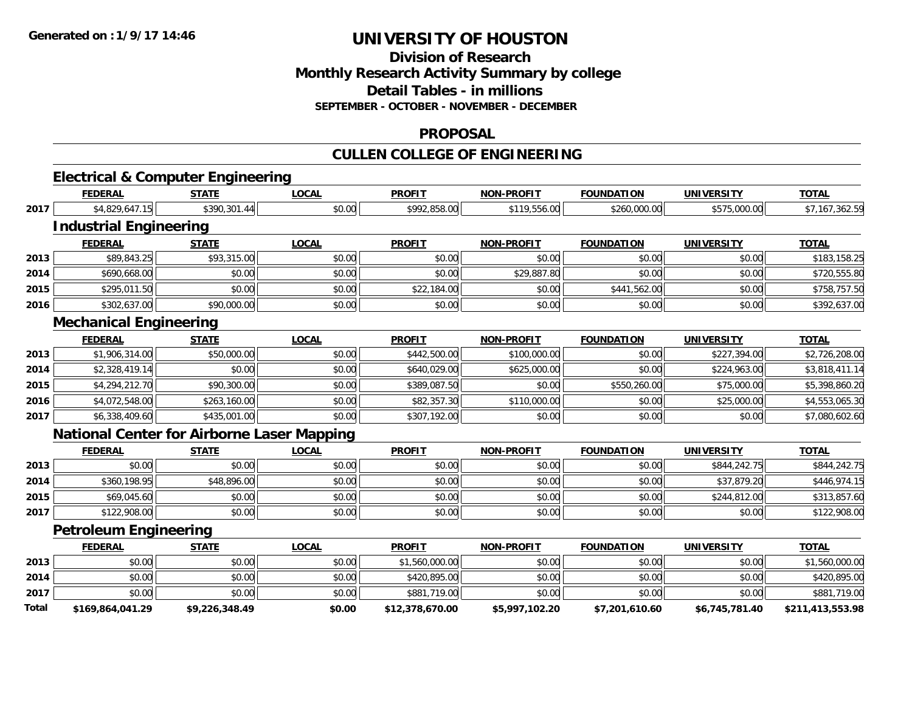### **Division of Research Monthly Research Activity Summary by college Detail Tables - in millions SEPTEMBER - OCTOBER - NOVEMBER - DECEMBER**

#### **PROPOSAL**

## **CULLEN COLLEGE OF ENGINEERING**

# **Electrical & Computer Engineering**

|                                                                                                                                      | <b>FEDERAL</b>                                    | <b>STATE</b>   | <b>LOCAL</b> | <b>PROFIT</b>   | <b>NON-PROFIT</b> | <b>FOUNDATION</b> | <b>UNIVERSITY</b> | <b>TOTAL</b>     |
|--------------------------------------------------------------------------------------------------------------------------------------|---------------------------------------------------|----------------|--------------|-----------------|-------------------|-------------------|-------------------|------------------|
| 2017<br>2013<br>2014<br>2015<br>2016<br>2013<br>2014<br>2015<br>2016<br>2017<br>2013<br>2014<br>2015<br>2017<br>2013<br>2014<br>2017 | \$4,829,647.15                                    | \$390,301.44   | \$0.00       | \$992,858.00    | \$119,556.00      | \$260,000.00      | \$575,000.00      | \$7,167,362.59   |
|                                                                                                                                      | <b>Industrial Engineering</b>                     |                |              |                 |                   |                   |                   |                  |
|                                                                                                                                      | <b>FEDERAL</b>                                    | <b>STATE</b>   | <b>LOCAL</b> | <b>PROFIT</b>   | <b>NON-PROFIT</b> | <b>FOUNDATION</b> | <b>UNIVERSITY</b> | <b>TOTAL</b>     |
|                                                                                                                                      | \$89,843.25                                       | \$93,315.00    | \$0.00       | \$0.00          | \$0.00            | \$0.00            | \$0.00            | \$183,158.25     |
|                                                                                                                                      | \$690,668.00                                      | \$0.00         | \$0.00       | \$0.00          | \$29,887.80       | \$0.00            | \$0.00            | \$720,555.80     |
|                                                                                                                                      | \$295,011.50                                      | \$0.00         | \$0.00       | \$22,184.00     | \$0.00            | \$441,562.00      | \$0.00            | \$758,757.50     |
|                                                                                                                                      | \$302,637.00                                      | \$90,000.00    | \$0.00       | \$0.00          | \$0.00            | \$0.00            | \$0.00            | \$392,637.00     |
|                                                                                                                                      | <b>Mechanical Engineering</b>                     |                |              |                 |                   |                   |                   |                  |
|                                                                                                                                      | <b>FEDERAL</b>                                    | <b>STATE</b>   | <b>LOCAL</b> | <b>PROFIT</b>   | <b>NON-PROFIT</b> | <b>FOUNDATION</b> | <b>UNIVERSITY</b> | <b>TOTAL</b>     |
|                                                                                                                                      | \$1,906,314.00                                    | \$50,000.00    | \$0.00       | \$442,500.00    | \$100,000.00      | \$0.00            | \$227,394.00      | \$2,726,208.00   |
|                                                                                                                                      | \$2,328,419.14                                    | \$0.00         | \$0.00       | \$640,029.00    | \$625,000.00      | \$0.00            | \$224,963.00      | \$3,818,411.14   |
|                                                                                                                                      | \$4,294,212.70                                    | \$90,300.00    | \$0.00       | \$389,087.50    | \$0.00            | \$550,260.00      | \$75,000.00       | \$5,398,860.20   |
|                                                                                                                                      | \$4,072,548.00                                    | \$263,160.00   | \$0.00       | \$82,357.30     | \$110,000.00      | \$0.00            | \$25,000.00       | \$4,553,065.30   |
|                                                                                                                                      | \$6,338,409.60                                    | \$435,001.00   | \$0.00       | \$307,192.00    | \$0.00            | \$0.00            | \$0.00            | \$7,080,602.60   |
|                                                                                                                                      | <b>National Center for Airborne Laser Mapping</b> |                |              |                 |                   |                   |                   |                  |
|                                                                                                                                      | <b>FEDERAL</b>                                    | <b>STATE</b>   | <b>LOCAL</b> | <b>PROFIT</b>   | <b>NON-PROFIT</b> | <b>FOUNDATION</b> | <b>UNIVERSITY</b> | <b>TOTAL</b>     |
|                                                                                                                                      | \$0.00                                            | \$0.00         | \$0.00       | \$0.00          | \$0.00            | \$0.00            | \$844,242.75      | \$844,242.75     |
|                                                                                                                                      | \$360,198.95                                      | \$48,896.00    | \$0.00       | \$0.00          | \$0.00            | \$0.00            | \$37,879.20       | \$446,974.15     |
|                                                                                                                                      | \$69,045.60                                       | \$0.00         | \$0.00       | \$0.00          | \$0.00            | \$0.00            | \$244,812.00      | \$313,857.60     |
|                                                                                                                                      | \$122,908.00                                      | \$0.00         | \$0.00       | \$0.00          | \$0.00            | \$0.00            | \$0.00            | \$122,908.00     |
|                                                                                                                                      | <b>Petroleum Engineering</b>                      |                |              |                 |                   |                   |                   |                  |
|                                                                                                                                      | <b>FEDERAL</b>                                    | <b>STATE</b>   | <b>LOCAL</b> | <b>PROFIT</b>   | <b>NON-PROFIT</b> | <b>FOUNDATION</b> | <b>UNIVERSITY</b> | <b>TOTAL</b>     |
|                                                                                                                                      | \$0.00                                            | \$0.00         | \$0.00       | \$1,560,000.00  | \$0.00            | \$0.00            | \$0.00            | \$1,560,000.00   |
|                                                                                                                                      | \$0.00                                            | \$0.00         | \$0.00       | \$420,895.00    | \$0.00            | \$0.00            | \$0.00            | \$420,895.00     |
|                                                                                                                                      | \$0.00                                            | \$0.00         | \$0.00       | \$881,719.00    | \$0.00            | \$0.00            | \$0.00            | \$881,719.00     |
| Total                                                                                                                                | \$169,864,041.29                                  | \$9,226,348.49 | \$0.00       | \$12,378,670.00 | \$5,997,102.20    | \$7,201,610.60    | \$6,745,781.40    | \$211,413,553.98 |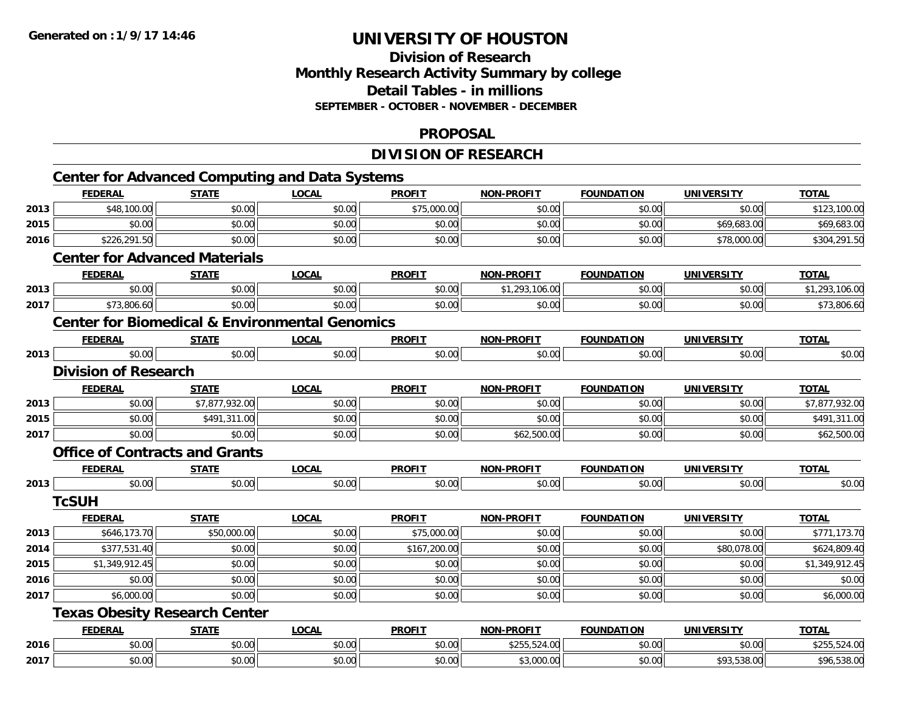## **Division of ResearchMonthly Research Activity Summary by college Detail Tables - in millions SEPTEMBER - OCTOBER - NOVEMBER - DECEMBER**

#### **PROPOSAL**

## **DIVISION OF RESEARCH**

|      | <b>FEDERAL</b>                                            | <b>STATE</b>   | <b>LOCAL</b> | <b>PROFIT</b> | <b>NON-PROFIT</b> | <b>FOUNDATION</b> | <b>UNIVERSITY</b> | <b>TOTAL</b>   |
|------|-----------------------------------------------------------|----------------|--------------|---------------|-------------------|-------------------|-------------------|----------------|
| 2013 | \$48,100.00                                               | \$0.00         | \$0.00       | \$75,000.00   | \$0.00            | \$0.00            | \$0.00            | \$123,100.00   |
| 2015 | \$0.00                                                    | \$0.00         | \$0.00       | \$0.00        | \$0.00            | \$0.00            | \$69,683.00       | \$69,683.00    |
| 2016 | \$226,291.50                                              | \$0.00         | \$0.00       | \$0.00        | \$0.00            | \$0.00            | \$78,000.00       | \$304,291.50   |
|      | <b>Center for Advanced Materials</b>                      |                |              |               |                   |                   |                   |                |
|      | <b>FEDERAL</b>                                            | <b>STATE</b>   | <b>LOCAL</b> | <b>PROFIT</b> | <b>NON-PROFIT</b> | <b>FOUNDATION</b> | <b>UNIVERSITY</b> | <b>TOTAL</b>   |
| 2013 | \$0.00                                                    | \$0.00         | \$0.00       | \$0.00        | \$1,293,106.00    | \$0.00            | \$0.00            | \$1,293,106.00 |
| 2017 | \$73,806.60                                               | \$0.00         | \$0.00       | \$0.00        | \$0.00            | \$0.00            | \$0.00            | \$73,806.60    |
|      | <b>Center for Biomedical &amp; Environmental Genomics</b> |                |              |               |                   |                   |                   |                |
|      | <b>FEDERAL</b>                                            | <b>STATE</b>   | <b>LOCAL</b> | <b>PROFIT</b> | <b>NON-PROFIT</b> | <b>FOUNDATION</b> | <b>UNIVERSITY</b> | <b>TOTAL</b>   |
| 2013 | \$0.00                                                    | \$0.00         | \$0.00       | \$0.00        | \$0.00            | \$0.00            | \$0.00            | \$0.00         |
|      | <b>Division of Research</b>                               |                |              |               |                   |                   |                   |                |
|      | <b>FEDERAL</b>                                            | <b>STATE</b>   | <b>LOCAL</b> | <b>PROFIT</b> | <b>NON-PROFIT</b> | <b>FOUNDATION</b> | <b>UNIVERSITY</b> | <b>TOTAL</b>   |
| 2013 | \$0.00                                                    | \$7,877,932.00 | \$0.00       | \$0.00        | \$0.00            | \$0.00            | \$0.00            | \$7,877,932.00 |
| 2015 | \$0.00                                                    | \$491,311.00   | \$0.00       | \$0.00        | \$0.00            | \$0.00            | \$0.00            | \$491,311.00   |
| 2017 | \$0.00                                                    | \$0.00         | \$0.00       | \$0.00        | \$62,500.00       | \$0.00            | \$0.00            | \$62,500.00    |
|      | <b>Office of Contracts and Grants</b>                     |                |              |               |                   |                   |                   |                |
|      | <b>FEDERAL</b>                                            | <b>STATE</b>   | <b>LOCAL</b> | <b>PROFIT</b> | <b>NON-PROFIT</b> | <b>FOUNDATION</b> | <b>UNIVERSITY</b> | <b>TOTAL</b>   |
| 2013 | \$0.00                                                    | \$0.00         | \$0.00       | \$0.00        | \$0.00            | \$0.00            | \$0.00            | \$0.00         |
|      | <b>TcSUH</b>                                              |                |              |               |                   |                   |                   |                |
|      | <b>FEDERAL</b>                                            | <b>STATE</b>   | <b>LOCAL</b> | <b>PROFIT</b> | <b>NON-PROFIT</b> | <b>FOUNDATION</b> | <b>UNIVERSITY</b> | <b>TOTAL</b>   |
| 2013 | \$646,173.70                                              | \$50,000.00    | \$0.00       | \$75,000.00   | \$0.00            | \$0.00            | \$0.00            | \$771,173.70   |
| 2014 | \$377,531.40                                              | \$0.00         | \$0.00       | \$167,200.00  | \$0.00            | \$0.00            | \$80,078.00       | \$624,809.40   |
| 2015 | \$1,349,912.45                                            | \$0.00         | \$0.00       | \$0.00        | \$0.00            | \$0.00            | \$0.00            | \$1,349,912.45 |
| 2016 | \$0.00                                                    | \$0.00         | \$0.00       | \$0.00        | \$0.00            | \$0.00            | \$0.00            | \$0.00         |
| 2017 | \$6,000.00                                                | \$0.00         | \$0.00       | \$0.00        | \$0.00            | \$0.00            | \$0.00            | \$6,000.00     |
|      | <b>Texas Obesity Research Center</b>                      |                |              |               |                   |                   |                   |                |
|      | <b>FEDERAL</b>                                            | <b>STATE</b>   | <b>LOCAL</b> | <b>PROFIT</b> | NON-PROFIT        | <b>FOUNDATION</b> | <b>UNIVERSITY</b> | <b>TOTAL</b>   |
| 2016 | \$0.00                                                    | \$0.00         | \$0.00       | \$0.00        | \$255,524.00      | \$0.00            | \$0.00            | \$255,524.00   |
| 2017 | \$0.00                                                    | \$0.00         | \$0.00       | \$0.00        | \$3,000.00        | \$0.00            | \$93,538.00       | \$96,538.00    |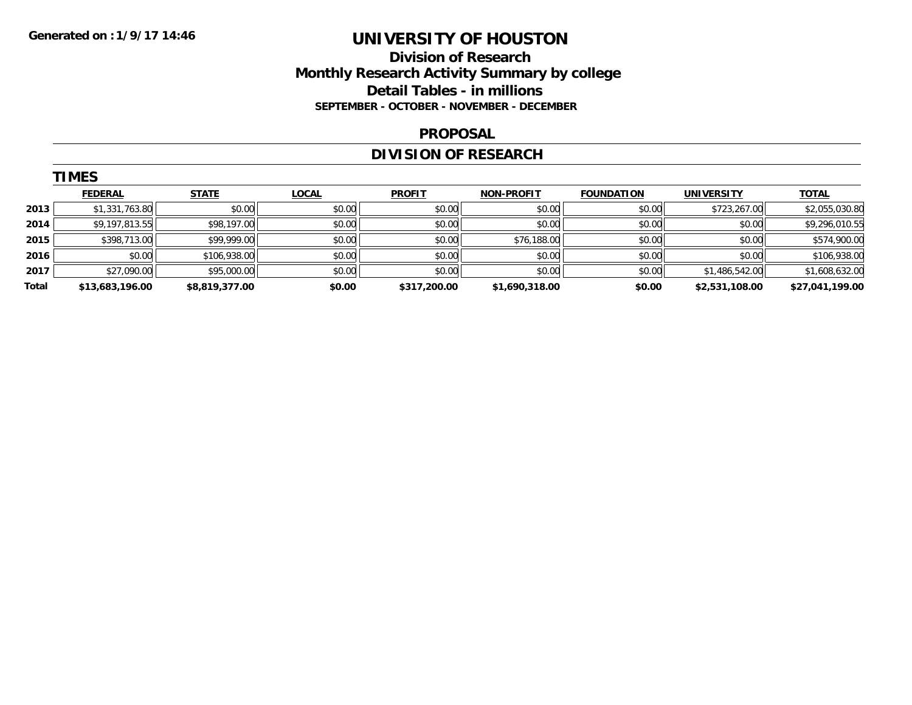### **Division of Research Monthly Research Activity Summary by college Detail Tables - in millions SEPTEMBER - OCTOBER - NOVEMBER - DECEMBER**

#### **PROPOSAL**

## **DIVISION OF RESEARCH**

|       | <b>TIMES</b>    |                |              |               |                   |                   |                   |                 |
|-------|-----------------|----------------|--------------|---------------|-------------------|-------------------|-------------------|-----------------|
|       | <b>FEDERAL</b>  | <b>STATE</b>   | <b>LOCAL</b> | <b>PROFIT</b> | <b>NON-PROFIT</b> | <b>FOUNDATION</b> | <b>UNIVERSITY</b> | <b>TOTAL</b>    |
| 2013  | \$1,331,763.80  | \$0.00         | \$0.00       | \$0.00        | \$0.00            | \$0.00            | \$723,267.00      | \$2,055,030.80  |
| 2014  | \$9,197,813.55  | \$98,197.00    | \$0.00       | \$0.00        | \$0.00            | \$0.00            | \$0.00            | \$9,296,010.55  |
| 2015  | \$398,713.00    | \$99,999.00    | \$0.00       | \$0.00        | \$76,188.00       | \$0.00            | \$0.00            | \$574,900.00    |
| 2016  | \$0.00          | \$106,938.00   | \$0.00       | \$0.00        | \$0.00            | \$0.00            | \$0.00            | \$106,938.00    |
| 2017  | \$27,090.00     | \$95,000.00    | \$0.00       | \$0.00        | \$0.00            | \$0.00            | \$1,486,542.00    | \$1,608,632.00  |
| Total | \$13,683,196.00 | \$8,819,377.00 | \$0.00       | \$317,200.00  | \$1,690,318.00    | \$0.00            | \$2,531,108.00    | \$27,041,199.00 |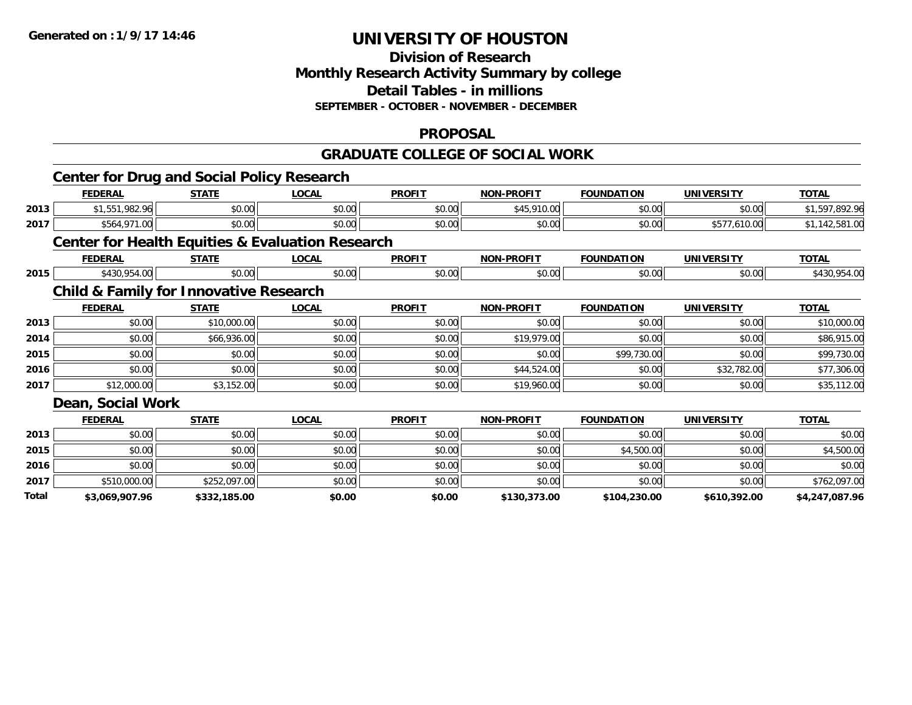#### **Division of Research Monthly Research Activity Summary by college Detail Tables - in millions SEPTEMBER - OCTOBER - NOVEMBER - DECEMBER**

### **PROPOSAL**

#### **GRADUATE COLLEGE OF SOCIAL WORK**

|       |                   | <b>Center for Drug and Social Policy Research</b> |                                                             |               |                   |                   |                   |                |
|-------|-------------------|---------------------------------------------------|-------------------------------------------------------------|---------------|-------------------|-------------------|-------------------|----------------|
|       | <b>FEDERAL</b>    | <b>STATE</b>                                      | <b>LOCAL</b>                                                | <b>PROFIT</b> | <b>NON-PROFIT</b> | <b>FOUNDATION</b> | <b>UNIVERSITY</b> | <b>TOTAL</b>   |
| 2013  | \$1,551,982.96    | \$0.00                                            | \$0.00                                                      | \$0.00        | \$45,910.00       | \$0.00            | \$0.00            | \$1,597,892.96 |
| 2017  | \$564,971.00      | \$0.00                                            | \$0.00                                                      | \$0.00        | \$0.00            | \$0.00            | \$577,610.00      | \$1,142,581.00 |
|       |                   |                                                   | <b>Center for Health Equities &amp; Evaluation Research</b> |               |                   |                   |                   |                |
|       | <b>FEDERAL</b>    | <b>STATE</b>                                      | <b>LOCAL</b>                                                | <b>PROFIT</b> | <b>NON-PROFIT</b> | <b>FOUNDATION</b> | <b>UNIVERSITY</b> | <b>TOTAL</b>   |
| 2015  | \$430,954.00      | \$0.00                                            | \$0.00                                                      | \$0.00        | \$0.00            | \$0.00            | \$0.00            | \$430,954.00   |
|       |                   | <b>Child &amp; Family for Innovative Research</b> |                                                             |               |                   |                   |                   |                |
|       | <b>FEDERAL</b>    | <b>STATE</b>                                      | <b>LOCAL</b>                                                | <b>PROFIT</b> | <b>NON-PROFIT</b> | <b>FOUNDATION</b> | <b>UNIVERSITY</b> | <b>TOTAL</b>   |
| 2013  | \$0.00            | \$10,000.00                                       | \$0.00                                                      | \$0.00        | \$0.00            | \$0.00            | \$0.00            | \$10,000.00    |
| 2014  | \$0.00            | \$66,936.00                                       | \$0.00                                                      | \$0.00        | \$19,979.00       | \$0.00            | \$0.00            | \$86,915.00    |
| 2015  | \$0.00            | \$0.00                                            | \$0.00                                                      | \$0.00        | \$0.00            | \$99,730.00       | \$0.00            | \$99,730.00    |
| 2016  | \$0.00            | \$0.00                                            | \$0.00                                                      | \$0.00        | \$44,524.00       | \$0.00            | \$32,782.00       | \$77,306.00    |
| 2017  | \$12,000.00       | \$3,152.00                                        | \$0.00                                                      | \$0.00        | \$19,960.00       | \$0.00            | \$0.00            | \$35,112.00    |
|       | Dean, Social Work |                                                   |                                                             |               |                   |                   |                   |                |
|       | <b>FEDERAL</b>    | <b>STATE</b>                                      | <b>LOCAL</b>                                                | <b>PROFIT</b> | <b>NON-PROFIT</b> | <b>FOUNDATION</b> | <b>UNIVERSITY</b> | <b>TOTAL</b>   |
| 2013  | \$0.00            | \$0.00                                            | \$0.00                                                      | \$0.00        | \$0.00            | \$0.00            | \$0.00            | \$0.00         |
| 2015  | \$0.00            | \$0.00                                            | \$0.00                                                      | \$0.00        | \$0.00            | \$4,500.00        | \$0.00            | \$4,500.00     |
| 2016  | \$0.00            | \$0.00                                            | \$0.00                                                      | \$0.00        | \$0.00            | \$0.00            | \$0.00            | \$0.00         |
| 2017  | \$510,000.00      | \$252,097.00                                      | \$0.00                                                      | \$0.00        | \$0.00            | \$0.00            | \$0.00            | \$762,097.00   |
| Total | \$3,069,907.96    | \$332,185.00                                      | \$0.00                                                      | \$0.00        | \$130,373.00      | \$104,230.00      | \$610,392.00      | \$4,247,087.96 |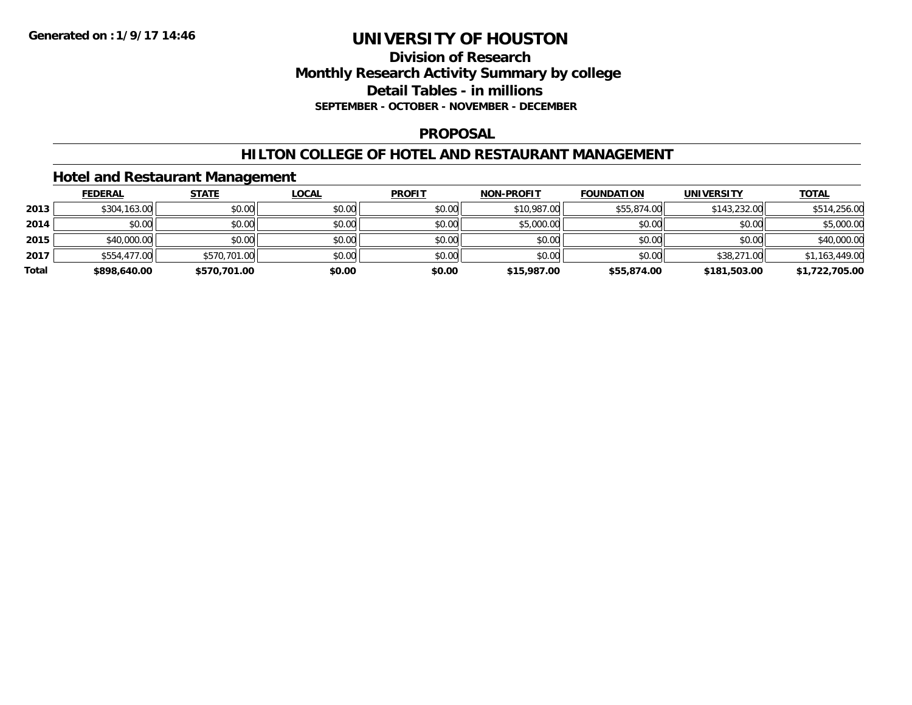### **Division of Research Monthly Research Activity Summary by college Detail Tables - in millions SEPTEMBER - OCTOBER - NOVEMBER - DECEMBER**

#### **PROPOSAL**

#### **HILTON COLLEGE OF HOTEL AND RESTAURANT MANAGEMENT**

### **Hotel and Restaurant Management**

|       | <b>FEDERAL</b> | <u>STATE</u> | <u>LOCAL</u> | <b>PROFIT</b> | <b>NON-PROFIT</b> | <b>FOUNDATION</b> | UNIVERSITY   | <b>TOTAL</b>   |
|-------|----------------|--------------|--------------|---------------|-------------------|-------------------|--------------|----------------|
| 2013  | \$304,163.00   | \$0.00       | \$0.00       | \$0.00        | \$10,987.00       | \$55,874.00       | \$143,232.00 | \$514,256.00   |
| 2014  | \$0.00         | \$0.00       | \$0.00       | \$0.00        | \$5,000.00        | \$0.00            | \$0.00       | \$5,000.00     |
| 2015  | \$40,000.00    | \$0.00       | \$0.00       | \$0.00        | \$0.00            | \$0.00            | \$0.00       | \$40,000.00    |
| 2017  | \$554,477.00   | \$570,701.00 | \$0.00       | \$0.00        | \$0.00            | \$0.00            | \$38,271.00  | \$1,163,449.00 |
| Total | \$898,640.00   | \$570,701.00 | \$0.00       | \$0.00        | \$15,987.00       | \$55,874.00       | \$181,503.00 | \$1,722,705.00 |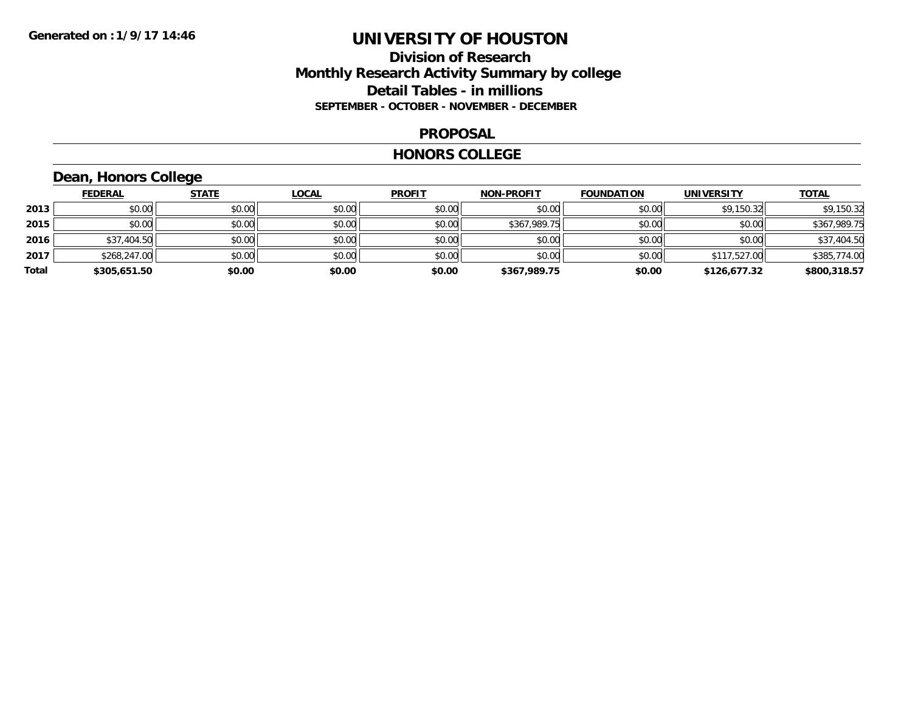### **Division of Research Monthly Research Activity Summary by college Detail Tables - in millions SEPTEMBER - OCTOBER - NOVEMBER - DECEMBER**

#### **PROPOSAL**

#### **HONORS COLLEGE**

## **Dean, Honors College**

|       | <b>FEDERAL</b> | <b>STATE</b> | <b>LOCAL</b> | <b>PROFIT</b> | <b>NON-PROFIT</b> | <b>FOUNDATION</b> | <b>UNIVERSITY</b> | <b>TOTAL</b> |
|-------|----------------|--------------|--------------|---------------|-------------------|-------------------|-------------------|--------------|
| 2013  | \$0.00         | \$0.00       | \$0.00       | \$0.00        | \$0.00            | \$0.00            | \$9,150.32        | \$9,150.32   |
| 2015  | \$0.00         | \$0.00       | \$0.00       | \$0.00        | \$367,989.75      | \$0.00            | \$0.00            | \$367,989.75 |
| 2016  | \$37,404.50    | \$0.00       | \$0.00       | \$0.00        | \$0.00            | \$0.00            | \$0.00            | \$37,404.50  |
| 2017  | \$268,247.00   | \$0.00       | \$0.00       | \$0.00        | \$0.00            | \$0.00            | \$117,527.00      | \$385,774.00 |
| Total | \$305,651.50   | \$0.00       | \$0.00       | \$0.00        | \$367,989.75      | \$0.00            | \$126,677.32      | \$800,318.57 |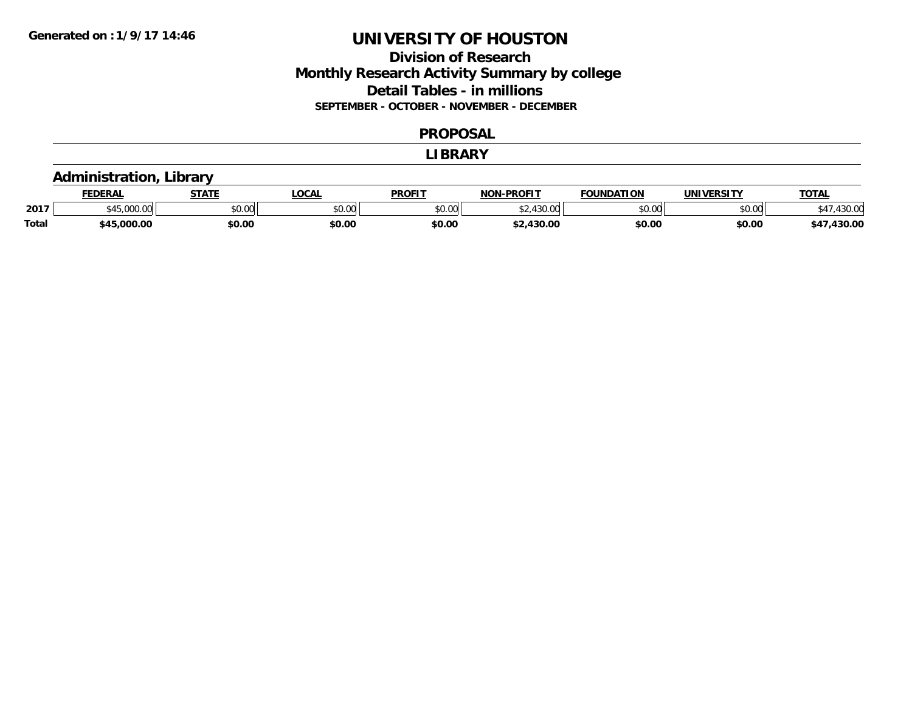### **Division of Research Monthly Research Activity Summary by college Detail Tables - in millions SEPTEMBER - OCTOBER - NOVEMBER - DECEMBER**

#### **PROPOSAL**

#### **LIBRARY**

### **Administration, Library**

|              | <b>FEDERAL</b>                                 | <b>STATE</b>  | _OCAL         | <b>PROFIT</b> | -PROFIT<br>NON          | <b>FOUNDATION</b> | UNIVERSITY    | <b>TOTAL</b>    |
|--------------|------------------------------------------------|---------------|---------------|---------------|-------------------------|-------------------|---------------|-----------------|
| 2017         | $\sim$ $\sim$ $\sim$<br>$\sim$<br>$\sim$ UU.UU | 0000<br>DU.UU | 0000<br>JU.UU | \$0.00        | 12000<br>$\hat{v}$<br>. | \$0.00            | 0000<br>⊸∪.∪⊍ | 12200<br>+50.0C |
| <b>Total</b> | \$45,000,00                                    | \$0.00        | \$0.00        | \$0.00        | 430.00                  | \$0.00            | \$0.00        | 430.00          |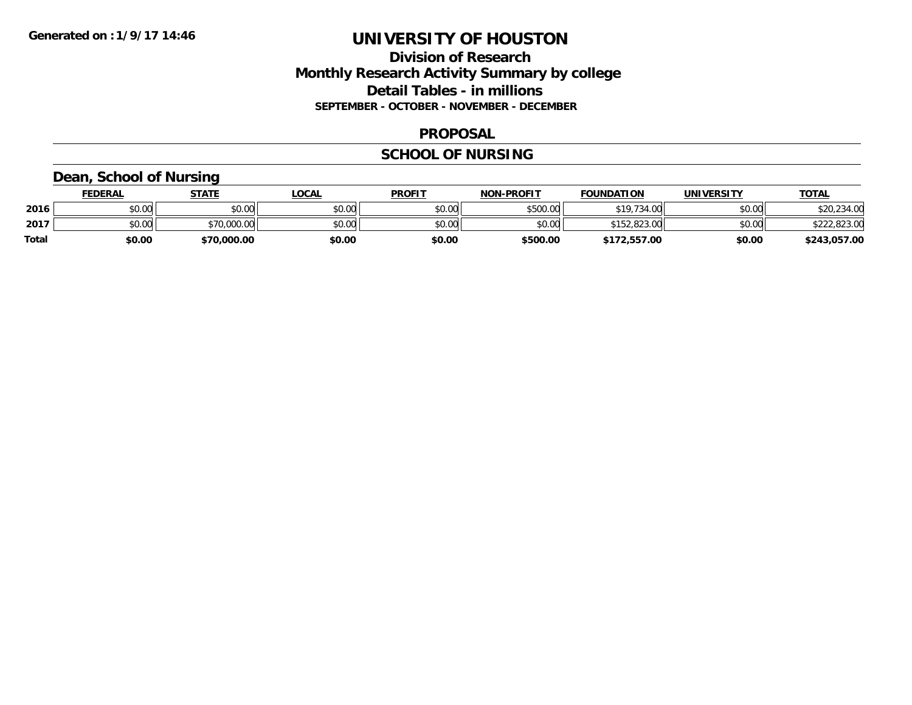### **Division of Research Monthly Research Activity Summary by college Detail Tables - in millions SEPTEMBER - OCTOBER - NOVEMBER - DECEMBER**

#### **PROPOSAL**

#### **SCHOOL OF NURSING**

### **Dean, School of Nursing**

|              | <b>FEDERAL</b> | STATE       | LOCAL  | <b>PROFIT</b> | <b>NON-PROFIT</b> | <b>FOUNDATION</b> | <b>UNIVERSITY</b> | <b>TOTAL</b> |
|--------------|----------------|-------------|--------|---------------|-------------------|-------------------|-------------------|--------------|
| 2016         | \$0.00         | \$0.00      | \$0.00 | \$0.00        | \$500.00          | \$19,734.00       | \$0.00            | \$20,234.00  |
| 2017         | \$0.00         | \$70,000.00 | \$0.00 | \$0.00        | \$0.00            | \$152,823.00      | \$0.00            | \$222,823.00 |
| <b>Total</b> | \$0.00         | \$70,000.00 | \$0.00 | \$0.00        | \$500.00          | \$172,557.00      | \$0.00            | \$243,057.00 |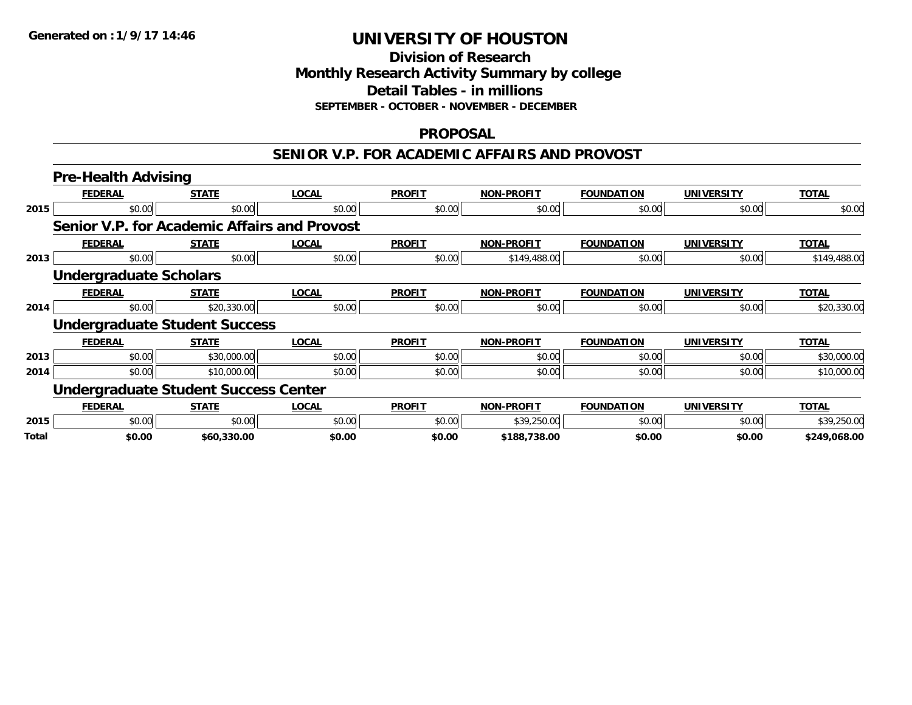#### **Division of Research Monthly Research Activity Summary by college Detail Tables - in millions SEPTEMBER - OCTOBER - NOVEMBER - DECEMBER**

#### **PROPOSAL**

#### **SENIOR V.P. FOR ACADEMIC AFFAIRS AND PROVOST**

|       | <b>Pre-Health Advising</b>                   |              |              |               |                   |                   |                   |              |  |  |  |
|-------|----------------------------------------------|--------------|--------------|---------------|-------------------|-------------------|-------------------|--------------|--|--|--|
|       | <b>FEDERAL</b>                               | <b>STATE</b> | <b>LOCAL</b> | <b>PROFIT</b> | <b>NON-PROFIT</b> | <b>FOUNDATION</b> | <b>UNIVERSITY</b> | <b>TOTAL</b> |  |  |  |
| 2015  | \$0.00                                       | \$0.00       | \$0.00       | \$0.00        | \$0.00            | \$0.00            | \$0.00            | \$0.00       |  |  |  |
|       | Senior V.P. for Academic Affairs and Provost |              |              |               |                   |                   |                   |              |  |  |  |
|       | <b>FEDERAL</b>                               | <b>STATE</b> | <b>LOCAL</b> | <b>PROFIT</b> | <b>NON-PROFIT</b> | <b>FOUNDATION</b> | <b>UNIVERSITY</b> | <b>TOTAL</b> |  |  |  |
| 2013  | \$0.00                                       | \$0.00       | \$0.00       | \$0.00        | \$149,488.00      | \$0.00            | \$0.00            | \$149,488.00 |  |  |  |
|       | <b>Undergraduate Scholars</b>                |              |              |               |                   |                   |                   |              |  |  |  |
|       | <b>FEDERAL</b>                               | <b>STATE</b> | <b>LOCAL</b> | <b>PROFIT</b> | <b>NON-PROFIT</b> | <b>FOUNDATION</b> | <b>UNIVERSITY</b> | <b>TOTAL</b> |  |  |  |
| 2014  | \$0.00                                       | \$20,330.00  | \$0.00       | \$0.00        | \$0.00            | \$0.00            | \$0.00            | \$20,330.00  |  |  |  |
|       | <b>Undergraduate Student Success</b>         |              |              |               |                   |                   |                   |              |  |  |  |
|       | <b>FEDERAL</b>                               | <b>STATE</b> | <b>LOCAL</b> | <b>PROFIT</b> | <b>NON-PROFIT</b> | <b>FOUNDATION</b> | <b>UNIVERSITY</b> | <b>TOTAL</b> |  |  |  |
| 2013  | \$0.00                                       | \$30,000.00  | \$0.00       | \$0.00        | \$0.00            | \$0.00            | \$0.00            | \$30,000.00  |  |  |  |
| 2014  | \$0.00                                       | \$10,000.00  | \$0.00       | \$0.00        | \$0.00            | \$0.00            | \$0.00            | \$10,000.00  |  |  |  |
|       | <b>Undergraduate Student Success Center</b>  |              |              |               |                   |                   |                   |              |  |  |  |
|       | <b>FEDERAL</b>                               | <b>STATE</b> | <b>LOCAL</b> | <b>PROFIT</b> | <b>NON-PROFIT</b> | <b>FOUNDATION</b> | <b>UNIVERSITY</b> | <b>TOTAL</b> |  |  |  |
| 2015  | \$0.00                                       | \$0.00       | \$0.00       | \$0.00        | \$39,250.00       | \$0.00            | \$0.00            | \$39,250.00  |  |  |  |
| Total | \$0.00                                       | \$60,330.00  | \$0.00       | \$0.00        | \$188,738.00      | \$0.00            | \$0.00            | \$249,068.00 |  |  |  |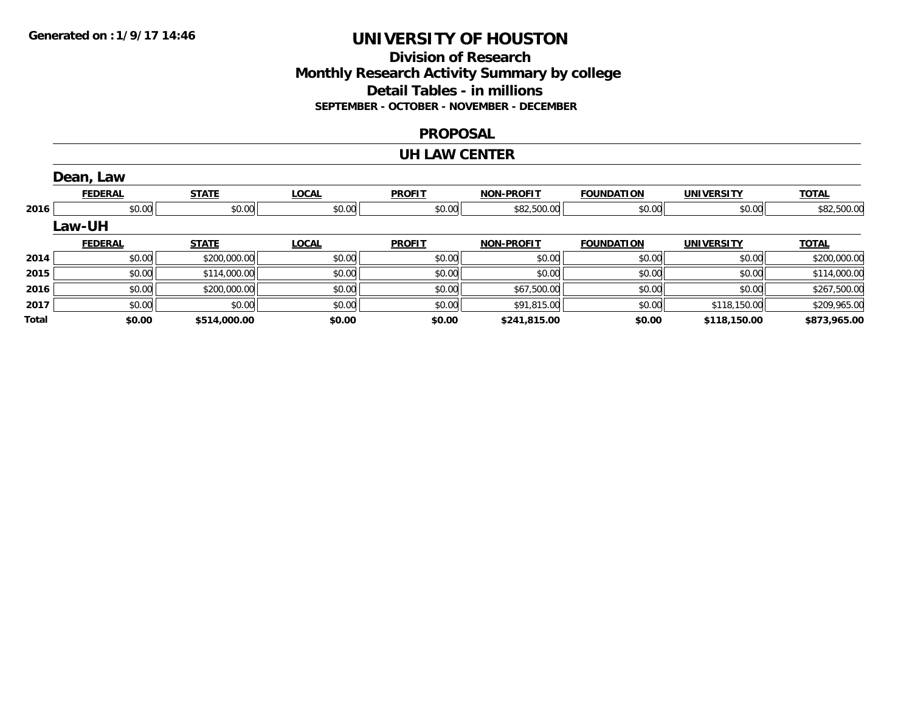### **Division of Research Monthly Research Activity Summary by college Detail Tables - in millions SEPTEMBER - OCTOBER - NOVEMBER - DECEMBER**

#### **PROPOSAL**

#### **UH LAW CENTER**

|       | Dean, Law      |              |              |               |                   |                   |                   |              |
|-------|----------------|--------------|--------------|---------------|-------------------|-------------------|-------------------|--------------|
|       | <b>FEDERAL</b> | <b>STATE</b> | <b>LOCAL</b> | <b>PROFIT</b> | <b>NON-PROFIT</b> | <b>FOUNDATION</b> | <b>UNIVERSITY</b> | <b>TOTAL</b> |
| 2016  | \$0.00         | \$0.00       | \$0.00       | \$0.00        | \$82,500.00       | \$0.00            | \$0.00            | \$82,500.00  |
|       | <b>Law-UH</b>  |              |              |               |                   |                   |                   |              |
|       | <b>FEDERAL</b> | <b>STATE</b> | <b>LOCAL</b> | <b>PROFIT</b> | <b>NON-PROFIT</b> | <b>FOUNDATION</b> | <b>UNIVERSITY</b> | <b>TOTAL</b> |
| 2014  | \$0.00         | \$200,000.00 | \$0.00       | \$0.00        | \$0.00            | \$0.00            | \$0.00            | \$200,000.00 |
| 2015  | \$0.00         | \$114,000.00 | \$0.00       | \$0.00        | \$0.00            | \$0.00            | \$0.00            | \$114,000.00 |
| 2016  | \$0.00         | \$200,000.00 | \$0.00       | \$0.00        | \$67,500.00       | \$0.00            | \$0.00            | \$267,500.00 |
| 2017  | \$0.00         | \$0.00       | \$0.00       | \$0.00        | \$91,815.00       | \$0.00            | \$118,150.00      | \$209,965.00 |
| Total | \$0.00         | \$514,000.00 | \$0.00       | \$0.00        | \$241,815.00      | \$0.00            | \$118,150.00      | \$873,965.00 |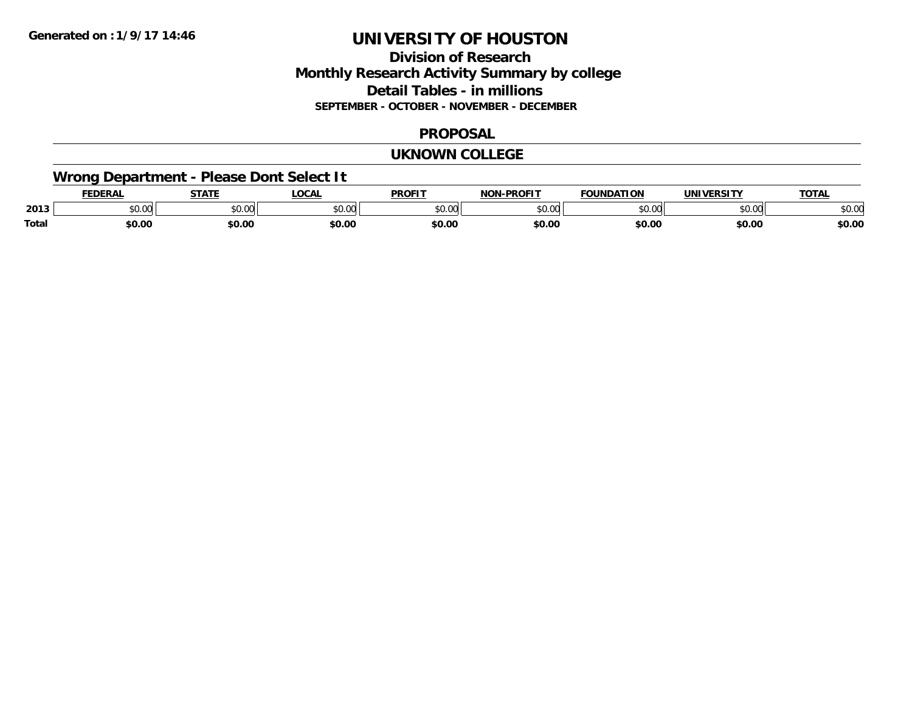## **Division of ResearchMonthly Research Activity Summary by college Detail Tables - in millions SEPTEMBER - OCTOBER - NOVEMBER - DECEMBER**

#### **PROPOSAL**

#### **UKNOWN COLLEGE**

## **Wrong Department - Please Dont Select It**

|              | <b>FEDERA.</b> | <b>CTATE</b><br>3 I L   | _OCA          | <b>PROFIT</b> | <b>DDOCIT</b><br>''' | <b>FOUNDATION</b>  | <b>JNIV</b>    | TOT.   |
|--------------|----------------|-------------------------|---------------|---------------|----------------------|--------------------|----------------|--------|
| 2013         | יש.טע          | 0 <sup>n</sup><br>JU.UU | 0000<br>טט.טע | 0000<br>,u.u  | $\sim$ 00<br>וטטוע   | $\sim$ 00<br>JU.UU | ሰሰ ሰሰ<br>JU.UU | \$0.01 |
| <b>Total</b> | \$0.00         | \$0.00                  | \$0.00        | \$0.00        | \$0.00               | \$0.00             | \$0.00         | \$0.00 |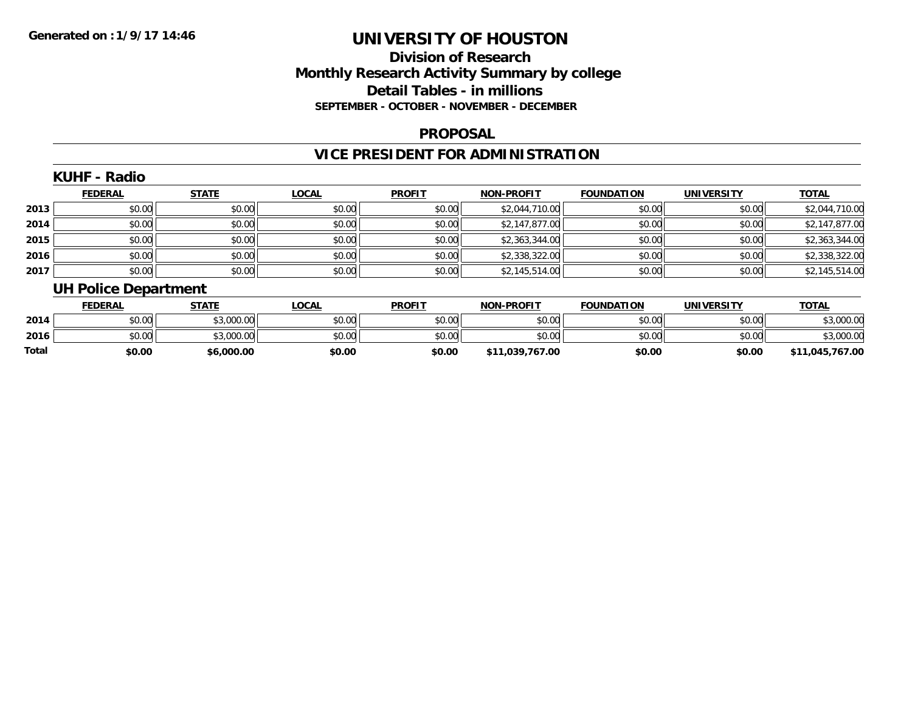## **Division of ResearchMonthly Research Activity Summary by college Detail Tables - in millions SEPTEMBER - OCTOBER - NOVEMBER - DECEMBER**

#### **PROPOSAL**

## **VICE PRESIDENT FOR ADMINISTRATION**

### **KUHF - Radio**

|      | <b>FEDERAL</b> | <b>STATE</b> | <u>LOCAL</u> | <b>PROFIT</b> | <b>NON-PROFIT</b> | <b>FOUNDATION</b> | <b>UNIVERSITY</b> | <b>TOTAL</b>   |
|------|----------------|--------------|--------------|---------------|-------------------|-------------------|-------------------|----------------|
| 2013 | \$0.00         | \$0.00       | \$0.00       | \$0.00        | \$2,044,710.00    | \$0.00            | \$0.00            | \$2,044,710.00 |
| 2014 | \$0.00         | \$0.00       | \$0.00       | \$0.00        | \$2,147,877.00    | \$0.00            | \$0.00            | \$2,147,877.00 |
| 2015 | \$0.00         | \$0.00       | \$0.00       | \$0.00        | \$2,363,344.00    | \$0.00            | \$0.00            | \$2,363,344.00 |
| 2016 | \$0.00         | \$0.00       | \$0.00       | \$0.00        | \$2,338,322.00    | \$0.00            | \$0.00            | \$2,338,322.00 |
| 2017 | \$0.00         | \$0.00       | \$0.00       | \$0.00        | \$2,145,514.00    | \$0.00            | \$0.00            | \$2,145,514.00 |

# **UH Police Department**

|       | <b>FEDERAL</b> | STATE      | <b>LOCAL</b>   | <b>PROFIT</b> | <b>NON-PROFIT</b> | <b>FOUNDATION</b> | UNIVERSITY | <b>TOTAL</b>  |
|-------|----------------|------------|----------------|---------------|-------------------|-------------------|------------|---------------|
| 2014  | \$0.00         | \$3,000.00 | ≮N UU<br>JU.UU | \$0.00        | \$0.00            | \$0.00            | \$0.00     | 00.00.00.3    |
| 2016  | \$0.00         | \$3,000.00 | \$0.00         | \$0.00        | \$0.00            | \$0.00            | \$0.00     | ,000.00       |
| Total | \$0.00         | \$6,000.00 | \$0.00         | \$0.00        | \$11.039.767.00   | \$0.00            | \$0.00     | 11,045,767.00 |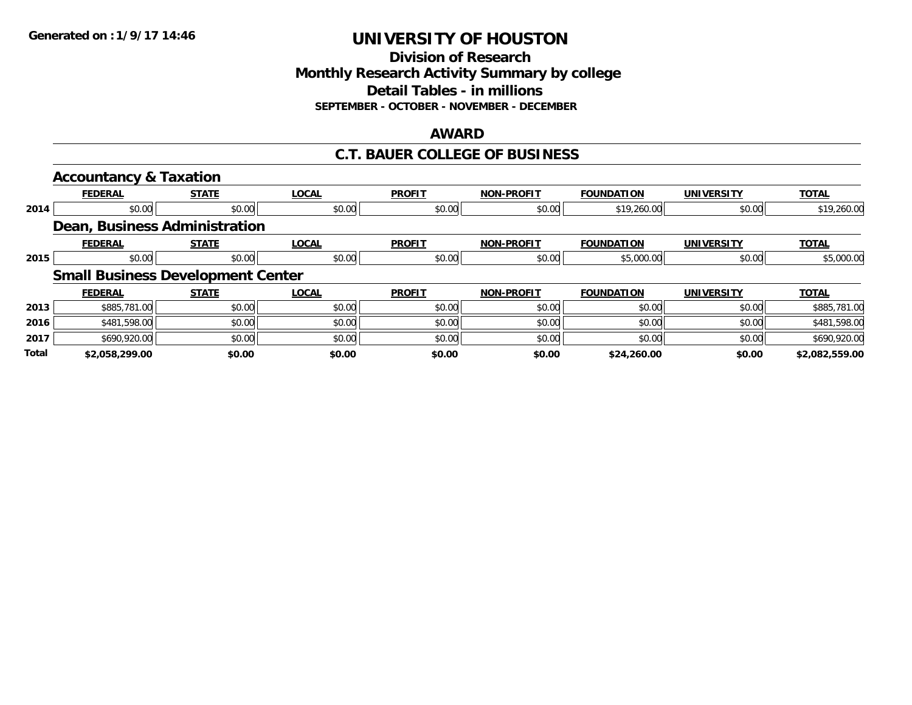**Division of Research Monthly Research Activity Summary by college Detail Tables - in millions SEPTEMBER - OCTOBER - NOVEMBER - DECEMBER**

#### **AWARD**

#### **C.T. BAUER COLLEGE OF BUSINESS**

|       | <b>Accountancy &amp; Taxation</b>        |              |              |               |                   |                   |                   |                |
|-------|------------------------------------------|--------------|--------------|---------------|-------------------|-------------------|-------------------|----------------|
|       | <b>FEDERAL</b>                           | <b>STATE</b> | <b>LOCAL</b> | <b>PROFIT</b> | <b>NON-PROFIT</b> | <b>FOUNDATION</b> | <b>UNIVERSITY</b> | <b>TOTAL</b>   |
| 2014  | \$0.00                                   | \$0.00       | \$0.00       | \$0.00        | \$0.00            | \$19,260.00       | \$0.00            | \$19,260.00    |
|       | Dean, Business Administration            |              |              |               |                   |                   |                   |                |
|       | <b>FEDERAL</b>                           | <b>STATE</b> | <b>LOCAL</b> | <b>PROFIT</b> | <b>NON-PROFIT</b> | <b>FOUNDATION</b> | <b>UNIVERSITY</b> | <b>TOTAL</b>   |
| 2015  | \$0.00                                   | \$0.00       | \$0.00       | \$0.00        | \$0.00            | \$5,000.00        | \$0.00            | \$5,000.00     |
|       | <b>Small Business Development Center</b> |              |              |               |                   |                   |                   |                |
|       | <b>FEDERAL</b>                           | <b>STATE</b> | <b>LOCAL</b> | <b>PROFIT</b> | <b>NON-PROFIT</b> | <b>FOUNDATION</b> | <b>UNIVERSITY</b> | <b>TOTAL</b>   |
| 2013  | \$885,781.00                             | \$0.00       | \$0.00       | \$0.00        | \$0.00            | \$0.00            | \$0.00            | \$885,781.00   |
| 2016  | \$481,598.00                             | \$0.00       | \$0.00       | \$0.00        | \$0.00            | \$0.00            | \$0.00            | \$481,598.00   |
| 2017  | \$690,920.00                             | \$0.00       | \$0.00       | \$0.00        | \$0.00            | \$0.00            | \$0.00            | \$690,920.00   |
| Total | \$2.058.299.00                           | \$0.00       | \$0.00       | \$0.00        | \$0.00            | \$24,260.00       | \$0.00            | \$2,082,559.00 |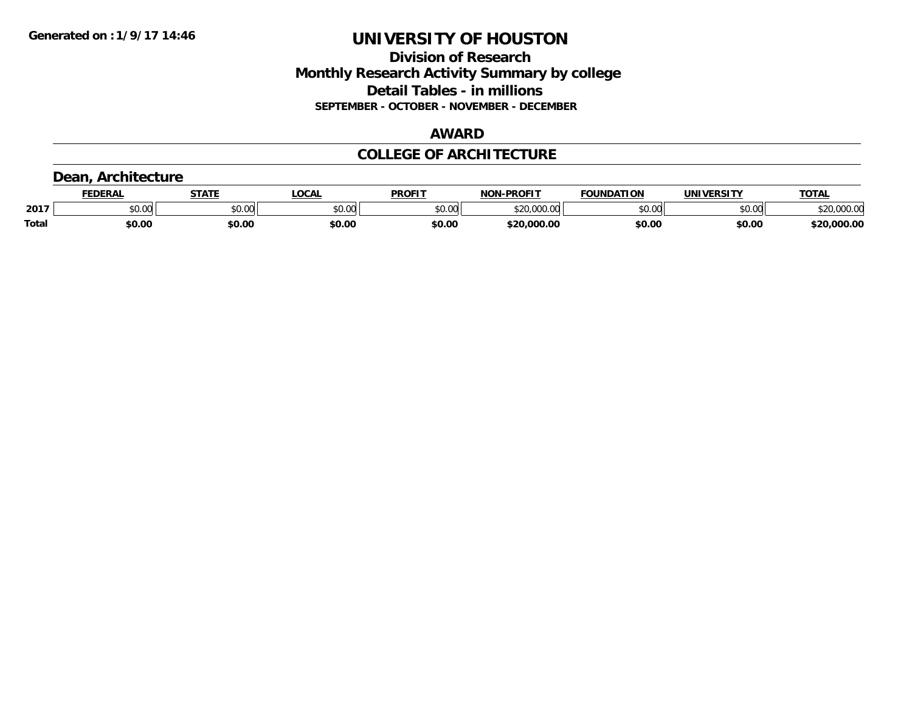### **Division of Research Monthly Research Activity Summary by college Detail Tables - in millions SEPTEMBER - OCTOBER - NOVEMBER - DECEMBER**

### **AWARD**

### **COLLEGE OF ARCHITECTURE**

## **Dean, Architecture**

|              | <b>FEDERAL</b> | <b>STATE</b> | <b>LOCAL</b>             | <b>PROFIT</b> | <b>N-PROFIT</b><br><b>NON</b> | <b>FOUNDATION</b> | UNIVERSITY | <b>TOTAL</b>                      |
|--------------|----------------|--------------|--------------------------|---------------|-------------------------------|-------------------|------------|-----------------------------------|
| 2017         | vv.vv          | \$0.00       | $n \cap \Omega$<br>PU.UU | 4000<br>DU.UU | 0.000<br>$\sim$               | \$0.00            | \$0.00     | 00000<br><b>ሰገበ</b><br>DZU.UUU.UU |
| <b>Total</b> | \$0.00         | \$0.00       | \$0.00                   | \$0.00        | \$20,000.00                   | \$0.00            | \$0.00     | \$20,000.00                       |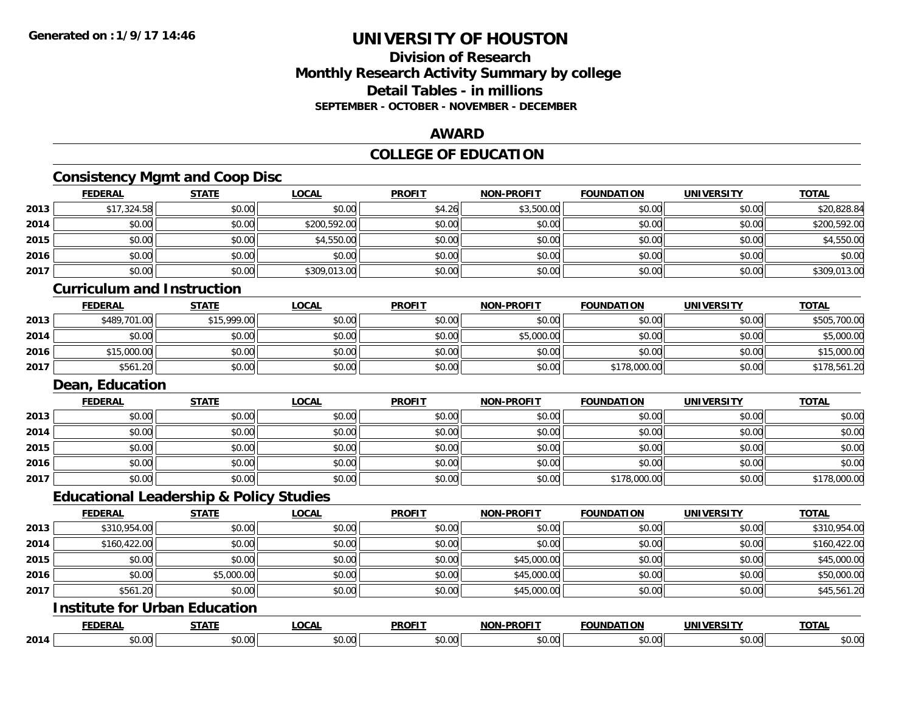### **Division of ResearchMonthly Research Activity Summary by college Detail Tables - in millions SEPTEMBER - OCTOBER - NOVEMBER - DECEMBER**

### **AWARD**

## **COLLEGE OF EDUCATION**

## **Consistency Mgmt and Coop Disc**

|      | <b>FEDERAL</b>                                     | <b>STATE</b> | <b>LOCAL</b> | <b>PROFIT</b> | <b>NON-PROFIT</b> | <b>FOUNDATION</b> | <b>UNIVERSITY</b> | <b>TOTAL</b> |
|------|----------------------------------------------------|--------------|--------------|---------------|-------------------|-------------------|-------------------|--------------|
| 2013 | \$17,324.58                                        | \$0.00       | \$0.00       | \$4.26        | \$3,500.00        | \$0.00            | \$0.00            | \$20,828.84  |
| 2014 | \$0.00                                             | \$0.00       | \$200,592.00 | \$0.00        | \$0.00            | \$0.00            | \$0.00            | \$200,592.00 |
| 2015 | \$0.00                                             | \$0.00       | \$4,550.00   | \$0.00        | \$0.00            | \$0.00            | \$0.00            | \$4,550.00   |
| 2016 | \$0.00                                             | \$0.00       | \$0.00       | \$0.00        | \$0.00            | \$0.00            | \$0.00            | \$0.00       |
| 2017 | \$0.00                                             | \$0.00       | \$309,013.00 | \$0.00        | \$0.00            | \$0.00            | \$0.00            | \$309,013.00 |
|      | <b>Curriculum and Instruction</b>                  |              |              |               |                   |                   |                   |              |
|      | <b>FEDERAL</b>                                     | <b>STATE</b> | <b>LOCAL</b> | <b>PROFIT</b> | <b>NON-PROFIT</b> | <b>FOUNDATION</b> | <b>UNIVERSITY</b> | <b>TOTAL</b> |
| 2013 | \$489,701.00                                       | \$15,999.00  | \$0.00       | \$0.00        | \$0.00            | \$0.00            | \$0.00            | \$505,700.00 |
| 2014 | \$0.00                                             | \$0.00       | \$0.00       | \$0.00        | \$5,000.00        | \$0.00            | \$0.00            | \$5,000.00   |
| 2016 | \$15,000.00                                        | \$0.00       | \$0.00       | \$0.00        | \$0.00            | \$0.00            | \$0.00            | \$15,000.00  |
| 2017 | \$561.20                                           | \$0.00       | \$0.00       | \$0.00        | \$0.00            | \$178,000.00      | \$0.00            | \$178,561.20 |
|      | Dean, Education                                    |              |              |               |                   |                   |                   |              |
|      | <b>FEDERAL</b>                                     | <b>STATE</b> | <b>LOCAL</b> | <b>PROFIT</b> | <b>NON-PROFIT</b> | <b>FOUNDATION</b> | <b>UNIVERSITY</b> | <b>TOTAL</b> |
| 2013 | \$0.00                                             | \$0.00       | \$0.00       | \$0.00        | \$0.00            | \$0.00            | \$0.00            | \$0.00       |
| 2014 | \$0.00                                             | \$0.00       | \$0.00       | \$0.00        | \$0.00            | \$0.00            | \$0.00            | \$0.00       |
| 2015 | \$0.00                                             | \$0.00       | \$0.00       | \$0.00        | \$0.00            | \$0.00            | \$0.00            | \$0.00       |
| 2016 | \$0.00                                             | \$0.00       | \$0.00       | \$0.00        | \$0.00            | \$0.00            | \$0.00            | \$0.00       |
| 2017 | \$0.00                                             | \$0.00       | \$0.00       | \$0.00        | \$0.00            | \$178,000.00      | \$0.00            | \$178,000.00 |
|      | <b>Educational Leadership &amp; Policy Studies</b> |              |              |               |                   |                   |                   |              |
|      | <b>FEDERAL</b>                                     | <b>STATE</b> | <b>LOCAL</b> | <b>PROFIT</b> | <b>NON-PROFIT</b> | <b>FOUNDATION</b> | <b>UNIVERSITY</b> | <b>TOTAL</b> |
| 2013 | \$310,954.00                                       | \$0.00       | \$0.00       | \$0.00        | \$0.00            | \$0.00            | \$0.00            | \$310,954.00 |
| 2014 | \$160,422.00                                       | \$0.00       | \$0.00       | \$0.00        | \$0.00            | \$0.00            | \$0.00            | \$160,422.00 |
| 2015 | \$0.00                                             | \$0.00       | \$0.00       | \$0.00        | \$45,000.00       | \$0.00            | \$0.00            | \$45,000.00  |
| 2016 | \$0.00                                             | \$5,000.00   | \$0.00       | \$0.00        | \$45,000.00       | \$0.00            | \$0.00            | \$50,000.00  |
| 2017 | \$561.20                                           | \$0.00       | \$0.00       | \$0.00        | \$45,000.00       | \$0.00            | \$0.00            | \$45,561.20  |
|      | <b>Institute for Urban Education</b>               |              |              |               |                   |                   |                   |              |
|      | <b>FEDERAL</b>                                     | <b>STATE</b> | <b>LOCAL</b> | <b>PROFIT</b> | <b>NON-PROFIT</b> | <b>FOUNDATION</b> | <b>UNIVERSITY</b> | <b>TOTAL</b> |
| 2014 | \$0.00                                             | \$0.00       | \$0.00       | \$0.00        | \$0.00            | \$0.00            | \$0.00            | \$0.00       |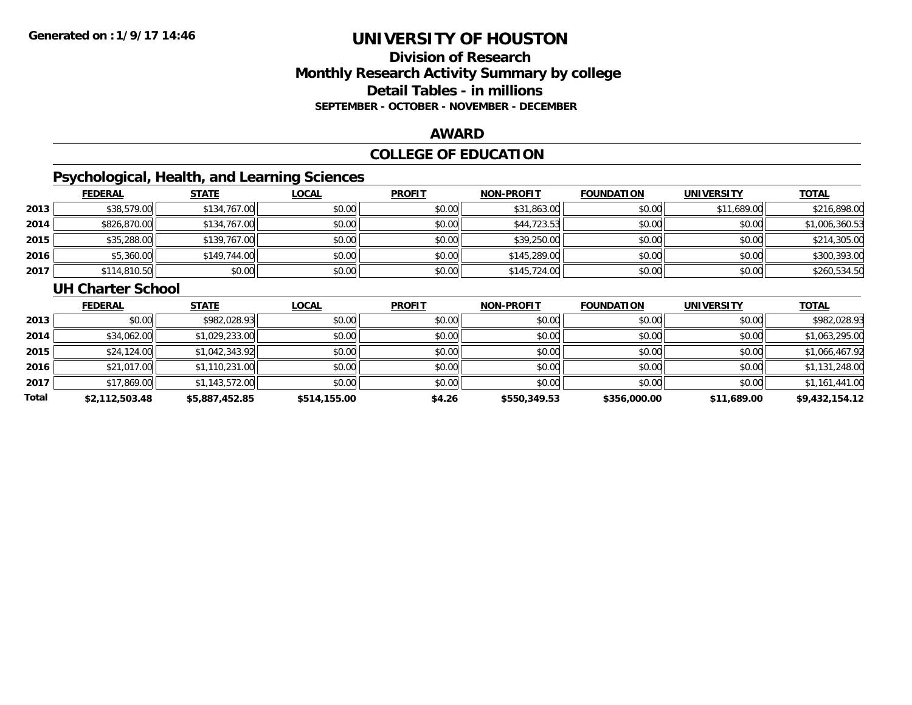### **Division of ResearchMonthly Research Activity Summary by college Detail Tables - in millions SEPTEMBER - OCTOBER - NOVEMBER - DECEMBER**

#### **AWARD**

## **COLLEGE OF EDUCATION**

# **Psychological, Health, and Learning Sciences**

|      | <b>FEDERAL</b> | <b>STATE</b> | <b>LOCAL</b> | <b>PROFIT</b> | <b>NON-PROFIT</b> | <b>FOUNDATION</b> | <b>UNIVERSITY</b> | <u>TOTAL</u>   |
|------|----------------|--------------|--------------|---------------|-------------------|-------------------|-------------------|----------------|
| 2013 | \$38,579.00    | \$134,767.00 | \$0.00       | \$0.00        | \$31,863.00       | \$0.00            | \$11,689.00       | \$216,898.00   |
| 2014 | \$826,870.00   | \$134,767.00 | \$0.00       | \$0.00        | \$44,723.53       | \$0.00            | \$0.00            | \$1,006,360.53 |
| 2015 | \$35,288.00    | \$139,767.00 | \$0.00       | \$0.00        | \$39,250.00       | \$0.00            | \$0.00            | \$214,305.00   |
| 2016 | \$5,360.00     | \$149,744.00 | \$0.00       | \$0.00        | \$145,289.00      | \$0.00            | \$0.00            | \$300,393.00   |
| 2017 | \$114,810.50   | \$0.00       | \$0.00       | \$0.00        | \$145,724.00      | \$0.00            | \$0.00            | \$260,534.50   |

#### **UH Charter School**

|       | <b>FEDERAL</b> | <b>STATE</b>   | <b>LOCAL</b> | <b>PROFIT</b> | <b>NON-PROFIT</b> | <b>FOUNDATION</b> | <b>UNIVERSITY</b> | <b>TOTAL</b>   |
|-------|----------------|----------------|--------------|---------------|-------------------|-------------------|-------------------|----------------|
| 2013  | \$0.00         | \$982,028.93   | \$0.00       | \$0.00        | \$0.00            | \$0.00            | \$0.00            | \$982,028.93   |
| 2014  | \$34,062.00    | \$1,029,233.00 | \$0.00       | \$0.00        | \$0.00            | \$0.00            | \$0.00            | \$1,063,295.00 |
| 2015  | \$24,124.00    | \$1,042,343.92 | \$0.00       | \$0.00        | \$0.00            | \$0.00            | \$0.00            | \$1,066,467.92 |
| 2016  | \$21,017.00    | \$1,110,231.00 | \$0.00       | \$0.00        | \$0.00            | \$0.00            | \$0.00            | \$1,131,248.00 |
| 2017  | \$17,869.00    | \$1,143,572.00 | \$0.00       | \$0.00        | \$0.00            | \$0.00            | \$0.00            | \$1,161,441.00 |
| Total | \$2,112,503.48 | \$5,887,452.85 | \$514,155.00 | \$4.26        | \$550,349.53      | \$356,000.00      | \$11,689.00       | \$9,432,154.12 |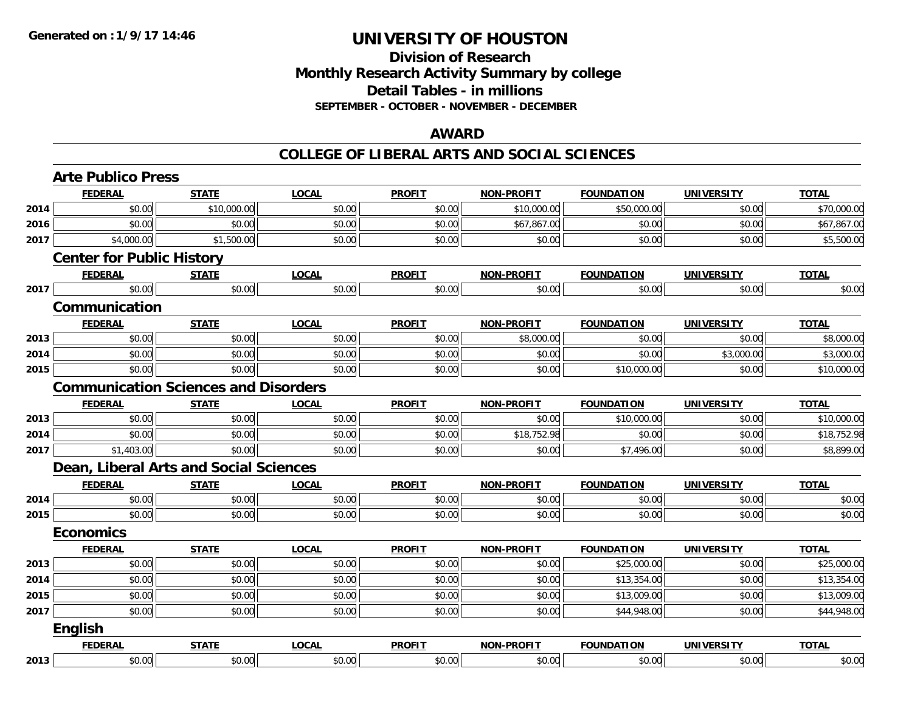### **Division of Research Monthly Research Activity Summary by college Detail Tables - in millions SEPTEMBER - OCTOBER - NOVEMBER - DECEMBER**

#### **AWARD**

|      | <b>FEDERAL</b>                              | <b>STATE</b> | <b>LOCAL</b> | <b>PROFIT</b> | <b>NON-PROFIT</b> | <b>FOUNDATION</b> | <b>UNIVERSITY</b> | <b>TOTAL</b> |
|------|---------------------------------------------|--------------|--------------|---------------|-------------------|-------------------|-------------------|--------------|
| 2014 | \$0.00                                      | \$10,000.00  | \$0.00       | \$0.00        | \$10,000.00       | \$50,000.00       | \$0.00            | \$70,000.00  |
| 2016 | \$0.00                                      | \$0.00       | \$0.00       | \$0.00        | \$67,867.00       | \$0.00            | \$0.00            | \$67,867.00  |
| 2017 | \$4,000.00                                  | \$1,500.00   | \$0.00       | \$0.00        | \$0.00            | \$0.00            | \$0.00            | \$5,500.00   |
|      | <b>Center for Public History</b>            |              |              |               |                   |                   |                   |              |
|      | <b>FEDERAL</b>                              | <b>STATE</b> | <b>LOCAL</b> | <b>PROFIT</b> | <b>NON-PROFIT</b> | <b>FOUNDATION</b> | <b>UNIVERSITY</b> | <b>TOTAL</b> |
| 2017 | \$0.00                                      | \$0.00       | \$0.00       | \$0.00        | \$0.00            | \$0.00            | \$0.00            | \$0.00       |
|      | Communication                               |              |              |               |                   |                   |                   |              |
|      | <b>FEDERAL</b>                              | <b>STATE</b> | <b>LOCAL</b> | <b>PROFIT</b> | <b>NON-PROFIT</b> | <b>FOUNDATION</b> | <b>UNIVERSITY</b> | <b>TOTAL</b> |
| 2013 | \$0.00                                      | \$0.00       | \$0.00       | \$0.00        | \$8,000.00        | \$0.00            | \$0.00            | \$8,000.00   |
| 2014 | \$0.00                                      | \$0.00       | \$0.00       | \$0.00        | \$0.00            | \$0.00            | \$3,000.00        | \$3,000.00   |
| 2015 | \$0.00                                      | \$0.00       | \$0.00       | \$0.00        | \$0.00            | \$10,000.00       | \$0.00            | \$10,000.00  |
|      | <b>Communication Sciences and Disorders</b> |              |              |               |                   |                   |                   |              |
|      | <b>FEDERAL</b>                              | <b>STATE</b> | <b>LOCAL</b> | <b>PROFIT</b> | <b>NON-PROFIT</b> | <b>FOUNDATION</b> | <b>UNIVERSITY</b> | <b>TOTAL</b> |
| 2013 | \$0.00                                      | \$0.00       | \$0.00       | \$0.00        | \$0.00            | \$10,000.00       | \$0.00            | \$10,000.00  |
| 2014 | \$0.00                                      | \$0.00       | \$0.00       | \$0.00        | \$18,752.98       | \$0.00            | \$0.00            | \$18,752.98  |
| 2017 | \$1,403.00                                  | \$0.00       | \$0.00       | \$0.00        | \$0.00            | \$7,496.00        | \$0.00            | \$8,899.00   |
|      | Dean, Liberal Arts and Social Sciences      |              |              |               |                   |                   |                   |              |
|      | <b>FEDERAL</b>                              | <b>STATE</b> | <b>LOCAL</b> | <b>PROFIT</b> | <b>NON-PROFIT</b> | <b>FOUNDATION</b> | <b>UNIVERSITY</b> | <b>TOTAL</b> |
| 2014 | \$0.00                                      | \$0.00       | \$0.00       | \$0.00        | \$0.00            | \$0.00            | \$0.00            | \$0.00       |
| 2015 | \$0.00                                      | \$0.00       | \$0.00       | \$0.00        | \$0.00            | \$0.00            | \$0.00            | \$0.00       |
|      | <b>Economics</b>                            |              |              |               |                   |                   |                   |              |
|      | <b>FEDERAL</b>                              | <b>STATE</b> | <b>LOCAL</b> | <b>PROFIT</b> | <b>NON-PROFIT</b> | <b>FOUNDATION</b> | <b>UNIVERSITY</b> | <b>TOTAL</b> |
| 2013 | \$0.00                                      | \$0.00       | \$0.00       | \$0.00        | \$0.00            | \$25,000.00       | \$0.00            | \$25,000.00  |
| 2014 | \$0.00                                      | \$0.00       | \$0.00       | \$0.00        | \$0.00            | \$13,354.00       | \$0.00            | \$13,354.00  |
| 2015 | \$0.00                                      | \$0.00       | \$0.00       | \$0.00        | \$0.00            | \$13,009.00       | \$0.00            | \$13,009.00  |
| 2017 | \$0.00                                      | \$0.00       | \$0.00       | \$0.00        | \$0.00            | \$44,948.00       | \$0.00            | \$44,948.00  |
|      | <b>English</b>                              |              |              |               |                   |                   |                   |              |
|      |                                             |              |              |               |                   |                   |                   |              |
|      | <b>FEDERAL</b>                              | <b>STATE</b> | <b>LOCAL</b> | <b>PROFIT</b> | <b>NON-PROFIT</b> | <b>FOUNDATION</b> | <b>UNIVERSITY</b> | <b>TOTAL</b> |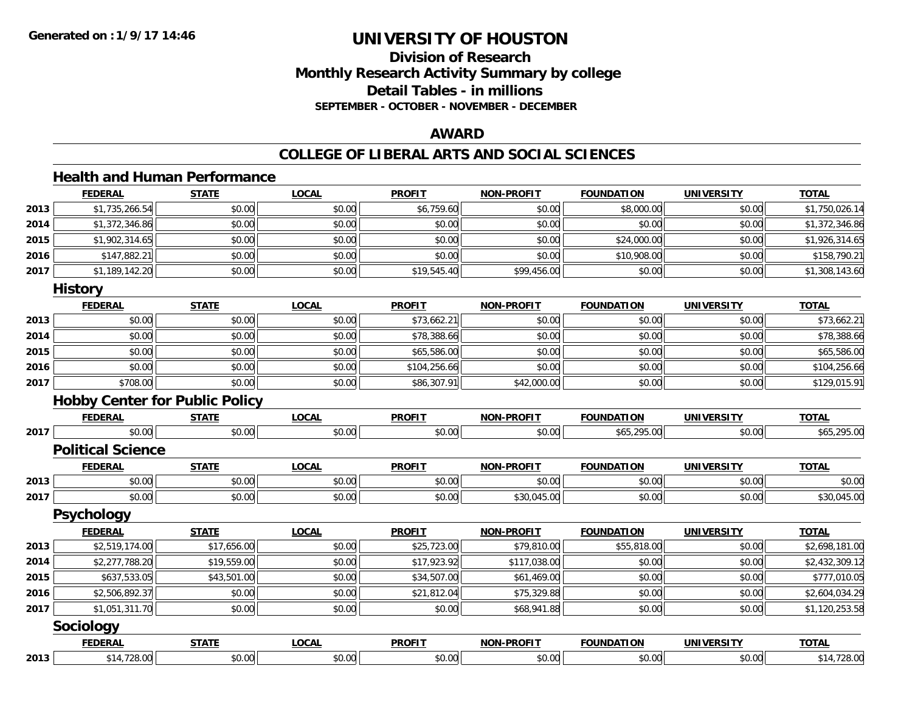## **Division of ResearchMonthly Research Activity Summary by college Detail Tables - in millions SEPTEMBER - OCTOBER - NOVEMBER - DECEMBER**

### **AWARD**

#### **COLLEGE OF LIBERAL ARTS AND SOCIAL SCIENCES**

#### **Health and Human Performance**

|      | <b>FEDERAL</b>                        | <b>STATE</b> | <b>LOCAL</b> | <b>PROFIT</b> | <b>NON-PROFIT</b> | <b>FOUNDATION</b> | <b>UNIVERSITY</b> | <b>TOTAL</b>   |
|------|---------------------------------------|--------------|--------------|---------------|-------------------|-------------------|-------------------|----------------|
| 2013 | \$1,735,266.54                        | \$0.00       | \$0.00       | \$6,759.60    | \$0.00            | \$8,000.00        | \$0.00            | \$1,750,026.14 |
| 2014 | \$1,372,346.86                        | \$0.00       | \$0.00       | \$0.00        | \$0.00            | \$0.00            | \$0.00            | \$1,372,346.86 |
| 2015 | \$1,902,314.65                        | \$0.00       | \$0.00       | \$0.00        | \$0.00            | \$24,000.00       | \$0.00            | \$1,926,314.65 |
| 2016 | \$147,882.21                          | \$0.00       | \$0.00       | \$0.00        | \$0.00            | \$10,908.00       | \$0.00            | \$158,790.21   |
| 2017 | \$1,189,142.20                        | \$0.00       | \$0.00       | \$19,545.40   | \$99,456.00       | \$0.00            | \$0.00            | \$1,308,143.60 |
|      | <b>History</b>                        |              |              |               |                   |                   |                   |                |
|      | <b>FEDERAL</b>                        | <b>STATE</b> | <b>LOCAL</b> | <b>PROFIT</b> | <b>NON-PROFIT</b> | <b>FOUNDATION</b> | <b>UNIVERSITY</b> | <b>TOTAL</b>   |
| 2013 | \$0.00                                | \$0.00       | \$0.00       | \$73,662.21   | \$0.00            | \$0.00            | \$0.00            | \$73,662.21    |
| 2014 | \$0.00                                | \$0.00       | \$0.00       | \$78,388.66   | \$0.00            | \$0.00            | \$0.00            | \$78,388.66    |
| 2015 | \$0.00                                | \$0.00       | \$0.00       | \$65,586.00   | \$0.00            | \$0.00            | \$0.00            | \$65,586.00    |
| 2016 | \$0.00                                | \$0.00       | \$0.00       | \$104,256.66  | \$0.00            | \$0.00            | \$0.00            | \$104,256.66   |
| 2017 | \$708.00                              | \$0.00       | \$0.00       | \$86,307.91   | \$42,000.00       | \$0.00            | \$0.00            | \$129,015.91   |
|      | <b>Hobby Center for Public Policy</b> |              |              |               |                   |                   |                   |                |
|      | <b>FEDERAL</b>                        | <b>STATE</b> | <b>LOCAL</b> | <b>PROFIT</b> | <b>NON-PROFIT</b> | <b>FOUNDATION</b> | <b>UNIVERSITY</b> | <b>TOTAL</b>   |
| 2017 | \$0.00                                | \$0.00       | \$0.00       | \$0.00        | \$0.00            | \$65,295.00       | \$0.00            | \$65,295.00    |
|      | <b>Political Science</b>              |              |              |               |                   |                   |                   |                |
|      | <b>FEDERAL</b>                        | <b>STATE</b> | <b>LOCAL</b> | <b>PROFIT</b> | <b>NON-PROFIT</b> | <b>FOUNDATION</b> | <b>UNIVERSITY</b> | <b>TOTAL</b>   |
| 2013 | \$0.00                                | \$0.00       | \$0.00       | \$0.00        | \$0.00            | \$0.00            | \$0.00            | \$0.00         |
| 2017 | \$0.00                                | \$0.00       | \$0.00       | \$0.00        | \$30,045.00       | \$0.00            | \$0.00            | \$30,045.00    |
|      | <b>Psychology</b>                     |              |              |               |                   |                   |                   |                |
|      | <b>FEDERAL</b>                        | <b>STATE</b> | <b>LOCAL</b> | <b>PROFIT</b> | <b>NON-PROFIT</b> | <b>FOUNDATION</b> | <b>UNIVERSITY</b> | <b>TOTAL</b>   |
| 2013 | \$2,519,174.00                        | \$17,656.00  | \$0.00       | \$25,723.00   | \$79,810.00       | \$55,818.00       | \$0.00            | \$2,698,181.00 |
| 2014 | \$2,277,788.20                        | \$19,559.00  | \$0.00       | \$17,923.92   | \$117,038.00      | \$0.00            | \$0.00            | \$2,432,309.12 |
| 2015 | \$637,533.05                          | \$43,501.00  | \$0.00       | \$34,507.00   | \$61,469.00       | \$0.00            | \$0.00            | \$777,010.05   |
| 2016 | \$2,506,892.37                        | \$0.00       | \$0.00       | \$21,812.04   | \$75,329.88       | \$0.00            | \$0.00            | \$2,604,034.29 |
| 2017 | \$1,051,311.70                        | \$0.00       | \$0.00       | \$0.00        | \$68,941.88       | \$0.00            | \$0.00            | \$1,120,253.58 |
|      | Sociology                             |              |              |               |                   |                   |                   |                |
|      | <b>FEDERAL</b>                        | <b>STATE</b> | <b>LOCAL</b> | <b>PROFIT</b> | <b>NON-PROFIT</b> | <b>FOUNDATION</b> | <b>UNIVERSITY</b> | <b>TOTAL</b>   |
| 2013 | \$14,728.00                           | \$0.00       | \$0.00       | \$0.00        | \$0.00            | \$0.00            | \$0.00            | \$14,728.00    |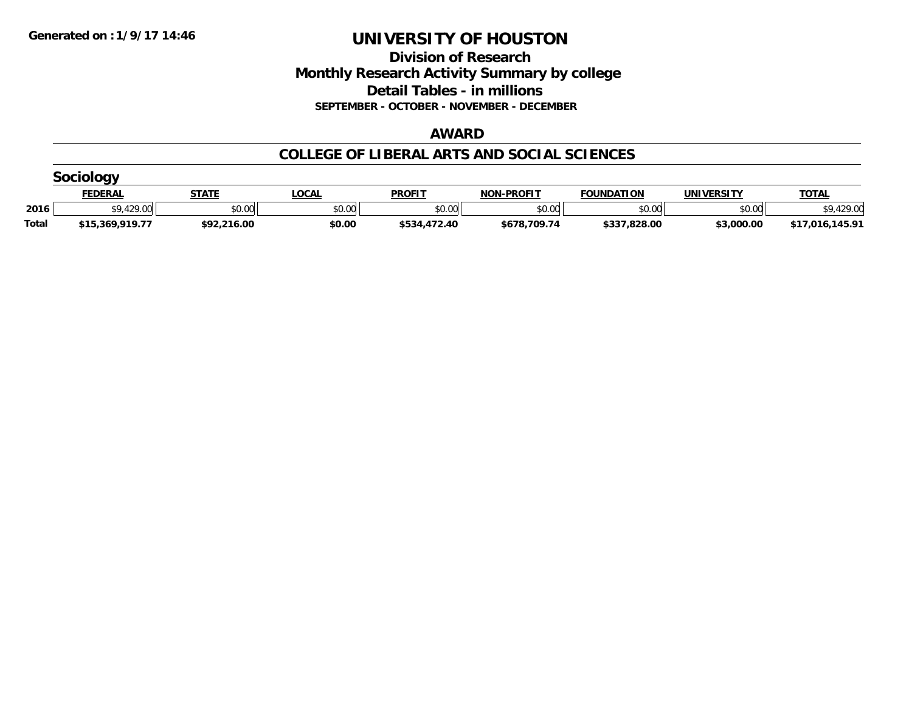**Division of Research Monthly Research Activity Summary by college Detail Tables - in millions SEPTEMBER - OCTOBER - NOVEMBER - DECEMBER**

#### **AWARD**

|              | $\sim$           |              |             |               |                   |                   |                   |                 |  |  |  |
|--------------|------------------|--------------|-------------|---------------|-------------------|-------------------|-------------------|-----------------|--|--|--|
|              | <b>FEDERAL</b>   | <b>STATE</b> | <b>OCAL</b> | <b>PROFIT</b> | <b>NON-PROFIT</b> | <b>FOUNDATION</b> | <b>UNIVERSITY</b> | <b>TOTAL</b>    |  |  |  |
| 2016         | <b>CO 120 00</b> | \$0.00       | \$0.00      | \$0.00        | \$0.00            | \$0.00            | \$0.00            | .429.00<br>¢Ω   |  |  |  |
| <b>Total</b> | \$15,369,919.77  | \$92,216.00  | \$0.00      | \$534,472.40  | \$678,709.74      | \$337,828.00      | \$3,000.00        | \$17,016,145.91 |  |  |  |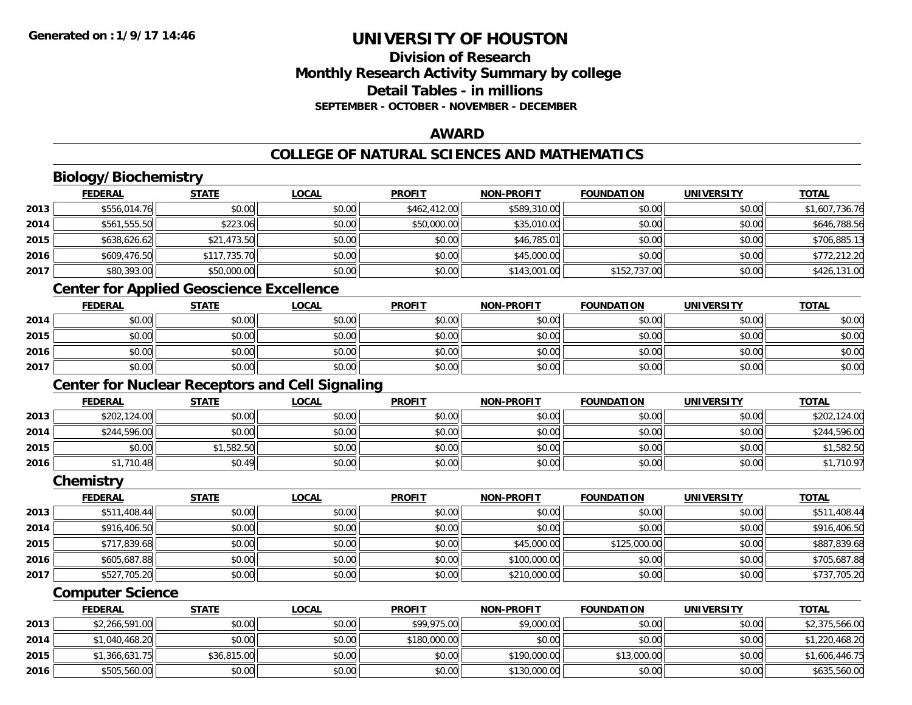### **Division of ResearchMonthly Research Activity Summary by college Detail Tables - in millionsSEPTEMBER - OCTOBER - NOVEMBER - DECEMBER**

#### **AWARD**

## **COLLEGE OF NATURAL SCIENCES AND MATHEMATICS**

## **Biology/Biochemistry**

|      | <b>FEDERAL</b> | <b>STATE</b> | <u>LOCAL</u> | <b>PROFIT</b> | <b>NON-PROFIT</b> | <b>FOUNDATION</b> | <b>UNIVERSITY</b> | <b>TOTAL</b>   |
|------|----------------|--------------|--------------|---------------|-------------------|-------------------|-------------------|----------------|
| 2013 | \$556,014.76   | \$0.00       | \$0.00       | \$462,412.00  | \$589,310.00      | \$0.00            | \$0.00            | \$1,607,736.76 |
| 2014 | \$561,555.50   | \$223.06     | \$0.00       | \$50,000.00   | \$35,010.00       | \$0.00            | \$0.00            | \$646,788.56   |
| 2015 | \$638,626.62   | \$21,473.50  | \$0.00       | \$0.00        | \$46,785.01       | \$0.00            | \$0.00            | \$706,885.13   |
| 2016 | \$609,476.50   | \$117,735.70 | \$0.00       | \$0.00        | \$45,000.00       | \$0.00            | \$0.00            | \$772,212.20   |
| 2017 | \$80,393.00    | \$50,000.00  | \$0.00       | \$0.00        | \$143,001.00      | \$152,737.00      | \$0.00            | \$426,131.00   |
|      |                |              |              |               |                   |                   |                   |                |

### **Center for Applied Geoscience Excellence**

|      | <b>FEDERAL</b> | <b>STATE</b> | LOCAL  | <b>PROFIT</b> | <b>NON-PROFIT</b> | <b>FOUNDATION</b> | <b>UNIVERSITY</b> | <b>TOTAL</b> |
|------|----------------|--------------|--------|---------------|-------------------|-------------------|-------------------|--------------|
| 2014 | \$0.00         | \$0.00       | \$0.00 | \$0.00        | \$0.00            | \$0.00            | \$0.00            | \$0.00       |
| 2015 | \$0.00         | \$0.00       | \$0.00 | \$0.00        | \$0.00            | \$0.00            | \$0.00            | \$0.00       |
| 2016 | \$0.00         | \$0.00       | \$0.00 | \$0.00        | \$0.00            | \$0.00            | \$0.00            | \$0.00       |
| 2017 | \$0.00         | \$0.00       | \$0.00 | \$0.00        | \$0.00            | \$0.00            | \$0.00            | \$0.00       |

## **Center for Nuclear Receptors and Cell Signaling**

|      | <u>FEDERAL</u> | <b>STATE</b> | <u>LOCAL</u> | <b>PROFIT</b> | <b>NON-PROFIT</b> | <b>FOUNDATION</b> | <b>UNIVERSITY</b> | <b>TOTAL</b> |
|------|----------------|--------------|--------------|---------------|-------------------|-------------------|-------------------|--------------|
| 2013 | \$202,124.00   | \$0.00       | \$0.00       | \$0.00        | \$0.00            | \$0.00            | \$0.00            | \$202,124.00 |
| 2014 | \$244,596.00   | \$0.00       | \$0.00       | \$0.00        | \$0.00            | \$0.00            | \$0.00            | \$244,596.00 |
| 2015 | \$0.00         | \$1,582.50   | \$0.00       | \$0.00        | \$0.00            | \$0.00            | \$0.00            | \$1,582.50   |
| 2016 | \$1,710.48     | \$0.49       | \$0.00       | \$0.00        | \$0.00            | \$0.00            | \$0.00            | \$1,710.97   |

#### **Chemistry**

|      | <b>FEDERAL</b> | <b>STATE</b> | <b>LOCAL</b> | <b>PROFIT</b> | <b>NON-PROFIT</b> | <b>FOUNDATION</b> | <b>UNIVERSITY</b> | <b>TOTAL</b> |
|------|----------------|--------------|--------------|---------------|-------------------|-------------------|-------------------|--------------|
| 2013 | \$511,408.44   | \$0.00       | \$0.00       | \$0.00        | \$0.00            | \$0.00            | \$0.00            | \$511,408.44 |
| 2014 | \$916,406.50   | \$0.00       | \$0.00       | \$0.00        | \$0.00            | \$0.00            | \$0.00            | \$916,406.50 |
| 2015 | \$717,839.68   | \$0.00       | \$0.00       | \$0.00        | \$45,000.00       | \$125,000.00      | \$0.00            | \$887,839.68 |
| 2016 | \$605,687.88   | \$0.00       | \$0.00       | \$0.00        | \$100,000.00      | \$0.00            | \$0.00            | \$705,687.88 |
| 2017 | \$527,705.20   | \$0.00       | \$0.00       | \$0.00        | \$210,000.00      | \$0.00            | \$0.00            | \$737,705.20 |

### **Computer Science**

|      | <b>FEDERAL</b> | <b>STATE</b> | <u>LOCAL</u> | <b>PROFIT</b> | <b>NON-PROFIT</b> | <b>FOUNDATION</b> | UNIVERSITY | <b>TOTAL</b>   |
|------|----------------|--------------|--------------|---------------|-------------------|-------------------|------------|----------------|
| 2013 | \$2,266,591.00 | \$0.00       | \$0.00       | \$99,975.00   | \$9,000.00        | \$0.00            | \$0.00     | \$2,375,566.00 |
| 2014 | \$1,040,468.20 | \$0.00       | \$0.00       | \$180,000.00  | \$0.00            | \$0.00            | \$0.00     | \$1,220,468.20 |
| 2015 | \$1,366,631.75 | \$36,815.00  | \$0.00       | \$0.00        | \$190,000.00      | \$13,000.00       | \$0.00     | \$1,606,446.75 |
| 2016 | \$505,560.00   | \$0.00       | \$0.00       | \$0.00        | \$130,000.00      | \$0.00            | \$0.00     | \$635,560.00   |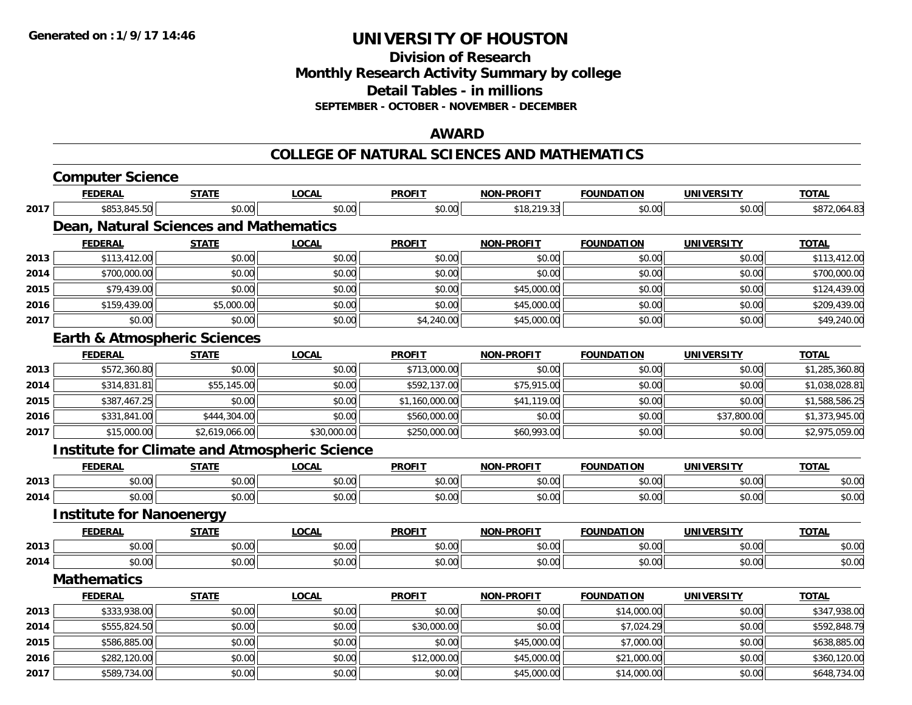**Division of ResearchMonthly Research Activity Summary by college Detail Tables - in millions SEPTEMBER - OCTOBER - NOVEMBER - DECEMBER**

### **AWARD**

#### **COLLEGE OF NATURAL SCIENCES AND MATHEMATICS**

|      | <b>Computer Science</b>                              |                |              |                |                   |                   |                   |                |
|------|------------------------------------------------------|----------------|--------------|----------------|-------------------|-------------------|-------------------|----------------|
|      | <b>FEDERAL</b>                                       | <b>STATE</b>   | <b>LOCAL</b> | <b>PROFIT</b>  | <b>NON-PROFIT</b> | <b>FOUNDATION</b> | <b>UNIVERSITY</b> | <b>TOTAL</b>   |
| 2017 | \$853,845.50                                         | \$0.00         | \$0.00       | \$0.00         | \$18,219.33       | \$0.00            | \$0.00            | \$872,064.83   |
|      | Dean, Natural Sciences and Mathematics               |                |              |                |                   |                   |                   |                |
|      | <b>FEDERAL</b>                                       | <b>STATE</b>   | <b>LOCAL</b> | <b>PROFIT</b>  | <b>NON-PROFIT</b> | <b>FOUNDATION</b> | <b>UNIVERSITY</b> | <b>TOTAL</b>   |
| 2013 | \$113,412.00                                         | \$0.00         | \$0.00       | \$0.00         | \$0.00            | \$0.00            | \$0.00            | \$113,412.00   |
| 2014 | \$700,000.00                                         | \$0.00         | \$0.00       | \$0.00         | \$0.00            | \$0.00            | \$0.00            | \$700,000.00   |
| 2015 | \$79,439.00                                          | \$0.00         | \$0.00       | \$0.00         | \$45,000.00       | \$0.00            | \$0.00            | \$124,439.00   |
| 2016 | \$159,439.00                                         | \$5,000.00     | \$0.00       | \$0.00         | \$45,000.00       | \$0.00            | \$0.00            | \$209,439.00   |
| 2017 | \$0.00                                               | \$0.00         | \$0.00       | \$4,240.00     | \$45,000.00       | \$0.00            | \$0.00            | \$49,240.00    |
|      | <b>Earth &amp; Atmospheric Sciences</b>              |                |              |                |                   |                   |                   |                |
|      | <b>FEDERAL</b>                                       | <b>STATE</b>   | <b>LOCAL</b> | <b>PROFIT</b>  | <b>NON-PROFIT</b> | <b>FOUNDATION</b> | <b>UNIVERSITY</b> | <b>TOTAL</b>   |
| 2013 | \$572,360.80                                         | \$0.00         | \$0.00       | \$713,000.00   | \$0.00            | \$0.00            | \$0.00            | \$1,285,360.80 |
| 2014 | \$314,831.81                                         | \$55,145.00    | \$0.00       | \$592,137.00   | \$75,915.00       | \$0.00            | \$0.00            | \$1,038,028.81 |
| 2015 | \$387,467.25                                         | \$0.00         | \$0.00       | \$1,160,000.00 | \$41,119.00       | \$0.00            | \$0.00            | \$1,588,586.25 |
| 2016 | \$331,841.00                                         | \$444,304.00   | \$0.00       | \$560,000.00   | \$0.00            | \$0.00            | \$37,800.00       | \$1,373,945.00 |
| 2017 | \$15,000.00                                          | \$2,619,066.00 | \$30,000.00  | \$250,000.00   | \$60,993.00       | \$0.00            | \$0.00            | \$2,975,059.00 |
|      | <b>Institute for Climate and Atmospheric Science</b> |                |              |                |                   |                   |                   |                |
|      | <b>FEDERAL</b>                                       | <b>STATE</b>   | <b>LOCAL</b> | <b>PROFIT</b>  | <b>NON-PROFIT</b> | <b>FOUNDATION</b> | <b>UNIVERSITY</b> | <b>TOTAL</b>   |
| 2013 | \$0.00                                               | \$0.00         | \$0.00       | \$0.00         | \$0.00            | \$0.00            | \$0.00            | \$0.00         |
| 2014 | \$0.00                                               | \$0.00         | \$0.00       | \$0.00         | \$0.00            | \$0.00            | \$0.00            | \$0.00         |
|      | <b>Institute for Nanoenergy</b>                      |                |              |                |                   |                   |                   |                |
|      | <b>FEDERAL</b>                                       | <b>STATE</b>   | <b>LOCAL</b> | <b>PROFIT</b>  | <b>NON-PROFIT</b> | <b>FOUNDATION</b> | <b>UNIVERSITY</b> | <b>TOTAL</b>   |
| 2013 | \$0.00                                               | \$0.00         | \$0.00       | \$0.00         | \$0.00            | \$0.00            | \$0.00            | \$0.00         |
| 2014 | \$0.00                                               | \$0.00         | \$0.00       | \$0.00         | \$0.00            | \$0.00            | \$0.00            | \$0.00         |
|      | <b>Mathematics</b>                                   |                |              |                |                   |                   |                   |                |
|      | <b>FEDERAL</b>                                       | <b>STATE</b>   | <b>LOCAL</b> | <b>PROFIT</b>  | <b>NON-PROFIT</b> | <b>FOUNDATION</b> | <b>UNIVERSITY</b> | <b>TOTAL</b>   |
| 2013 | \$333,938.00                                         | \$0.00         | \$0.00       | \$0.00         | \$0.00            | \$14,000.00       | \$0.00            | \$347,938.00   |
| 2014 | \$555,824.50                                         | \$0.00         | \$0.00       | \$30,000.00    | \$0.00            | \$7,024.29        | \$0.00            | \$592,848.79   |
| 2015 | \$586,885.00                                         | \$0.00         | \$0.00       | \$0.00         | \$45,000.00       | \$7,000.00        | \$0.00            | \$638,885.00   |
| 2016 | \$282,120.00                                         | \$0.00         | \$0.00       | \$12,000.00    | \$45,000.00       | \$21,000.00       | \$0.00            | \$360,120.00   |
| 2017 | \$589,734.00                                         | \$0.00         | \$0.00       | \$0.00         | \$45,000.00       | \$14,000.00       | \$0.00            | \$648,734.00   |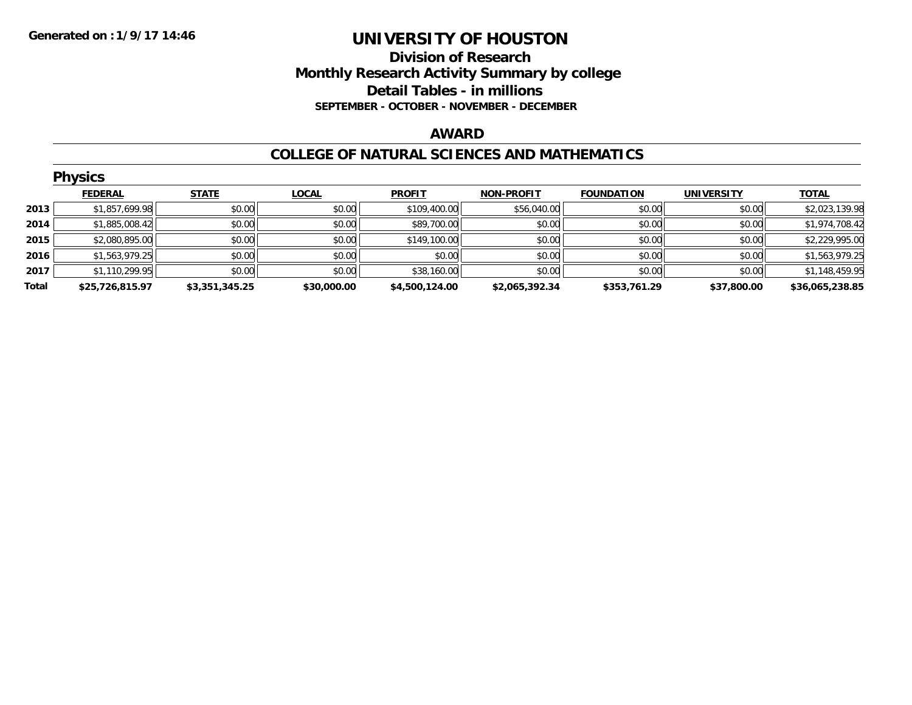### **Division of Research Monthly Research Activity Summary by college Detail Tables - in millions SEPTEMBER - OCTOBER - NOVEMBER - DECEMBER**

#### **AWARD**

#### **COLLEGE OF NATURAL SCIENCES AND MATHEMATICS**

|       | <b>Physics</b>  |                |              |                |                   |                   |                   |                 |  |  |  |  |
|-------|-----------------|----------------|--------------|----------------|-------------------|-------------------|-------------------|-----------------|--|--|--|--|
|       | <b>FEDERAL</b>  | <b>STATE</b>   | <b>LOCAL</b> | <b>PROFIT</b>  | <b>NON-PROFIT</b> | <b>FOUNDATION</b> | <b>UNIVERSITY</b> | <b>TOTAL</b>    |  |  |  |  |
| 2013  | \$1,857,699.98  | \$0.00         | \$0.00       | \$109,400.00   | \$56,040.00       | \$0.00            | \$0.00            | \$2,023,139.98  |  |  |  |  |
| 2014  | \$1,885,008.42  | \$0.00         | \$0.00       | \$89,700.00    | \$0.00            | \$0.00            | \$0.00            | \$1,974,708.42  |  |  |  |  |
| 2015  | \$2,080,895.00  | \$0.00         | \$0.00       | \$149,100.00   | \$0.00            | \$0.00            | \$0.00            | \$2,229,995.00  |  |  |  |  |
| 2016  | \$1,563,979.25  | \$0.00         | \$0.00       | \$0.00         | \$0.00            | \$0.00            | \$0.00            | \$1,563,979.25  |  |  |  |  |
| 2017  | \$1,110,299.95  | \$0.00         | \$0.00       | \$38,160.00    | \$0.00            | \$0.00            | \$0.00            | \$1,148,459.95  |  |  |  |  |
| Total | \$25,726,815.97 | \$3,351,345.25 | \$30,000.00  | \$4,500,124.00 | \$2,065,392.34    | \$353,761.29      | \$37,800.00       | \$36,065,238.85 |  |  |  |  |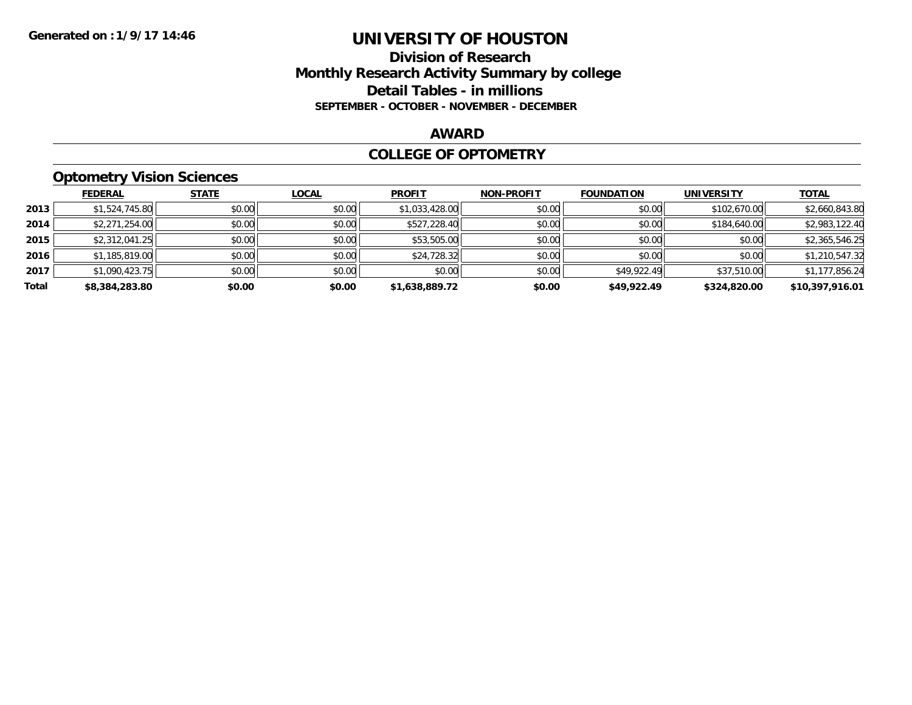### **Division of Research Monthly Research Activity Summary by college Detail Tables - in millions SEPTEMBER - OCTOBER - NOVEMBER - DECEMBER**

#### **AWARD**

### **COLLEGE OF OPTOMETRY**

## **Optometry Vision Sciences**

|       | <b>FEDERAL</b> | <b>STATE</b> | <b>LOCAL</b> | <b>PROFIT</b>  | <b>NON-PROFIT</b> | <b>FOUNDATION</b> | <b>UNIVERSITY</b> | <u>TOTAL</u>    |
|-------|----------------|--------------|--------------|----------------|-------------------|-------------------|-------------------|-----------------|
| 2013  | \$1,524,745.80 | \$0.00       | \$0.00       | \$1,033,428.00 | \$0.00            | \$0.00            | \$102,670.00      | \$2,660,843.80  |
| 2014  | \$2,271,254.00 | \$0.00       | \$0.00       | \$527,228.40   | \$0.00            | \$0.00            | \$184,640.00      | \$2,983,122.40  |
| 2015  | \$2,312,041.25 | \$0.00       | \$0.00       | \$53,505.00    | \$0.00            | \$0.00            | \$0.00            | \$2,365,546.25  |
| 2016  | \$1,185,819.00 | \$0.00       | \$0.00       | \$24,728.32    | \$0.00            | \$0.00            | \$0.00            | \$1,210,547.32  |
| 2017  | \$1,090,423.75 | \$0.00       | \$0.00       | \$0.00         | \$0.00            | \$49,922.49       | \$37,510.00       | \$1,177,856.24  |
| Total | \$8,384,283.80 | \$0.00       | \$0.00       | \$1,638,889.72 | \$0.00            | \$49,922.49       | \$324,820.00      | \$10,397,916.01 |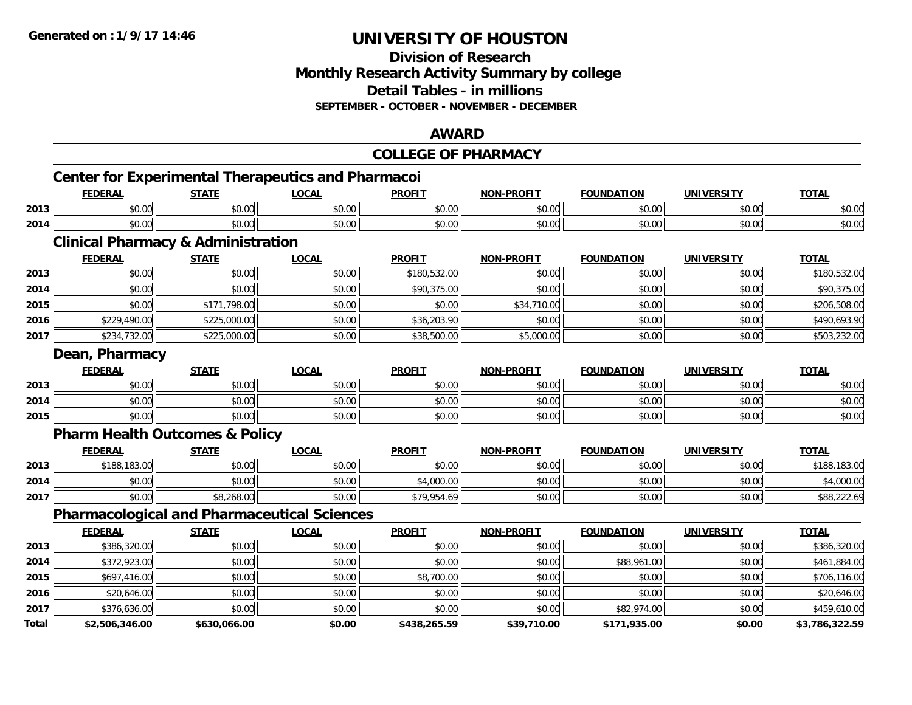**Total**

## **UNIVERSITY OF HOUSTON**

### **Division of Research Monthly Research Activity Summary by college Detail Tables - in millions SEPTEMBER - OCTOBER - NOVEMBER - DECEMBER**

### **AWARD**

|      |                                                           |              |              | <b>COLLEGE OF PHARMACY</b> |                   |                   |                   |              |
|------|-----------------------------------------------------------|--------------|--------------|----------------------------|-------------------|-------------------|-------------------|--------------|
|      | <b>Center for Experimental Therapeutics and Pharmacoi</b> |              |              |                            |                   |                   |                   |              |
|      | <b>FEDERAL</b>                                            | <b>STATE</b> | <b>LOCAL</b> | <b>PROFIT</b>              | <b>NON-PROFIT</b> | <b>FOUNDATION</b> | <b>UNIVERSITY</b> | <b>TOTAL</b> |
| 2013 | \$0.00                                                    | \$0.00       | \$0.00       | \$0.00                     | \$0.00            | \$0.00            | \$0.00            | \$0.00       |
| 2014 | \$0.00                                                    | \$0.00       | \$0.00       | \$0.00                     | \$0.00            | \$0.00            | \$0.00            | \$0.00       |
|      | <b>Clinical Pharmacy &amp; Administration</b>             |              |              |                            |                   |                   |                   |              |
|      | <b>FEDERAL</b>                                            | <b>STATE</b> | <b>LOCAL</b> | <b>PROFIT</b>              | <b>NON-PROFIT</b> | <b>FOUNDATION</b> | <b>UNIVERSITY</b> | <b>TOTAL</b> |
| 2013 | \$0.00                                                    | \$0.00       | \$0.00       | \$180,532.00               | \$0.00            | \$0.00            | \$0.00            | \$180,532.00 |
| 2014 | \$0.00                                                    | \$0.00       | \$0.00       | \$90,375.00                | \$0.00            | \$0.00            | \$0.00            | \$90,375.00  |
| 2015 | \$0.00                                                    | \$171,798.00 | \$0.00       | \$0.00                     | \$34,710.00       | \$0.00            | \$0.00            | \$206,508.00 |
| 2016 | \$229,490.00                                              | \$225,000.00 | \$0.00       | \$36,203.90                | \$0.00            | \$0.00            | \$0.00            | \$490,693.90 |
| 2017 | \$234,732.00                                              | \$225,000.00 | \$0.00       | \$38,500.00                | \$5,000.00        | \$0.00            | \$0.00            | \$503,232.00 |
|      | Dean, Pharmacy                                            |              |              |                            |                   |                   |                   |              |
|      | <b>FEDERAL</b>                                            | <b>STATE</b> | <b>LOCAL</b> | <b>PROFIT</b>              | <b>NON-PROFIT</b> | <b>FOUNDATION</b> | <b>UNIVERSITY</b> | <b>TOTAL</b> |
| 2013 | \$0.00                                                    | \$0.00       | \$0.00       | \$0.00                     | \$0.00            | \$0.00            | \$0.00            | \$0.00       |
| 2014 | \$0.00                                                    | \$0.00       | \$0.00       | \$0.00                     | \$0.00            | \$0.00            | \$0.00            | \$0.00       |
| 2015 | \$0.00                                                    | \$0.00       | \$0.00       | \$0.00                     | \$0.00            | \$0.00            | \$0.00            | \$0.00       |
|      | <b>Pharm Health Outcomes &amp; Policy</b>                 |              |              |                            |                   |                   |                   |              |
|      | <b>FEDERAL</b>                                            | <b>STATE</b> | <b>LOCAL</b> | <b>PROFIT</b>              | <b>NON-PROFIT</b> | <b>FOUNDATION</b> | <b>UNIVERSITY</b> | <b>TOTAL</b> |
| 2013 | \$188,183.00                                              | \$0.00       | \$0.00       | \$0.00                     | \$0.00            | \$0.00            | \$0.00            | \$188,183.00 |
| 2014 | \$0.00                                                    | \$0.00       | \$0.00       | \$4,000.00                 | \$0.00            | \$0.00            | \$0.00            | \$4,000.00   |
| 2017 | \$0.00                                                    | \$8,268.00   | \$0.00       | \$79,954.69                | \$0.00            | \$0.00            | \$0.00            | \$88,222.69  |
|      | <b>Pharmacological and Pharmaceutical Sciences</b>        |              |              |                            |                   |                   |                   |              |
|      | <b>FEDERAL</b>                                            | <b>STATE</b> | <b>LOCAL</b> | <b>PROFIT</b>              | <b>NON-PROFIT</b> | <b>FOUNDATION</b> | <b>UNIVERSITY</b> | <b>TOTAL</b> |
| 2013 | \$386,320.00                                              | \$0.00       | \$0.00       | \$0.00                     | \$0.00            | \$0.00            | \$0.00            | \$386,320.00 |
| 2014 | \$372,923.00                                              | \$0.00       | \$0.00       | \$0.00                     | \$0.00            | \$88,961.00       | \$0.00            | \$461,884.00 |
| 2015 | \$697,416.00                                              | \$0.00       | \$0.00       | \$8,700.00                 | \$0.00            | \$0.00            | \$0.00            | \$706,116.00 |
| 2016 | \$20,646.00                                               | \$0.00       | \$0.00       | \$0.00                     | \$0.00            | \$0.00            | \$0.00            | \$20,646.00  |
| 2017 | \$376,636.00                                              | \$0.00       | \$0.00       | \$0.00                     | \$0.00            | \$82,974.00       | \$0.00            | \$459,610.00 |

**\$2,506,346.00 \$630,066.00 \$0.00 \$438,265.59 \$39,710.00 \$171,935.00 \$0.00 \$3,786,322.59**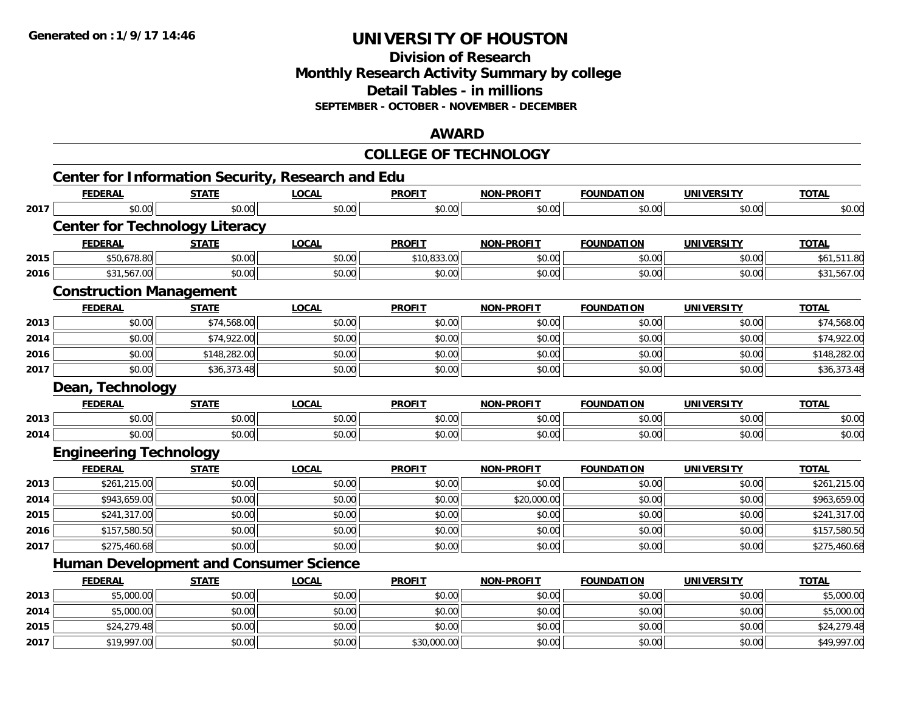**2015**

**2017**

## **UNIVERSITY OF HOUSTON**

**Division of ResearchMonthly Research Activity Summary by college Detail Tables - in millionsSEPTEMBER - OCTOBER - NOVEMBER - DECEMBER**

#### **AWARD**

#### **COLLEGE OF TECHNOLOGYCenter for Information Security, Research and Edu FEDERAL STATE LOCAL PROFIT NON-PROFIT FOUNDATION UNIVERSITY TOTALTOTAL 2017**7 | \$0.00 \$0.00 \$0.00 \$0.00 \$0.00 \$0.00 \$0.00 \$0.00 \$0.00 \$0.00 \$0.00 \$0.00 \$0.00 \$0.00 \$0.00 \$0.00 \$0.00 \$0.00 **Center for Technology Literacy FEDERAL STATE LOCAL PROFIT NON-PROFIT FOUNDATION UNIVERSITY TOTAL2015** \$50,678.80 \$0.00 \$0.00 \$10,833.00 \$0.00 \$0.00 \$0.00 \$61,511.80 **2016** $\bf{6}$   $\bf{31,567.00}$   $\bf{30.00}$   $\bf{31,567.00}$   $\bf{30.00}$   $\bf{40.00}$   $\bf{50.00}$   $\bf{51,567.00}$ **Construction Management FEDERAL STATE LOCAL PROFIT NON-PROFIT FOUNDATION UNIVERSITY TOTALTOTAL 2013** $\textbf{3} \mid \textbf{3} \mid \textbf{5} \mid \textbf{5} \mid \textbf{6} \mid \textbf{7} \mid \textbf{7} \mid \textbf{5} \mid \textbf{6} \mid \textbf{8} \mid \textbf{0} \mid \textbf{1} \mid \textbf{1} \mid \textbf{1} \mid \textbf{1} \mid \textbf{1} \mid \textbf{1} \mid \textbf{1} \mid \textbf{1} \mid \textbf{1} \mid \textbf{1} \mid \textbf{1} \mid \textbf{1} \mid \textbf{1} \mid \textbf{1} \mid \textbf{1} \mid \textbf{1} \mid \textbf{$ **2014**4 \$0.00 \$0.00 \$0.00 \$74,922.00 \$0.00 \$0.00 \$0.00 \$0.00 \$0.00 \$0.00 \$0.00 \$0.00 \$0.00 \$0.00 \$74,922.00 **2016**6 \$0.00 \$0.00 \$0.00 \$148,282.00 \$0.00 \$0.00 \$0.00 \$0.00 \$0.00 \$0.00 \$0.00 \$0.00 \$0.00 \$148,282.00 **2017**7 | \$0.00| \$36,373.48| \$0.00| \$0.00| \$0.00| \$0.00| \$0.00| \$0.00| \$0.00| \$0.00| \$0.00| \$36,373.48 **Dean, Technology FEDERAL STATE LOCAL PROFIT NON-PROFIT FOUNDATION UNIVERSITY TOTAL2013** \$0.00 \$0.00 \$0.00 \$0.00 \$0.00 \$0.00 \$0.00 \$0.00 **2014**4 \$0.00 \$0.00 \$0.00 \$0.00 \$0.00 \$0.00 \$0.00 \$0.00 \$0.00 \$0.00 \$0.00 \$0.00 \$0.00 \$0.00 \$0.00 \$0.00 \$0.00 **Engineering Technology FEDERAL STATE LOCAL PROFIT NON-PROFIT FOUNDATION UNIVERSITY TOTAL2013** \$261,215.00 \$0.00 \$0.00 \$0.00 \$0.00 \$0.00 \$0.00 \$261,215.00 **2014**4 \$943,659.00 \$0.00 \$0.00 \$0.00 \$0.00 \$0.00 \$0.00 \$0.00 \$20,000.00 \$20,000.00 \$0.00 \$0.00 \$0.00 \$963,659.00 **2015** \$241,317.00 \$0.00 \$0.00 \$0.00 \$0.00 \$0.00 \$0.00 \$241,317.00 **2016**6 \$157,580.50 \$0.00 \$0.00 \$0.00 \$0.00 \$0.00 \$0.00 \$0.00 \$0.00 \$0.00 \$0.00 \$0.00 \$157,580.50 **2017** \$275,460.68 \$0.00 \$0.00 \$0.00 \$0.00 \$0.00 \$0.00 \$275,460.68 **Human Development and Consumer Science FEDERAL STATE LOCAL PROFIT NON-PROFIT FOUNDATION UNIVERSITY TOTALTOTAL 2013** \$5,000.00 \$0.00 \$0.00 \$0.00 \$0.00 \$0.00 \$0.00 \$5,000.00 **2014**4 \$5,000.00 \$0.00 \$0.00 \$0.00 \$0.00 \$0.00 \$0.00 \$0.00 \$0.00 \$0.00 \$0.00 \$0.00 \$0.00 \$5,000.00 \$5,000.00

\$24,279.48 \$0.00 \$0.00 \$0.00 \$0.00 \$0.00 \$0.00 \$24,279.48

7 | \$19,997.00| \$0.00| \$0.00| \$0.00| \$0.00| \$30,000.00| \$0.00| \$0.00| \$0.00| \$0.00| \$0.00| \$49,997.00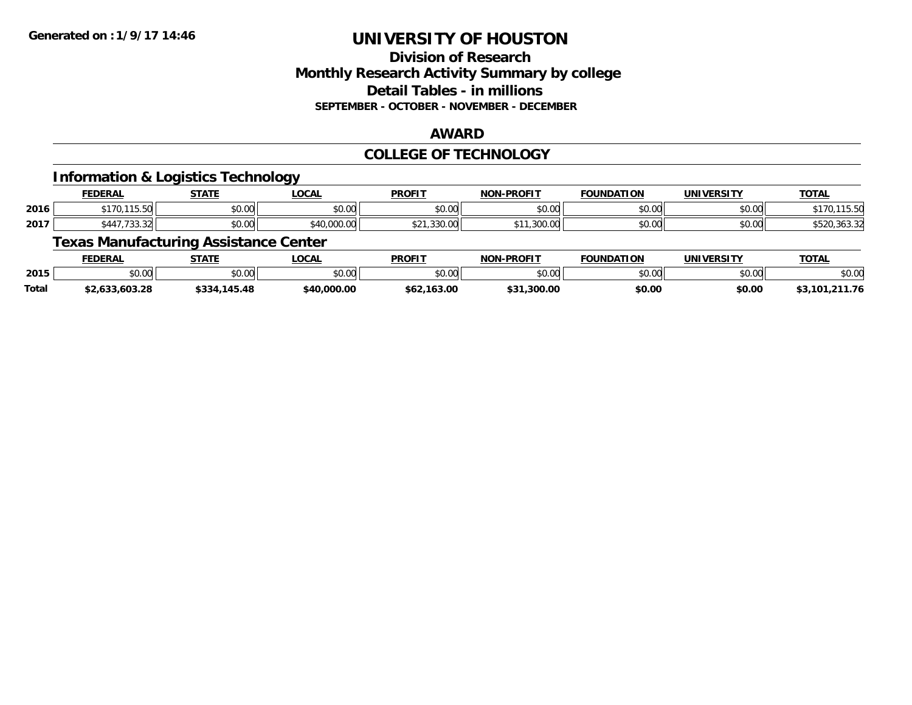## **Division of ResearchMonthly Research Activity Summary by college Detail Tables - in millions SEPTEMBER - OCTOBER - NOVEMBER - DECEMBER**

#### **AWARD**

### **COLLEGE OF TECHNOLOGY**

### **Information & Logistics Technology**

|      | <b>FEDERAL</b>                             | <b>STATE</b> | ___<br>.OCAL      | <b>PROFIT</b>                      | <b>J-PROFIT</b><br><b>NON</b> | <b>FOUNDATION</b> | <b>UNIVERSITY</b> | <b>TOTAL</b>              |
|------|--------------------------------------------|--------------|-------------------|------------------------------------|-------------------------------|-------------------|-------------------|---------------------------|
| 2016 | 115.52<br><b>ተ</b> 17 ሰ<br>, , ,<br>1 J.JU | \$0.00       | ሶስ ሰሰ<br>JU.UU    | ልስ ሰሰ<br>JU.UU                     | \$0.00                        | \$0.00            | \$0.00            | .                         |
| 2017 | \$447.733.                                 | \$0.00       | non no<br>.uuu.uu | $\sim$ $\sim$ $\sim$ $\sim$ $\sim$ | 200.00<br>.300.00             | \$0.00            | \$0.00            | $\sim$ $\sim$<br>∠د.دסد.י |

## **Texas Manufacturing Assistance Center**

|       | FEDERAL            | STATE  | LOCAL          | <b>PROFIT</b> | <b>L-PROFIT</b><br><b>NON</b> | <b>FOUNDATION</b>  | <b>UNIVERSITY</b> | <b>TOTAL</b>         |
|-------|--------------------|--------|----------------|---------------|-------------------------------|--------------------|-------------------|----------------------|
| 2015  | $\sim$ 00<br>JU.UU | \$0.00 | 40.00<br>JU.UU | \$0.00        | \$0.00                        | $\sim$ 00<br>JU.UU | \$0.00            | \$0.00               |
| Total | \$2,633,603.28     | 145.48 | \$40,000.00    | \$62,163.00   | \$31,300.00                   | \$0.00             | \$0.00            | ,211.76<br>\$3,101,2 |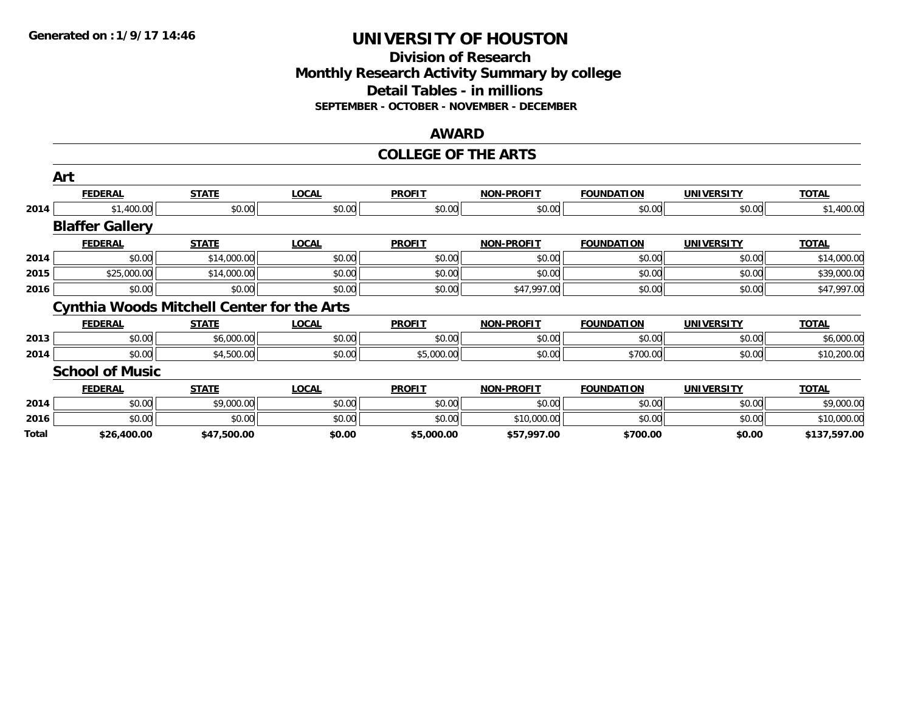### **Division of Research Monthly Research Activity Summary by college Detail Tables - in millions SEPTEMBER - OCTOBER - NOVEMBER - DECEMBER**

#### **AWARD**

#### **COLLEGE OF THE ARTS**

|       | Art                                               |              |              |               |                   |                   |                   |              |
|-------|---------------------------------------------------|--------------|--------------|---------------|-------------------|-------------------|-------------------|--------------|
|       | <b>FEDERAL</b>                                    | <b>STATE</b> | <b>LOCAL</b> | <b>PROFIT</b> | <b>NON-PROFIT</b> | <b>FOUNDATION</b> | <b>UNIVERSITY</b> | <b>TOTAL</b> |
| 2014  | \$1,400.00                                        | \$0.00       | \$0.00       | \$0.00        | \$0.00            | \$0.00            | \$0.00            | \$1,400.00   |
|       | <b>Blaffer Gallery</b>                            |              |              |               |                   |                   |                   |              |
|       | <b>FEDERAL</b>                                    | <b>STATE</b> | <b>LOCAL</b> | <b>PROFIT</b> | <b>NON-PROFIT</b> | <b>FOUNDATION</b> | <b>UNIVERSITY</b> | <b>TOTAL</b> |
| 2014  | \$0.00                                            | \$14,000.00  | \$0.00       | \$0.00        | \$0.00            | \$0.00            | \$0.00            | \$14,000.00  |
| 2015  | \$25,000.00                                       | \$14,000.00  | \$0.00       | \$0.00        | \$0.00            | \$0.00            | \$0.00            | \$39,000.00  |
| 2016  | \$0.00                                            | \$0.00       | \$0.00       | \$0.00        | \$47,997.00       | \$0.00            | \$0.00            | \$47,997.00  |
|       | <b>Cynthia Woods Mitchell Center for the Arts</b> |              |              |               |                   |                   |                   |              |
|       | <b>FEDERAL</b>                                    | <b>STATE</b> | <b>LOCAL</b> | <b>PROFIT</b> | <b>NON-PROFIT</b> | <b>FOUNDATION</b> | <b>UNIVERSITY</b> | <b>TOTAL</b> |
| 2013  | \$0.00                                            | \$6,000.00   | \$0.00       | \$0.00        | \$0.00            | \$0.00            | \$0.00            | \$6,000.00   |
| 2014  | \$0.00                                            | \$4,500.00   | \$0.00       | \$5,000.00    | \$0.00            | \$700.00          | \$0.00            | \$10,200.00  |
|       | <b>School of Music</b>                            |              |              |               |                   |                   |                   |              |
|       | <b>FEDERAL</b>                                    | <b>STATE</b> | <b>LOCAL</b> | <b>PROFIT</b> | <b>NON-PROFIT</b> | <b>FOUNDATION</b> | <b>UNIVERSITY</b> | <b>TOTAL</b> |
| 2014  | \$0.00                                            | \$9,000.00   | \$0.00       | \$0.00        | \$0.00            | \$0.00            | \$0.00            | \$9,000.00   |
| 2016  | \$0.00                                            | \$0.00       | \$0.00       | \$0.00        | \$10,000.00       | \$0.00            | \$0.00            | \$10,000.00  |
| Total | \$26,400.00                                       | \$47,500.00  | \$0.00       | \$5,000.00    | \$57,997.00       | \$700.00          | \$0.00            | \$137,597.00 |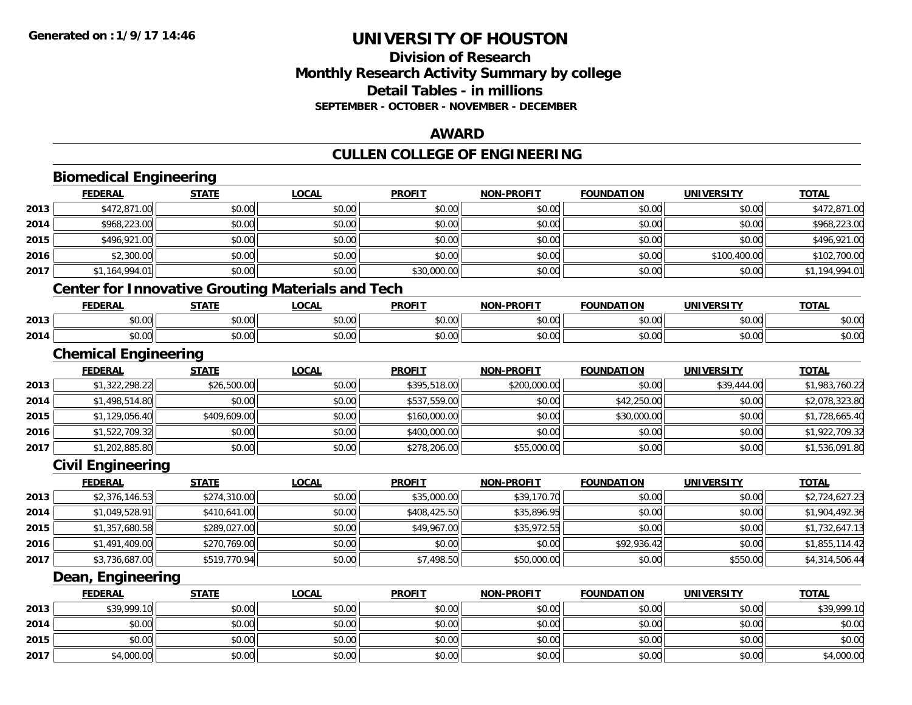## **Division of ResearchMonthly Research Activity Summary by college Detail Tables - in millions SEPTEMBER - OCTOBER - NOVEMBER - DECEMBER**

### **AWARD**

## **CULLEN COLLEGE OF ENGINEERING**

|      | <b>Biomedical Engineering</b> |              |                                                          |               |                   |                   |                   |                |
|------|-------------------------------|--------------|----------------------------------------------------------|---------------|-------------------|-------------------|-------------------|----------------|
|      | <b>FEDERAL</b>                | <b>STATE</b> | <b>LOCAL</b>                                             | <b>PROFIT</b> | NON-PROFIT        | <b>FOUNDATION</b> | <b>UNIVERSITY</b> | <b>TOTAL</b>   |
| 2013 | \$472,871.00                  | \$0.00       | \$0.00                                                   | \$0.00        | \$0.00            | \$0.00            | \$0.00            | \$472,871.00   |
| 2014 | \$968,223.00                  | \$0.00       | \$0.00                                                   | \$0.00        | \$0.00            | \$0.00            | \$0.00            | \$968,223.00   |
| 2015 | \$496,921.00                  | \$0.00       | \$0.00                                                   | \$0.00        | \$0.00            | \$0.00            | \$0.00            | \$496,921.00   |
| 2016 | \$2,300.00                    | \$0.00       | \$0.00                                                   | \$0.00        | \$0.00            | \$0.00            | \$100,400.00      | \$102,700.00   |
| 2017 | \$1,164,994.01                | \$0.00       | \$0.00                                                   | \$30,000.00   | \$0.00            | \$0.00            | \$0.00            | \$1,194,994.01 |
|      |                               |              | <b>Center for Innovative Grouting Materials and Tech</b> |               |                   |                   |                   |                |
|      | <b>FEDERAL</b>                | <b>STATE</b> | <b>LOCAL</b>                                             | <b>PROFIT</b> | <b>NON-PROFIT</b> | <b>FOUNDATION</b> | <b>UNIVERSITY</b> | <b>TOTAL</b>   |
| 2013 | \$0.00                        | \$0.00       | \$0.00                                                   | \$0.00        | \$0.00            | \$0.00            | \$0.00            | \$0.00         |
| 2014 | \$0.00                        | \$0.00       | \$0.00                                                   | \$0.00        | \$0.00            | \$0.00            | \$0.00            | \$0.00         |
|      | <b>Chemical Engineering</b>   |              |                                                          |               |                   |                   |                   |                |
|      | <b>FEDERAL</b>                | <b>STATE</b> | <b>LOCAL</b>                                             | <b>PROFIT</b> | <b>NON-PROFIT</b> | <b>FOUNDATION</b> | <b>UNIVERSITY</b> | <b>TOTAL</b>   |
| 2013 | \$1,322,298.22                | \$26,500.00  | \$0.00                                                   | \$395,518.00  | \$200,000.00      | \$0.00            | \$39,444.00       | \$1,983,760.22 |
| 2014 | \$1,498,514.80                | \$0.00       | \$0.00                                                   | \$537,559.00  | \$0.00            | \$42,250.00       | \$0.00            | \$2,078,323.80 |
| 2015 | \$1,129,056.40                | \$409,609.00 | \$0.00                                                   | \$160,000.00  | \$0.00            | \$30,000.00       | \$0.00            | \$1,728,665.40 |
| 2016 | \$1,522,709.32                | \$0.00       | \$0.00                                                   | \$400,000.00  | \$0.00            | \$0.00            | \$0.00            | \$1,922,709.32 |
| 2017 | \$1,202,885.80                | \$0.00       | \$0.00                                                   | \$278,206.00  | \$55,000.00       | \$0.00            | \$0.00            | \$1,536,091.80 |
|      | <b>Civil Engineering</b>      |              |                                                          |               |                   |                   |                   |                |
|      | <b>FEDERAL</b>                | <b>STATE</b> | <b>LOCAL</b>                                             | <b>PROFIT</b> | <b>NON-PROFIT</b> | <b>FOUNDATION</b> | <b>UNIVERSITY</b> | <b>TOTAL</b>   |
| 2013 | \$2,376,146.53                | \$274,310.00 | \$0.00                                                   | \$35,000.00   | \$39,170.70       | \$0.00            | \$0.00            | \$2,724,627.23 |
| 2014 | \$1,049,528.91                | \$410,641.00 | \$0.00                                                   | \$408,425.50  | \$35,896.95       | \$0.00            | \$0.00            | \$1,904,492.36 |
| 2015 | \$1,357,680.58                | \$289,027.00 | \$0.00                                                   | \$49,967.00   | \$35,972.55       | \$0.00            | \$0.00            | \$1,732,647.13 |
| 2016 | \$1,491,409.00                | \$270,769.00 | \$0.00                                                   | \$0.00        | \$0.00            | \$92,936.42       | \$0.00            | \$1,855,114.42 |
| 2017 | \$3,736,687.00                | \$519,770.94 | \$0.00                                                   | \$7,498.50    | \$50,000.00       | \$0.00            | \$550.00          | \$4,314,506.44 |
|      | Dean, Engineering             |              |                                                          |               |                   |                   |                   |                |
|      | <b>FEDERAL</b>                | <b>STATE</b> | <b>LOCAL</b>                                             | <b>PROFIT</b> | <b>NON-PROFIT</b> | <b>FOUNDATION</b> | <b>UNIVERSITY</b> | <b>TOTAL</b>   |
| 2013 | \$39,999.10                   | \$0.00       | \$0.00                                                   | \$0.00        | \$0.00            | \$0.00            | \$0.00            | \$39,999.10    |
| 2014 | \$0.00                        | \$0.00       | \$0.00                                                   | \$0.00        | \$0.00            | \$0.00            | \$0.00            | \$0.00         |
| 2015 | \$0.00                        | \$0.00       | \$0.00                                                   | \$0.00        | \$0.00            | \$0.00            | \$0.00            | \$0.00         |
| 2017 | \$4,000.00                    | \$0.00       | \$0.00                                                   | \$0.00        | \$0.00            | \$0.00            | \$0.00            | \$4,000.00     |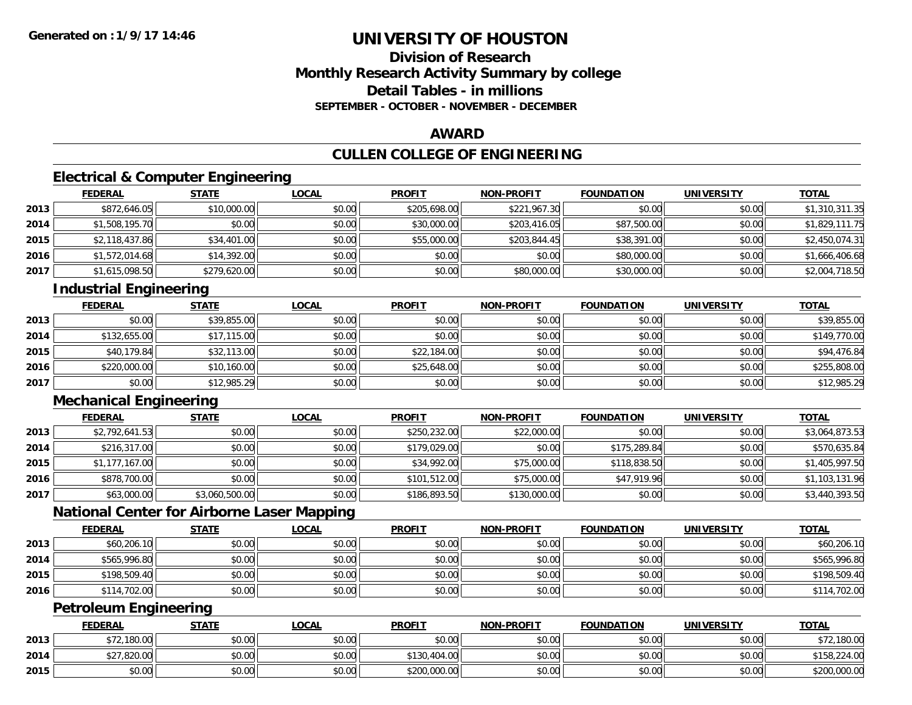## **Division of ResearchMonthly Research Activity Summary by college Detail Tables - in millionsSEPTEMBER - OCTOBER - NOVEMBER - DECEMBER**

### **AWARD**

## **CULLEN COLLEGE OF ENGINEERING**

## **Electrical & Computer Engineering**

|      | <b>FEDERAL</b> | <b>STATE</b> | <u>LOCAL</u> | <b>PROFIT</b> | <b>NON-PROFIT</b> | <b>FOUNDATION</b> | <b>UNIVERSITY</b> | <b>TOTAL</b>   |
|------|----------------|--------------|--------------|---------------|-------------------|-------------------|-------------------|----------------|
| 2013 | \$872,646.05   | \$10,000.00  | \$0.00       | \$205,698.00  | \$221,967.30      | \$0.00            | \$0.00            | \$1,310,311.35 |
| 2014 | \$1,508,195.70 | \$0.00       | \$0.00       | \$30,000.00   | \$203,416.05      | \$87,500.00       | \$0.00            | \$1,829,111.75 |
| 2015 | \$2,118,437.86 | \$34,401.00  | \$0.00       | \$55,000.00   | \$203,844.45      | \$38,391.00       | \$0.00            | \$2,450,074.31 |
| 2016 | \$1,572,014.68 | \$14,392.00  | \$0.00       | \$0.00        | \$0.00            | \$80,000.00       | \$0.00            | \$1,666,406.68 |
| 2017 | \$1,615,098.50 | \$279,620.00 | \$0.00       | \$0.00        | \$80,000.00       | \$30,000.00       | \$0.00            | \$2,004,718.50 |

## **Industrial Engineering**

|      | <u>FEDERAL</u> | <b>STATE</b> | <b>LOCAL</b> | <b>PROFIT</b> | <b>NON-PROFIT</b> | <b>FOUNDATION</b> | <b>UNIVERSITY</b> | <b>TOTAL</b> |
|------|----------------|--------------|--------------|---------------|-------------------|-------------------|-------------------|--------------|
| 2013 | \$0.00         | \$39,855.00  | \$0.00       | \$0.00        | \$0.00            | \$0.00            | \$0.00            | \$39,855.00  |
| 2014 | \$132,655.00   | \$17,115.00  | \$0.00       | \$0.00        | \$0.00            | \$0.00            | \$0.00            | \$149,770.00 |
| 2015 | \$40,179.84    | \$32,113.00  | \$0.00       | \$22,184.00   | \$0.00            | \$0.00            | \$0.00            | \$94,476.84  |
| 2016 | \$220,000.00   | \$10,160.00  | \$0.00       | \$25,648.00   | \$0.00            | \$0.00            | \$0.00            | \$255,808.00 |
| 2017 | \$0.00         | \$12,985.29  | \$0.00       | \$0.00        | \$0.00            | \$0.00            | \$0.00            | \$12,985.29  |

## **Mechanical Engineering**

|      | <b>FEDERAL</b> | <b>STATE</b>   | <u>LOCAL</u> | <b>PROFIT</b> | <b>NON-PROFIT</b> | <b>FOUNDATION</b> | <b>UNIVERSITY</b> | <b>TOTAL</b>   |
|------|----------------|----------------|--------------|---------------|-------------------|-------------------|-------------------|----------------|
| 2013 | \$2,792,641.53 | \$0.00         | \$0.00       | \$250,232.00  | \$22,000.00       | \$0.00            | \$0.00            | \$3,064,873.53 |
| 2014 | \$216,317.00   | \$0.00         | \$0.00       | \$179,029,00  | \$0.00            | \$175,289.84      | \$0.00            | \$570,635.84   |
| 2015 | \$1,177,167.00 | \$0.00         | \$0.00       | \$34,992.00   | \$75,000.00       | \$118,838.50      | \$0.00            | \$1,405,997.50 |
| 2016 | \$878,700.00   | \$0.00         | \$0.00       | \$101,512.00  | \$75,000.00       | \$47,919.96       | \$0.00            | \$1,103,131.96 |
| 2017 | \$63,000.00    | \$3,060,500.00 | \$0.00       | \$186,893.50  | \$130,000.00      | \$0.00            | \$0.00            | \$3,440,393.50 |

## **National Center for Airborne Laser Mapping**

|      | <b>FEDERAL</b> | <u>STATE</u> | <u>LOCAL</u> | <b>PROFIT</b> | <b>NON-PROFIT</b> | <b>FOUNDATION</b> | <b>UNIVERSITY</b> | <b>TOTAL</b> |
|------|----------------|--------------|--------------|---------------|-------------------|-------------------|-------------------|--------------|
| 2013 | \$60,206.10    | \$0.00       | \$0.00       | \$0.00        | \$0.00            | \$0.00            | \$0.00            | \$60,206.10  |
| 2014 | \$565,996.80   | \$0.00       | \$0.00       | \$0.00        | \$0.00            | \$0.00            | \$0.00            | \$565,996.80 |
| 2015 | \$198,509.40   | \$0.00       | \$0.00       | \$0.00        | \$0.00            | \$0.00            | \$0.00            | \$198,509.40 |
| 2016 | \$114,702.00   | \$0.00       | \$0.00       | \$0.00        | \$0.00            | \$0.00            | \$0.00            | \$114,702.00 |

## **Petroleum Engineering**

|      | <b>FEDERAL</b> | <b>STATE</b> | <u>LOCAL</u> | <b>PROFIT</b> | <b>NON-PROFIT</b> | <b>FOUNDATION</b> | UNIVERSITY | <b>TOTAL</b> |
|------|----------------|--------------|--------------|---------------|-------------------|-------------------|------------|--------------|
| 2013 | 12,180.00      | \$0.00       | \$0.00       | \$0.00        | \$0.00            | \$0.00            | \$0.00     | \$72,180.00  |
| 2014 | \$27,820.00    | \$0.00       | \$0.00       | \$130.404.00  | \$0.00            | \$0.00            | \$0.00     | \$158,224.00 |
| 2015 | \$0.00         | \$0.00       | \$0.00       | \$200,000.00  | \$0.00            | \$0.00            | \$0.00     | \$200,000.00 |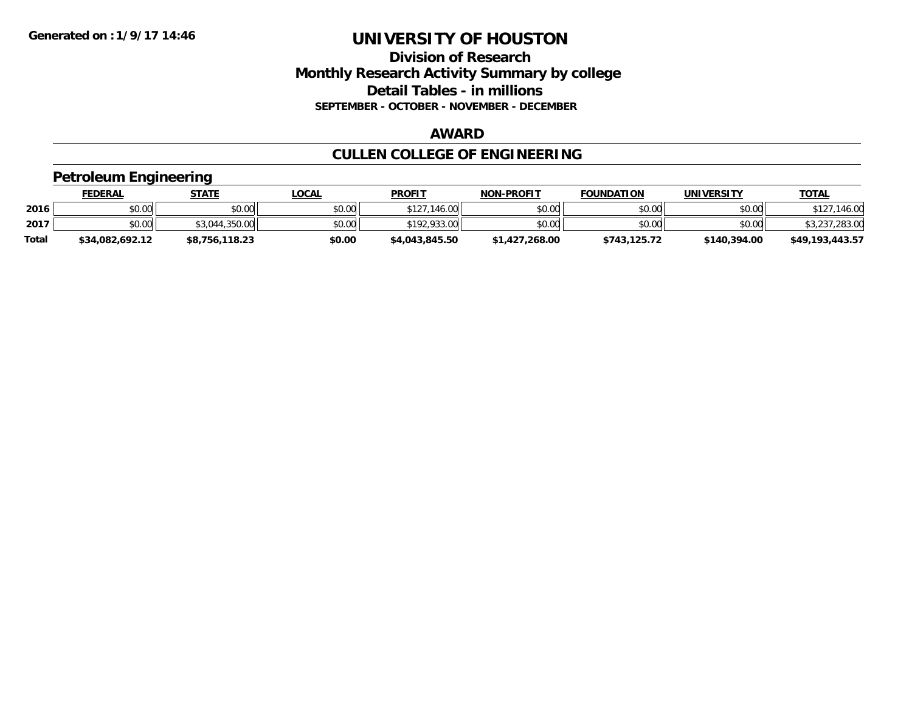## **Division of Research Monthly Research Activity Summary by college Detail Tables - in millions SEPTEMBER - OCTOBER - NOVEMBER - DECEMBER**

#### **AWARD**

## **CULLEN COLLEGE OF ENGINEERING**

### **Petroleum Engineering**

|              | <b>FEDERAL</b>  | STATE          | LOCAL  | <b>PROFIT</b>  | <b>NON-PROFIT</b> | <b>FOUNDATION</b> | <b>UNIVERSITY</b> | <u>TOTAL</u>    |
|--------------|-----------------|----------------|--------|----------------|-------------------|-------------------|-------------------|-----------------|
| 2016         | \$0.00          | \$0.00         | \$0.00 | \$127,146.00   | \$0.00            | \$0.00            | \$0.00            | ,146.00         |
| 2017         | \$0.00          | \$3,044,350.00 | \$0.00 | \$192,933.00   | \$0.00            | \$0.00            | \$0.00            | \$3,237,283.00  |
| <b>Total</b> | \$34.082.692.12 | \$8,756,118.23 | \$0.00 | \$4,043,845.50 | \$1,427,268.00    | \$743.125.72      | \$140,394.00      | \$49.193.443.57 |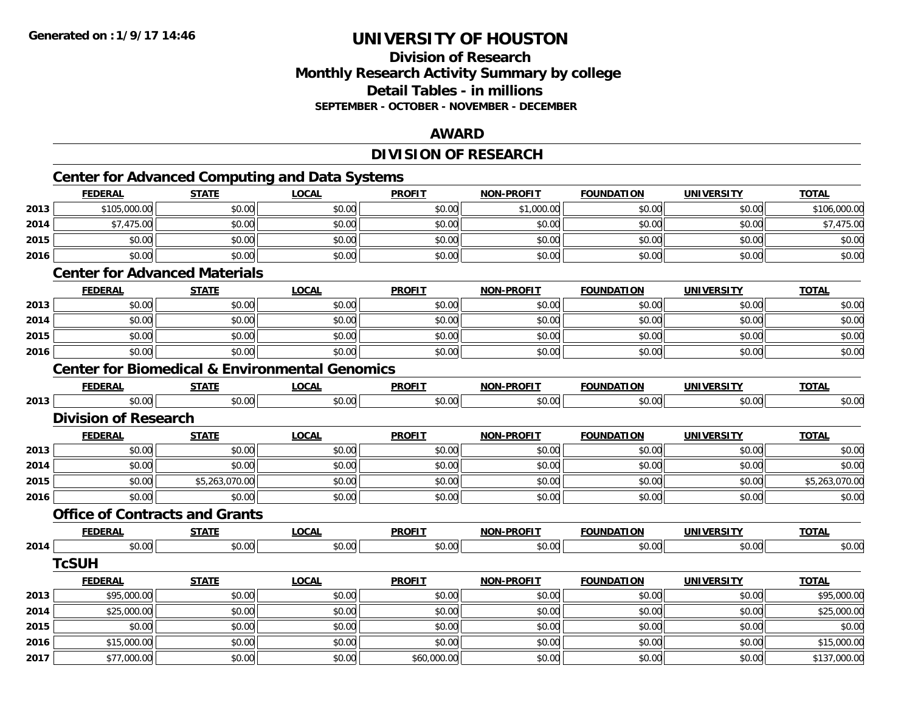## **Division of ResearchMonthly Research Activity Summary by college Detail Tables - in millions SEPTEMBER - OCTOBER - NOVEMBER - DECEMBER**

### **AWARD**

## **DIVISION OF RESEARCH**

## **Center for Advanced Computing and Data Systems**

|      | <b>FEDERAL</b>                                            | <b>STATE</b>   | <b>LOCAL</b> | <b>PROFIT</b> | <b>NON-PROFIT</b> | <b>FOUNDATION</b> | <b>UNIVERSITY</b> | <b>TOTAL</b>   |
|------|-----------------------------------------------------------|----------------|--------------|---------------|-------------------|-------------------|-------------------|----------------|
| 2013 | \$105,000.00                                              | \$0.00         | \$0.00       | \$0.00        | \$1,000.00        | \$0.00            | \$0.00            | \$106,000.00   |
| 2014 | \$7,475.00                                                | \$0.00         | \$0.00       | \$0.00        | \$0.00            | \$0.00            | \$0.00            | \$7,475.00     |
| 2015 | \$0.00                                                    | \$0.00         | \$0.00       | \$0.00        | \$0.00            | \$0.00            | \$0.00            | \$0.00         |
| 2016 | \$0.00                                                    | \$0.00         | \$0.00       | \$0.00        | \$0.00            | \$0.00            | \$0.00            | \$0.00         |
|      | <b>Center for Advanced Materials</b>                      |                |              |               |                   |                   |                   |                |
|      | <b>FEDERAL</b>                                            | <b>STATE</b>   | <b>LOCAL</b> | <b>PROFIT</b> | <b>NON-PROFIT</b> | <b>FOUNDATION</b> | <b>UNIVERSITY</b> | <b>TOTAL</b>   |
| 2013 | \$0.00                                                    | \$0.00         | \$0.00       | \$0.00        | \$0.00            | \$0.00            | \$0.00            | \$0.00         |
| 2014 | \$0.00                                                    | \$0.00         | \$0.00       | \$0.00        | \$0.00            | \$0.00            | \$0.00            | \$0.00         |
| 2015 | \$0.00                                                    | \$0.00         | \$0.00       | \$0.00        | \$0.00            | \$0.00            | \$0.00            | \$0.00         |
| 2016 | \$0.00                                                    | \$0.00         | \$0.00       | \$0.00        | \$0.00            | \$0.00            | \$0.00            | \$0.00         |
|      | <b>Center for Biomedical &amp; Environmental Genomics</b> |                |              |               |                   |                   |                   |                |
|      | <b>FEDERAL</b>                                            | <b>STATE</b>   | <b>LOCAL</b> | <b>PROFIT</b> | <b>NON-PROFIT</b> | <b>FOUNDATION</b> | <b>UNIVERSITY</b> | <b>TOTAL</b>   |
| 2013 | \$0.00                                                    | \$0.00         | \$0.00       | \$0.00        | \$0.00            | \$0.00            | \$0.00            | \$0.00         |
|      | <b>Division of Research</b>                               |                |              |               |                   |                   |                   |                |
|      | <b>FEDERAL</b>                                            | <b>STATE</b>   | <b>LOCAL</b> | <b>PROFIT</b> | <b>NON-PROFIT</b> | <b>FOUNDATION</b> | <b>UNIVERSITY</b> | <b>TOTAL</b>   |
| 2013 | \$0.00                                                    | \$0.00         | \$0.00       | \$0.00        | \$0.00            | \$0.00            | \$0.00            | \$0.00         |
| 2014 | \$0.00                                                    | \$0.00         | \$0.00       | \$0.00        | \$0.00            | \$0.00            | \$0.00            | \$0.00         |
| 2015 | \$0.00                                                    | \$5,263,070.00 | \$0.00       | \$0.00        | \$0.00            | \$0.00            | \$0.00            | \$5,263,070.00 |
| 2016 | \$0.00                                                    | \$0.00         | \$0.00       | \$0.00        | \$0.00            | \$0.00            | \$0.00            | \$0.00         |
|      | <b>Office of Contracts and Grants</b>                     |                |              |               |                   |                   |                   |                |
|      | <b>FEDERAL</b>                                            | <b>STATE</b>   | <b>LOCAL</b> | <b>PROFIT</b> | <b>NON-PROFIT</b> | <b>FOUNDATION</b> | <b>UNIVERSITY</b> | <b>TOTAL</b>   |
| 2014 | \$0.00                                                    | \$0.00         | \$0.00       | \$0.00        | \$0.00            | \$0.00            | \$0.00            | \$0.00         |
|      | <b>TcSUH</b>                                              |                |              |               |                   |                   |                   |                |
|      | <b>FEDERAL</b>                                            | <b>STATE</b>   | <b>LOCAL</b> | <b>PROFIT</b> | <b>NON-PROFIT</b> | <b>FOUNDATION</b> | <b>UNIVERSITY</b> | <b>TOTAL</b>   |
| 2013 | \$95,000.00                                               | \$0.00         | \$0.00       | \$0.00        | \$0.00            | \$0.00            | \$0.00            | \$95,000.00    |
| 2014 | \$25,000.00                                               | \$0.00         | \$0.00       | \$0.00        | \$0.00            | \$0.00            | \$0.00            | \$25,000.00    |
| 2015 | \$0.00                                                    | \$0.00         | \$0.00       | \$0.00        | \$0.00            | \$0.00            | \$0.00            | \$0.00         |
| 2016 | \$15,000.00                                               | \$0.00         | \$0.00       | \$0.00        | \$0.00            | \$0.00            | \$0.00            | \$15,000.00    |
| 2017 | \$77,000.00                                               | \$0.00         | \$0.00       | \$60,000.00   | \$0.00            | \$0.00            | \$0.00            | \$137,000.00   |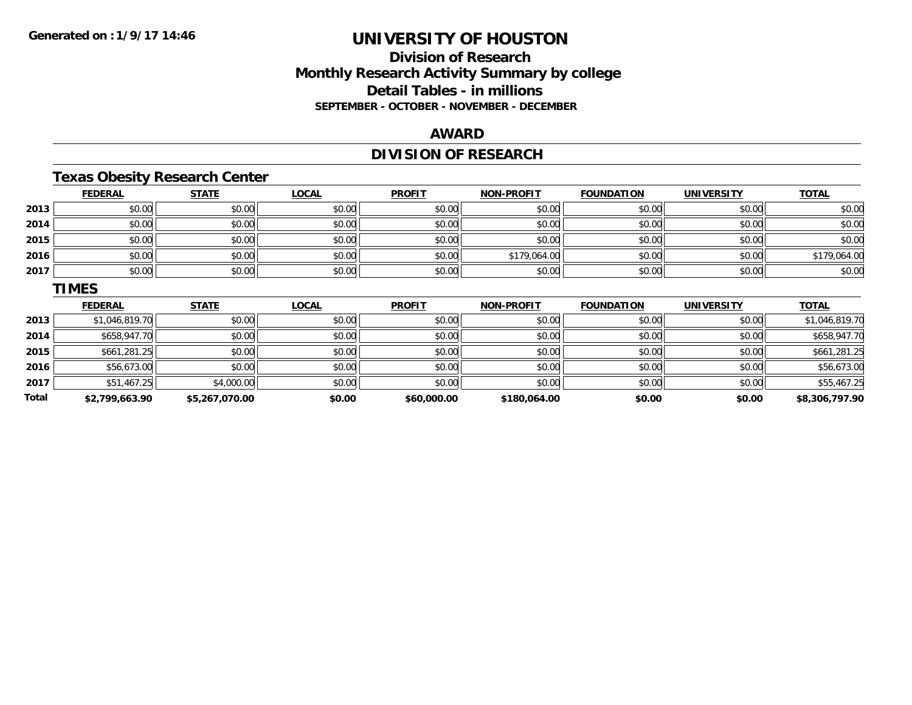**Total**

## **UNIVERSITY OF HOUSTON**

## **Division of ResearchMonthly Research Activity Summary by college Detail Tables - in millions SEPTEMBER - OCTOBER - NOVEMBER - DECEMBER**

### **AWARD**

## **DIVISION OF RESEARCH**

## **Texas Obesity Research Center**

|      | <b>FEDERAL</b> | <b>STATE</b> | <b>LOCAL</b> | <b>PROFIT</b> | <b>NON-PROFIT</b> | <b>FOUNDATION</b> | <b>UNIVERSITY</b> | <b>TOTAL</b>   |
|------|----------------|--------------|--------------|---------------|-------------------|-------------------|-------------------|----------------|
| 2013 | \$0.00         | \$0.00       | \$0.00       | \$0.00        | \$0.00            | \$0.00            | \$0.00            | \$0.00         |
| 2014 | \$0.00         | \$0.00       | \$0.00       | \$0.00        | \$0.00            | \$0.00            | \$0.00            | \$0.00         |
| 2015 | \$0.00         | \$0.00       | \$0.00       | \$0.00        | \$0.00            | \$0.00            | \$0.00            | \$0.00         |
| 2016 | \$0.00         | \$0.00       | \$0.00       | \$0.00        | \$179,064.00      | \$0.00            | \$0.00            | \$179,064.00   |
| 2017 | \$0.00         | \$0.00       | \$0.00       | \$0.00        | \$0.00            | \$0.00            | \$0.00            | \$0.00         |
|      | <b>TIMES</b>   |              |              |               |                   |                   |                   |                |
|      |                |              |              |               |                   |                   |                   |                |
|      | <b>FEDERAL</b> | <b>STATE</b> | <b>LOCAL</b> | <b>PROFIT</b> | <b>NON-PROFIT</b> | <b>FOUNDATION</b> | <b>UNIVERSITY</b> | <b>TOTAL</b>   |
| 2013 | \$1,046,819.70 | \$0.00       | \$0.00       | \$0.00        | \$0.00            | \$0.00            | \$0.00            | \$1,046,819.70 |
| 2014 | \$658,947.70   | \$0.00       | \$0.00       | \$0.00        | \$0.00            | \$0.00            | \$0.00            | \$658,947.70   |
| 2015 | \$661,281.25   | \$0.00       | \$0.00       | \$0.00        | \$0.00            | \$0.00            | \$0.00            | \$661,281.25   |
| 2016 | \$56,673.00    | \$0.00       | \$0.00       | \$0.00        | \$0.00            | \$0.00            | \$0.00            | \$56,673.00    |

**\$2,799,663.90 \$5,267,070.00 \$0.00 \$60,000.00 \$180,064.00 \$0.00 \$0.00 \$8,306,797.90**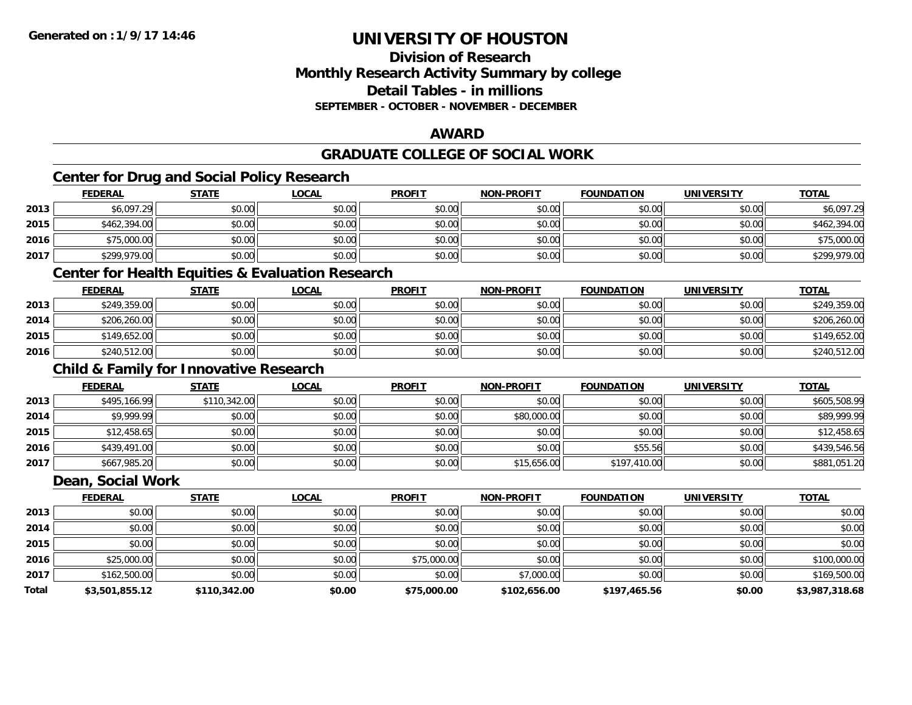## **Division of ResearchMonthly Research Activity Summary by college Detail Tables - in millionsSEPTEMBER - OCTOBER - NOVEMBER - DECEMBER**

### **AWARD**

## **GRADUATE COLLEGE OF SOCIAL WORK**

## **Center for Drug and Social Policy Research**

|      | <b>FEDERAL</b> | <b>STATE</b> | <u>LOCAL</u> | <b>PROFIT</b> | <b>NON-PROFIT</b> | <b>FOUNDATION</b> | <b>UNIVERSITY</b> | <b>TOTAL</b> |
|------|----------------|--------------|--------------|---------------|-------------------|-------------------|-------------------|--------------|
| 2013 | \$6,097.29     | \$0.00       | \$0.00       | \$0.00        | \$0.00            | \$0.00            | \$0.00            | \$6,097.29   |
| 2015 | \$462,394.00   | \$0.00       | \$0.00       | \$0.00        | \$0.00            | \$0.00            | \$0.00            | \$462,394.00 |
| 2016 | \$75,000.00    | \$0.00       | \$0.00       | \$0.00        | \$0.00            | \$0.00            | \$0.00            | \$75,000.00  |
| 2017 | \$299,979.00   | \$0.00       | \$0.00       | \$0.00        | \$0.00            | \$0.00            | \$0.00            | \$299,979.00 |

## **Center for Health Equities & Evaluation Research**

|      | <b>FEDERAL</b> | <b>STATE</b> | <u>LOCAL</u> | <b>PROFIT</b> | <b>NON-PROFIT</b> | <b>FOUNDATION</b> | UNIVERSITY | <b>TOTAL</b> |
|------|----------------|--------------|--------------|---------------|-------------------|-------------------|------------|--------------|
| 2013 | \$249,359.00   | \$0.00       | \$0.00       | \$0.00        | \$0.00            | \$0.00            | \$0.00     | \$249,359.00 |
| 2014 | \$206,260.00   | \$0.00       | \$0.00       | \$0.00        | \$0.00            | \$0.00            | \$0.00     | \$206,260.00 |
| 2015 | \$149,652.00   | \$0.00       | \$0.00       | \$0.00        | \$0.00            | \$0.00            | \$0.00     | \$149,652.00 |
| 2016 | \$240,512.00   | \$0.00       | \$0.00       | \$0.00        | \$0.00            | \$0.00            | \$0.00     | \$240,512.00 |

## **Child & Family for Innovative Research**

|      | <b>FEDERAL</b> | <b>STATE</b> | <b>LOCAL</b> | <b>PROFIT</b> | <b>NON-PROFIT</b> | <b>FOUNDATION</b> | <b>UNIVERSITY</b> | <b>TOTAL</b> |
|------|----------------|--------------|--------------|---------------|-------------------|-------------------|-------------------|--------------|
| 2013 | \$495,166.99   | \$110,342.00 | \$0.00       | \$0.00        | \$0.00            | \$0.00            | \$0.00            | \$605,508.99 |
| 2014 | \$9,999.99     | \$0.00       | \$0.00       | \$0.00        | \$80,000.00       | \$0.00            | \$0.00            | \$89,999.99  |
| 2015 | \$12,458.65    | \$0.00       | \$0.00       | \$0.00        | \$0.00            | \$0.00            | \$0.00            | \$12,458.65  |
| 2016 | \$439,491.00   | \$0.00       | \$0.00       | \$0.00        | \$0.00            | \$55.56           | \$0.00            | \$439,546.56 |
| 2017 | \$667,985.20   | \$0.00       | \$0.00       | \$0.00        | \$15,656.00       | \$197,410.00      | \$0.00            | \$881,051.20 |

### **Dean, Social Work**

|       | <b>FEDERAL</b> | <b>STATE</b> | <b>LOCAL</b> | <b>PROFIT</b> | <b>NON-PROFIT</b> | <b>FOUNDATION</b> | <b>UNIVERSITY</b> | <b>TOTAL</b>   |
|-------|----------------|--------------|--------------|---------------|-------------------|-------------------|-------------------|----------------|
| 2013  | \$0.00         | \$0.00       | \$0.00       | \$0.00        | \$0.00            | \$0.00            | \$0.00            | \$0.00         |
| 2014  | \$0.00         | \$0.00       | \$0.00       | \$0.00        | \$0.00            | \$0.00            | \$0.00            | \$0.00         |
| 2015  | \$0.00         | \$0.00       | \$0.00       | \$0.00        | \$0.00            | \$0.00            | \$0.00            | \$0.00         |
| 2016  | \$25,000.00    | \$0.00       | \$0.00       | \$75,000.00   | \$0.00            | \$0.00            | \$0.00            | \$100,000.00   |
| 2017  | \$162,500.00   | \$0.00       | \$0.00       | \$0.00        | \$7,000.00        | \$0.00            | \$0.00            | \$169,500.00   |
| Total | \$3,501,855.12 | \$110,342.00 | \$0.00       | \$75,000.00   | \$102,656.00      | \$197,465.56      | \$0.00            | \$3,987,318.68 |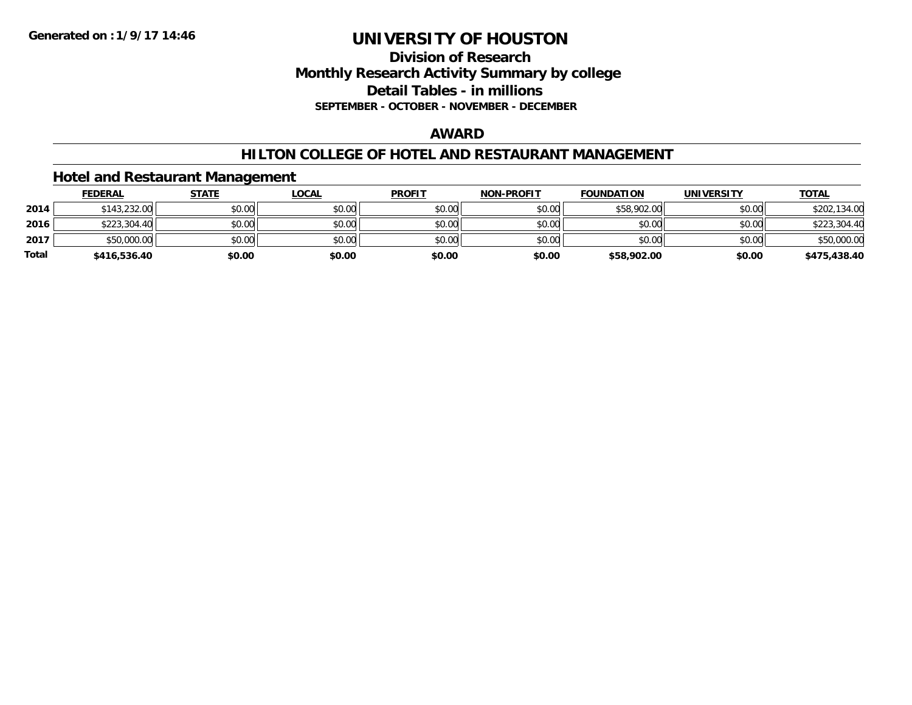### **Division of Research Monthly Research Activity Summary by college Detail Tables - in millions SEPTEMBER - OCTOBER - NOVEMBER - DECEMBER**

#### **AWARD**

### **HILTON COLLEGE OF HOTEL AND RESTAURANT MANAGEMENT**

### **Hotel and Restaurant Management**

|              | <b>FEDERAL</b> | <b>STATE</b> | <u>LOCAL</u> | <b>PROFIT</b> | <b>NON-PROFIT</b> | <b>FOUNDATION</b> | <b>UNIVERSITY</b> | <b>TOTAL</b> |
|--------------|----------------|--------------|--------------|---------------|-------------------|-------------------|-------------------|--------------|
| 2014         | \$143,232.00   | \$0.00       | \$0.00       | \$0.00        | \$0.00            | \$58,902.00       | \$0.00            | \$202,134.00 |
| 2016         | \$223,304.40   | \$0.00       | \$0.00       | \$0.00        | \$0.00            | \$0.00            | \$0.00            | \$223,304.40 |
| 2017         | \$50,000.00    | \$0.00       | \$0.00       | \$0.00        | \$0.00            | \$0.00            | \$0.00            | \$50,000.00  |
| <b>Total</b> | \$416,536.40   | \$0.00       | \$0.00       | \$0.00        | \$0.00            | \$58,902.00       | \$0.00            | \$475,438.40 |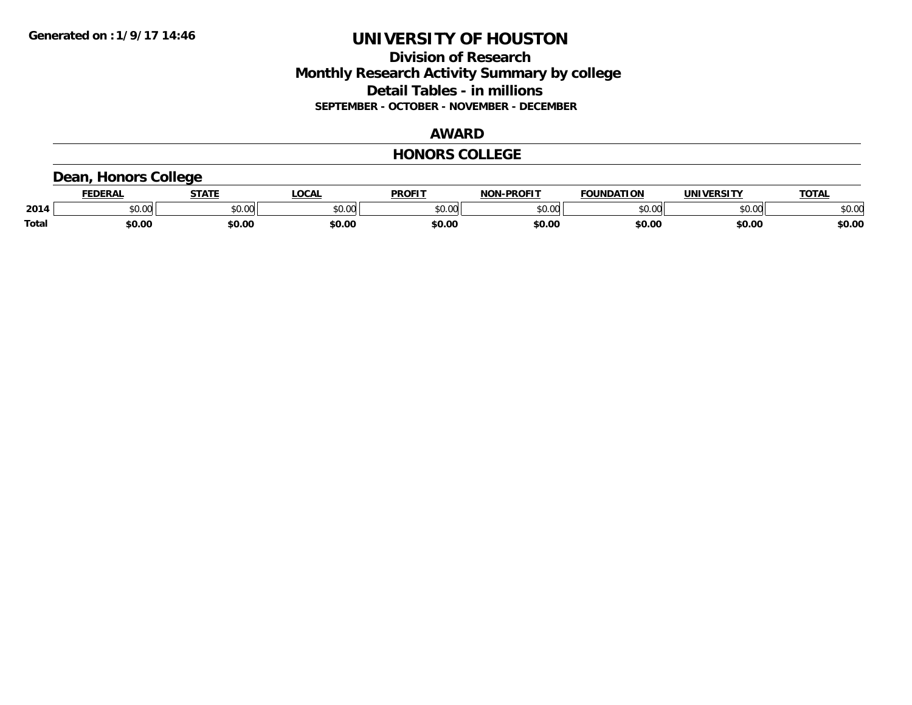## **Division of Research Monthly Research Activity Summary by college Detail Tables - in millions SEPTEMBER - OCTOBER - NOVEMBER - DECEMBER**

#### **AWARD**

#### **HONORS COLLEGE**

## **Dean, Honors College**

|       | .<br>- מ     | <b>STATI</b>       | OCA                                                                                    | <b>PROFIT</b> | <b>DDOEL1</b><br><b>BIAB</b> | ΠΟΝ            | <u>urneitv</u><br><b>INIV</b> | TOTA.          |
|-------|--------------|--------------------|----------------------------------------------------------------------------------------|---------------|------------------------------|----------------|-------------------------------|----------------|
| 2014  | 0000<br>u.uu | $\sim$ 0.00<br>υv. | $\begin{array}{c} \hline \text{A} & \text{A} & \text{B} \\ \hline \end{array}$<br>יש.ט | 0000<br>JU.UU | ቀስ ሰሰ<br>ט.טע                | 0 <sub>n</sub> | \$0.00                        | ልስ ስሰ<br>DU.UU |
| Total | \$0.00       | \$0.00             | \$0.00                                                                                 | ቀስ ሰ<br>ov.u  | \$0.00                       | \$0.00         | \$0.00                        | \$0.00         |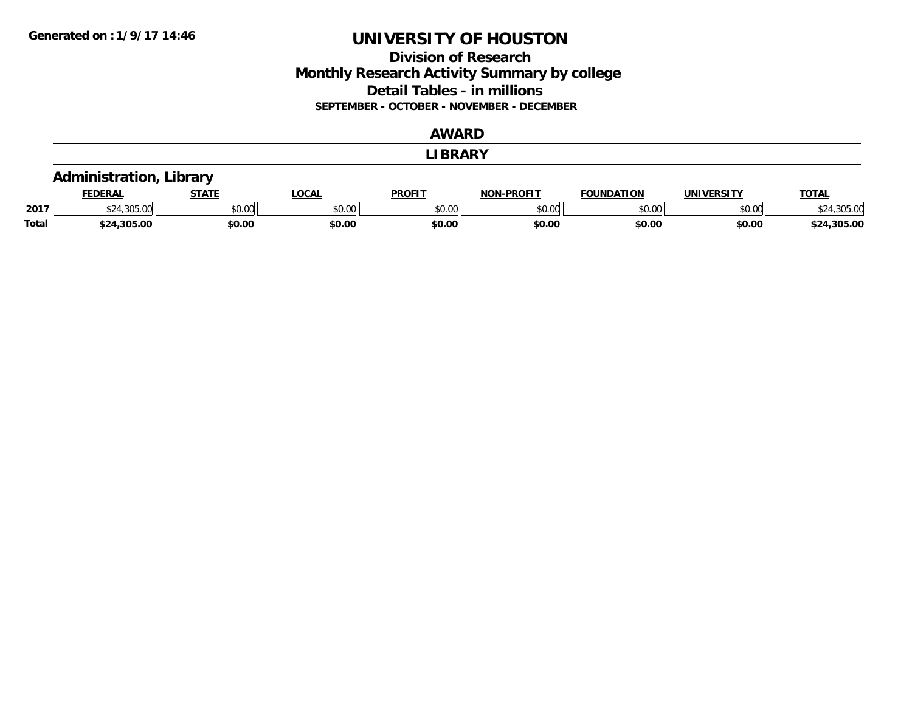## **Division of Research Monthly Research Activity Summary by college Detail Tables - in millions SEPTEMBER - OCTOBER - NOVEMBER - DECEMBER**

### **AWARD**

#### **LIBRARY**

### **Administration, Library**

|              | <b>FEDERAL</b> | $   -$<br>"                     | 00n<br>.UUAI | <b>PROFIT</b> | -PROFIT<br><b>NIONI</b> | <b>FOUNDATION</b>      | UNIVERSITY | <b>TOTAL</b>        |
|--------------|----------------|---------------------------------|--------------|---------------|-------------------------|------------------------|------------|---------------------|
| 2017         | .              | $n \cap \Omega$<br><b>JU.UU</b> | JU.UU        | 0000<br>JU.UU | $\sim$ 00<br>pu.uu      | $\overline{0}$<br>u.uu | \$0.00     | .505.0 <sup>o</sup> |
| <b>Total</b> | \$24,305.00    | \$0.00                          | \$0.00       | \$0.00        | \$0.00                  | \$0.00                 | \$0.00     | .305.00<br>ተግብ      |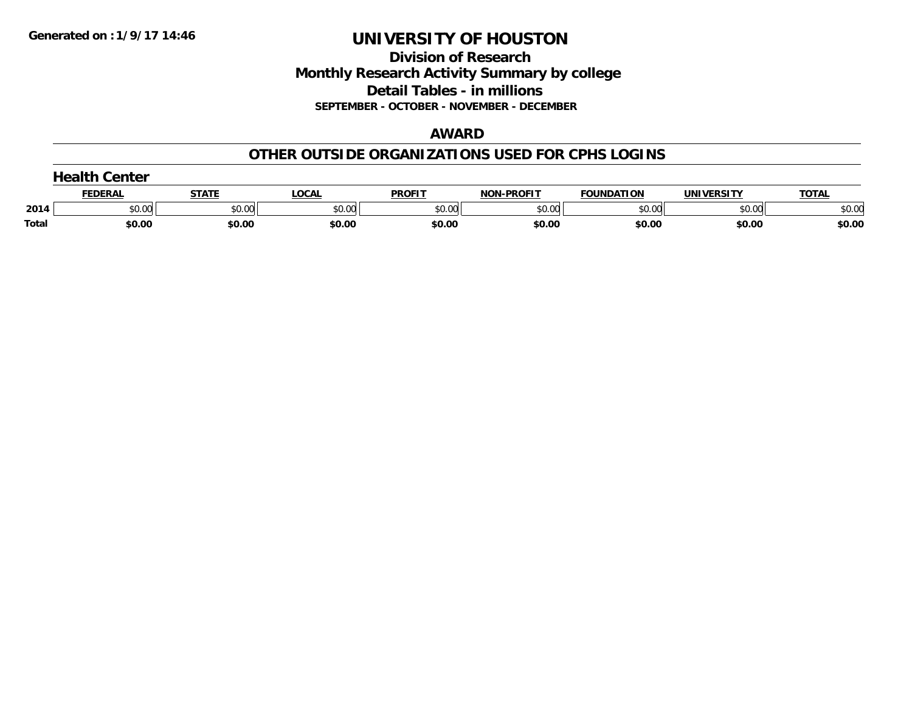**Division of Research Monthly Research Activity Summary by college Detail Tables - in millions SEPTEMBER - OCTOBER - NOVEMBER - DECEMBER**

#### **AWARD**

### **OTHER OUTSIDE ORGANIZATIONS USED FOR CPHS LOGINS**

|       | Center         |        |        |               |                   |                   |            |              |  |  |
|-------|----------------|--------|--------|---------------|-------------------|-------------------|------------|--------------|--|--|
|       | <b>FEDERAI</b> | STATE  | LOCAL  | <b>PROFIT</b> | <b>NON-PROFIT</b> | <b>FOUNDATION</b> | UNIVERSITY | <b>TOTAL</b> |  |  |
| 2014  | \$0.00         | \$0.00 | \$0.00 | \$0.00        | \$0.00            | \$0.00            | \$0.00     | \$0.00       |  |  |
| Total | \$0.00         | \$0.00 | \$0.00 | \$0.00        | \$0.00            | \$0.00            | \$0.00     | \$0.00       |  |  |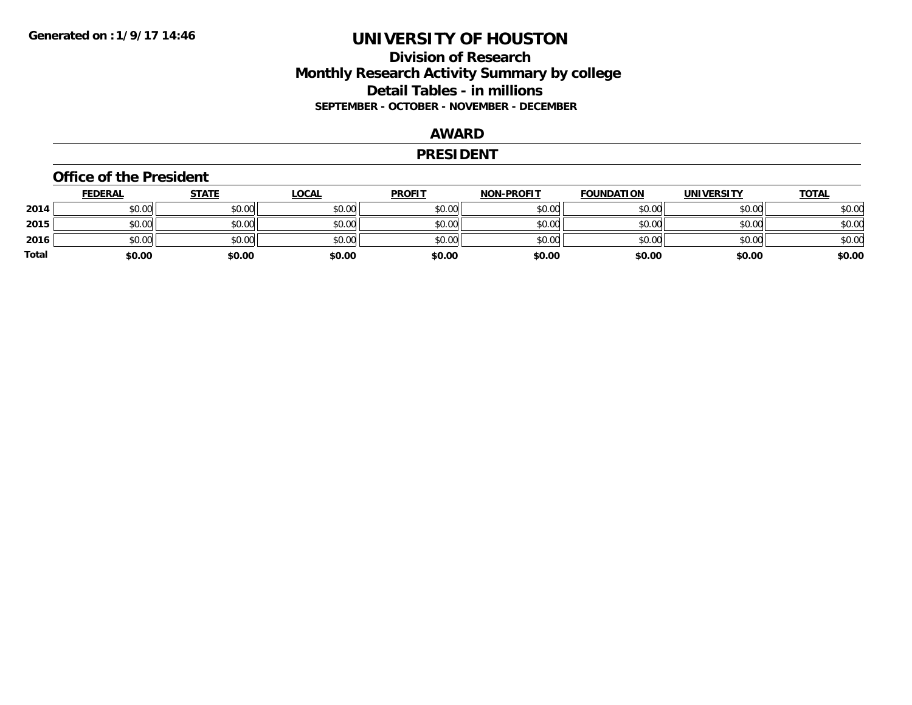## **Division of Research Monthly Research Activity Summary by college Detail Tables - in millions SEPTEMBER - OCTOBER - NOVEMBER - DECEMBER**

#### **AWARD**

#### **PRESIDENT**

#### **Office of the President**

|       | <b>FEDERAL</b> | <b>STATE</b> | <b>LOCAL</b> | <b>PROFIT</b> | <b>NON-PROFIT</b> | <b>FOUNDATION</b> | <b>UNIVERSITY</b> | <u>TOTAL</u> |
|-------|----------------|--------------|--------------|---------------|-------------------|-------------------|-------------------|--------------|
| 2014  | \$0.00         | \$0.00       | \$0.00       | \$0.00        | \$0.00            | \$0.00            | \$0.00            | \$0.00       |
| 2015  | \$0.00         | \$0.00       | \$0.00       | \$0.00        | \$0.00            | \$0.00            | \$0.00            | \$0.00       |
| 2016  | \$0.00         | \$0.00       | \$0.00       | \$0.00        | \$0.00            | \$0.00            | \$0.00            | \$0.00       |
| Total | \$0.00         | \$0.00       | \$0.00       | \$0.00        | \$0.00            | \$0.00            | \$0.00            | \$0.00       |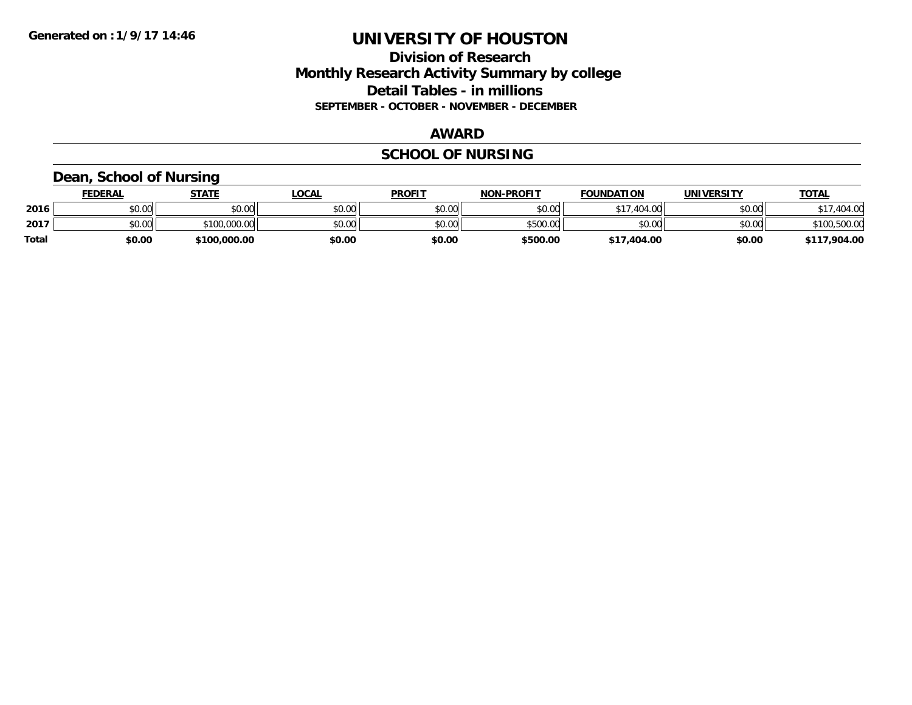## **Division of Research Monthly Research Activity Summary by college Detail Tables - in millions SEPTEMBER - OCTOBER - NOVEMBER - DECEMBER**

#### **AWARD**

## **SCHOOL OF NURSING**

### **Dean, School of Nursing**

|              | <b>FEDERAL</b> | STATE        | LOCAL  | <b>PROFIT</b> | <b>NON-PROFIT</b> | <b>FOUNDATION</b> | <b>UNIVERSITY</b> | <b>TOTAL</b> |
|--------------|----------------|--------------|--------|---------------|-------------------|-------------------|-------------------|--------------|
| 2016         | \$0.00         | \$0.00       | \$0.00 | \$0.00        | \$0.00            | .404.00<br>0.17   | \$0.00            | 404.00       |
| 2017         | \$0.00         | \$100,000.00 | \$0.00 | \$0.00        | \$500.00          | \$0.00            | \$0.00            | \$100,500.00 |
| <b>Total</b> | \$0.00         | \$100,000.00 | \$0.00 | \$0.00        | \$500.00          | \$17,404.00       | \$0.00            | \$117,904.00 |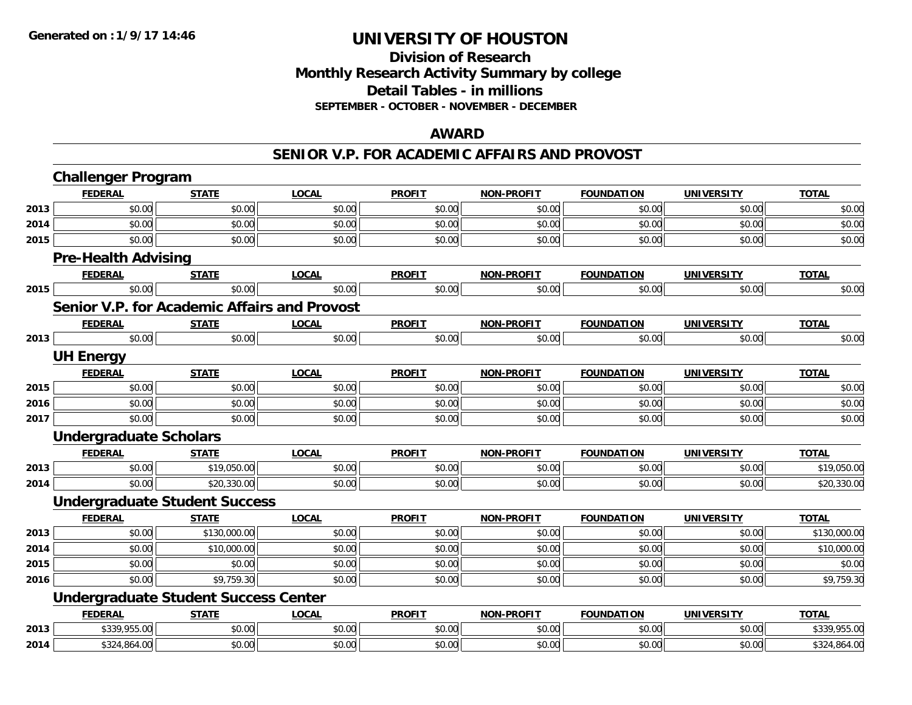## **Division of Research Monthly Research Activity Summary by college Detail Tables - in millions SEPTEMBER - OCTOBER - NOVEMBER - DECEMBER**

#### **AWARD**

### **SENIOR V.P. FOR ACADEMIC AFFAIRS AND PROVOST**

|      | <b>Challenger Program</b>                   |              |                                                     |               |                   |                   |                   |              |
|------|---------------------------------------------|--------------|-----------------------------------------------------|---------------|-------------------|-------------------|-------------------|--------------|
|      | <b>FEDERAL</b>                              | <b>STATE</b> | <b>LOCAL</b>                                        | <b>PROFIT</b> | <b>NON-PROFIT</b> | <b>FOUNDATION</b> | <b>UNIVERSITY</b> | <b>TOTAL</b> |
| 2013 | \$0.00                                      | \$0.00       | \$0.00                                              | \$0.00        | \$0.00            | \$0.00            | \$0.00            | \$0.00       |
| 2014 | \$0.00                                      | \$0.00       | \$0.00                                              | \$0.00        | \$0.00            | \$0.00            | \$0.00            | \$0.00       |
| 2015 | \$0.00                                      | \$0.00       | \$0.00                                              | \$0.00        | \$0.00            | \$0.00            | \$0.00            | \$0.00       |
|      | <b>Pre-Health Advising</b>                  |              |                                                     |               |                   |                   |                   |              |
|      | <b>FEDERAL</b>                              | <b>STATE</b> | <b>LOCAL</b>                                        | <b>PROFIT</b> | <b>NON-PROFIT</b> | <b>FOUNDATION</b> | <b>UNIVERSITY</b> | <b>TOTAL</b> |
| 2015 | \$0.00                                      | \$0.00       | \$0.00                                              | \$0.00        | \$0.00            | \$0.00            | \$0.00            | \$0.00       |
|      |                                             |              | <b>Senior V.P. for Academic Affairs and Provost</b> |               |                   |                   |                   |              |
|      | <b>FEDERAL</b>                              | <b>STATE</b> | <b>LOCAL</b>                                        | <b>PROFIT</b> | <b>NON-PROFIT</b> | <b>FOUNDATION</b> | <b>UNIVERSITY</b> | <b>TOTAL</b> |
| 2013 | \$0.00                                      | \$0.00       | \$0.00                                              | \$0.00        | \$0.00            | \$0.00            | \$0.00            | \$0.00       |
|      | <b>UH Energy</b>                            |              |                                                     |               |                   |                   |                   |              |
|      | <b>FEDERAL</b>                              | <b>STATE</b> | <b>LOCAL</b>                                        | <b>PROFIT</b> | <b>NON-PROFIT</b> | <b>FOUNDATION</b> | <b>UNIVERSITY</b> | <b>TOTAL</b> |
| 2015 | \$0.00                                      | \$0.00       | \$0.00                                              | \$0.00        | \$0.00            | \$0.00            | \$0.00            | \$0.00       |
| 2016 | \$0.00                                      | \$0.00       | \$0.00                                              | \$0.00        | \$0.00            | \$0.00            | \$0.00            | \$0.00       |
| 2017 | \$0.00                                      | \$0.00       | \$0.00                                              | \$0.00        | \$0.00            | \$0.00            | \$0.00            | \$0.00       |
|      | <b>Undergraduate Scholars</b>               |              |                                                     |               |                   |                   |                   |              |
|      | <b>FEDERAL</b>                              | <b>STATE</b> | <b>LOCAL</b>                                        | <b>PROFIT</b> | <b>NON-PROFIT</b> | <b>FOUNDATION</b> | <b>UNIVERSITY</b> | <b>TOTAL</b> |
| 2013 | \$0.00                                      | \$19,050.00  | \$0.00                                              | \$0.00        | \$0.00            | \$0.00            | \$0.00            | \$19,050.00  |
| 2014 | \$0.00                                      | \$20,330.00  | \$0.00                                              | \$0.00        | \$0.00            | \$0.00            | \$0.00            | \$20,330.00  |
|      | <b>Undergraduate Student Success</b>        |              |                                                     |               |                   |                   |                   |              |
|      | <b>FEDERAL</b>                              | <b>STATE</b> | <b>LOCAL</b>                                        | <b>PROFIT</b> | <b>NON-PROFIT</b> | <b>FOUNDATION</b> | <b>UNIVERSITY</b> | <b>TOTAL</b> |
| 2013 | \$0.00                                      | \$130,000.00 | \$0.00                                              | \$0.00        | \$0.00            | \$0.00            | \$0.00            | \$130,000.00 |
| 2014 | \$0.00                                      | \$10,000.00  | \$0.00                                              | \$0.00        | \$0.00            | \$0.00            | \$0.00            | \$10,000.00  |
| 2015 | \$0.00                                      | \$0.00       | \$0.00                                              | \$0.00        | \$0.00            | \$0.00            | \$0.00            | \$0.00       |
| 2016 | \$0.00                                      | \$9,759.30   | \$0.00                                              | \$0.00        | \$0.00            | \$0.00            | \$0.00            | \$9,759.30   |
|      | <b>Undergraduate Student Success Center</b> |              |                                                     |               |                   |                   |                   |              |
|      | <b>FEDERAL</b>                              | <b>STATE</b> | <b>LOCAL</b>                                        | <b>PROFIT</b> | <b>NON-PROFIT</b> | <b>FOUNDATION</b> | <b>UNIVERSITY</b> | <b>TOTAL</b> |
| 2013 | \$339,955.00                                | \$0.00       | \$0.00                                              | \$0.00        | \$0.00            | \$0.00            | \$0.00            | \$339,955.00 |
| 2014 | \$324,864.00                                | \$0.00       | \$0.00                                              | \$0.00        | \$0.00            | \$0.00            | \$0.00            | \$324,864.00 |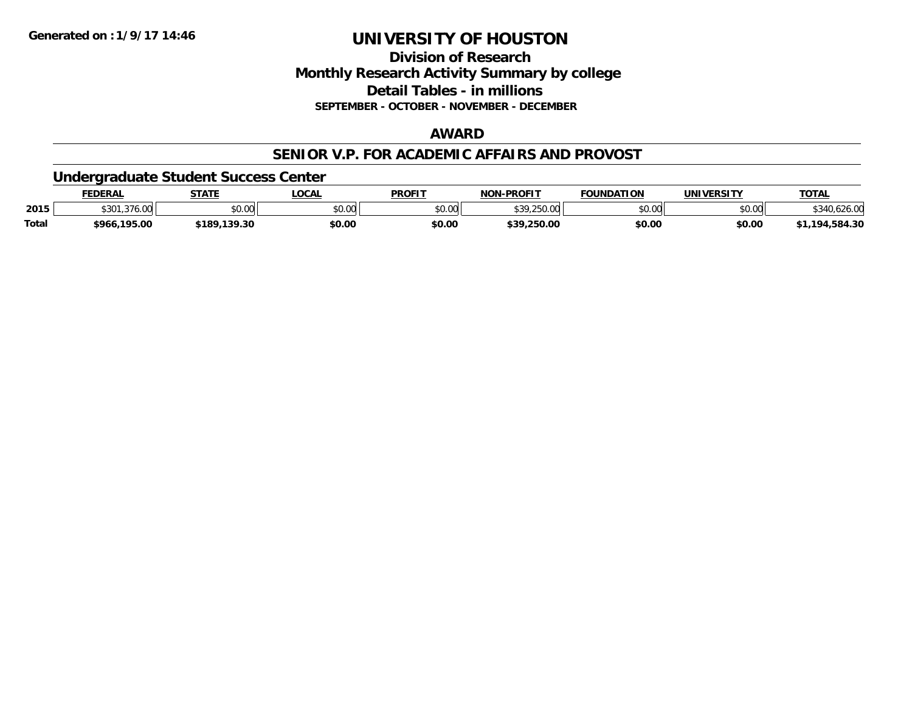**Division of ResearchMonthly Research Activity Summary by college Detail Tables - in millions**

**SEPTEMBER - OCTOBER - NOVEMBER - DECEMBER**

## **AWARD**

#### **SENIOR V.P. FOR ACADEMIC AFFAIRS AND PROVOST**

### **Undergraduate Student Success Center**

|              | <b>FEDERAL</b>                | <b>STATE</b> | <b>LOCAL</b>   | <b>PROFIT</b> | <b>I-PROFIT</b><br>NON        | <b>FOUNDATION</b> | <b>UNIVERSITY</b> | <b>TOTAL</b> |
|--------------|-------------------------------|--------------|----------------|---------------|-------------------------------|-------------------|-------------------|--------------|
| 2015         | $. \sim 71$<br>ሐ ኅ ሰ 1<br>53U | \$0.00       | ልስ ለሰ<br>pv.uu | \$0.00        | <b>420 250 00</b><br>7.ZJU.UU | \$0.00            | \$0.00            | 626.U        |
| <b>Total</b> | \$966,195.00                  | \$189,139.30 | \$0.00         | \$0.00        | \$39,250.00                   | \$0.00            | \$0.00            | ,194,584.30  |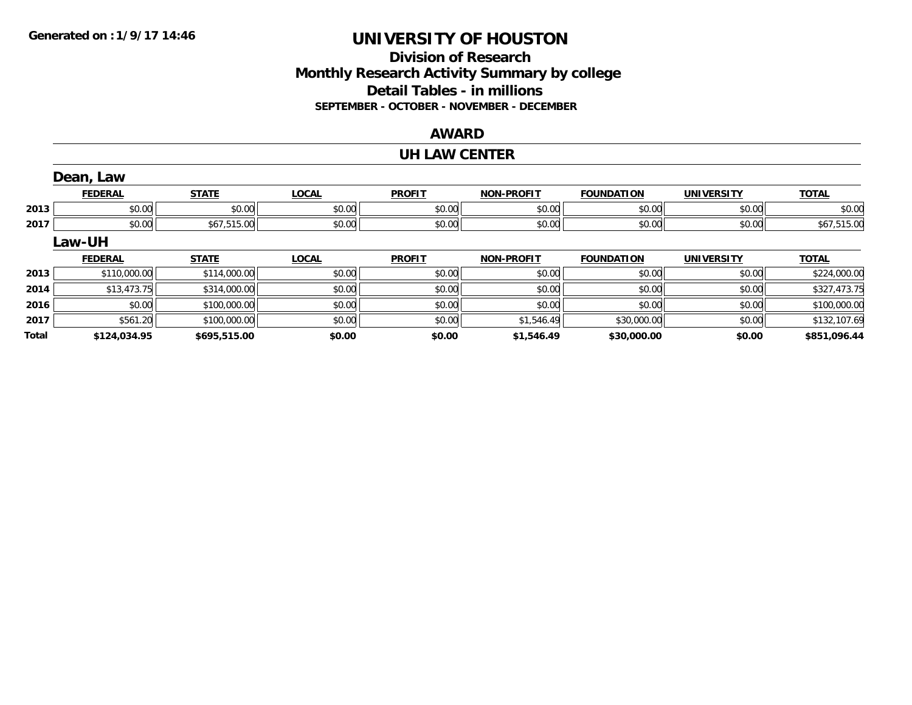## **Division of ResearchMonthly Research Activity Summary by college Detail Tables - in millions SEPTEMBER - OCTOBER - NOVEMBER - DECEMBER**

### **AWARD**

#### **UH LAW CENTER**

|              | Dean, Law      |              |              |               |                   |                   |                   |              |
|--------------|----------------|--------------|--------------|---------------|-------------------|-------------------|-------------------|--------------|
|              | <b>FEDERAL</b> | <b>STATE</b> | <b>LOCAL</b> | <b>PROFIT</b> | <b>NON-PROFIT</b> | <b>FOUNDATION</b> | <b>UNIVERSITY</b> | <b>TOTAL</b> |
| 2013         | \$0.00         | \$0.00       | \$0.00       | \$0.00        | \$0.00            | \$0.00            | \$0.00            | \$0.00       |
| 2017         | \$0.00         | \$67,515.00  | \$0.00       | \$0.00        | \$0.00            | \$0.00            | \$0.00            | \$67,515.00  |
|              | Law-UH         |              |              |               |                   |                   |                   |              |
|              | <b>FEDERAL</b> | <b>STATE</b> | <b>LOCAL</b> | <b>PROFIT</b> | <b>NON-PROFIT</b> | <b>FOUNDATION</b> | <b>UNIVERSITY</b> | <b>TOTAL</b> |
| 2013         | \$110,000.00   | \$114,000.00 | \$0.00       | \$0.00        | \$0.00            | \$0.00            | \$0.00            | \$224,000.00 |
| 2014         | \$13,473.75    | \$314,000.00 | \$0.00       | \$0.00        | \$0.00            | \$0.00            | \$0.00            | \$327,473.75 |
| 2016         | \$0.00         | \$100,000.00 | \$0.00       | \$0.00        | \$0.00            | \$0.00            | \$0.00            | \$100,000.00 |
| 2017         | \$561.20       | \$100,000.00 | \$0.00       | \$0.00        | \$1,546.49        | \$30,000.00       | \$0.00            | \$132,107.69 |
| <b>Total</b> | \$124.034.95   | \$695,515.00 | \$0.00       | \$0.00        | \$1,546.49        | \$30,000.00       | \$0.00            | \$851.096.44 |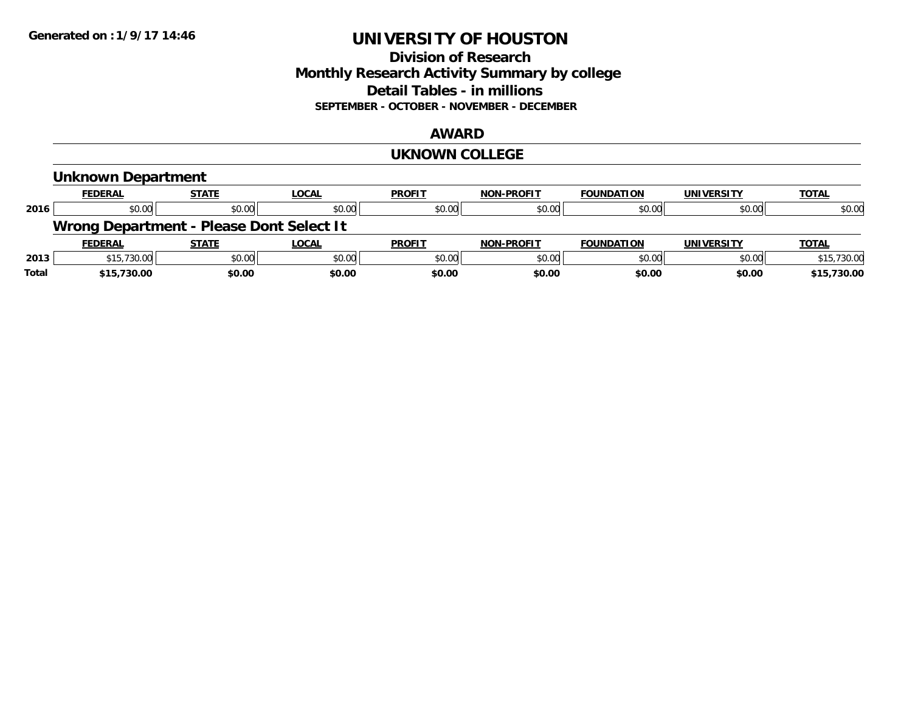### **Division of Research Monthly Research Activity Summary by college Detail Tables - in millions SEPTEMBER - OCTOBER - NOVEMBER - DECEMBER**

#### **AWARD**

#### **UKNOWN COLLEGE**

|       | <b>Unknown Department</b>                |              |              |               |                   |                   |                   |              |
|-------|------------------------------------------|--------------|--------------|---------------|-------------------|-------------------|-------------------|--------------|
|       | <b>FEDERAL</b>                           | <b>STATE</b> | <b>LOCAL</b> | <b>PROFIT</b> | <b>NON-PROFIT</b> | <b>FOUNDATION</b> | <b>UNIVERSITY</b> | <b>TOTAL</b> |
| 2016  | \$0.00                                   | \$0.00       | \$0.00       | \$0.00        | \$0.00            | \$0.00            | \$0.00            | \$0.00       |
|       | Wrong Department - Please Dont Select It |              |              |               |                   |                   |                   |              |
|       | <b>FEDERAL</b>                           | <b>STATE</b> | <b>LOCAL</b> | <b>PROFIT</b> | <b>NON-PROFIT</b> | <b>FOUNDATION</b> | <b>UNIVERSITY</b> | <b>TOTAL</b> |
| 2013  | \$15,730.00                              | \$0.00       | \$0.00       | \$0.00        | \$0.00            | \$0.00            | \$0.00            | \$15,730.00  |
| Total | \$15,730.00                              | \$0.00       | \$0.00       | \$0.00        | \$0.00            | \$0.00            | \$0.00            | \$15,730.00  |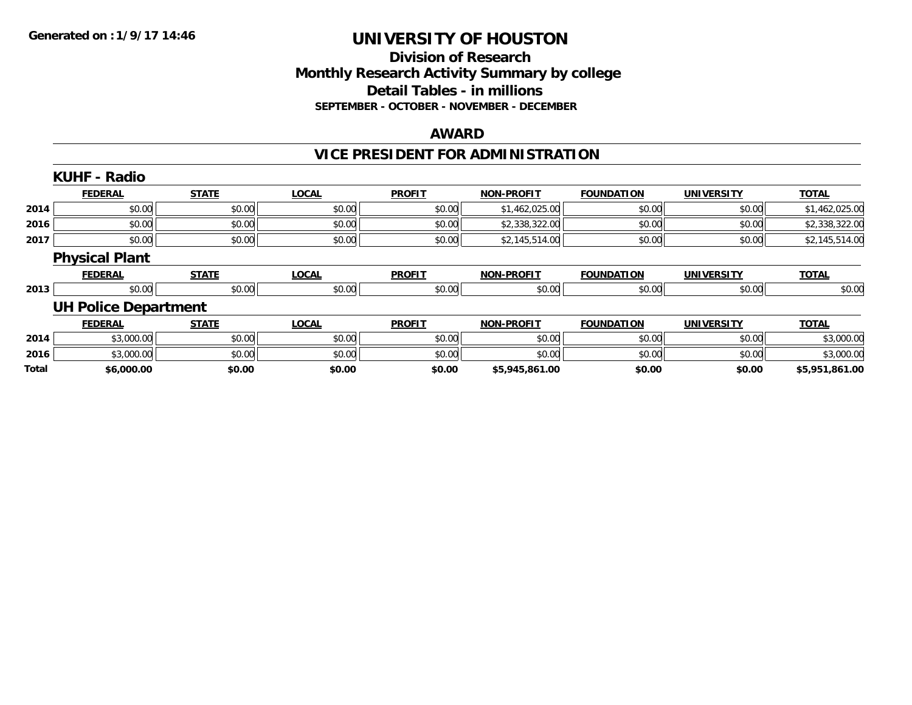### **Division of Research Monthly Research Activity Summary by college Detail Tables - in millions SEPTEMBER - OCTOBER - NOVEMBER - DECEMBER**

#### **AWARD**

## **VICE PRESIDENT FOR ADMINISTRATION**

|       | <b>KUHF - Radio</b>         |              |              |               |                   |                   |                   |                |
|-------|-----------------------------|--------------|--------------|---------------|-------------------|-------------------|-------------------|----------------|
|       | <b>FEDERAL</b>              | <b>STATE</b> | <b>LOCAL</b> | <b>PROFIT</b> | <b>NON-PROFIT</b> | <b>FOUNDATION</b> | <b>UNIVERSITY</b> | <b>TOTAL</b>   |
| 2014  | \$0.00                      | \$0.00       | \$0.00       | \$0.00        | \$1,462,025.00    | \$0.00            | \$0.00            | \$1,462,025.00 |
| 2016  | \$0.00                      | \$0.00       | \$0.00       | \$0.00        | \$2,338,322.00    | \$0.00            | \$0.00            | \$2,338,322.00 |
| 2017  | \$0.00                      | \$0.00       | \$0.00       | \$0.00        | \$2,145,514.00    | \$0.00            | \$0.00            | \$2,145,514.00 |
|       | <b>Physical Plant</b>       |              |              |               |                   |                   |                   |                |
|       | <b>FEDERAL</b>              | <b>STATE</b> | <b>LOCAL</b> | <b>PROFIT</b> | <b>NON-PROFIT</b> | <b>FOUNDATION</b> | <b>UNIVERSITY</b> | <b>TOTAL</b>   |
| 2013  | \$0.00                      | \$0.00       | \$0.00       | \$0.00        | \$0.00            | \$0.00            | \$0.00            | \$0.00         |
|       | <b>UH Police Department</b> |              |              |               |                   |                   |                   |                |
|       | <b>FEDERAL</b>              | <b>STATE</b> | <b>LOCAL</b> | <b>PROFIT</b> | <b>NON-PROFIT</b> | <b>FOUNDATION</b> | <b>UNIVERSITY</b> | <b>TOTAL</b>   |
| 2014  | \$3,000.00                  | \$0.00       | \$0.00       | \$0.00        | \$0.00            | \$0.00            | \$0.00            | \$3,000.00     |
| 2016  | \$3,000.00                  | \$0.00       | \$0.00       | \$0.00        | \$0.00            | \$0.00            | \$0.00            | \$3,000.00     |
| Total | \$6,000.00                  | \$0.00       | \$0.00       | \$0.00        | \$5,945,861.00    | \$0.00            | \$0.00            | \$5,951,861.00 |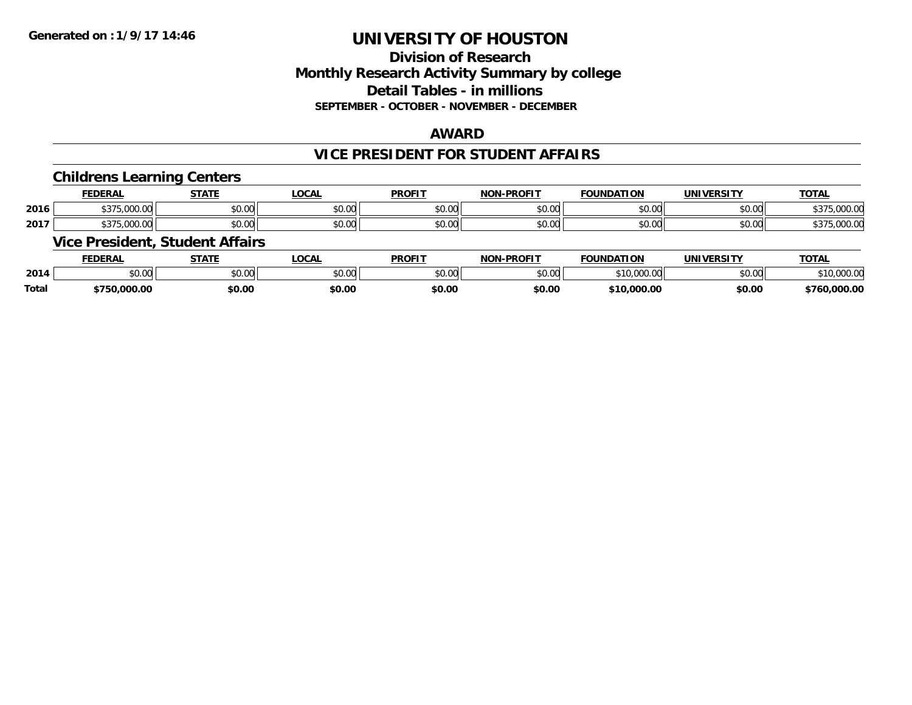## **Division of ResearchMonthly Research Activity Summary by college Detail Tables - in millions SEPTEMBER - OCTOBER - NOVEMBER - DECEMBER**

### **AWARD**

### **VICE PRESIDENT FOR STUDENT AFFAIRS**

#### **Childrens Learning Centers**

|      | <b>FEDERAL</b>                                             | CTATI                                                 | .OCAI              | <b>PROFIT</b>           | <b>DDOFIT</b> .<br><b>NIONI</b> | <b>FOUNDAT</b><br>пом                      | IINIVE<br>ne 1.                           | <b>TOTAL</b>                   |
|------|------------------------------------------------------------|-------------------------------------------------------|--------------------|-------------------------|---------------------------------|--------------------------------------------|-------------------------------------------|--------------------------------|
| 2016 | 0.00<br>. . <del>.</del> .<br>$\sim$<br>.                  | $\mathsf{A} \cap \mathsf{A} \cap \mathsf{A}$<br>JU.UU | $\sim$ 00<br>JU.UL | $\sim$ 00<br>JU.UU      | \$0.00                          | 0 <sup>n</sup><br>י. טע                    | $\uparrow$ $\uparrow$ $\uparrow$<br>vu.vu | 0000<br>.uu.<br>,,,            |
| 2017 | $\wedge$ $\wedge$ $\wedge$<br>$\sim$<br>. .<br>,,,,,,,,,,, | 0.000<br>JU.UU                                        | $\sim$ 00<br>JU.UU | 0 <sub>n</sub><br>JU.UU | \$0.00                          | $\mathsf{A} \cap \mathsf{A} \cap$<br>JU.UU | $\sim$ $\sim$<br><b>DU.UU</b>             | $\sim$ $\sim$<br>,UUU.U<br>,,, |

## **Vice President, Student Affairs**

|              | ™EDERAL                                  | <b>CTATE</b>   | .OCAL  | <b>PROFIT</b> | <b>J-PROFIT</b><br>חרות | <b>FOUNDATION</b>                            | <b>UNIVERSITY</b>                 | <b>TOTAL</b>    |
|--------------|------------------------------------------|----------------|--------|---------------|-------------------------|----------------------------------------------|-----------------------------------|-----------------|
| 2014         | $\uparrow$ $\uparrow$ $\uparrow$<br>ט.טע | 0.00<br>JU.UU. | \$0.00 | 0000<br>JU.UU | 0000<br>,u.uu           | $\sim$ 0.00<br>, , , , , , , , , , , , , , , | $\uparrow$ $\cap$ $\cap$<br>DU.UU | 00000<br>UUU.UI |
| <b>Total</b> | .000.00                                  | \$0.00         | \$0.00 | \$0.00        | \$0.00                  | \$10,000.00                                  | \$0.00                            | 000.00.         |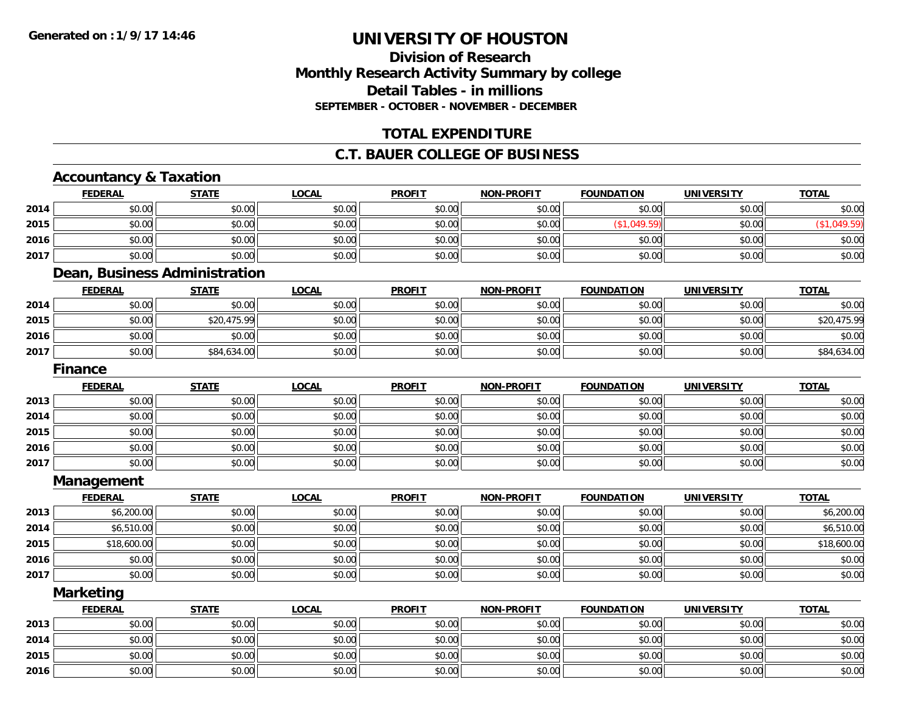## **Division of ResearchMonthly Research Activity Summary by college Detail Tables - in millions SEPTEMBER - OCTOBER - NOVEMBER - DECEMBER**

## **TOTAL EXPENDITURE**

## **C.T. BAUER COLLEGE OF BUSINESS**

## **Accountancy & Taxation**

**2015**

**2016**

|      | <b>FEDERAL</b>   | <b>STATE</b>                  | <b>LOCAL</b> | <b>PROFIT</b> | <b>NON-PROFIT</b> | <b>FOUNDATION</b> | <b>UNIVERSITY</b> | <b>TOTAL</b> |
|------|------------------|-------------------------------|--------------|---------------|-------------------|-------------------|-------------------|--------------|
| 2014 | \$0.00           | \$0.00                        | \$0.00       | \$0.00        | \$0.00            | \$0.00            | \$0.00            | \$0.00       |
| 2015 | \$0.00           | \$0.00                        | \$0.00       | \$0.00        | \$0.00            | (\$1,049.59)      | \$0.00            | (\$1,049.59) |
| 2016 | \$0.00           | \$0.00                        | \$0.00       | \$0.00        | \$0.00            | \$0.00            | \$0.00            | \$0.00       |
| 2017 | \$0.00           | \$0.00                        | \$0.00       | \$0.00        | \$0.00            | \$0.00            | \$0.00            | \$0.00       |
|      |                  | Dean, Business Administration |              |               |                   |                   |                   |              |
|      | <b>FEDERAL</b>   | <b>STATE</b>                  | <b>LOCAL</b> | <b>PROFIT</b> | <b>NON-PROFIT</b> | <b>FOUNDATION</b> | <b>UNIVERSITY</b> | <b>TOTAL</b> |
| 2014 | \$0.00           | \$0.00                        | \$0.00       | \$0.00        | \$0.00            | \$0.00            | \$0.00            | \$0.00       |
| 2015 | \$0.00           | \$20,475.99                   | \$0.00       | \$0.00        | \$0.00            | \$0.00            | \$0.00            | \$20,475.99  |
| 2016 | \$0.00           | \$0.00                        | \$0.00       | \$0.00        | \$0.00            | \$0.00            | \$0.00            | \$0.00       |
| 2017 | \$0.00           | \$84,634.00                   | \$0.00       | \$0.00        | \$0.00            | \$0.00            | \$0.00            | \$84,634.00  |
|      | <b>Finance</b>   |                               |              |               |                   |                   |                   |              |
|      | <b>FEDERAL</b>   | <b>STATE</b>                  | <b>LOCAL</b> | <b>PROFIT</b> | <b>NON-PROFIT</b> | <b>FOUNDATION</b> | <b>UNIVERSITY</b> | <b>TOTAL</b> |
| 2013 | \$0.00           | \$0.00                        | \$0.00       | \$0.00        | \$0.00            | \$0.00            | \$0.00            | \$0.00       |
| 2014 | \$0.00           | \$0.00                        | \$0.00       | \$0.00        | \$0.00            | \$0.00            | \$0.00            | \$0.00       |
| 2015 | \$0.00           | \$0.00                        | \$0.00       | \$0.00        | \$0.00            | \$0.00            | \$0.00            | \$0.00       |
| 2016 | \$0.00           | \$0.00                        | \$0.00       | \$0.00        | \$0.00            | \$0.00            | \$0.00            | \$0.00       |
| 2017 | \$0.00           | \$0.00                        | \$0.00       | \$0.00        | \$0.00            | \$0.00            | \$0.00            | \$0.00       |
|      | Management       |                               |              |               |                   |                   |                   |              |
|      | <b>FEDERAL</b>   | <b>STATE</b>                  | <b>LOCAL</b> | <b>PROFIT</b> | <b>NON-PROFIT</b> | <b>FOUNDATION</b> | <b>UNIVERSITY</b> | <b>TOTAL</b> |
| 2013 | \$6,200.00       | \$0.00                        | \$0.00       | \$0.00        | \$0.00            | \$0.00            | \$0.00            | \$6,200.00   |
| 2014 | \$6,510.00       | \$0.00                        | \$0.00       | \$0.00        | \$0.00            | \$0.00            | \$0.00            | \$6,510.00   |
| 2015 | \$18,600.00      | \$0.00                        | \$0.00       | \$0.00        | \$0.00            | \$0.00            | \$0.00            | \$18,600.00  |
| 2016 | \$0.00           | \$0.00                        | \$0.00       | \$0.00        | \$0.00            | \$0.00            | \$0.00            | \$0.00       |
| 2017 | \$0.00           | \$0.00                        | \$0.00       | \$0.00        | \$0.00            | \$0.00            | \$0.00            | \$0.00       |
|      | <b>Marketing</b> |                               |              |               |                   |                   |                   |              |
|      | <b>FEDERAL</b>   | <b>STATE</b>                  | <b>LOCAL</b> | <b>PROFIT</b> | <b>NON-PROFIT</b> | <b>FOUNDATION</b> | <b>UNIVERSITY</b> | <b>TOTAL</b> |
| 2013 | \$0.00           | \$0.00                        | \$0.00       | \$0.00        | \$0.00            | \$0.00            | \$0.00            | \$0.00       |
| 2014 | \$0.00           | \$0.00                        | \$0.00       | \$0.00        | \$0.00            | \$0.00            | \$0.00            | \$0.00       |

5 | \$0.00 \$0.00 \$0.00 \$0.00 \$0.00 \$0.00 \$0.00 \$0.00 \$0.00 \$0.00 \$0.00 \$0.00 \$0.00 \$0.00 \$0.00 \$0.00 \$0.00 \$0.00

6 \$0.00 \$0.00 \$0.00 \$0.00 \$0.00 \$0.00 \$0.00 \$0.00 \$0.00 \$0.00 \$0.00 \$0.00 \$0.00 \$0.00 \$0.00 \$0.00 \$0.00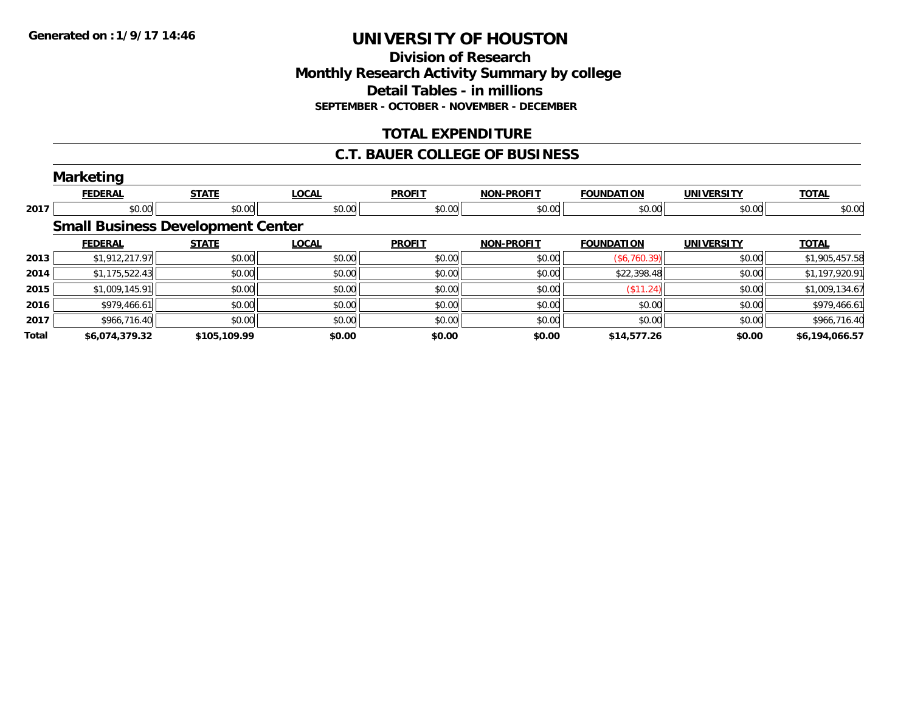### **Division of Research Monthly Research Activity Summary by college Detail Tables - in millions SEPTEMBER - OCTOBER - NOVEMBER - DECEMBER**

## **TOTAL EXPENDITURE**

### **C.T. BAUER COLLEGE OF BUSINESS**

|       | <b>Marketing</b> |                                          |              |               |                   |                   |                   |                |
|-------|------------------|------------------------------------------|--------------|---------------|-------------------|-------------------|-------------------|----------------|
|       | <b>FEDERAL</b>   | <b>STATE</b>                             | <b>LOCAL</b> | <b>PROFIT</b> | <b>NON-PROFIT</b> | <b>FOUNDATION</b> | <b>UNIVERSITY</b> | <b>TOTAL</b>   |
| 2017  | \$0.00           | \$0.00                                   | \$0.00       | \$0.00        | \$0.00            | \$0.00            | \$0.00            | \$0.00         |
|       |                  | <b>Small Business Development Center</b> |              |               |                   |                   |                   |                |
|       | <b>FEDERAL</b>   | <b>STATE</b>                             | <b>LOCAL</b> | <b>PROFIT</b> | <b>NON-PROFIT</b> | <b>FOUNDATION</b> | <b>UNIVERSITY</b> | <b>TOTAL</b>   |
| 2013  | \$1,912,217.97   | \$0.00                                   | \$0.00       | \$0.00        | \$0.00            | (\$6,760.39)      | \$0.00            | \$1,905,457.58 |
| 2014  | \$1,175,522.43   | \$0.00                                   | \$0.00       | \$0.00        | \$0.00            | \$22,398.48       | \$0.00            | \$1,197,920.91 |
| 2015  | \$1,009,145.91   | \$0.00                                   | \$0.00       | \$0.00        | \$0.00            | (S11.24)          | \$0.00            | \$1,009,134.67 |
| 2016  | \$979,466.61     | \$0.00                                   | \$0.00       | \$0.00        | \$0.00            | \$0.00            | \$0.00            | \$979,466.61   |
| 2017  | \$966,716.40     | \$0.00                                   | \$0.00       | \$0.00        | \$0.00            | \$0.00            | \$0.00            | \$966,716.40   |
| Total | \$6,074,379.32   | \$105,109.99                             | \$0.00       | \$0.00        | \$0.00            | \$14,577.26       | \$0.00            | \$6,194,066.57 |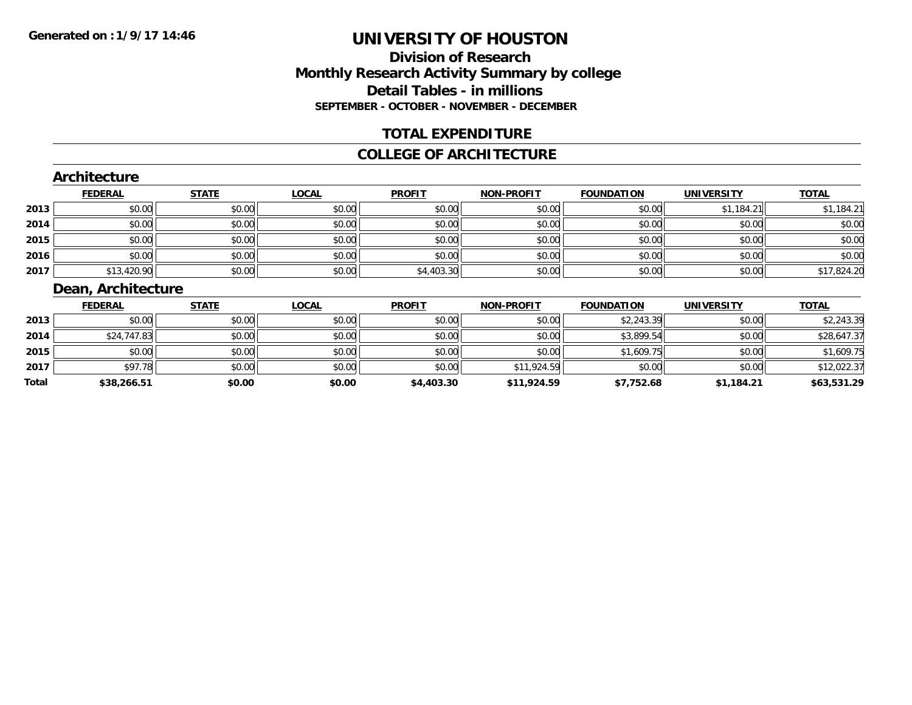## **Division of ResearchMonthly Research Activity Summary by college Detail Tables - in millions SEPTEMBER - OCTOBER - NOVEMBER - DECEMBER**

## **TOTAL EXPENDITURE**

#### **COLLEGE OF ARCHITECTURE**

### **Architecture**

|      | <b>FEDERAL</b> | <b>STATE</b> | <u>LOCAL</u> | <b>PROFIT</b> | <b>NON-PROFIT</b> | <b>FOUNDATION</b> | <b>UNIVERSITY</b> | <b>TOTAL</b> |
|------|----------------|--------------|--------------|---------------|-------------------|-------------------|-------------------|--------------|
| 2013 | \$0.00         | \$0.00       | \$0.00       | \$0.00        | \$0.00            | \$0.00            | \$1.184.21        | \$1,184.21   |
| 2014 | \$0.00         | \$0.00       | \$0.00       | \$0.00        | \$0.00            | \$0.00            | \$0.00            | \$0.00       |
| 2015 | \$0.00         | \$0.00       | \$0.00       | \$0.00        | \$0.00            | \$0.00            | \$0.00            | \$0.00       |
| 2016 | \$0.00         | \$0.00       | \$0.00       | \$0.00        | \$0.00            | \$0.00            | \$0.00            | \$0.00       |
| 2017 | \$13,420.90    | \$0.00       | \$0.00       | \$4,403.30    | \$0.00            | \$0.00            | \$0.00            | \$17,824.20  |

## **Dean, Architecture**

|       | <b>FEDERAL</b> | <b>STATE</b> | <u>LOCAL</u> | <b>PROFIT</b> | <b>NON-PROFIT</b> | <b>FOUNDATION</b> | <b>UNIVERSITY</b> | <b>TOTAL</b> |
|-------|----------------|--------------|--------------|---------------|-------------------|-------------------|-------------------|--------------|
| 2013  | \$0.00         | \$0.00       | \$0.00       | \$0.00        | \$0.00            | \$2,243.39        | \$0.00            | \$2,243.39   |
| 2014  | \$24,747.83    | \$0.00       | \$0.00       | \$0.00        | \$0.00            | \$3,899.54        | \$0.00            | \$28,647.37  |
| 2015  | \$0.00         | \$0.00       | \$0.00       | \$0.00        | \$0.00            | \$1,609.75        | \$0.00            | \$1,609.75   |
| 2017  | \$97.78        | \$0.00       | \$0.00       | \$0.00        | \$11,924.59       | \$0.00            | \$0.00            | \$12,022.37  |
| Total | \$38,266.51    | \$0.00       | \$0.00       | \$4,403.30    | \$11,924.59       | \$7,752.68        | \$1,184.21        | \$63,531.29  |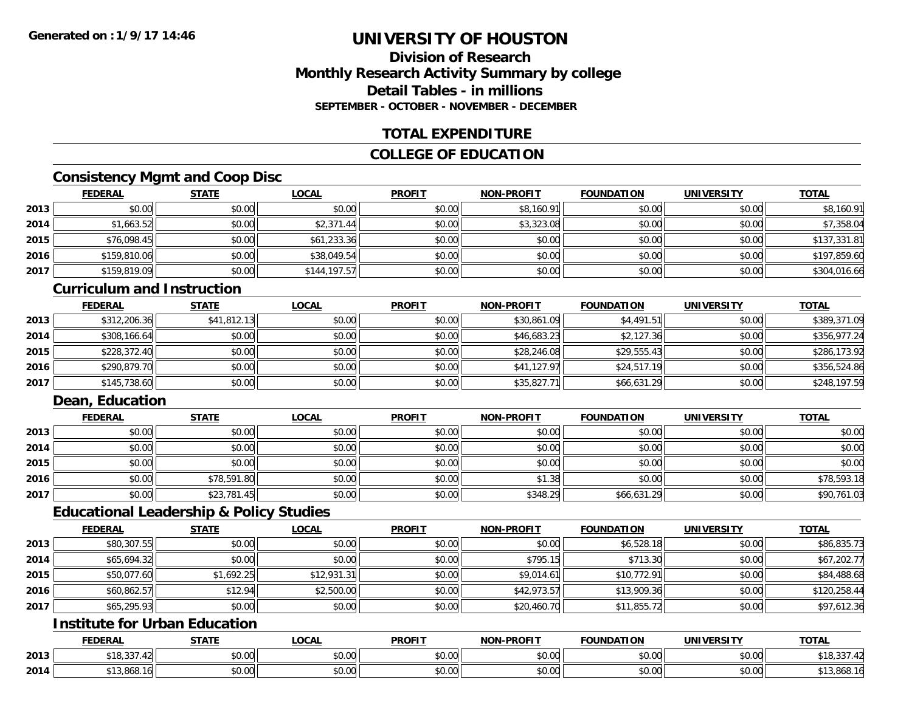## **Division of ResearchMonthly Research Activity Summary by college Detail Tables - in millionsSEPTEMBER - OCTOBER - NOVEMBER - DECEMBER**

## **TOTAL EXPENDITURE**

## **COLLEGE OF EDUCATION**

## **Consistency Mgmt and Coop Disc**

|      | <b>FEDERAL</b> | <b>STATE</b> | <b>LOCAL</b> | <b>PROFIT</b> | <b>NON-PROFIT</b> | <b>FOUNDATION</b> | <b>UNIVERSITY</b> | <b>TOTAL</b> |
|------|----------------|--------------|--------------|---------------|-------------------|-------------------|-------------------|--------------|
| 2013 | \$0.00         | \$0.00       | \$0.00       | \$0.00        | \$8,160.91        | \$0.00            | \$0.00            | \$8,160.91   |
| 2014 | \$1,663.52     | \$0.00       | \$2,371.44   | \$0.00        | \$3,323.08        | \$0.00            | \$0.00            | \$7,358.04   |
| 2015 | \$76,098.45    | \$0.00       | \$61,233.36  | \$0.00        | \$0.00            | \$0.00            | \$0.00            | \$137,331.81 |
| 2016 | \$159,810.06   | \$0.00       | \$38,049.54  | \$0.00        | \$0.00            | \$0.00            | \$0.00            | \$197,859.60 |
| 2017 | \$159,819.09   | \$0.00       | \$144,197.57 | \$0.00        | \$0.00            | \$0.00            | \$0.00            | \$304,016.66 |

#### **Curriculum and Instruction**

|      | <b>FEDERAL</b> | <b>STATE</b> | <u>LOCAL</u> | <b>PROFIT</b> | <b>NON-PROFIT</b> | <b>FOUNDATION</b> | <b>UNIVERSITY</b> | <b>TOTAL</b> |
|------|----------------|--------------|--------------|---------------|-------------------|-------------------|-------------------|--------------|
| 2013 | \$312,206.36   | \$41,812.13  | \$0.00       | \$0.00        | \$30,861.09       | \$4,491.51        | \$0.00            | \$389,371.09 |
| 2014 | \$308,166.64   | \$0.00       | \$0.00       | \$0.00        | \$46,683.23       | \$2,127.36        | \$0.00            | \$356,977.24 |
| 2015 | \$228,372.40   | \$0.00       | \$0.00       | \$0.00        | \$28,246.08       | \$29,555.43       | \$0.00            | \$286,173.92 |
| 2016 | \$290,879.70   | \$0.00       | \$0.00       | \$0.00        | \$41,127.97       | \$24,517.19       | \$0.00            | \$356,524.86 |
| 2017 | \$145,738.60   | \$0.00       | \$0.00       | \$0.00        | \$35,827.71       | \$66,631.29       | \$0.00            | \$248,197.59 |

## **Dean, Education**

|      | <u>FEDERAL</u> | <b>STATE</b> | <u>LOCAL</u> | <b>PROFIT</b> | <b>NON-PROFIT</b> | <b>FOUNDATION</b> | <b>UNIVERSITY</b> | <b>TOTAL</b> |
|------|----------------|--------------|--------------|---------------|-------------------|-------------------|-------------------|--------------|
| 2013 | \$0.00         | \$0.00       | \$0.00       | \$0.00        | \$0.00            | \$0.00            | \$0.00            | \$0.00       |
| 2014 | \$0.00         | \$0.00       | \$0.00       | \$0.00        | \$0.00            | \$0.00            | \$0.00            | \$0.00       |
| 2015 | \$0.00         | \$0.00       | \$0.00       | \$0.00        | \$0.00            | \$0.00            | \$0.00            | \$0.00       |
| 2016 | \$0.00         | \$78,591.80  | \$0.00       | \$0.00        | \$1.38            | \$0.00            | \$0.00            | \$78,593.18  |
| 2017 | \$0.00         | \$23,781.45  | \$0.00       | \$0.00        | \$348.29          | \$66,631.29       | \$0.00            | \$90,761.03  |

#### **Educational Leadership & Policy Studies**

|      | <b>FEDERAL</b> | <b>STATE</b> | <u>LOCAL</u> | <b>PROFIT</b> | <b>NON-PROFIT</b> | <b>FOUNDATION</b> | <b>UNIVERSITY</b> | <b>TOTAL</b> |
|------|----------------|--------------|--------------|---------------|-------------------|-------------------|-------------------|--------------|
| 2013 | \$80,307.55    | \$0.00       | \$0.00       | \$0.00        | \$0.00            | \$6,528.18        | \$0.00            | \$86,835.73  |
| 2014 | \$65,694.32    | \$0.00       | \$0.00       | \$0.00        | \$795.15          | \$713.30          | \$0.00            | \$67,202.77  |
| 2015 | \$50,077.60    | \$1,692.25   | \$12,931.31  | \$0.00        | \$9,014.61        | \$10,772.91       | \$0.00            | \$84,488.68  |
| 2016 | \$60,862.57    | \$12.94      | \$2,500.00   | \$0.00        | \$42,973.57       | \$13,909.36       | \$0.00            | \$120,258.44 |
| 2017 | \$65,295.93    | \$0.00       | \$0.00       | \$0.00        | \$20,460.70       | \$11,855.72       | \$0.00            | \$97,612.36  |

## **Institute for Urban Education**

|      | <b>FEDERAL</b>          | 27.77         | LOCAL                                    | <b>PROFIT</b>      | -PROFIT<br><b>NION!</b> | <b>FOUNDATION</b> | <b>UNIVERSIT</b>          | <b>TOTA</b>   |
|------|-------------------------|---------------|------------------------------------------|--------------------|-------------------------|-------------------|---------------------------|---------------|
| 2013 | \$18,337.42             | 0000<br>ง∪.∪บ | $\uparrow$ $\uparrow$<br>$\sim$<br>vu.uu | 0000<br>งบ.บบ      | 0000<br>PO.OO           | \$0.00            | no ool<br>งบ.บบ           | 42.337.4 ا    |
| 2014 | -10<br><b>DIJ</b> ,OUO. | 0000<br>JU.UU | $\sim$ 00<br>vv.vv                       | $\sim$ 00<br>JU.UU | 0000<br>JU.UU           | \$0.00            | $\sim$ 00<br><b>DU.UU</b> | ان 13,808. IO |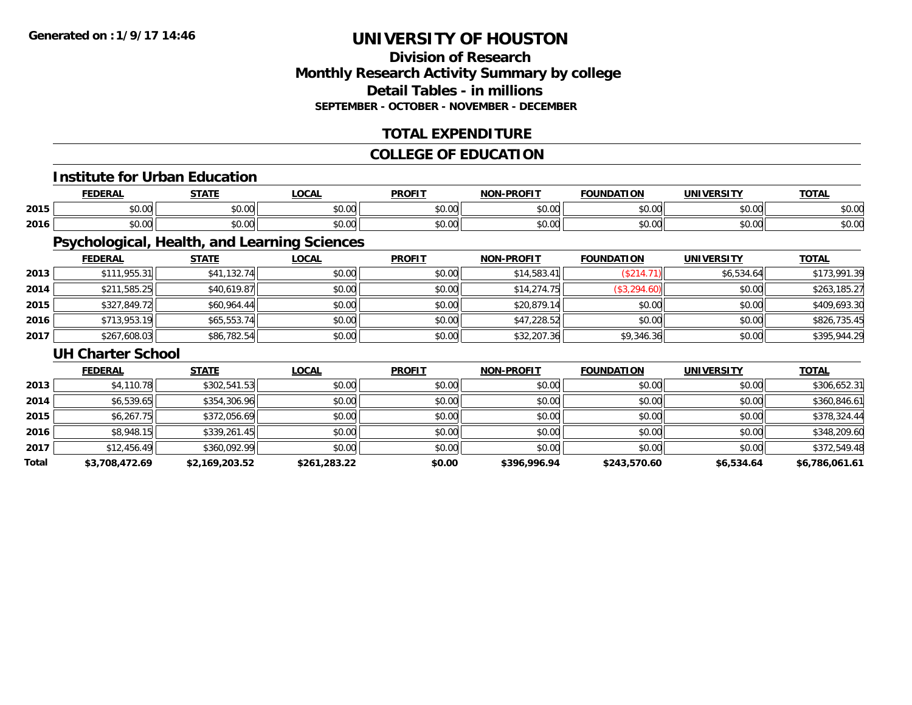## **Division of ResearchMonthly Research Activity Summary by college Detail Tables - in millions SEPTEMBER - OCTOBER - NOVEMBER - DECEMBER**

## **TOTAL EXPENDITURE**

## **COLLEGE OF EDUCATION**

## **Institute for Urban Education**

|      |      | $- - - - -$ | $\sim$<br>UUM | <b>DDOEI</b>   | וחו       | ת ו<br>. . r  | .         | ---           |
|------|------|-------------|---------------|----------------|-----------|---------------|-----------|---------------|
| 2015 | 0000 | $\sim$ 00   | $\sim$ $\sim$ | 0 <sub>n</sub> | $\sim$ 00 | $\sim$ $\sim$ | nn nnl    | $\sim$        |
|      | ט.טי | JU.UU       | vv.vv         | JU.U           | ₽U.UU     | טט.טע         | JU.UU     | งบ.บบ         |
|      | 0000 | ሐሴ ሰሰ       | $\sim$ $\sim$ | 0000           | $\sim$ 00 | $\sim$ $\sim$ | $\sim$ 00 | $\sim$ $\sim$ |
| 2016 | ט.טע | DU.UU       | vu.vu         | vv.v           | pu.uu     | JU.UU         | vv.vv     | DU.UG         |

## **Psychological, Health, and Learning Sciences**

|      | <b>FEDERAL</b> | <u>STATE</u> | <b>LOCAL</b> | <b>PROFIT</b> | <b>NON-PROFIT</b> | <b>FOUNDATION</b> | <b>UNIVERSITY</b> | <b>TOTAL</b> |
|------|----------------|--------------|--------------|---------------|-------------------|-------------------|-------------------|--------------|
| 2013 | \$111,955.31   | \$41,132.74  | \$0.00       | \$0.00        | \$14,583.41       | \$214.            | \$6,534.64        | \$173,991.39 |
| 2014 | \$211,585.25   | \$40,619.87  | \$0.00       | \$0.00        | \$14,274.75       | (\$3,294.60)      | \$0.00            | \$263,185.27 |
| 2015 | \$327,849.72   | \$60,964.44  | \$0.00       | \$0.00        | \$20,879.14       | \$0.00            | \$0.00            | \$409,693.30 |
| 2016 | \$713,953.19   | \$65,553.74  | \$0.00       | \$0.00        | \$47,228.52       | \$0.00            | \$0.00            | \$826,735.45 |
| 2017 | \$267,608.03   | \$86,782.54  | \$0.00       | \$0.00        | \$32,207.36       | \$9,346.36        | \$0.00            | \$395,944.29 |

#### **UH Charter School**

|       | <b>FEDERAL</b> | <b>STATE</b>   | <b>LOCAL</b> | <b>PROFIT</b> | <b>NON-PROFIT</b> | <b>FOUNDATION</b> | <b>UNIVERSITY</b> | <b>TOTAL</b>   |
|-------|----------------|----------------|--------------|---------------|-------------------|-------------------|-------------------|----------------|
| 2013  | \$4,110.78     | \$302,541.53   | \$0.00       | \$0.00        | \$0.00            | \$0.00            | \$0.00            | \$306,652.31   |
| 2014  | \$6,539.65     | \$354,306.96   | \$0.00       | \$0.00        | \$0.00            | \$0.00            | \$0.00            | \$360,846.61   |
| 2015  | \$6,267.75     | \$372,056.69   | \$0.00       | \$0.00        | \$0.00            | \$0.00            | \$0.00            | \$378,324.44   |
| 2016  | \$8,948.15     | \$339,261.45   | \$0.00       | \$0.00        | \$0.00            | \$0.00            | \$0.00            | \$348,209.60   |
| 2017  | \$12,456.49    | \$360,092.99   | \$0.00       | \$0.00        | \$0.00            | \$0.00            | \$0.00            | \$372,549.48   |
| Total | \$3,708,472.69 | \$2,169,203.52 | \$261,283.22 | \$0.00        | \$396,996.94      | \$243,570.60      | \$6,534.64        | \$6,786,061.61 |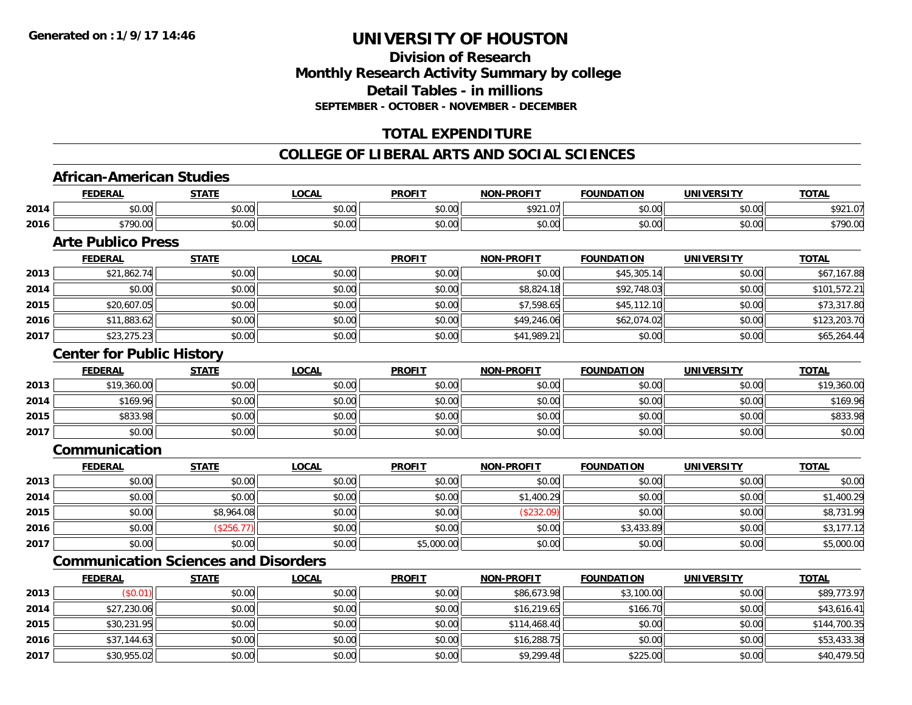## **Division of ResearchMonthly Research Activity Summary by college Detail Tables - in millionsSEPTEMBER - OCTOBER - NOVEMBER - DECEMBER**

## **TOTAL EXPENDITURE**

## **COLLEGE OF LIBERAL ARTS AND SOCIAL SCIENCES**

### **African-American Studies**

|      | <b>FEDERAL</b>        | <b>STATE</b><br><u>.</u>                | LOCAL                  | <b>PROFIT</b> | -PROFIT<br><b>MONE</b>          | <b>FOUNDATION</b>  | <b>UNIVERSITY</b> | <b>TOTAL</b>              |
|------|-----------------------|-----------------------------------------|------------------------|---------------|---------------------------------|--------------------|-------------------|---------------------------|
| 2014 | ሖጣ<br>$\sim$<br>JU.UU | $\uparrow$ $\wedge$ $\uparrow$<br>JU.UU | 0.00<br><b>JU.UU</b>   | \$0.00        | <b>¢021</b><br>$\sim$<br>721.07 | ልስ ሀህ<br>JU.UU     | 0000<br>JU.UU     | to?<br>$\sim$<br>U<br>,,, |
| 2016 | \$790.00              | $\sim$ 00<br>JU.UU                      | $n \cap \neg$<br>JU.UU | \$0.00        | \$0.00                          | $\sim$ 00<br>JU.UU | 0000<br>JU.UU     | <sup>+790.ປ</sup> ັບ      |

## **Arte Publico Press**

|      | <b>FEDERAL</b> | <b>STATE</b> | <u>LOCAL</u> | <b>PROFIT</b> | <b>NON-PROFIT</b> | <b>FOUNDATION</b> | <b>UNIVERSITY</b> | <b>TOTAL</b> |
|------|----------------|--------------|--------------|---------------|-------------------|-------------------|-------------------|--------------|
| 2013 | \$21,862.74    | \$0.00       | \$0.00       | \$0.00        | \$0.00            | \$45,305.14       | \$0.00            | \$67,167.88  |
| 2014 | \$0.00         | \$0.00       | \$0.00       | \$0.00        | \$8,824.18        | \$92,748.03       | \$0.00            | \$101,572.21 |
| 2015 | \$20,607.05    | \$0.00       | \$0.00       | \$0.00        | \$7,598.65        | \$45,112.10       | \$0.00            | \$73,317.80  |
| 2016 | \$11,883.62    | \$0.00       | \$0.00       | \$0.00        | \$49,246.06       | \$62,074.02       | \$0.00            | \$123,203.70 |
| 2017 | \$23,275.23    | \$0.00       | \$0.00       | \$0.00        | \$41,989.21       | \$0.00            | \$0.00            | \$65,264.44  |

### **Center for Public History**

|      | <b>FEDERAL</b> | STATE  | <u>LOCAL</u> | <b>PROFIT</b> | <b>NON-PROFIT</b> | <b>FOUNDATION</b> | <b>UNIVERSITY</b> | <b>TOTAL</b> |
|------|----------------|--------|--------------|---------------|-------------------|-------------------|-------------------|--------------|
| 2013 | \$19,360.00    | \$0.00 | \$0.00       | \$0.00        | \$0.00            | \$0.00            | \$0.00            | \$19,360.00  |
| 2014 | \$169.96       | \$0.00 | \$0.00       | \$0.00        | \$0.00            | \$0.00            | \$0.00            | \$169.96     |
| 2015 | \$833.98       | \$0.00 | \$0.00       | \$0.00        | \$0.00            | \$0.00            | \$0.00            | \$833.98     |
| 2017 | \$0.00         | \$0.00 | \$0.00       | \$0.00        | \$0.00            | \$0.00            | \$0.00            | \$0.00       |

## **Communication**

|      | <b>FEDERAL</b> | <b>STATE</b> | <b>LOCAL</b> | <b>PROFIT</b> | <b>NON-PROFIT</b> | <b>FOUNDATION</b> | <b>UNIVERSITY</b> | <b>TOTAL</b> |
|------|----------------|--------------|--------------|---------------|-------------------|-------------------|-------------------|--------------|
| 2013 | \$0.00         | \$0.00       | \$0.00       | \$0.00        | \$0.00            | \$0.00            | \$0.00            | \$0.00       |
| 2014 | \$0.00         | \$0.00       | \$0.00       | \$0.00        | 1,400.29<br>\$1.  | \$0.00            | \$0.00            | \$1,400.29   |
| 2015 | \$0.00         | \$8,964.08   | \$0.00       | \$0.00        | (\$232.09)        | \$0.00            | \$0.00            | \$8,731.99   |
| 2016 | \$0.00         | \$256.7      | \$0.00       | \$0.00        | \$0.00            | \$3,433.89        | \$0.00            | \$3,177.12   |
| 2017 | \$0.00         | \$0.00       | \$0.00       | \$5,000.00    | \$0.00            | \$0.00            | \$0.00            | \$5,000.00   |

## **Communication Sciences and Disorders**

|      | <u>FEDERAL</u> | <b>STATE</b> | <u>LOCAL</u> | <b>PROFIT</b> | <b>NON-PROFIT</b> | <b>FOUNDATION</b> | <b>UNIVERSITY</b> | <b>TOTAL</b> |
|------|----------------|--------------|--------------|---------------|-------------------|-------------------|-------------------|--------------|
| 2013 | \$0.01         | \$0.00       | \$0.00       | \$0.00        | \$86,673.98       | \$3,100.00        | \$0.00            | \$89,773.97  |
| 2014 | \$27,230.06    | \$0.00       | \$0.00       | \$0.00        | \$16,219.65       | \$166.70          | \$0.00            | \$43,616.41  |
| 2015 | \$30,231.95    | \$0.00       | \$0.00       | \$0.00        | \$114,468.40      | \$0.00            | \$0.00            | \$144,700.35 |
| 2016 | \$37,144.63    | \$0.00       | \$0.00       | \$0.00        | \$16,288.75       | \$0.00            | \$0.00            | \$53,433.38  |
| 2017 | \$30,955.02    | \$0.00       | \$0.00       | \$0.00        | \$9,299.48        | \$225.00          | \$0.00            | \$40,479.50  |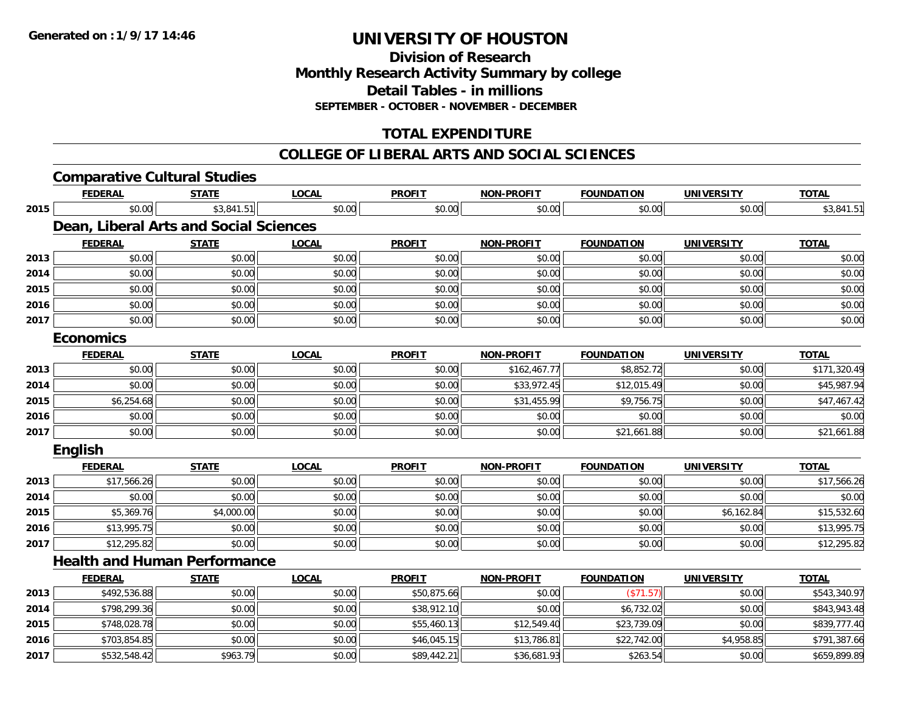**2017**

# **UNIVERSITY OF HOUSTON**

**Division of ResearchMonthly Research Activity Summary by college Detail Tables - in millions SEPTEMBER - OCTOBER - NOVEMBER - DECEMBER**

## **TOTAL EXPENDITURE**

### **COLLEGE OF LIBERAL ARTS AND SOCIAL SCIENCES**

|      | <b>Comparative Cultural Studies</b>    |              |              |               |                   |                   |                   |              |
|------|----------------------------------------|--------------|--------------|---------------|-------------------|-------------------|-------------------|--------------|
|      | <b>FEDERAL</b>                         | <b>STATE</b> | <b>LOCAL</b> | <b>PROFIT</b> | <b>NON-PROFIT</b> | <b>FOUNDATION</b> | <b>UNIVERSITY</b> | <b>TOTAL</b> |
| 2015 | \$0.00                                 | \$3,841.51   | \$0.00       | \$0.00        | \$0.00            | \$0.00            | \$0.00            | \$3,841.51   |
|      | Dean, Liberal Arts and Social Sciences |              |              |               |                   |                   |                   |              |
|      | <b>FEDERAL</b>                         | <b>STATE</b> | <b>LOCAL</b> | <b>PROFIT</b> | <b>NON-PROFIT</b> | <b>FOUNDATION</b> | <b>UNIVERSITY</b> | <b>TOTAL</b> |
| 2013 | \$0.00                                 | \$0.00       | \$0.00       | \$0.00        | \$0.00            | \$0.00            | \$0.00            | \$0.00       |
| 2014 | \$0.00                                 | \$0.00       | \$0.00       | \$0.00        | \$0.00            | \$0.00            | \$0.00            | \$0.00       |
| 2015 | \$0.00                                 | \$0.00       | \$0.00       | \$0.00        | \$0.00            | \$0.00            | \$0.00            | \$0.00       |
| 2016 | \$0.00                                 | \$0.00       | \$0.00       | \$0.00        | \$0.00            | \$0.00            | \$0.00            | \$0.00       |
| 2017 | \$0.00                                 | \$0.00       | \$0.00       | \$0.00        | \$0.00            | \$0.00            | \$0.00            | \$0.00       |
|      | <b>Economics</b>                       |              |              |               |                   |                   |                   |              |
|      | <b>FEDERAL</b>                         | <b>STATE</b> | <b>LOCAL</b> | <b>PROFIT</b> | <b>NON-PROFIT</b> | <b>FOUNDATION</b> | <b>UNIVERSITY</b> | <b>TOTAL</b> |
| 2013 | \$0.00                                 | \$0.00       | \$0.00       | \$0.00        | \$162,467.77      | \$8,852.72        | \$0.00            | \$171,320.49 |
| 2014 | \$0.00                                 | \$0.00       | \$0.00       | \$0.00        | \$33,972.45       | \$12,015.49       | \$0.00            | \$45,987.94  |
| 2015 | \$6,254.68                             | \$0.00       | \$0.00       | \$0.00        | \$31,455.99       | \$9,756.75        | \$0.00            | \$47,467.42  |
| 2016 | \$0.00                                 | \$0.00       | \$0.00       | \$0.00        | \$0.00            | \$0.00            | \$0.00            | \$0.00       |
| 2017 | \$0.00                                 | \$0.00       | \$0.00       | \$0.00        | \$0.00            | \$21,661.88       | \$0.00            | \$21,661.88  |
|      | English                                |              |              |               |                   |                   |                   |              |
|      | <b>FEDERAL</b>                         | <b>STATE</b> | <b>LOCAL</b> | <b>PROFIT</b> | <b>NON-PROFIT</b> | <b>FOUNDATION</b> | <b>UNIVERSITY</b> | <b>TOTAL</b> |
| 2013 | \$17,566.26                            | \$0.00       | \$0.00       | \$0.00        | \$0.00            | \$0.00            | \$0.00            | \$17,566.26  |
| 2014 | \$0.00                                 | \$0.00       | \$0.00       | \$0.00        | \$0.00            | \$0.00            | \$0.00            | \$0.00       |
| 2015 | \$5,369.76                             | \$4,000.00   | \$0.00       | \$0.00        | \$0.00            | \$0.00            | \$6,162.84        | \$15,532.60  |
| 2016 | \$13,995.75                            | \$0.00       | \$0.00       | \$0.00        | \$0.00            | \$0.00            | \$0.00            | \$13,995.75  |
| 2017 | \$12,295.82                            | \$0.00       | \$0.00       | \$0.00        | \$0.00            | \$0.00            | \$0.00            | \$12,295.82  |
|      | <b>Health and Human Performance</b>    |              |              |               |                   |                   |                   |              |
|      | <b>FEDERAL</b>                         | <b>STATE</b> | <b>LOCAL</b> | <b>PROFIT</b> | <b>NON-PROFIT</b> | <b>FOUNDATION</b> | <b>UNIVERSITY</b> | <b>TOTAL</b> |
| 2013 | \$492,536.88                           | \$0.00       | \$0.00       | \$50,875.66   | \$0.00            | (\$71.57)         | \$0.00            | \$543,340.97 |
| 2014 | \$798,299.36                           | \$0.00       | \$0.00       | \$38,912.10   | \$0.00            | \$6,732.02        | \$0.00            | \$843,943.48 |
| 2015 | \$748,028.78                           | \$0.00       | \$0.00       | \$55,460.13   | \$12,549.40       | \$23,739.09       | \$0.00            | \$839,777.40 |
| 2016 | \$703,854.85                           | \$0.00       | \$0.00       | \$46,045.15   | \$13,786.81       | \$22,742.00       | \$4,958.85        | \$791,387.66 |

7 | \$532,548.42|| \$963.79|| \$0.00|| \$89,442.21|| \$36,681.93|| \$263.54|| \$0.00|| \$659,899.89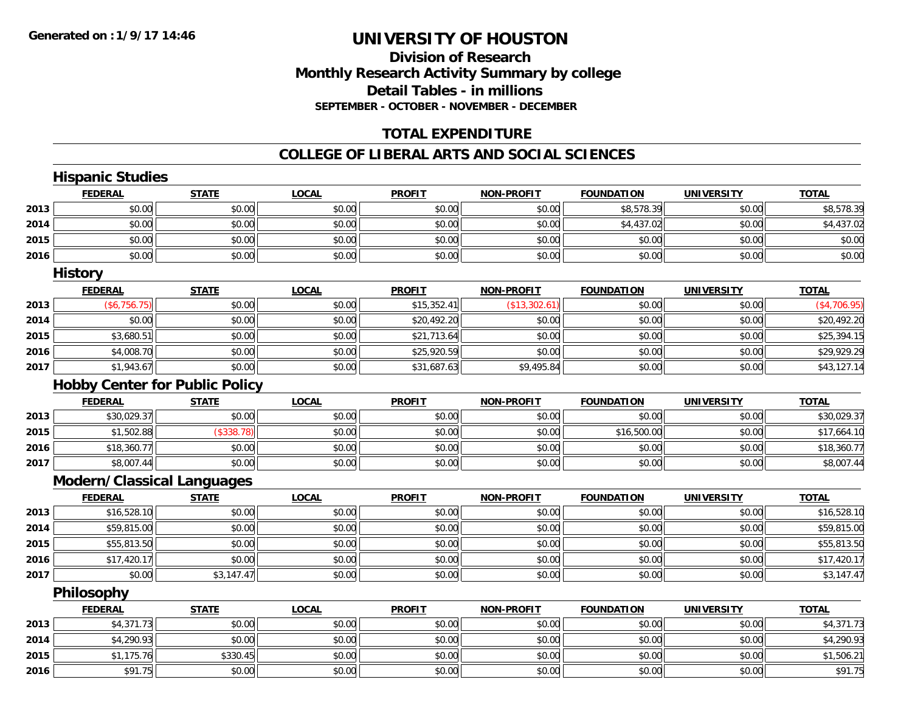## **Division of ResearchMonthly Research Activity Summary by college Detail Tables - in millions SEPTEMBER - OCTOBER - NOVEMBER - DECEMBER**

## **TOTAL EXPENDITURE**

#### **COLLEGE OF LIBERAL ARTS AND SOCIAL SCIENCES**

|      | <b>Hispanic Studies</b>               |              |              |               |                   |                   |                   |              |
|------|---------------------------------------|--------------|--------------|---------------|-------------------|-------------------|-------------------|--------------|
|      | <b>FEDERAL</b>                        | <b>STATE</b> | <b>LOCAL</b> | <b>PROFIT</b> | <b>NON-PROFIT</b> | <b>FOUNDATION</b> | <b>UNIVERSITY</b> | <b>TOTAL</b> |
| 2013 | \$0.00                                | \$0.00       | \$0.00       | \$0.00        | \$0.00            | \$8,578.39        | \$0.00            | \$8,578.39   |
| 2014 | \$0.00                                | \$0.00       | \$0.00       | \$0.00        | \$0.00            | \$4,437.02        | \$0.00            | \$4,437.02   |
| 2015 | \$0.00                                | \$0.00       | \$0.00       | \$0.00        | \$0.00            | \$0.00            | \$0.00            | \$0.00       |
| 2016 | \$0.00                                | \$0.00       | \$0.00       | \$0.00        | \$0.00            | \$0.00            | \$0.00            | \$0.00       |
|      | <b>History</b>                        |              |              |               |                   |                   |                   |              |
|      | <b>FEDERAL</b>                        | <b>STATE</b> | <b>LOCAL</b> | <b>PROFIT</b> | <b>NON-PROFIT</b> | <b>FOUNDATION</b> | <b>UNIVERSITY</b> | <b>TOTAL</b> |
| 2013 | (\$6,756.75)                          | \$0.00       | \$0.00       | \$15,352.41   | (\$13,302.61)     | \$0.00            | \$0.00            | (\$4,706.95) |
| 2014 | \$0.00                                | \$0.00       | \$0.00       | \$20,492.20   | \$0.00            | \$0.00            | \$0.00            | \$20,492.20  |
| 2015 | \$3,680.51                            | \$0.00       | \$0.00       | \$21,713.64   | \$0.00            | \$0.00            | \$0.00            | \$25,394.15  |
| 2016 | \$4,008.70                            | \$0.00       | \$0.00       | \$25,920.59   | \$0.00            | \$0.00            | \$0.00            | \$29,929.29  |
| 2017 | \$1,943.67                            | \$0.00       | \$0.00       | \$31,687.63   | \$9,495.84        | \$0.00            | \$0.00            | \$43,127.14  |
|      | <b>Hobby Center for Public Policy</b> |              |              |               |                   |                   |                   |              |
|      | <b>FEDERAL</b>                        | <b>STATE</b> | <b>LOCAL</b> | <b>PROFIT</b> | <b>NON-PROFIT</b> | <b>FOUNDATION</b> | <b>UNIVERSITY</b> | <b>TOTAL</b> |
| 2013 | \$30,029.37                           | \$0.00       | \$0.00       | \$0.00        | \$0.00            | \$0.00            | \$0.00            | \$30,029.37  |
| 2015 | \$1,502.88                            | (\$338.78)   | \$0.00       | \$0.00        | \$0.00            | \$16,500.00       | \$0.00            | \$17,664.10  |
| 2016 | \$18,360.77                           | \$0.00       | \$0.00       | \$0.00        | \$0.00            | \$0.00            | \$0.00            | \$18,360.77  |
| 2017 | \$8,007.44                            | \$0.00       | \$0.00       | \$0.00        | \$0.00            | \$0.00            | \$0.00            | \$8,007.44   |
|      | <b>Modern/Classical Languages</b>     |              |              |               |                   |                   |                   |              |
|      | <b>FEDERAL</b>                        | <b>STATE</b> | <b>LOCAL</b> | <b>PROFIT</b> | <b>NON-PROFIT</b> | <b>FOUNDATION</b> | <b>UNIVERSITY</b> | <b>TOTAL</b> |
| 2013 | \$16,528.10                           | \$0.00       | \$0.00       | \$0.00        | \$0.00            | \$0.00            | \$0.00            | \$16,528.10  |
| 2014 | \$59,815.00                           | \$0.00       | \$0.00       | \$0.00        | \$0.00            | \$0.00            | \$0.00            | \$59,815.00  |
| 2015 | \$55,813.50                           | \$0.00       | \$0.00       | \$0.00        | \$0.00            | \$0.00            | \$0.00            | \$55,813.50  |
| 2016 | \$17,420.17                           | \$0.00       | \$0.00       | \$0.00        | \$0.00            | \$0.00            | \$0.00            | \$17,420.17  |
| 2017 | \$0.00                                | \$3,147.47   | \$0.00       | \$0.00        | \$0.00            | \$0.00            | \$0.00            | \$3,147.47   |
|      | Philosophy                            |              |              |               |                   |                   |                   |              |
|      | <b>FEDERAL</b>                        | <b>STATE</b> | <b>LOCAL</b> | <b>PROFIT</b> | <b>NON-PROFIT</b> | <b>FOUNDATION</b> | <b>UNIVERSITY</b> | <b>TOTAL</b> |
| 2013 | \$4,371.73                            | \$0.00       | \$0.00       | \$0.00        | \$0.00            | \$0.00            | \$0.00            | \$4,371.73   |
| 2014 | \$4,290.93                            | \$0.00       | \$0.00       | \$0.00        | \$0.00            | \$0.00            | \$0.00            | \$4,290.93   |
| 2015 | \$1,175.76                            | \$330.45     | \$0.00       | \$0.00        | \$0.00            | \$0.00            | \$0.00            | \$1,506.21   |
| 2016 | \$91.75                               | \$0.00       | \$0.00       | \$0.00        | \$0.00            | \$0.00            | \$0.00            | \$91.75      |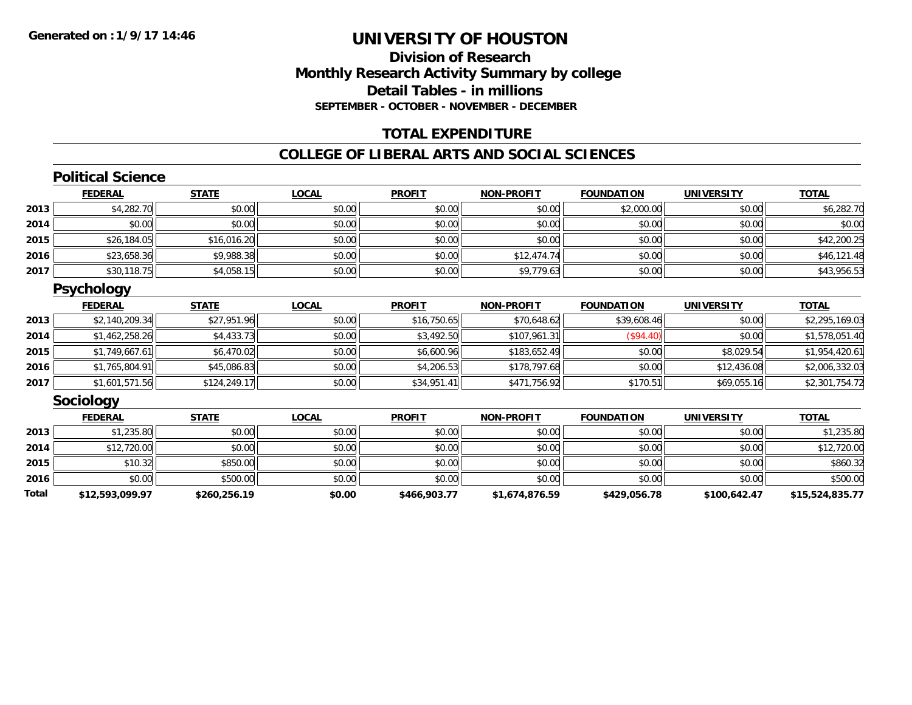## **Division of ResearchMonthly Research Activity Summary by college Detail Tables - in millions SEPTEMBER - OCTOBER - NOVEMBER - DECEMBER**

## **TOTAL EXPENDITURE**

#### **COLLEGE OF LIBERAL ARTS AND SOCIAL SCIENCES**

## **Political Science**

|      | <b>FEDERAL</b> | <b>STATE</b> | <u>LOCAL</u> | <b>PROFIT</b> | <b>NON-PROFIT</b> | <b>FOUNDATION</b> | <b>UNIVERSITY</b> | <b>TOTAL</b> |
|------|----------------|--------------|--------------|---------------|-------------------|-------------------|-------------------|--------------|
| 2013 | \$4,282.70     | \$0.00       | \$0.00       | \$0.00        | \$0.00            | \$2,000.00        | \$0.00            | \$6,282.70   |
| 2014 | \$0.00         | \$0.00       | \$0.00       | \$0.00        | \$0.00            | \$0.00            | \$0.00            | \$0.00       |
| 2015 | \$26,184.05    | \$16,016.20  | \$0.00       | \$0.00        | \$0.00            | \$0.00            | \$0.00            | \$42,200.25  |
| 2016 | \$23,658.36    | \$9,988.38   | \$0.00       | \$0.00        | \$12,474.74       | \$0.00            | \$0.00            | \$46,121.48  |
| 2017 | \$30,118.75    | \$4,058.15   | \$0.00       | \$0.00        | \$9,779.63        | \$0.00            | \$0.00            | \$43,956.53  |

## **Psychology**

|      | <b>FEDERAL</b> | <b>STATE</b> | <u>LOCAL</u> | <b>PROFIT</b> | <b>NON-PROFIT</b> | <b>FOUNDATION</b> | <b>UNIVERSITY</b> | <b>TOTAL</b>   |
|------|----------------|--------------|--------------|---------------|-------------------|-------------------|-------------------|----------------|
| 2013 | \$2,140,209.34 | \$27,951.96  | \$0.00       | \$16,750.65   | \$70,648.62       | \$39,608.46       | \$0.00            | \$2,295,169.03 |
| 2014 | \$1,462,258.26 | \$4,433.73   | \$0.00       | \$3,492.50    | \$107,961.31      | (S94.40)          | \$0.00            | \$1,578,051.40 |
| 2015 | \$1,749,667.61 | \$6,470.02   | \$0.00       | \$6,600.96    | \$183,652.49      | \$0.00            | \$8,029.54        | \$1,954,420.61 |
| 2016 | \$1,765,804.91 | \$45,086.83  | \$0.00       | \$4,206.53    | \$178,797.68      | \$0.00            | \$12,436.08       | \$2,006,332.03 |
| 2017 | \$1,601,571.56 | \$124,249.17 | \$0.00       | \$34,951.41   | \$471,756.92      | \$170.51          | \$69,055.16       | \$2,301,754.72 |

### **Sociology**

|       | <b>FEDERAL</b>  | <b>STATE</b> | <b>LOCAL</b> | <b>PROFIT</b> | <b>NON-PROFIT</b> | <b>FOUNDATION</b> | <b>UNIVERSITY</b> | <b>TOTAL</b>    |
|-------|-----------------|--------------|--------------|---------------|-------------------|-------------------|-------------------|-----------------|
| 2013  | \$1,235.80      | \$0.00       | \$0.00       | \$0.00        | \$0.00            | \$0.00            | \$0.00            | \$1,235.80      |
| 2014  | \$12,720.00     | \$0.00       | \$0.00       | \$0.00        | \$0.00            | \$0.00            | \$0.00            | \$12,720.00     |
| 2015  | \$10.32         | \$850.00     | \$0.00       | \$0.00        | \$0.00            | \$0.00            | \$0.00            | \$860.32        |
| 2016  | \$0.00          | \$500.00     | \$0.00       | \$0.00        | \$0.00            | \$0.00            | \$0.00            | \$500.00        |
| Total | \$12,593,099.97 | \$260,256.19 | \$0.00       | \$466,903.77  | \$1,674,876.59    | \$429,056.78      | \$100,642.47      | \$15,524,835.77 |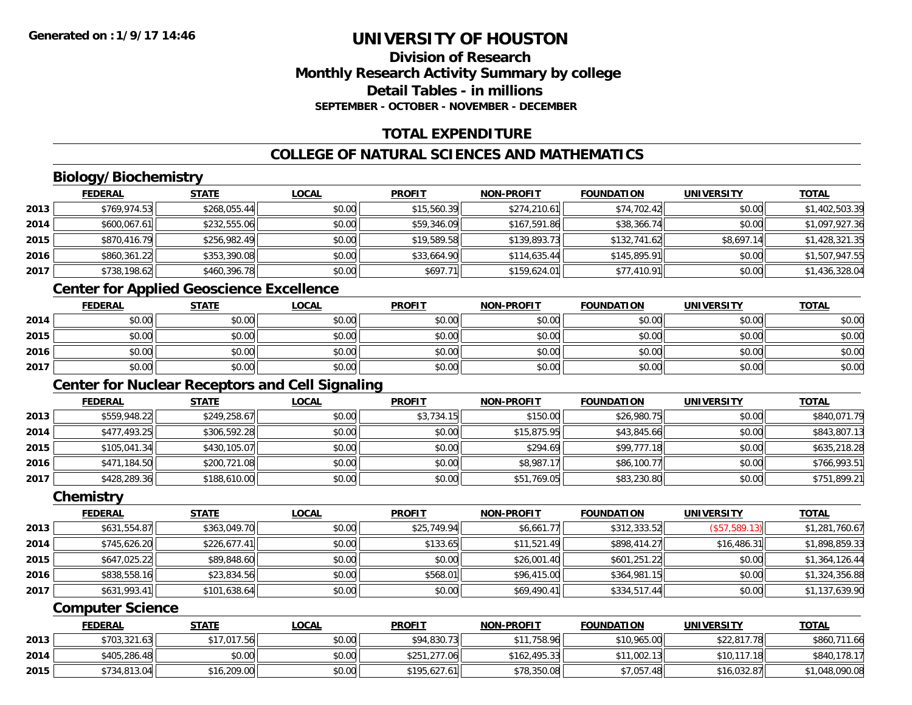## **Division of ResearchMonthly Research Activity Summary by college Detail Tables - in millionsSEPTEMBER - OCTOBER - NOVEMBER - DECEMBER**

## **TOTAL EXPENDITURE**

## **COLLEGE OF NATURAL SCIENCES AND MATHEMATICS**

## **Biology/Biochemistry**

|      | <b>FEDERAL</b> | <u>STATE</u> | <u>LOCAL</u> | <b>PROFIT</b> | <b>NON-PROFIT</b> | <b>FOUNDATION</b> | <b>UNIVERSITY</b> | <b>TOTAL</b>   |
|------|----------------|--------------|--------------|---------------|-------------------|-------------------|-------------------|----------------|
| 2013 | \$769,974.53   | \$268,055.44 | \$0.00       | \$15,560.39   | \$274,210.61      | \$74,702.42       | \$0.00            | \$1,402,503.39 |
| 2014 | \$600,067.61   | \$232,555.06 | \$0.00       | \$59,346.09   | \$167,591.86      | \$38,366.74       | \$0.00            | \$1,097,927.36 |
| 2015 | \$870,416.79   | \$256,982.49 | \$0.00       | \$19,589.58   | \$139,893.73      | \$132,741.62      | \$8,697.14        | \$1,428,321.35 |
| 2016 | \$860,361.22   | \$353,390.08 | \$0.00       | \$33,664.90   | \$114,635.44      | \$145,895.91      | \$0.00            | \$1,507,947.55 |
| 2017 | \$738,198.62   | \$460,396.78 | \$0.00       | \$697.71      | \$159,624.01      | \$77,410.91       | \$0.00            | \$1,436,328.04 |

## **Center for Applied Geoscience Excellence**

|      | <u>FEDERAL</u> | <b>STATE</b> | <u>LOCAL</u> | <b>PROFIT</b> | <b>NON-PROFIT</b> | <b>FOUNDATION</b> | <b>UNIVERSITY</b> | <b>TOTAL</b> |
|------|----------------|--------------|--------------|---------------|-------------------|-------------------|-------------------|--------------|
| 2014 | \$0.00         | \$0.00       | \$0.00       | \$0.00        | \$0.00            | \$0.00            | \$0.00            | \$0.00       |
| 2015 | \$0.00         | \$0.00       | \$0.00       | \$0.00        | \$0.00            | \$0.00            | \$0.00            | \$0.00       |
| 2016 | \$0.00         | \$0.00       | \$0.00       | \$0.00        | \$0.00            | \$0.00            | \$0.00            | \$0.00       |
| 2017 | \$0.00         | \$0.00       | \$0.00       | \$0.00        | \$0.00            | \$0.00            | \$0.00            | \$0.00       |

## **Center for Nuclear Receptors and Cell Signaling**

|      | <b>FEDERAL</b> | <b>STATE</b> | <u>LOCAL</u> | <b>PROFIT</b> | <b>NON-PROFIT</b> | <b>FOUNDATION</b> | <b>UNIVERSITY</b> | <b>TOTAL</b> |
|------|----------------|--------------|--------------|---------------|-------------------|-------------------|-------------------|--------------|
| 2013 | \$559,948.22   | \$249,258.67 | \$0.00       | \$3,734.15    | \$150.00          | \$26,980.75       | \$0.00            | \$840,071.79 |
| 2014 | \$477,493.25   | \$306,592.28 | \$0.00       | \$0.00        | \$15,875.95       | \$43,845.66       | \$0.00            | \$843,807.13 |
| 2015 | \$105,041.34   | \$430,105.07 | \$0.00       | \$0.00        | \$294.69          | \$99,777.18       | \$0.00            | \$635,218.28 |
| 2016 | \$471,184.50   | \$200,721.08 | \$0.00       | \$0.00        | \$8,987.17        | \$86,100.77       | \$0.00            | \$766,993.51 |
| 2017 | \$428,289.36   | \$188,610.00 | \$0.00       | \$0.00        | \$51,769.05       | \$83,230.80       | \$0.00            | \$751,899.21 |

#### **Chemistry**

|      | <b>FEDERAL</b> | <b>STATE</b> | <b>LOCAL</b> | <b>PROFIT</b> | <b>NON-PROFIT</b> | <b>FOUNDATION</b> | <b>UNIVERSITY</b> | <b>TOTAL</b>   |
|------|----------------|--------------|--------------|---------------|-------------------|-------------------|-------------------|----------------|
| 2013 | \$631,554.87   | \$363,049.70 | \$0.00       | \$25,749.94   | \$6,661.77        | \$312,333.52      | (\$57,589.13)     | \$1,281,760.67 |
| 2014 | \$745,626.20   | \$226,677.41 | \$0.00       | \$133.65      | \$11,521.49       | \$898,414.27      | \$16,486.31       | \$1,898,859.33 |
| 2015 | \$647.025.22   | \$89,848.60  | \$0.00       | \$0.00        | \$26,001.40       | \$601,251.22      | \$0.00            | \$1,364,126.44 |
| 2016 | \$838,558.16   | \$23,834.56  | \$0.00       | \$568.01      | \$96,415.00       | \$364,981.15      | \$0.00            | \$1,324,356.88 |
| 2017 | \$631,993.41   | \$101,638.64 | \$0.00       | \$0.00        | \$69,490.41       | \$334,517.44      | \$0.00            | \$1,137,639.90 |

#### **Computer Science**

|      | <b>FEDERAL</b> | <u>STATE</u> | <u>LOCAL</u> | <b>PROFIT</b> | <b>NON-PROFIT</b> | <b>FOUNDATION</b> | UNIVERSITY  | <b>TOTAL</b>   |
|------|----------------|--------------|--------------|---------------|-------------------|-------------------|-------------|----------------|
| 2013 | \$703,321.63   | \$17,017.56  | \$0.00       | \$94,830.73   | \$11,758.96       | \$10,965.00       | \$22,817.78 | \$860,711.66   |
| 2014 | \$405,286.48   | \$0.00       | \$0.00       | \$251,277.06  | \$162,495.33      | \$11,002.13       | \$10.117.18 | \$840,178.17   |
| 2015 | \$734,813.04   | \$16,209.00  | \$0.00       | \$195.627.61  | \$78,350.08       | \$7,057.48        | \$16,032.87 | \$1,048,090.08 |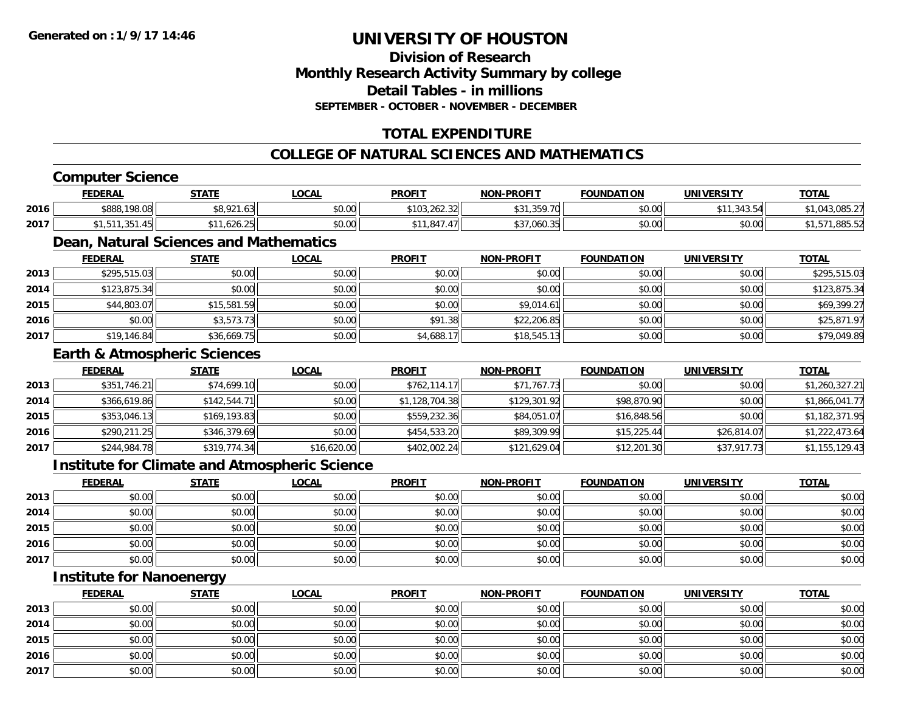## **Division of ResearchMonthly Research Activity Summary by college Detail Tables - in millions SEPTEMBER - OCTOBER - NOVEMBER - DECEMBER**

## **TOTAL EXPENDITURE**

## **COLLEGE OF NATURAL SCIENCES AND MATHEMATICS**

## **Computer Science**

|      | <b>FEDERAL</b> | STATE                                   | .OCAL  | <b>PROFIT</b>                               | <b>NON-PROFIT</b>                                                                                                                   | <b>FOUNDATION</b>      | <b>UNIVERSITY</b>           | <b>TOTAL</b>                |
|------|----------------|-----------------------------------------|--------|---------------------------------------------|-------------------------------------------------------------------------------------------------------------------------------------|------------------------|-----------------------------|-----------------------------|
| 2016 | \$888,198.08   | 0.021<br><b>↓↓↓/∠</b> Ⅰ.∪JII            | \$0.00 | \$103.262.32<br>⊣ ا262.3⊾ ب                 | \$31.359.70<br>ו ש                                                                                                                  | $\sim$ $\sim$<br>JU.UU | 242F<br>***<br>. . <i>.</i> | $\sim$ $\sim$ $\sim$ $\sim$ |
| 2017 | $\sim$ $ -$    | $\sim$ $\sim$ $\sim$ $\sim$<br>526.25 ا | \$0.00 | \$11.847<br>$\overline{\phantom{a}}$<br>.41 | $\begin{array}{c} \hline \text{A} & \text{A} & \text{B} & \text{A} & \text{B} & \text{A} & \text{B} \end{array}$<br>וטטט, י<br>ىر ب | 0.00<br>JU.UU          | \$0.00                      |                             |

## **Dean, Natural Sciences and Mathematics**

|      | <b>FEDERAL</b> | <b>STATE</b> | <b>LOCAL</b> | <b>PROFIT</b> | <b>NON-PROFIT</b> | <b>FOUNDATION</b> | <b>UNIVERSITY</b> | <b>TOTAL</b> |
|------|----------------|--------------|--------------|---------------|-------------------|-------------------|-------------------|--------------|
| 2013 | \$295,515.03   | \$0.00       | \$0.00       | \$0.00        | \$0.00            | \$0.00            | \$0.00            | \$295,515.03 |
| 2014 | \$123,875.34   | \$0.00       | \$0.00       | \$0.00        | \$0.00            | \$0.00            | \$0.00            | \$123,875.34 |
| 2015 | \$44,803.07    | \$15,581.59  | \$0.00       | \$0.00        | \$9,014.61        | \$0.00            | \$0.00            | \$69,399.27  |
| 2016 | \$0.00         | \$3,573.73   | \$0.00       | \$91.38       | \$22,206.85       | \$0.00            | \$0.00            | \$25,871.97  |
| 2017 | \$19,146.84    | \$36,669.75  | \$0.00       | \$4,688.17    | \$18,545.13       | \$0.00            | \$0.00            | \$79,049.89  |

#### **Earth & Atmospheric Sciences**

|      | <b>FEDERAL</b> | <b>STATE</b> | <b>LOCAL</b> | <b>PROFIT</b>  | <b>NON-PROFIT</b> | <b>FOUNDATION</b> | <b>UNIVERSITY</b> | <b>TOTAL</b>   |
|------|----------------|--------------|--------------|----------------|-------------------|-------------------|-------------------|----------------|
| 2013 | \$351,746.21   | \$74,699.10  | \$0.00       | \$762,114.17   | \$71,767.73       | \$0.00            | \$0.00            | \$1,260,327.21 |
| 2014 | \$366,619.86   | \$142,544.71 | \$0.00       | \$1,128,704.38 | \$129,301.92      | \$98,870.90       | \$0.00            | \$1,866,041.77 |
| 2015 | \$353,046.13   | \$169,193.83 | \$0.00       | \$559,232.36   | \$84,051.07       | \$16,848.56       | \$0.00            | \$1,182,371.95 |
| 2016 | \$290,211.25   | \$346,379.69 | \$0.00       | \$454,533.20   | \$89,309.99       | \$15,225.44       | \$26,814.07       | \$1,222,473.64 |
| 2017 | \$244,984.78   | \$319,774.34 | \$16,620.00  | \$402,002.24   | \$121,629.04      | \$12,201.30       | \$37,917.73       | \$1,155,129.43 |

### **Institute for Climate and Atmospheric Science**

|      | <u>FEDERAL</u> | <b>STATE</b> | <u>LOCAL</u> | <b>PROFIT</b> | <b>NON-PROFIT</b> | <b>FOUNDATION</b> | <b>UNIVERSITY</b> | <b>TOTAL</b> |
|------|----------------|--------------|--------------|---------------|-------------------|-------------------|-------------------|--------------|
| 2013 | \$0.00         | \$0.00       | \$0.00       | \$0.00        | \$0.00            | \$0.00            | \$0.00            | \$0.00       |
| 2014 | \$0.00         | \$0.00       | \$0.00       | \$0.00        | \$0.00            | \$0.00            | \$0.00            | \$0.00       |
| 2015 | \$0.00         | \$0.00       | \$0.00       | \$0.00        | \$0.00            | \$0.00            | \$0.00            | \$0.00       |
| 2016 | \$0.00         | \$0.00       | \$0.00       | \$0.00        | \$0.00            | \$0.00            | \$0.00            | \$0.00       |
| 2017 | \$0.00         | \$0.00       | \$0.00       | \$0.00        | \$0.00            | \$0.00            | \$0.00            | \$0.00       |

## **Institute for Nanoenergy**

|      | <b>FEDERAL</b> | <b>STATE</b> | <u>LOCAL</u> | <b>PROFIT</b> | <b>NON-PROFIT</b> | <b>FOUNDATION</b> | <b>UNIVERSITY</b> | <b>TOTAL</b> |
|------|----------------|--------------|--------------|---------------|-------------------|-------------------|-------------------|--------------|
| 2013 | \$0.00         | \$0.00       | \$0.00       | \$0.00        | \$0.00            | \$0.00            | \$0.00            | \$0.00       |
| 2014 | \$0.00         | \$0.00       | \$0.00       | \$0.00        | \$0.00            | \$0.00            | \$0.00            | \$0.00       |
| 2015 | \$0.00         | \$0.00       | \$0.00       | \$0.00        | \$0.00            | \$0.00            | \$0.00            | \$0.00       |
| 2016 | \$0.00         | \$0.00       | \$0.00       | \$0.00        | \$0.00            | \$0.00            | \$0.00            | \$0.00       |
| 2017 | \$0.00         | \$0.00       | \$0.00       | \$0.00        | \$0.00            | \$0.00            | \$0.00            | \$0.00       |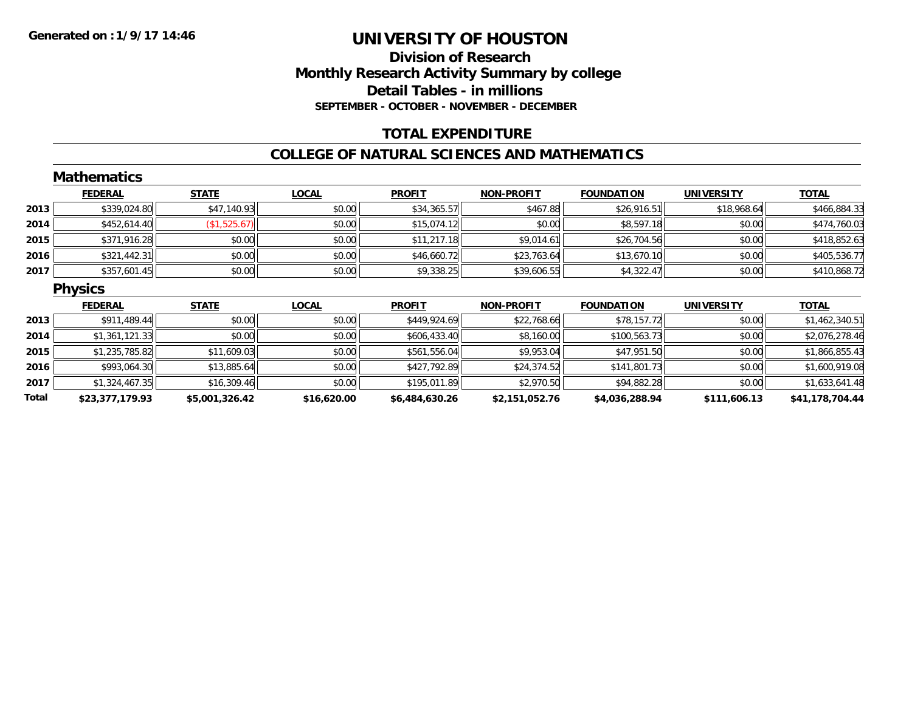### **Division of Research Monthly Research Activity Summary by college Detail Tables - in millions SEPTEMBER - OCTOBER - NOVEMBER - DECEMBER**

## **TOTAL EXPENDITURE**

#### **COLLEGE OF NATURAL SCIENCES AND MATHEMATICS**

|       | <b>Mathematics</b> |                |              |                |                   |                   |                   |                 |
|-------|--------------------|----------------|--------------|----------------|-------------------|-------------------|-------------------|-----------------|
|       | <b>FEDERAL</b>     | <b>STATE</b>   | <b>LOCAL</b> | <b>PROFIT</b>  | NON-PROFIT        | <b>FOUNDATION</b> | <b>UNIVERSITY</b> | <b>TOTAL</b>    |
| 2013  | \$339,024.80       | \$47,140.93    | \$0.00       | \$34,365.57    | \$467.88          | \$26,916.51       | \$18,968.64       | \$466,884.33    |
| 2014  | \$452,614.40       | (\$1,525.67)   | \$0.00       | \$15,074.12    | \$0.00            | \$8,597.18        | \$0.00            | \$474,760.03    |
| 2015  | \$371,916.28       | \$0.00         | \$0.00       | \$11,217.18    | \$9,014.61        | \$26,704.56       | \$0.00            | \$418,852.63    |
| 2016  | \$321,442.31       | \$0.00         | \$0.00       | \$46,660.72    | \$23,763.64       | \$13,670.10       | \$0.00            | \$405,536.77    |
| 2017  | \$357,601.45       | \$0.00         | \$0.00       | \$9,338.25     | \$39,606.55       | \$4,322.47        | \$0.00            | \$410,868.72    |
|       | <b>Physics</b>     |                |              |                |                   |                   |                   |                 |
|       | <b>FEDERAL</b>     | <b>STATE</b>   | <b>LOCAL</b> | <b>PROFIT</b>  | <b>NON-PROFIT</b> | <b>FOUNDATION</b> | <b>UNIVERSITY</b> | <b>TOTAL</b>    |
| 2013  | \$911,489.44       | \$0.00         | \$0.00       | \$449,924.69   | \$22,768.66       | \$78,157.72       | \$0.00            | \$1,462,340.51  |
| 2014  | \$1,361,121.33     | \$0.00         | \$0.00       | \$606,433.40   | \$8,160.00        | \$100,563.73      | \$0.00            | \$2,076,278.46  |
| 2015  | \$1,235,785.82     | \$11,609.03    | \$0.00       | \$561,556.04   | \$9,953.04        | \$47,951.50       | \$0.00            | \$1,866,855.43  |
| 2016  | \$993,064.30       | \$13,885.64    | \$0.00       | \$427,792.89   | \$24,374.52       | \$141,801.73      | \$0.00            | \$1,600,919.08  |
| 2017  | \$1,324,467.35     | \$16,309.46    | \$0.00       | \$195,011.89   | \$2,970.50        | \$94,882.28       | \$0.00            | \$1,633,641.48  |
| Total | \$23,377,179.93    | \$5,001,326.42 | \$16,620.00  | \$6,484,630.26 | \$2,151,052.76    | \$4,036,288.94    | \$111,606.13      | \$41,178,704.44 |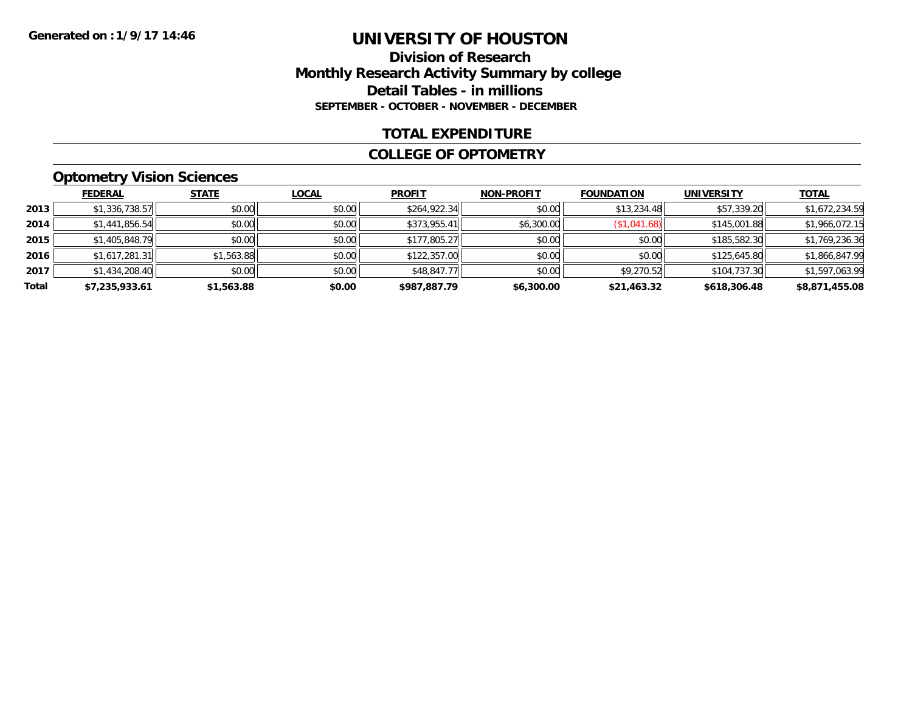#### **Division of Research Monthly Research Activity Summary by college Detail Tables - in millions SEPTEMBER - OCTOBER - NOVEMBER - DECEMBER**

#### **TOTAL EXPENDITURE**

#### **COLLEGE OF OPTOMETRY**

### **Optometry Vision Sciences**

|       | <b>FEDERAL</b> | <b>STATE</b> | <b>LOCAL</b> | <b>PROFIT</b> | <b>NON-PROFIT</b> | <b>FOUNDATION</b> | <b>UNIVERSITY</b> | <b>TOTAL</b>   |
|-------|----------------|--------------|--------------|---------------|-------------------|-------------------|-------------------|----------------|
| 2013  | \$1,336,738.57 | \$0.00       | \$0.00       | \$264,922.34  | \$0.00            | \$13,234.48       | \$57,339.20       | \$1,672,234.59 |
| 2014  | \$1,441,856.54 | \$0.00       | \$0.00       | \$373,955.41  | \$6,300.00        | \$1,041.68        | \$145,001.88      | \$1,966,072.15 |
| 2015  | \$1,405,848.79 | \$0.00       | \$0.00       | \$177,805.27  | \$0.00            | \$0.00            | \$185,582.30      | \$1,769,236.36 |
| 2016  | \$1,617,281.31 | \$1,563.88   | \$0.00       | \$122,357.00  | \$0.00            | \$0.00            | \$125,645.80      | \$1,866,847.99 |
| 2017  | \$1,434,208.40 | \$0.00       | \$0.00       | \$48,847.77   | \$0.00            | \$9,270.52        | \$104,737.30      | \$1,597,063.99 |
| Total | \$7,235,933.61 | \$1,563.88   | \$0.00       | \$987,887.79  | \$6,300.00        | \$21,463.32       | \$618,306.48      | \$8,871,455.08 |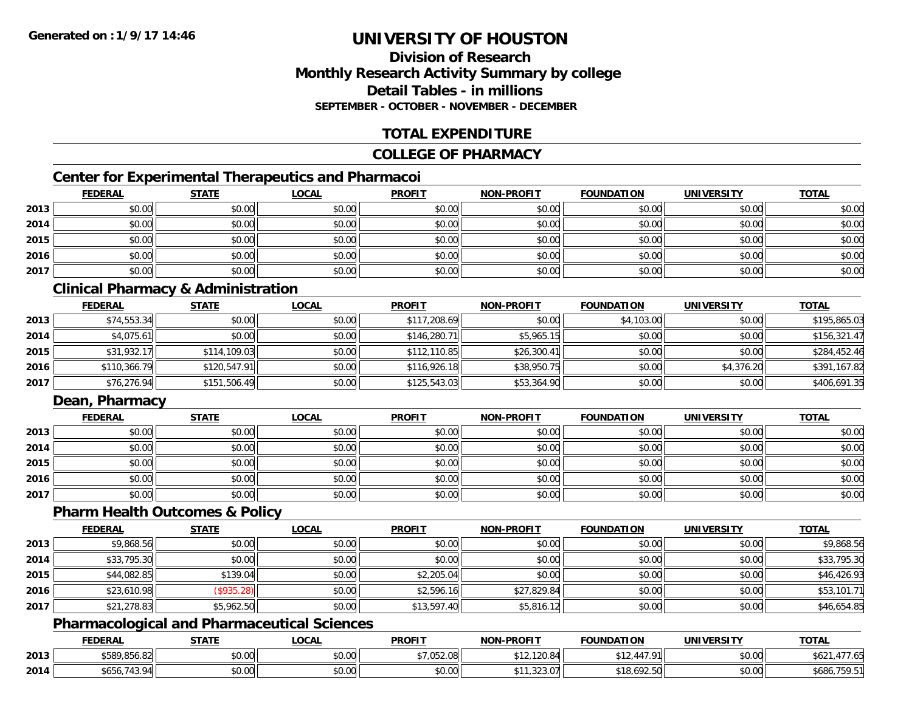#### **Division of ResearchMonthly Research Activity Summary by college Detail Tables - in millionsSEPTEMBER - OCTOBER - NOVEMBER - DECEMBER**

### **TOTAL EXPENDITURE**

#### **COLLEGE OF PHARMACY**

### **Center for Experimental Therapeutics and Pharmacoi**

|      | <b>FEDERAL</b> | <b>STATE</b> | <u>LOCAL</u> | <b>PROFIT</b> | <b>NON-PROFIT</b> | <b>FOUNDATION</b> | <b>UNIVERSITY</b> | <b>TOTAL</b> |
|------|----------------|--------------|--------------|---------------|-------------------|-------------------|-------------------|--------------|
| 2013 | \$0.00         | \$0.00       | \$0.00       | \$0.00        | \$0.00            | \$0.00            | \$0.00            | \$0.00       |
| 2014 | \$0.00         | \$0.00       | \$0.00       | \$0.00        | \$0.00            | \$0.00            | \$0.00            | \$0.00       |
| 2015 | \$0.00         | \$0.00       | \$0.00       | \$0.00        | \$0.00            | \$0.00            | \$0.00            | \$0.00       |
| 2016 | \$0.00         | \$0.00       | \$0.00       | \$0.00        | \$0.00            | \$0.00            | \$0.00            | \$0.00       |
| 2017 | \$0.00         | \$0.00       | \$0.00       | \$0.00        | \$0.00            | \$0.00            | \$0.00            | \$0.00       |

### **Clinical Pharmacy & Administration**

|      | <b>FEDERAL</b> | <b>STATE</b> | <u>LOCAL</u> | <b>PROFIT</b> | <b>NON-PROFIT</b> | <b>FOUNDATION</b> | <b>UNIVERSITY</b> | <b>TOTAL</b> |
|------|----------------|--------------|--------------|---------------|-------------------|-------------------|-------------------|--------------|
| 2013 | \$74,553.34    | \$0.00       | \$0.00       | \$117,208.69  | \$0.00            | \$4,103.00        | \$0.00            | \$195,865.03 |
| 2014 | \$4,075.61     | \$0.00       | \$0.00       | \$146,280.71  | \$5,965.15        | \$0.00            | \$0.00            | \$156,321.47 |
| 2015 | \$31,932.17    | \$114,109.03 | \$0.00       | \$112,110.85  | \$26,300.41       | \$0.00            | \$0.00            | \$284,452.46 |
| 2016 | \$110,366.79   | \$120,547.91 | \$0.00       | \$116,926.18  | \$38,950.75       | \$0.00            | \$4,376.20        | \$391,167.82 |
| 2017 | \$76,276.94    | \$151,506.49 | \$0.00       | \$125,543.03  | \$53,364.90       | \$0.00            | \$0.00            | \$406,691.35 |

#### **Dean, Pharmacy**

|      | <b>FEDERAL</b> | <b>STATE</b> | <u>LOCAL</u> | <b>PROFIT</b> | <b>NON-PROFIT</b> | <b>FOUNDATION</b> | <b>UNIVERSITY</b> | <b>TOTAL</b> |
|------|----------------|--------------|--------------|---------------|-------------------|-------------------|-------------------|--------------|
| 2013 | \$0.00         | \$0.00       | \$0.00       | \$0.00        | \$0.00            | \$0.00            | \$0.00            | \$0.00       |
| 2014 | \$0.00         | \$0.00       | \$0.00       | \$0.00        | \$0.00            | \$0.00            | \$0.00            | \$0.00       |
| 2015 | \$0.00         | \$0.00       | \$0.00       | \$0.00        | \$0.00            | \$0.00            | \$0.00            | \$0.00       |
| 2016 | \$0.00         | \$0.00       | \$0.00       | \$0.00        | \$0.00            | \$0.00            | \$0.00            | \$0.00       |
| 2017 | \$0.00         | \$0.00       | \$0.00       | \$0.00        | \$0.00            | \$0.00            | \$0.00            | \$0.00       |

#### **Pharm Health Outcomes & Policy**

|      | <b>FEDERAL</b> | <b>STATE</b> | <b>LOCAL</b> | <b>PROFIT</b> | <b>NON-PROFIT</b> | <b>FOUNDATION</b> | <b>UNIVERSITY</b> | <b>TOTAL</b> |
|------|----------------|--------------|--------------|---------------|-------------------|-------------------|-------------------|--------------|
| 2013 | \$9,868.56     | \$0.00       | \$0.00       | \$0.00        | \$0.00            | \$0.00            | \$0.00            | \$9,868.56   |
| 2014 | \$33,795.30    | \$0.00       | \$0.00       | \$0.00        | \$0.00            | \$0.00            | \$0.00            | \$33,795.30  |
| 2015 | \$44,082.85    | \$139.04     | \$0.00       | \$2,205.04    | \$0.00            | \$0.00            | \$0.00            | \$46,426.93  |
| 2016 | \$23,610.98    | (\$935.28)   | \$0.00       | \$2,596.16    | \$27,829.84       | \$0.00            | \$0.00            | \$53,101.71  |
| 2017 | \$21,278.83    | \$5,962.50   | \$0.00       | \$13,597.40   | \$5,816.12        | \$0.00            | \$0.00            | \$46,654.85  |

### **Pharmacological and Pharmaceutical Sciences**

|      | <b>FEDERAL</b>         | <b>STATF</b>   | LOCAL  | <b>PROFIT</b> | <b>NON-PROFIT</b>           | <b>FOUNDATION</b>                                  | <b>UNIVERSITY</b> | <b>TOTAL</b>        |
|------|------------------------|----------------|--------|---------------|-----------------------------|----------------------------------------------------|-------------------|---------------------|
| 2013 | \$589,856.82           | 0000<br>DU.UU  | \$0.00 | \$7.052.08    | 120.9 $\lambda$<br>I ZU. 64 | 447 91<br>$\mathcal{A} \times \mathcal{A}$<br>ノーム・ | \$0.00            | $A^{\prime}$<br>⊅o∠ |
| 2014 | \$656.<br>. Q 4<br>74. | 40.00<br>JU.UU | \$0.00 | \$0.00        | $\sim$<br>70.cs.u           | \$18,692.50                                        | \$0.00            | \$686,759.51        |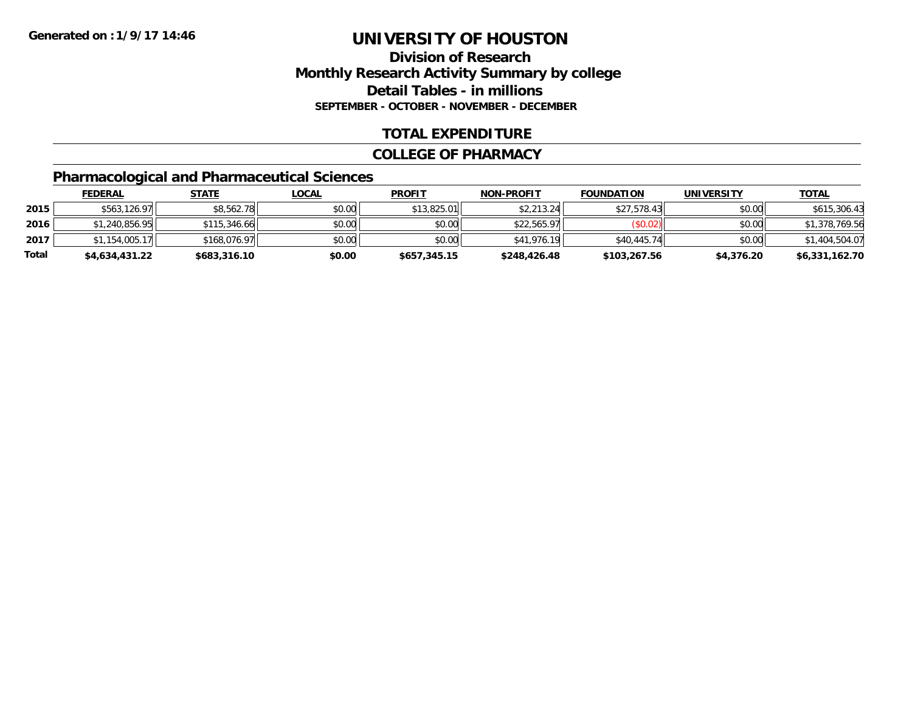### **Division of ResearchMonthly Research Activity Summary by college Detail Tables - in millions SEPTEMBER - OCTOBER - NOVEMBER - DECEMBER**

#### **TOTAL EXPENDITURE**

#### **COLLEGE OF PHARMACY**

### **Pharmacological and Pharmaceutical Sciences**

|       | <u>FEDERAL</u> | <u>STATE</u> | <u>LOCAL</u> | <b>PROFIT</b> | <b>NON-PROFIT</b> | <b>FOUNDATION</b> | <b>UNIVERSITY</b> | <b>TOTAL</b>   |
|-------|----------------|--------------|--------------|---------------|-------------------|-------------------|-------------------|----------------|
| 2015  | \$563,126.97   | \$8,562.78   | \$0.00       | \$13,825.01   | \$2,213.24        | \$27,578.43       | \$0.00            | \$615,306.43   |
| 2016  | \$1,240,856.95 | \$115,346.66 | \$0.00       | \$0.00        | \$22,565.97       | (\$0.02)          | \$0.00            | \$1,378,769.56 |
| 2017  | \$1.154.005.17 | \$168,076.97 | \$0.00       | \$0.00        | \$41,976.19       | \$40,445.74       | \$0.00            | \$1,404,504.07 |
| Total | \$4,634,431.22 | \$683,316.10 | \$0.00       | \$657,345.15  | \$248,426.48      | \$103,267.56      | \$4,376.20        | \$6,331,162.70 |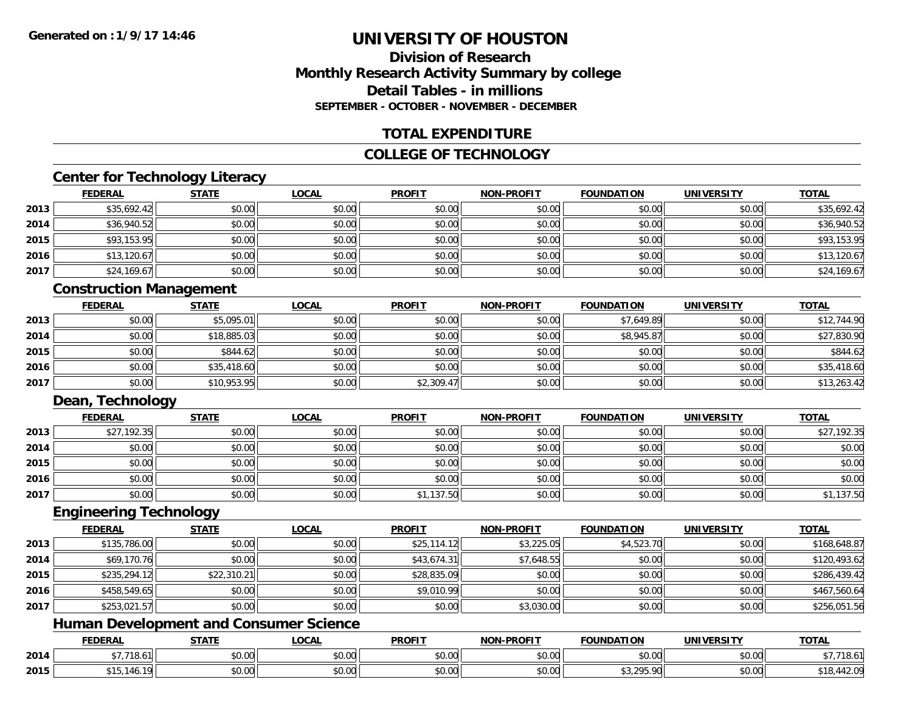#### **Division of ResearchMonthly Research Activity Summary by college Detail Tables - in millionsSEPTEMBER - OCTOBER - NOVEMBER - DECEMBER**

#### **TOTAL EXPENDITURE**

#### **COLLEGE OF TECHNOLOGY**

### **Center for Technology Literacy**

|      | <u>FEDERAL</u> | <b>STATE</b> | <u>LOCAL</u> | <b>PROFIT</b> | <b>NON-PROFIT</b> | <b>FOUNDATION</b> | <b>UNIVERSITY</b> | <u>TOTAL</u> |
|------|----------------|--------------|--------------|---------------|-------------------|-------------------|-------------------|--------------|
| 2013 | \$35,692.42    | \$0.00       | \$0.00       | \$0.00        | \$0.00            | \$0.00            | \$0.00            | \$35,692.42  |
| 2014 | \$36,940.52    | \$0.00       | \$0.00       | \$0.00        | \$0.00            | \$0.00            | \$0.00            | \$36,940.52  |
| 2015 | \$93,153.95    | \$0.00       | \$0.00       | \$0.00        | \$0.00            | \$0.00            | \$0.00            | \$93,153.95  |
| 2016 | \$13,120.67    | \$0.00       | \$0.00       | \$0.00        | \$0.00            | \$0.00            | \$0.00            | \$13,120.67  |
| 2017 | \$24,169.67    | \$0.00       | \$0.00       | \$0.00        | \$0.00            | \$0.00            | \$0.00            | \$24,169.67  |

#### **Construction Management**

|      | <b>FEDERAL</b> | <b>STATE</b> | <b>LOCAL</b> | <b>PROFIT</b> | <b>NON-PROFIT</b> | <b>FOUNDATION</b> | <b>UNIVERSITY</b> | <b>TOTAL</b> |
|------|----------------|--------------|--------------|---------------|-------------------|-------------------|-------------------|--------------|
| 2013 | \$0.00         | \$5,095.01   | \$0.00       | \$0.00        | \$0.00            | \$7,649.89        | \$0.00            | \$12,744.90  |
| 2014 | \$0.00         | \$18,885.03  | \$0.00       | \$0.00        | \$0.00            | \$8,945.87        | \$0.00            | \$27,830.90  |
| 2015 | \$0.00         | \$844.62     | \$0.00       | \$0.00        | \$0.00            | \$0.00            | \$0.00            | \$844.62     |
| 2016 | \$0.00         | \$35,418.60  | \$0.00       | \$0.00        | \$0.00            | \$0.00            | \$0.00            | \$35,418.60  |
| 2017 | \$0.00         | \$10,953.95  | \$0.00       | \$2,309.47    | \$0.00            | \$0.00            | \$0.00            | \$13,263.42  |

#### **Dean, Technology**

|      | <b>FEDERAL</b> | <b>STATE</b> | <b>LOCAL</b> | <b>PROFIT</b> | <b>NON-PROFIT</b> | <b>FOUNDATION</b> | <b>UNIVERSITY</b> | <b>TOTAL</b> |
|------|----------------|--------------|--------------|---------------|-------------------|-------------------|-------------------|--------------|
| 2013 | \$27,192.35    | \$0.00       | \$0.00       | \$0.00        | \$0.00            | \$0.00            | \$0.00            | \$27,192.35  |
| 2014 | \$0.00         | \$0.00       | \$0.00       | \$0.00        | \$0.00            | \$0.00            | \$0.00            | \$0.00       |
| 2015 | \$0.00         | \$0.00       | \$0.00       | \$0.00        | \$0.00            | \$0.00            | \$0.00            | \$0.00       |
| 2016 | \$0.00         | \$0.00       | \$0.00       | \$0.00        | \$0.00            | \$0.00            | \$0.00            | \$0.00       |
| 2017 | \$0.00         | \$0.00       | \$0.00       | \$1,137.50    | \$0.00            | \$0.00            | \$0.00            | \$1,137.50   |

#### **Engineering Technology**

|      | <b>FEDERAL</b> | <b>STATE</b> | <b>LOCAL</b> | <b>PROFIT</b> | <b>NON-PROFIT</b> | <b>FOUNDATION</b> | <b>UNIVERSITY</b> | <b>TOTAL</b> |
|------|----------------|--------------|--------------|---------------|-------------------|-------------------|-------------------|--------------|
| 2013 | \$135,786.00   | \$0.00       | \$0.00       | \$25,114.12   | \$3,225.05        | \$4,523.70        | \$0.00            | \$168,648.87 |
| 2014 | \$69,170.76    | \$0.00       | \$0.00       | \$43,674.31   | \$7,648.55        | \$0.00            | \$0.00            | \$120,493.62 |
| 2015 | \$235,294.12   | \$22,310.21  | \$0.00       | \$28,835.09   | \$0.00            | \$0.00            | \$0.00            | \$286,439.42 |
| 2016 | \$458,549.65   | \$0.00       | \$0.00       | \$9,010.99    | \$0.00            | \$0.00            | \$0.00            | \$467,560.64 |
| 2017 | \$253,021.57   | \$0.00       | \$0.00       | \$0.00        | \$3,030.00        | \$0.00            | \$0.00            | \$256,051.56 |

### **Human Development and Consumer Science**

|      | <b>FEDERAL</b>     | <b>STATE</b>  | <b>_OCAL</b>       | <b>PROFIT</b> | <b>NON-PROFIT</b> | <b>FOUNDATION</b> | <b>UNIVERSITY</b>             | <b>TOTAL</b>           |
|------|--------------------|---------------|--------------------|---------------|-------------------|-------------------|-------------------------------|------------------------|
| 2014 | $+7.710$<br>18.D L | ሖ ^<br>JU.UU  | $\sim$ 00<br>JU.UU | 0000<br>JU.UU | 0.00<br>DU.UU     | \$0.00            | $\sim$ $\sim$<br><b>JU.UU</b> | 7 710<br>718.0         |
| 2015 |                    | 0.00<br>JU.UU | $\sim$ 00<br>vv.vv | 0000<br>JU.UU | 0.00<br>JU.UU     | ed doe ou         | $\sim$ $\sim$<br><b>DU.UG</b> | $\sqrt{2}$<br>. ⊤∠.∪Y' |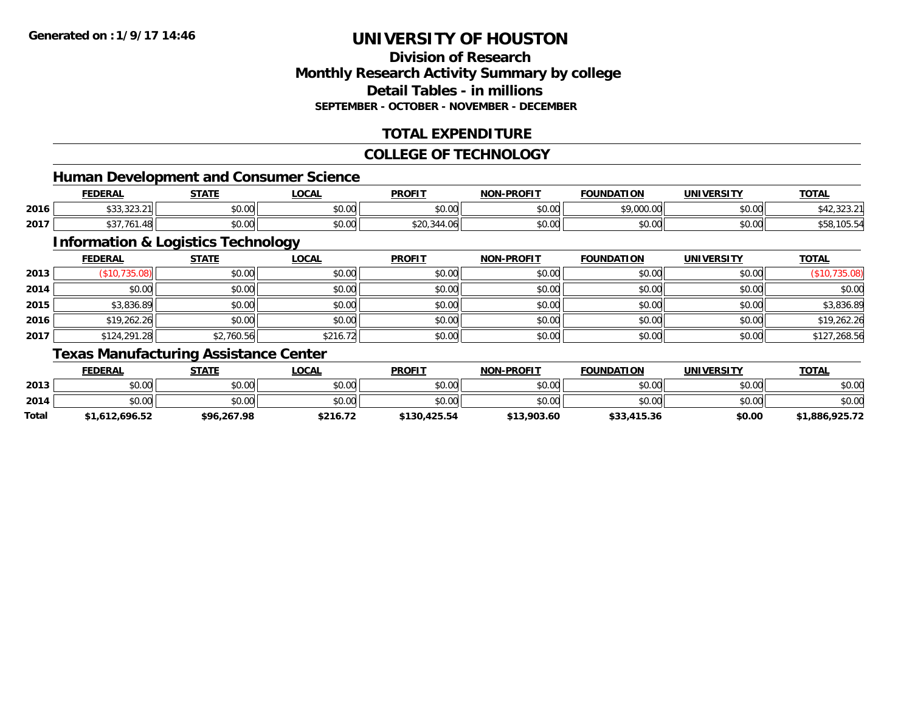#### **Division of ResearchMonthly Research Activity Summary by college Detail Tables - in millionsSEPTEMBER - OCTOBER - NOVEMBER - DECEMBER**

### **TOTAL EXPENDITURE**

#### **COLLEGE OF TECHNOLOGY**

<u> 1980 - Johann Barbara, martxa alemaniar argametra (h. 1980).</u>

### **Human Development and Consumer Science**

|      | <b>FEDERAL</b>        | <b>CTATE</b>  | .OCAL                               | <b>PROFIT</b> | <b>NON-PROFIT</b> | <b>FOUNDATION</b>  | UNIVERSITY | <b>TOTAL</b>                 |
|------|-----------------------|---------------|-------------------------------------|---------------|-------------------|--------------------|------------|------------------------------|
| 2016 | 0.0000<br>ພບບ,ບ∠ວ.∠ ⊞ | 0000<br>DU.UG | $\theta$ $\theta$ $\theta$<br>vu.vu | 0000<br>vv.vv | 0000<br>vv.vv     | 0.0000<br>7.VVV.VV | \$0.00     | $\sim$ $\sim$<br>ハーム いんこいん り |
| 2017 | .761.48<br>$\sim$     | ስ ለሰ<br>DU.UG | 0.00<br><b>DU.UU</b>                |               | 0000<br>PO.OO     | \$0.00             | \$0.00     | ျပ၁                          |

### **Information & Logistics Technology**

|      | <b>FEDERAL</b> | <b>STATE</b> | <b>LOCAL</b> | <b>PROFIT</b> | <b>NON-PROFIT</b> | <b>FOUNDATION</b> | <b>UNIVERSITY</b> | <b>TOTAL</b>  |
|------|----------------|--------------|--------------|---------------|-------------------|-------------------|-------------------|---------------|
| 2013 | (\$10,735.08)  | \$0.00       | \$0.00       | \$0.00        | \$0.00            | \$0.00            | \$0.00            | (\$10,735.08) |
| 2014 | \$0.00         | \$0.00       | \$0.00       | \$0.00        | \$0.00            | \$0.00            | \$0.00            | \$0.00        |
| 2015 | \$3,836.89     | \$0.00       | \$0.00       | \$0.00        | \$0.00            | \$0.00            | \$0.00            | \$3,836.89    |
| 2016 | \$19,262.26    | \$0.00       | \$0.00       | \$0.00        | \$0.00            | \$0.00            | \$0.00            | \$19,262.26   |
| 2017 | \$124,291.28   | \$2,760.56   | \$216.72     | \$0.00        | \$0.00            | \$0.00            | \$0.00            | \$127,268.56  |

### **Texas Manufacturing Assistance Center**

|       | <b>FEDERAL</b> | STATE       | <u>LOCAL</u> | <b>PROFIT</b> | <b>NON-PROFIT</b> | <b>FOUNDATION</b> | UNIVERSITY | <b>TOTAL</b>   |
|-------|----------------|-------------|--------------|---------------|-------------------|-------------------|------------|----------------|
| 2013  | \$0.00         | \$0.00      | \$0.00       | \$0.00        | \$0.00            | \$0.00            | \$0.00     | \$0.00         |
| 2014  | \$0.00         | \$0.00      | \$0.00       | \$0.00        | \$0.00            | \$0.00            | \$0.00     | \$0.00         |
| Total | \$1,612,696.52 | \$96,267.98 | \$216.72     | \$130,425.54  | \$13,903.60       | \$33,415.36       | \$0.00     | \$1,886,925.72 |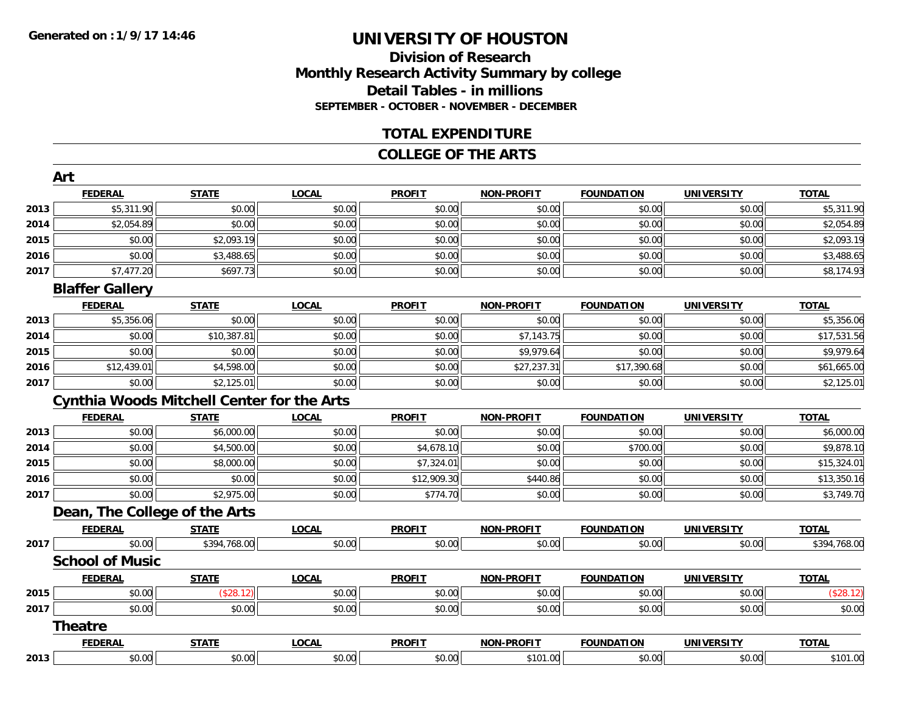### **Division of ResearchMonthly Research Activity Summary by college Detail Tables - in millions SEPTEMBER - OCTOBER - NOVEMBER - DECEMBER**

#### **TOTAL EXPENDITURE**

#### **COLLEGE OF THE ARTS**

|      | Art                    |                                                   |              |               |                   |                   |                   |              |
|------|------------------------|---------------------------------------------------|--------------|---------------|-------------------|-------------------|-------------------|--------------|
|      | <b>FEDERAL</b>         | <b>STATE</b>                                      | <b>LOCAL</b> | <b>PROFIT</b> | NON-PROFIT        | <b>FOUNDATION</b> | <b>UNIVERSITY</b> | <b>TOTAL</b> |
| 2013 | \$5,311.90             | \$0.00                                            | \$0.00       | \$0.00        | \$0.00            | \$0.00            | \$0.00            | \$5,311.90   |
| 2014 | \$2,054.89             | \$0.00                                            | \$0.00       | \$0.00        | \$0.00            | \$0.00            | \$0.00            | \$2,054.89   |
| 2015 | \$0.00                 | \$2,093.19                                        | \$0.00       | \$0.00        | \$0.00            | \$0.00            | \$0.00            | \$2,093.19   |
| 2016 | \$0.00                 | \$3,488.65                                        | \$0.00       | \$0.00        | \$0.00            | \$0.00            | \$0.00            | \$3,488.65   |
| 2017 | \$7,477.20             | \$697.73                                          | \$0.00       | \$0.00        | \$0.00            | \$0.00            | \$0.00            | \$8,174.93   |
|      | <b>Blaffer Gallery</b> |                                                   |              |               |                   |                   |                   |              |
|      | <b>FEDERAL</b>         | <b>STATE</b>                                      | <b>LOCAL</b> | <b>PROFIT</b> | NON-PROFIT        | <b>FOUNDATION</b> | <b>UNIVERSITY</b> | <b>TOTAL</b> |
| 2013 | \$5,356.06             | \$0.00                                            | \$0.00       | \$0.00        | \$0.00            | \$0.00            | \$0.00            | \$5,356.06   |
| 2014 | \$0.00                 | \$10,387.81                                       | \$0.00       | \$0.00        | \$7,143.75        | \$0.00            | \$0.00            | \$17,531.56  |
| 2015 | \$0.00                 | \$0.00                                            | \$0.00       | \$0.00        | \$9,979.64        | \$0.00            | \$0.00            | \$9,979.64   |
| 2016 | \$12,439.01            | \$4,598.00                                        | \$0.00       | \$0.00        | \$27,237.31       | \$17,390.68       | \$0.00            | \$61,665.00  |
| 2017 | \$0.00                 | \$2,125.01                                        | \$0.00       | \$0.00        | \$0.00            | \$0.00            | \$0.00            | \$2,125.01   |
|      |                        | <b>Cynthia Woods Mitchell Center for the Arts</b> |              |               |                   |                   |                   |              |
|      | <b>FEDERAL</b>         | <b>STATE</b>                                      | <b>LOCAL</b> | <b>PROFIT</b> | NON-PROFIT        | <b>FOUNDATION</b> | <b>UNIVERSITY</b> | <b>TOTAL</b> |
| 2013 | \$0.00                 | \$6,000.00                                        | \$0.00       | \$0.00        | \$0.00            | \$0.00            | \$0.00            | \$6,000.00   |
| 2014 | \$0.00                 | \$4,500.00                                        | \$0.00       | \$4,678.10    | \$0.00            | \$700.00          | \$0.00            | \$9,878.10   |
| 2015 | \$0.00                 | \$8,000.00                                        | \$0.00       | \$7,324.01    | \$0.00            | \$0.00            | \$0.00            | \$15,324.01  |
| 2016 | \$0.00                 | \$0.00                                            | \$0.00       | \$12,909.30   | \$440.86          | \$0.00            | \$0.00            | \$13,350.16  |
| 2017 | \$0.00                 | \$2,975.00                                        | \$0.00       | \$774.70      | \$0.00            | \$0.00            | \$0.00            | \$3,749.70   |
|      |                        | Dean, The College of the Arts                     |              |               |                   |                   |                   |              |
|      | <b>FEDERAL</b>         | <b>STATE</b>                                      | <b>LOCAL</b> | <b>PROFIT</b> | <b>NON-PROFIT</b> | <b>FOUNDATION</b> | <b>UNIVERSITY</b> | <b>TOTAL</b> |
| 2017 | \$0.00                 | \$394,768.00                                      | \$0.00       | \$0.00        | \$0.00            | \$0.00            | \$0.00            | \$394,768.00 |
|      | <b>School of Music</b> |                                                   |              |               |                   |                   |                   |              |
|      | <b>FEDERAL</b>         | <b>STATE</b>                                      | <b>LOCAL</b> | <b>PROFIT</b> | <b>NON-PROFIT</b> | <b>FOUNDATION</b> | <b>UNIVERSITY</b> | <b>TOTAL</b> |
| 2015 | \$0.00                 | (S28.12)                                          | \$0.00       | \$0.00        | \$0.00            | \$0.00            | \$0.00            | (\$28.12)    |
| 2017 | \$0.00                 | \$0.00                                            | \$0.00       | \$0.00        | \$0.00            | \$0.00            | \$0.00            | \$0.00       |
|      | Theatre                |                                                   |              |               |                   |                   |                   |              |
|      | <b>FEDERAL</b>         | <b>STATE</b>                                      | <b>LOCAL</b> | <b>PROFIT</b> | NON-PROFIT        | <b>FOUNDATION</b> | <b>UNIVERSITY</b> | <b>TOTAL</b> |
| 2013 | \$0.00                 | \$0.00                                            | \$0.00       | \$0.00        | \$101.00          | \$0.00            | \$0.00            | \$101.00     |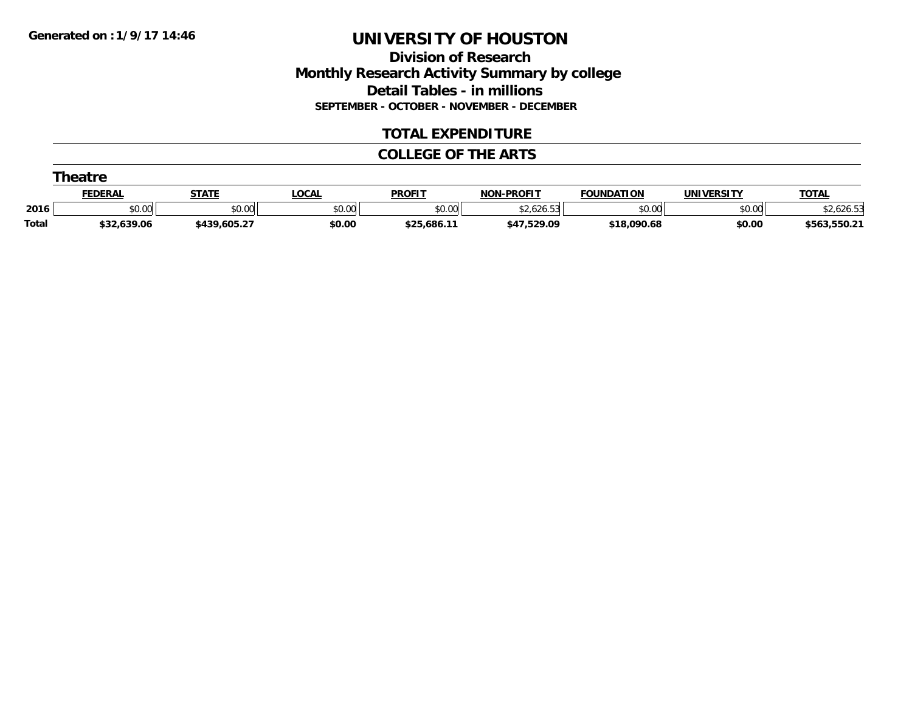**Division of Research Monthly Research Activity Summary by college Detail Tables - in millions SEPTEMBER - OCTOBER - NOVEMBER - DECEMBER**

#### **TOTAL EXPENDITURE**

#### **COLLEGE OF THE ARTS**

|              | Theatre        |              |              |               |                         |                   |                   |              |  |  |  |
|--------------|----------------|--------------|--------------|---------------|-------------------------|-------------------|-------------------|--------------|--|--|--|
|              | <b>FEDERAL</b> | <b>STATE</b> | <b>LOCAL</b> | <b>PROFIT</b> | <b>NON-PROFIT</b>       | <b>FOUNDATION</b> | <b>UNIVERSITY</b> | <b>TOTAL</b> |  |  |  |
| 2016         | \$0.00         | \$0.00       | \$0.00       | \$0.00        | $\sqrt{2}$<br>-2,626.53 | \$0.00            | \$0.00            | .626.53      |  |  |  |
| <b>Total</b> | \$32,639.06    | \$439,605.27 | \$0.00       | \$25,686.11   | \$47,529.09             | \$18,090.68       | \$0.00            | \$563,550.21 |  |  |  |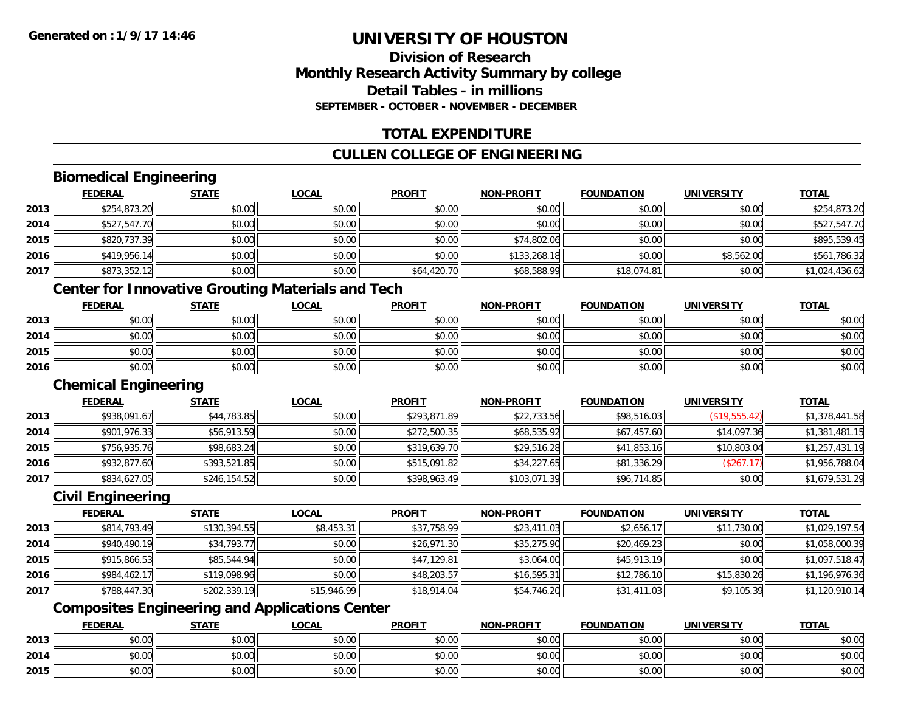#### **Division of ResearchMonthly Research Activity Summary by college Detail Tables - in millionsSEPTEMBER - OCTOBER - NOVEMBER - DECEMBER**

#### **TOTAL EXPENDITURE**

#### **CULLEN COLLEGE OF ENGINEERING**

### **Biomedical Engineering**

|      | <b>FEDERAL</b> | <b>STATE</b> | <u>LOCAL</u> | <b>PROFIT</b> | <b>NON-PROFIT</b> | <b>FOUNDATION</b> | <b>UNIVERSITY</b> | <u>TOTAL</u>   |
|------|----------------|--------------|--------------|---------------|-------------------|-------------------|-------------------|----------------|
| 2013 | \$254,873.20   | \$0.00       | \$0.00       | \$0.00        | \$0.00            | \$0.00            | \$0.00            | \$254,873.20   |
| 2014 | \$527,547.70   | \$0.00       | \$0.00       | \$0.00        | \$0.00            | \$0.00            | \$0.00            | \$527,547.70   |
| 2015 | \$820,737.39   | \$0.00       | \$0.00       | \$0.00        | \$74,802.06       | \$0.00            | \$0.00            | \$895,539.45   |
| 2016 | \$419,956.14   | \$0.00       | \$0.00       | \$0.00        | \$133,268.18      | \$0.00            | \$8,562.00        | \$561,786.32   |
| 2017 | \$873,352.12   | \$0.00       | \$0.00       | \$64,420.70   | \$68,588.99       | \$18,074.81       | \$0.00            | \$1,024,436.62 |

### **Center for Innovative Grouting Materials and Tech**

|      | <u>FEDERAL</u> | <b>STATE</b> | <u>LOCAL</u> | <b>PROFIT</b> | <b>NON-PROFIT</b> | <b>FOUNDATION</b> | <b>UNIVERSITY</b> | <b>TOTAL</b> |
|------|----------------|--------------|--------------|---------------|-------------------|-------------------|-------------------|--------------|
| 2013 | \$0.00         | \$0.00       | \$0.00       | \$0.00        | \$0.00            | \$0.00            | \$0.00            | \$0.00       |
| 2014 | \$0.00         | \$0.00       | \$0.00       | \$0.00        | \$0.00            | \$0.00            | \$0.00            | \$0.00       |
| 2015 | \$0.00         | \$0.00       | \$0.00       | \$0.00        | \$0.00            | \$0.00            | \$0.00            | \$0.00       |
| 2016 | \$0.00         | \$0.00       | \$0.00       | \$0.00        | \$0.00            | \$0.00            | \$0.00            | \$0.00       |

#### **Chemical Engineering**

|      | <b>FEDERAL</b> | <b>STATE</b> | <b>LOCAL</b> | <b>PROFIT</b> | <b>NON-PROFIT</b> | <b>FOUNDATION</b> | <b>UNIVERSITY</b> | <b>TOTAL</b>   |
|------|----------------|--------------|--------------|---------------|-------------------|-------------------|-------------------|----------------|
| 2013 | \$938,091.67   | \$44,783.85  | \$0.00       | \$293,871.89  | \$22,733.56       | \$98,516.03       | (S19, 555.42)     | \$1,378,441.58 |
| 2014 | \$901,976.33   | \$56,913.59  | \$0.00       | \$272,500.35  | \$68,535.92       | \$67,457.60       | \$14,097.36       | \$1,381,481.15 |
| 2015 | \$756,935.76   | \$98,683.24  | \$0.00       | \$319,639.70  | \$29,516.28       | \$41,853.16       | \$10,803.04       | \$1,257,431.19 |
| 2016 | \$932,877.60   | \$393,521.85 | \$0.00       | \$515,091.82  | \$34,227.65       | \$81,336.29       | (\$267.17)        | \$1,956,788.04 |
| 2017 | \$834,627.05   | \$246,154.52 | \$0.00       | \$398,963.49  | \$103,071.39      | \$96,714.85       | \$0.00            | \$1,679,531.29 |

#### **Civil Engineering**

|      | <b>FEDERAL</b> | <b>STATE</b> | <u>LOCAL</u> | <b>PROFIT</b> | <b>NON-PROFIT</b> | <b>FOUNDATION</b> | <b>UNIVERSITY</b> | <b>TOTAL</b>   |
|------|----------------|--------------|--------------|---------------|-------------------|-------------------|-------------------|----------------|
| 2013 | \$814,793.49   | \$130.394.55 | \$8,453.31   | \$37,758.99   | \$23,411.03       | \$2,656.17        | \$11,730.00       | \$1,029,197.54 |
| 2014 | \$940,490.19   | \$34,793.77  | \$0.00       | \$26,971.30   | \$35,275.90       | \$20,469.23       | \$0.00            | \$1,058,000.39 |
| 2015 | \$915,866.53   | \$85,544.94  | \$0.00       | \$47,129.81   | \$3,064.00        | \$45,913.19       | \$0.00            | \$1,097,518.47 |
| 2016 | \$984,462.17   | \$119,098.96 | \$0.00       | \$48,203.57   | \$16,595.31       | \$12,786.10       | \$15,830.26       | \$1,196,976.36 |
| 2017 | \$788,447.30   | \$202,339.19 | \$15,946.99  | \$18,914.04   | \$54,746.20       | \$31,411.03       | \$9,105.39        | \$1,120,910.14 |

### **Composites Engineering and Applications Center**

|      | <b>FEDERAL</b> | <b>STATE</b> | LOCAL          | <b>PROFIT</b> | <b>NON-PROFIT</b> | <b>FOUNDATION</b> | <b>UNIVERSITY</b> | <b>TOTAL</b> |
|------|----------------|--------------|----------------|---------------|-------------------|-------------------|-------------------|--------------|
| 2013 | ቀስ ሰሰ<br>DU.UU | \$0.00       | ስስ ስስ<br>DU.UG | \$0.00        | \$0.00            | \$0.00            | \$0.00            | \$0.00       |
| 2014 | ቀስ ሰስ<br>DU.UU | \$0.00       | ስስ ስስ<br>JU.UU | \$0.00        | \$0.00            | \$0.00            | \$0.00            | \$0.00       |
| 2015 | ልስ ስስ<br>DU.UU | \$0.00       | \$0.00         | \$0.00        | \$0.00            | \$0.00            | \$0.00            | \$0.00       |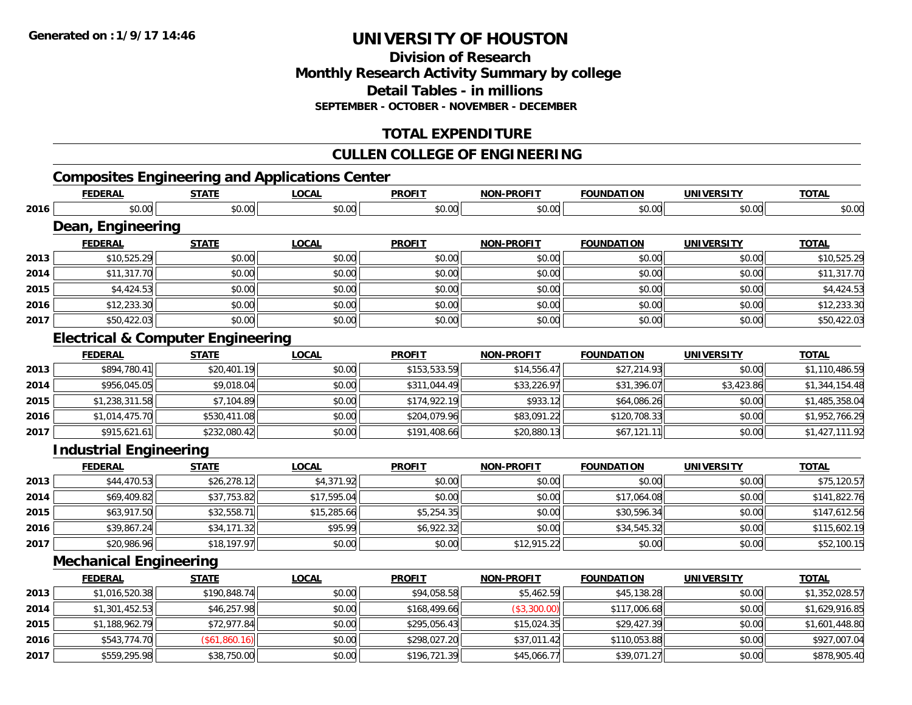**Division of ResearchMonthly Research Activity Summary by college Detail Tables - in millions SEPTEMBER - OCTOBER - NOVEMBER - DECEMBER**

### **TOTAL EXPENDITURE**

#### **CULLEN COLLEGE OF ENGINEERING**

### **Composites Engineering and Applications Center**

|      | <b>FEDERAL</b>                               | <b>STATE</b>  | <b>LOCAL</b> | <b>PROFIT</b> | <b>NON-PROFIT</b> | <b>FOUNDATION</b> | <b>UNIVERSITY</b> | <b>TOTAL</b>   |
|------|----------------------------------------------|---------------|--------------|---------------|-------------------|-------------------|-------------------|----------------|
| 2016 | \$0.00                                       | \$0.00        | \$0.00       | \$0.00        | \$0.00            | \$0.00            | \$0.00            | \$0.00         |
|      | Dean, Engineering                            |               |              |               |                   |                   |                   |                |
|      | <b>FEDERAL</b>                               | <b>STATE</b>  | <b>LOCAL</b> | <b>PROFIT</b> | <b>NON-PROFIT</b> | <b>FOUNDATION</b> | <b>UNIVERSITY</b> | <b>TOTAL</b>   |
| 2013 | \$10,525.29                                  | \$0.00        | \$0.00       | \$0.00        | \$0.00            | \$0.00            | \$0.00            | \$10,525.29    |
| 2014 | \$11,317.70                                  | \$0.00        | \$0.00       | \$0.00        | \$0.00            | \$0.00            | \$0.00            | \$11,317.70    |
| 2015 | \$4,424.53                                   | \$0.00        | \$0.00       | \$0.00        | \$0.00            | \$0.00            | \$0.00            | \$4,424.53     |
| 2016 | \$12,233.30                                  | \$0.00        | \$0.00       | \$0.00        | \$0.00            | \$0.00            | \$0.00            | \$12,233.30    |
| 2017 | \$50,422.03                                  | \$0.00        | \$0.00       | \$0.00        | \$0.00            | \$0.00            | \$0.00            | \$50,422.03    |
|      | <b>Electrical &amp; Computer Engineering</b> |               |              |               |                   |                   |                   |                |
|      | <b>FEDERAL</b>                               | <b>STATE</b>  | <b>LOCAL</b> | <b>PROFIT</b> | <b>NON-PROFIT</b> | <b>FOUNDATION</b> | <b>UNIVERSITY</b> | <b>TOTAL</b>   |
| 2013 | \$894,780.41                                 | \$20,401.19   | \$0.00       | \$153,533.59  | \$14,556.47       | \$27,214.93       | \$0.00            | \$1,110,486.59 |
| 2014 | \$956,045.05                                 | \$9,018.04    | \$0.00       | \$311,044.49  | \$33,226.97       | \$31,396.07       | \$3,423.86        | \$1,344,154.48 |
| 2015 | \$1,238,311.58                               | \$7,104.89    | \$0.00       | \$174,922.19  | \$933.12          | \$64,086.26       | \$0.00            | \$1,485,358.04 |
| 2016 | \$1,014,475.70                               | \$530,411.08  | \$0.00       | \$204,079.96  | \$83,091.22       | \$120,708.33      | \$0.00            | \$1,952,766.29 |
| 2017 | \$915,621.61                                 | \$232,080.42  | \$0.00       | \$191,408.66  | \$20,880.13       | \$67,121.11       | \$0.00            | \$1,427,111.92 |
|      | <b>Industrial Engineering</b>                |               |              |               |                   |                   |                   |                |
|      | <b>FEDERAL</b>                               | <b>STATE</b>  | <b>LOCAL</b> | <b>PROFIT</b> | <b>NON-PROFIT</b> | <b>FOUNDATION</b> | <b>UNIVERSITY</b> | <b>TOTAL</b>   |
| 2013 | \$44,470.53                                  | \$26,278.12   | \$4,371.92   | \$0.00        | \$0.00            | \$0.00            | \$0.00            | \$75,120.57    |
| 2014 | \$69,409.82                                  | \$37,753.82   | \$17,595.04  | \$0.00        | \$0.00            | \$17,064.08       | \$0.00            | \$141,822.76   |
| 2015 | \$63,917.50                                  | \$32,558.71   | \$15,285.66  | \$5,254.35    | \$0.00            | \$30,596.34       | \$0.00            | \$147,612.56   |
| 2016 | \$39,867.24                                  | \$34,171.32   | \$95.99      | \$6,922.32    | \$0.00            | \$34,545.32       | \$0.00            | \$115,602.19   |
| 2017 | \$20,986.96                                  | \$18,197.97   | \$0.00       | \$0.00        | \$12,915.22       | \$0.00            | \$0.00            | \$52,100.15    |
|      | <b>Mechanical Engineering</b>                |               |              |               |                   |                   |                   |                |
|      | <b>FEDERAL</b>                               | <b>STATE</b>  | <b>LOCAL</b> | <b>PROFIT</b> | <b>NON-PROFIT</b> | <b>FOUNDATION</b> | <b>UNIVERSITY</b> | <b>TOTAL</b>   |
| 2013 | \$1,016,520.38                               | \$190,848.74  | \$0.00       | \$94,058.58   | \$5,462.59        | \$45,138.28       | \$0.00            | \$1,352,028.57 |
| 2014 | \$1,301,452.53                               | \$46,257.98   | \$0.00       | \$168,499.66  | (\$3,300.00)      | \$117,006.68      | \$0.00            | \$1,629,916.85 |
| 2015 | \$1,188,962.79                               | \$72,977.84   | \$0.00       | \$295,056.43  | \$15,024.35       | \$29,427.39       | \$0.00            | \$1,601,448.80 |
| 2016 | \$543,774.70                                 | (\$61,860.16) | \$0.00       | \$298,027.20  | \$37,011.42       | \$110,053.88      | \$0.00            | \$927,007.04   |
| 2017 | \$559,295.98                                 | \$38,750.00   | \$0.00       | \$196,721.39  | \$45,066.77       | \$39,071.27       | \$0.00            | \$878,905.40   |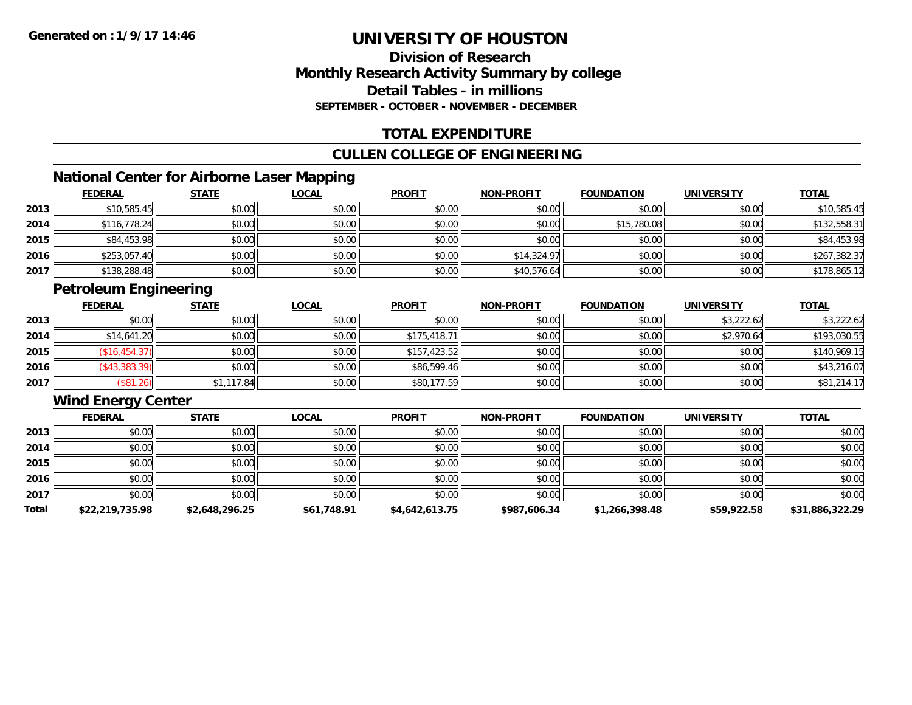#### **Division of ResearchMonthly Research Activity Summary by college Detail Tables - in millionsSEPTEMBER - OCTOBER - NOVEMBER - DECEMBER**

### **TOTAL EXPENDITURE**

#### **CULLEN COLLEGE OF ENGINEERING**

### **National Center for Airborne Laser Mapping**

|      | <b>FEDERAL</b> | <b>STATE</b> | <b>LOCAL</b> | <b>PROFIT</b> | <b>NON-PROFIT</b> | <b>FOUNDATION</b> | <b>UNIVERSITY</b> | <b>TOTAL</b> |
|------|----------------|--------------|--------------|---------------|-------------------|-------------------|-------------------|--------------|
| 2013 | \$10,585.45    | \$0.00       | \$0.00       | \$0.00        | \$0.00            | \$0.00            | \$0.00            | \$10,585.45  |
| 2014 | \$116,778.24   | \$0.00       | \$0.00       | \$0.00        | \$0.00            | \$15,780.08       | \$0.00            | \$132,558.31 |
| 2015 | \$84,453.98    | \$0.00       | \$0.00       | \$0.00        | \$0.00            | \$0.00            | \$0.00            | \$84,453.98  |
| 2016 | \$253,057.40   | \$0.00       | \$0.00       | \$0.00        | \$14,324.97       | \$0.00            | \$0.00            | \$267,382.37 |
| 2017 | \$138,288.48   | \$0.00       | \$0.00       | \$0.00        | \$40,576.64       | \$0.00            | \$0.00            | \$178,865.12 |

### **Petroleum Engineering**

|      | <b>FEDERAL</b> | <b>STATE</b> | <u>LOCAL</u> | <b>PROFIT</b> | <b>NON-PROFIT</b> | <b>FOUNDATION</b> | <b>UNIVERSITY</b> | <b>TOTAL</b> |
|------|----------------|--------------|--------------|---------------|-------------------|-------------------|-------------------|--------------|
| 2013 | \$0.00         | \$0.00       | \$0.00       | \$0.00        | \$0.00            | \$0.00            | \$3,222.62        | \$3,222.62   |
| 2014 | \$14,641.20    | \$0.00       | \$0.00       | \$175,418.71  | \$0.00            | \$0.00            | \$2,970.64        | \$193,030.55 |
| 2015 | (\$16,454.37)  | \$0.00       | \$0.00       | \$157,423.52  | \$0.00            | \$0.00            | \$0.00            | \$140,969.15 |
| 2016 | (\$43,383.39)  | \$0.00       | \$0.00       | \$86,599.46   | \$0.00            | \$0.00            | \$0.00            | \$43,216.07  |
| 2017 | (\$81.26)      | \$1,117.84   | \$0.00       | \$80,177.59   | \$0.00            | \$0.00            | \$0.00            | \$81,214.17  |

#### **Wind Energy Center**

|       | <b>FEDERAL</b>  | <b>STATE</b>   | <b>LOCAL</b> | <b>PROFIT</b>  | <b>NON-PROFIT</b> | <b>FOUNDATION</b> | <b>UNIVERSITY</b> | <b>TOTAL</b>    |
|-------|-----------------|----------------|--------------|----------------|-------------------|-------------------|-------------------|-----------------|
| 2013  | \$0.00          | \$0.00         | \$0.00       | \$0.00         | \$0.00            | \$0.00            | \$0.00            | \$0.00          |
| 2014  | \$0.00          | \$0.00         | \$0.00       | \$0.00         | \$0.00            | \$0.00            | \$0.00            | \$0.00          |
| 2015  | \$0.00          | \$0.00         | \$0.00       | \$0.00         | \$0.00            | \$0.00            | \$0.00            | \$0.00          |
| 2016  | \$0.00          | \$0.00         | \$0.00       | \$0.00         | \$0.00            | \$0.00            | \$0.00            | \$0.00          |
| 2017  | \$0.00          | \$0.00         | \$0.00       | \$0.00         | \$0.00            | \$0.00            | \$0.00            | \$0.00          |
| Total | \$22,219,735.98 | \$2,648,296.25 | \$61,748.91  | \$4,642,613.75 | \$987,606.34      | \$1,266,398.48    | \$59,922.58       | \$31,886,322.29 |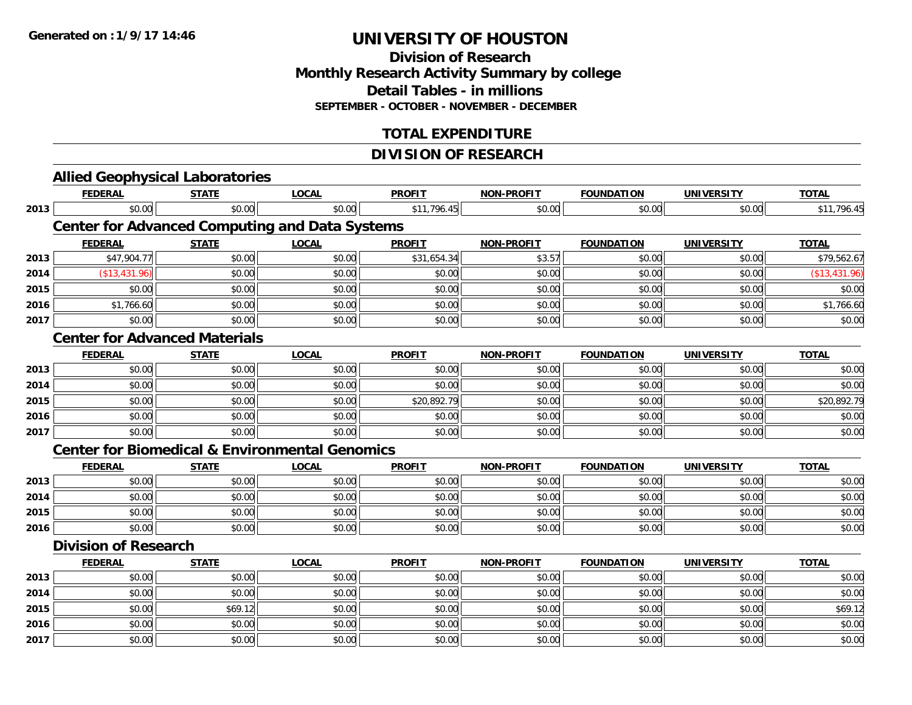#### **Division of Research Monthly Research Activity Summary by college Detail Tables - in millions SEPTEMBER - OCTOBER - NOVEMBER - DECEMBER**

### **TOTAL EXPENDITURE**

### **DIVISION OF RESEARCH**

|      |                             | <b>Allied Geophysical Laboratories</b>                    |              |               |                   |                   |                   |               |
|------|-----------------------------|-----------------------------------------------------------|--------------|---------------|-------------------|-------------------|-------------------|---------------|
|      | <b>FEDERAL</b>              | <b>STATE</b>                                              | <b>LOCAL</b> | <b>PROFIT</b> | NON-PROFIT        | <b>FOUNDATION</b> | <b>UNIVERSITY</b> | <b>TOTAL</b>  |
| 2013 | \$0.00                      | \$0.00                                                    | \$0.00       | \$11,796.45   | \$0.00            | \$0.00            | \$0.00            | \$11,796.45   |
|      |                             | <b>Center for Advanced Computing and Data Systems</b>     |              |               |                   |                   |                   |               |
|      | <b>FEDERAL</b>              | <b>STATE</b>                                              | <b>LOCAL</b> | <b>PROFIT</b> | <b>NON-PROFIT</b> | <b>FOUNDATION</b> | <b>UNIVERSITY</b> | <b>TOTAL</b>  |
| 2013 | \$47,904.77                 | \$0.00                                                    | \$0.00       | \$31,654.34   | \$3.57            | \$0.00            | \$0.00            | \$79,562.67   |
| 2014 | (\$13,431.96)               | \$0.00                                                    | \$0.00       | \$0.00        | \$0.00            | \$0.00            | \$0.00            | (\$13,431.96) |
| 2015 | \$0.00                      | \$0.00                                                    | \$0.00       | \$0.00        | \$0.00            | \$0.00            | \$0.00            | \$0.00        |
| 2016 | \$1,766.60                  | \$0.00                                                    | \$0.00       | \$0.00        | \$0.00            | \$0.00            | \$0.00            | \$1,766.60    |
| 2017 | \$0.00                      | \$0.00                                                    | \$0.00       | \$0.00        | \$0.00            | \$0.00            | \$0.00            | \$0.00        |
|      |                             | <b>Center for Advanced Materials</b>                      |              |               |                   |                   |                   |               |
|      | <b>FEDERAL</b>              | <b>STATE</b>                                              | <b>LOCAL</b> | <b>PROFIT</b> | <b>NON-PROFIT</b> | <b>FOUNDATION</b> | <b>UNIVERSITY</b> | <b>TOTAL</b>  |
| 2013 | \$0.00                      | \$0.00                                                    | \$0.00       | \$0.00        | \$0.00            | \$0.00            | \$0.00            | \$0.00        |
| 2014 | \$0.00                      | \$0.00                                                    | \$0.00       | \$0.00        | \$0.00            | \$0.00            | \$0.00            | \$0.00        |
| 2015 | \$0.00                      | \$0.00                                                    | \$0.00       | \$20,892.79   | \$0.00            | \$0.00            | \$0.00            | \$20,892.79   |
| 2016 | \$0.00                      | \$0.00                                                    | \$0.00       | \$0.00        | \$0.00            | \$0.00            | \$0.00            | \$0.00        |
| 2017 | \$0.00                      | \$0.00                                                    | \$0.00       | \$0.00        | \$0.00            | \$0.00            | \$0.00            | \$0.00        |
|      |                             | <b>Center for Biomedical &amp; Environmental Genomics</b> |              |               |                   |                   |                   |               |
|      | <b>FEDERAL</b>              | <b>STATE</b>                                              | <b>LOCAL</b> | <b>PROFIT</b> | <b>NON-PROFIT</b> | <b>FOUNDATION</b> | <b>UNIVERSITY</b> | <b>TOTAL</b>  |
| 2013 | \$0.00                      | \$0.00                                                    | \$0.00       | \$0.00        | \$0.00            | \$0.00            | \$0.00            | \$0.00        |
| 2014 | \$0.00                      | \$0.00                                                    | \$0.00       | \$0.00        | \$0.00            | \$0.00            | \$0.00            | \$0.00        |
| 2015 | \$0.00                      | \$0.00                                                    | \$0.00       | \$0.00        | \$0.00            | \$0.00            | \$0.00            | \$0.00        |
| 2016 | \$0.00                      | \$0.00                                                    | \$0.00       | \$0.00        | \$0.00            | \$0.00            | \$0.00            | \$0.00        |
|      | <b>Division of Research</b> |                                                           |              |               |                   |                   |                   |               |
|      | <b>FEDERAL</b>              | <b>STATE</b>                                              | <b>LOCAL</b> | <b>PROFIT</b> | <b>NON-PROFIT</b> | <b>FOUNDATION</b> | <b>UNIVERSITY</b> | <b>TOTAL</b>  |
| 2013 | \$0.00                      | \$0.00                                                    | \$0.00       | \$0.00        | \$0.00            | \$0.00            | \$0.00            | \$0.00        |
| 2014 | \$0.00                      | \$0.00                                                    | \$0.00       | \$0.00        | \$0.00            | \$0.00            | \$0.00            | \$0.00        |
| 2015 | \$0.00                      | \$69.12                                                   | \$0.00       | \$0.00        | \$0.00            | \$0.00            | \$0.00            | \$69.12       |
| 2016 | \$0.00                      | \$0.00                                                    | \$0.00       | \$0.00        | \$0.00            | \$0.00            | \$0.00            | \$0.00        |
| 2017 | \$0.00                      | \$0.00                                                    | \$0.00       | \$0.00        | \$0.00            | \$0.00            | \$0.00            | \$0.00        |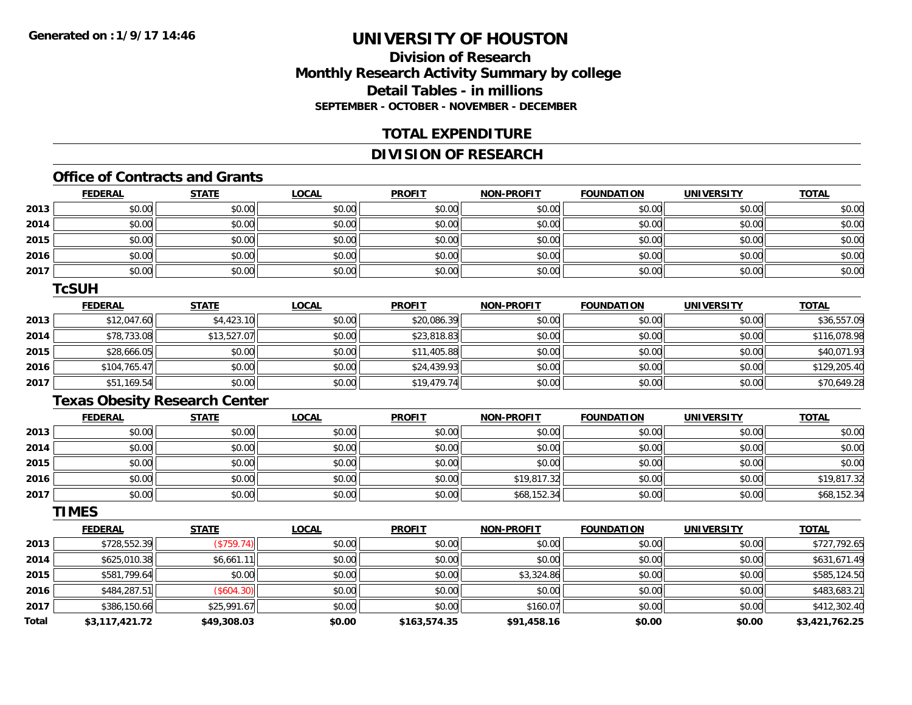### **Division of ResearchMonthly Research Activity Summary by college Detail Tables - in millionsSEPTEMBER - OCTOBER - NOVEMBER - DECEMBER**

#### **TOTAL EXPENDITURE**

#### **DIVISION OF RESEARCH**

### **Office of Contracts and Grants**

|      | <b>FEDERAL</b> | <b>STATE</b> | <u>LOCAL</u> | <b>PROFIT</b> | <b>NON-PROFIT</b> | <b>FOUNDATION</b> | <b>UNIVERSITY</b> | <b>TOTAL</b> |
|------|----------------|--------------|--------------|---------------|-------------------|-------------------|-------------------|--------------|
| 2013 | \$0.00         | \$0.00       | \$0.00       | \$0.00        | \$0.00            | \$0.00            | \$0.00            | \$0.00       |
| 2014 | \$0.00         | \$0.00       | \$0.00       | \$0.00        | \$0.00            | \$0.00            | \$0.00            | \$0.00       |
| 2015 | \$0.00         | \$0.00       | \$0.00       | \$0.00        | \$0.00            | \$0.00            | \$0.00            | \$0.00       |
| 2016 | \$0.00         | \$0.00       | \$0.00       | \$0.00        | \$0.00            | \$0.00            | \$0.00            | \$0.00       |
| 2017 | \$0.00         | \$0.00       | \$0.00       | \$0.00        | \$0.00            | \$0.00            | \$0.00            | \$0.00       |

#### **TcSUH**

|      | <u>FEDERAL</u> | <b>STATE</b> | <u>LOCAL</u> | <b>PROFIT</b> | <b>NON-PROFIT</b> | <b>FOUNDATION</b> | <b>UNIVERSITY</b> | <b>TOTAL</b> |
|------|----------------|--------------|--------------|---------------|-------------------|-------------------|-------------------|--------------|
| 2013 | \$12,047.60    | \$4,423.10   | \$0.00       | \$20,086.39   | \$0.00            | \$0.00            | \$0.00            | \$36,557.09  |
| 2014 | \$78,733.08    | \$13,527.07  | \$0.00       | \$23,818.83   | \$0.00            | \$0.00            | \$0.00            | \$116,078.98 |
| 2015 | \$28,666.05    | \$0.00       | \$0.00       | \$11,405.88   | \$0.00            | \$0.00            | \$0.00            | \$40,071.93  |
| 2016 | \$104,765.47   | \$0.00       | \$0.00       | \$24,439.93   | \$0.00            | \$0.00            | \$0.00            | \$129,205.40 |
| 2017 | \$51,169.54    | \$0.00       | \$0.00       | \$19,479.74   | \$0.00            | \$0.00            | \$0.00            | \$70,649.28  |

### **Texas Obesity Research Center**

|      | <u>FEDERAL</u> | <u>STATE</u> | <u>LOCAL</u> | <b>PROFIT</b> | <b>NON-PROFIT</b> | <b>FOUNDATION</b> | <b>UNIVERSITY</b> | <b>TOTAL</b> |
|------|----------------|--------------|--------------|---------------|-------------------|-------------------|-------------------|--------------|
| 2013 | \$0.00         | \$0.00       | \$0.00       | \$0.00        | \$0.00            | \$0.00            | \$0.00            | \$0.00       |
| 2014 | \$0.00         | \$0.00       | \$0.00       | \$0.00        | \$0.00            | \$0.00            | \$0.00            | \$0.00       |
| 2015 | \$0.00         | \$0.00       | \$0.00       | \$0.00        | \$0.00            | \$0.00            | \$0.00            | \$0.00       |
| 2016 | \$0.00         | \$0.00       | \$0.00       | \$0.00        | \$19,817.32       | \$0.00            | \$0.00            | \$19,817.32  |
| 2017 | \$0.00         | \$0.00       | \$0.00       | \$0.00        | \$68,152.34       | \$0.00            | \$0.00            | \$68,152.34  |

#### **TIMES**

|              | <b>FEDERAL</b> | <b>STATE</b> | <u>LOCAL</u> | <b>PROFIT</b> | <b>NON-PROFIT</b> | <b>FOUNDATION</b> | <b>UNIVERSITY</b> | <b>TOTAL</b>   |
|--------------|----------------|--------------|--------------|---------------|-------------------|-------------------|-------------------|----------------|
| 2013         | \$728,552.39   | (\$759.74)   | \$0.00       | \$0.00        | \$0.00            | \$0.00            | \$0.00            | \$727,792.65   |
| 2014         | \$625,010.38   | \$6,661.11   | \$0.00       | \$0.00        | \$0.00            | \$0.00            | \$0.00            | \$631,671.49   |
| 2015         | \$581,799.64   | \$0.00       | \$0.00       | \$0.00        | \$3,324.86        | \$0.00            | \$0.00            | \$585,124.50   |
| 2016         | \$484,287.51   | (S604.30)    | \$0.00       | \$0.00        | \$0.00            | \$0.00            | \$0.00            | \$483,683.21   |
| 2017         | \$386,150.66   | \$25,991.67  | \$0.00       | \$0.00        | \$160.07          | \$0.00            | \$0.00            | \$412,302.40   |
| <b>Total</b> | \$3,117,421.72 | \$49,308.03  | \$0.00       | \$163,574.35  | \$91,458.16       | \$0.00            | \$0.00            | \$3,421,762.25 |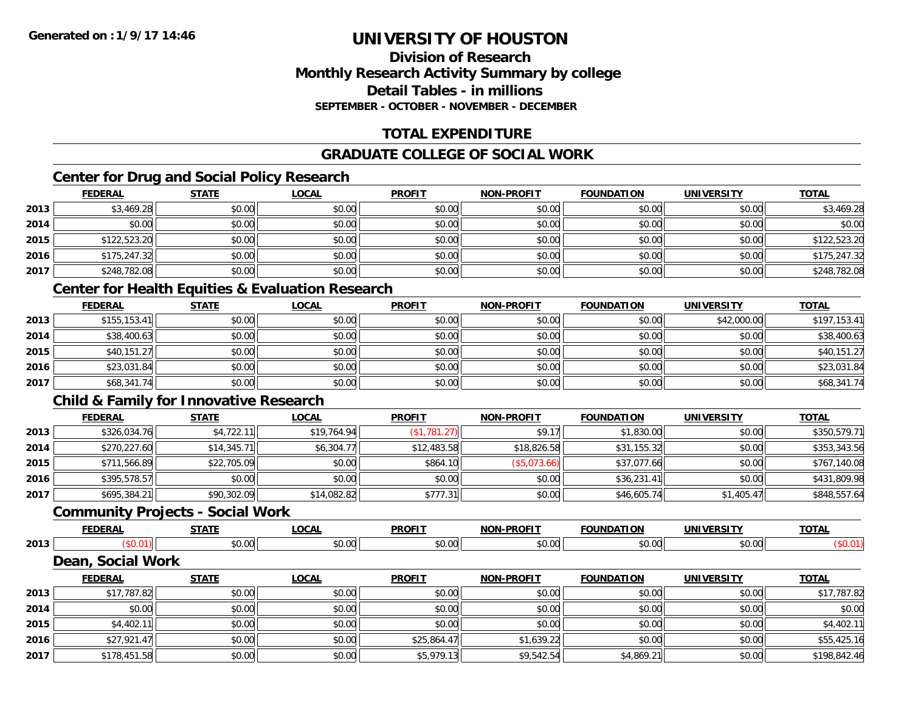#### **Division of ResearchMonthly Research Activity Summary by college Detail Tables - in millions SEPTEMBER - OCTOBER - NOVEMBER - DECEMBER**

### **TOTAL EXPENDITURE**

### **GRADUATE COLLEGE OF SOCIAL WORK**

### **Center for Drug and Social Policy Research**

|      | <b>FEDERAL</b> | <b>STATE</b> | <b>LOCAL</b> | <b>PROFIT</b> | <b>NON-PROFIT</b> | <b>FOUNDATION</b> | <b>UNIVERSITY</b> | <b>TOTAL</b> |
|------|----------------|--------------|--------------|---------------|-------------------|-------------------|-------------------|--------------|
| 2013 | \$3,469.28     | \$0.00       | \$0.00       | \$0.00        | \$0.00            | \$0.00            | \$0.00            | \$3,469.28   |
| 2014 | \$0.00         | \$0.00       | \$0.00       | \$0.00        | \$0.00            | \$0.00            | \$0.00            | \$0.00       |
| 2015 | \$122,523.20   | \$0.00       | \$0.00       | \$0.00        | \$0.00            | \$0.00            | \$0.00            | \$122,523.20 |
| 2016 | \$175,247.32   | \$0.00       | \$0.00       | \$0.00        | \$0.00            | \$0.00            | \$0.00            | \$175,247.32 |
| 2017 | \$248,782.08   | \$0.00       | \$0.00       | \$0.00        | \$0.00            | \$0.00            | \$0.00            | \$248,782.08 |

### **Center for Health Equities & Evaluation Research**

|      | <b>FEDERAL</b> | <b>STATE</b> | <b>LOCAL</b> | <b>PROFIT</b> | <b>NON-PROFIT</b> | <b>FOUNDATION</b> | <b>UNIVERSITY</b> | <b>TOTAL</b> |
|------|----------------|--------------|--------------|---------------|-------------------|-------------------|-------------------|--------------|
| 2013 | \$155, 153.41  | \$0.00       | \$0.00       | \$0.00        | \$0.00            | \$0.00            | \$42,000.00       | \$197,153.41 |
| 2014 | \$38,400.63    | \$0.00       | \$0.00       | \$0.00        | \$0.00            | \$0.00            | \$0.00            | \$38,400.63  |
| 2015 | \$40,151.27    | \$0.00       | \$0.00       | \$0.00        | \$0.00            | \$0.00            | \$0.00            | \$40,151.27  |
| 2016 | \$23,031.84    | \$0.00       | \$0.00       | \$0.00        | \$0.00            | \$0.00            | \$0.00            | \$23,031.84  |
| 2017 | \$68,341.74    | \$0.00       | \$0.00       | \$0.00        | \$0.00            | \$0.00            | \$0.00            | \$68,341.74  |

### **Child & Family for Innovative Research**

|      | <b>FEDERAL</b> | <u>STATE</u> | <b>LOCAL</b> | <b>PROFIT</b>   | <b>NON-PROFIT</b> | <b>FOUNDATION</b> | <b>UNIVERSITY</b> | <b>TOTAL</b> |
|------|----------------|--------------|--------------|-----------------|-------------------|-------------------|-------------------|--------------|
| 2013 | \$326,034.76   | \$4,722.11   | \$19,764.94  | $($ \$1,781.27) | \$9.17            | \$1,830.00        | \$0.00            | \$350,579.71 |
| 2014 | \$270,227.60   | \$14,345.71  | \$6,304.77   | \$12,483.58     | \$18,826.58       | \$31,155.32       | \$0.00            | \$353,343.56 |
| 2015 | \$711,566.89   | \$22,705.09  | \$0.00       | \$864.10        | (S5,073.66)       | \$37,077.66       | \$0.00            | \$767,140.08 |
| 2016 | \$395,578.57   | \$0.00       | \$0.00       | \$0.00          | \$0.00            | \$36,231.41       | \$0.00            | \$431,809.98 |
| 2017 | \$695,384.21   | \$90,302.09  | \$14,082.82  | \$777.31        | \$0.00            | \$46,605.74       | \$1,405.47        | \$848,557.64 |

#### **Community Projects - Social Work**

|           | <b>FEDERAL</b>    | <b>STATE</b>         | LOCAL        | <b>PROFIT</b>        | <b>NON-PROFIT</b> | <b>FOUNDATION</b> | <b>UNIVERSITY</b>    | <b>TOTAL</b> |
|-----------|-------------------|----------------------|--------------|----------------------|-------------------|-------------------|----------------------|--------------|
| 2013      | \$0.01            | \$0.00               | \$0.00       | \$0.00               | \$0.00            | \$0.00            | \$0.00               | (\$0.01)     |
|           | Dean, Social Work |                      |              |                      |                   |                   |                      |              |
|           | <b>FEDERAL</b>    | STATI                | <b>LOCAL</b> | <b>PROFIT</b>        | <b>NON-PROFIT</b> | <b>FOUNDATION</b> | UNIVERSITY           | <b>TOTAL</b> |
| $- - - -$ | $\cdots$          | $\sim$ $\sim$ $\sim$ | $\cdots$     | $\sim$ $\sim$ $\sim$ | $\cdots$          | الممد             | $\sim$ $\sim$ $\sim$ | $\cdots$     |

| 2013 | \$17,787.82  | \$0.00 | \$0.00 | \$0.00      | \$0.00     | \$0.00     | \$0.00 | \$17,787.82  |
|------|--------------|--------|--------|-------------|------------|------------|--------|--------------|
| 2014 | \$0.00       | \$0.00 | \$0.00 | \$0.00      | \$0.00     | \$0.00     | \$0.00 | \$0.00       |
| 2015 | \$4,402.11   | \$0.00 | \$0.00 | \$0.00      | \$0.00     | \$0.00     | \$0.00 | \$4,402.11   |
| 2016 | \$27,921.47  | \$0.00 | \$0.00 | \$25,864.47 | \$1,639.22 | \$0.00     | \$0.00 | \$55,425.16  |
| 2017 | \$178,451.58 | \$0.00 | \$0.00 | \$5,979.13  | \$9,542.54 | \$4,869.21 | \$0.00 | \$198,842.46 |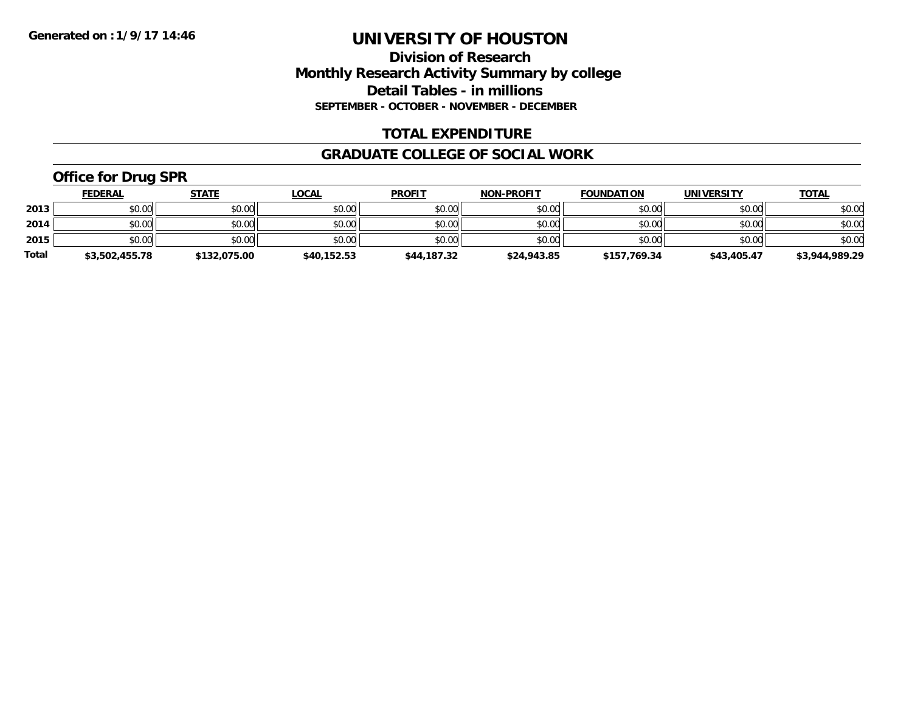#### **Division of Research Monthly Research Activity Summary by college Detail Tables - in millions SEPTEMBER - OCTOBER - NOVEMBER - DECEMBER**

#### **TOTAL EXPENDITURE**

#### **GRADUATE COLLEGE OF SOCIAL WORK**

### **Office for Drug SPR**

|              | <b>FEDERAL</b> | <u>STATE</u> | <u>LOCAL</u> | <b>PROFIT</b> | <b>NON-PROFIT</b> | <b>FOUNDATION</b> | <b>UNIVERSITY</b> | <b>TOTAL</b>   |
|--------------|----------------|--------------|--------------|---------------|-------------------|-------------------|-------------------|----------------|
| 2013         | \$0.00         | \$0.00       | \$0.00       | \$0.00        | \$0.00            | \$0.00            | \$0.00            | \$0.00         |
| 2014         | \$0.00         | \$0.00       | \$0.00       | \$0.00        | \$0.00            | \$0.00            | \$0.00            | \$0.00         |
| 2015         | \$0.00         | \$0.00       | \$0.00       | \$0.00        | \$0.00            | \$0.00            | \$0.00            | \$0.00         |
| <b>Total</b> | \$3,502,455.78 | \$132,075.00 | \$40,152.53  | \$44,187.32   | \$24,943.85       | \$157,769.34      | \$43,405.47       | \$3,944,989.29 |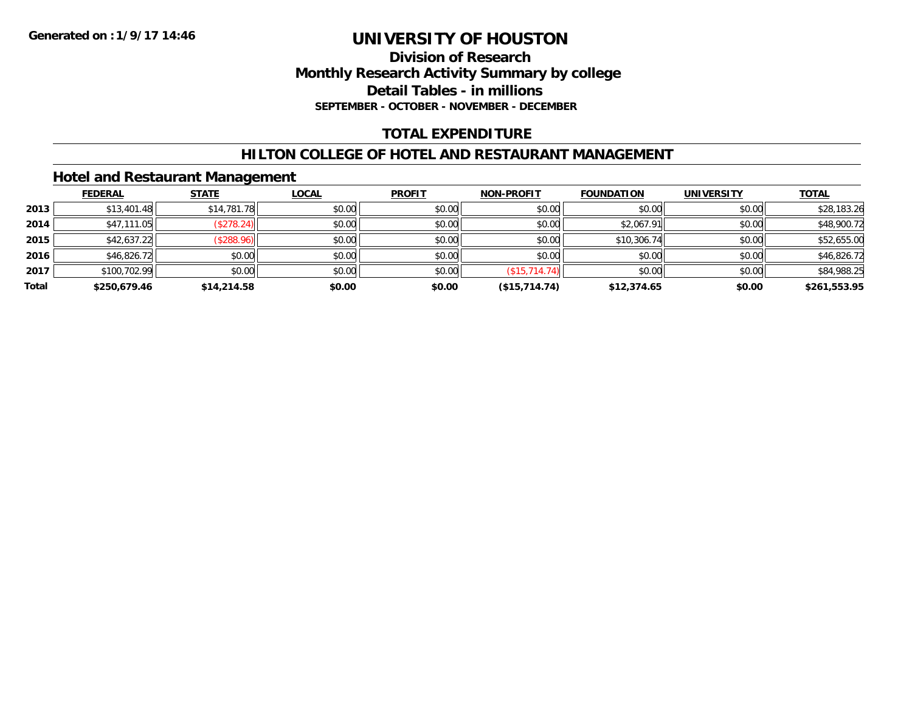#### **Division of Research Monthly Research Activity Summary by college Detail Tables - in millions SEPTEMBER - OCTOBER - NOVEMBER - DECEMBER**

### **TOTAL EXPENDITURE**

#### **HILTON COLLEGE OF HOTEL AND RESTAURANT MANAGEMENT**

#### **Hotel and Restaurant Management**

|       | <b>FEDERAL</b> | <b>STATE</b> | <b>LOCAL</b> | <b>PROFIT</b> | <b>NON-PROFIT</b> | <b>FOUNDATION</b> | <b>UNIVERSITY</b> | <b>TOTAL</b> |
|-------|----------------|--------------|--------------|---------------|-------------------|-------------------|-------------------|--------------|
| 2013  | \$13,401.48    | \$14,781.78  | \$0.00       | \$0.00        | \$0.00            | \$0.00            | \$0.00            | \$28,183.26  |
| 2014  | \$47,111.05    | (\$278.24)   | \$0.00       | \$0.00        | \$0.00            | \$2,067.91        | \$0.00            | \$48,900.72  |
| 2015  | \$42,637.22    | (\$288.96)   | \$0.00       | \$0.00        | \$0.00            | \$10,306.74       | \$0.00            | \$52,655.00  |
| 2016  | \$46,826.72    | \$0.00       | \$0.00       | \$0.00        | \$0.00            | \$0.00            | \$0.00            | \$46,826.72  |
| 2017  | \$100,702.99   | \$0.00       | \$0.00       | \$0.00        | (\$15,714.74)     | \$0.00            | \$0.00            | \$84,988.25  |
| Total | \$250,679.46   | \$14,214.58  | \$0.00       | \$0.00        | (\$15,714.74)     | \$12,374.65       | \$0.00            | \$261,553.95 |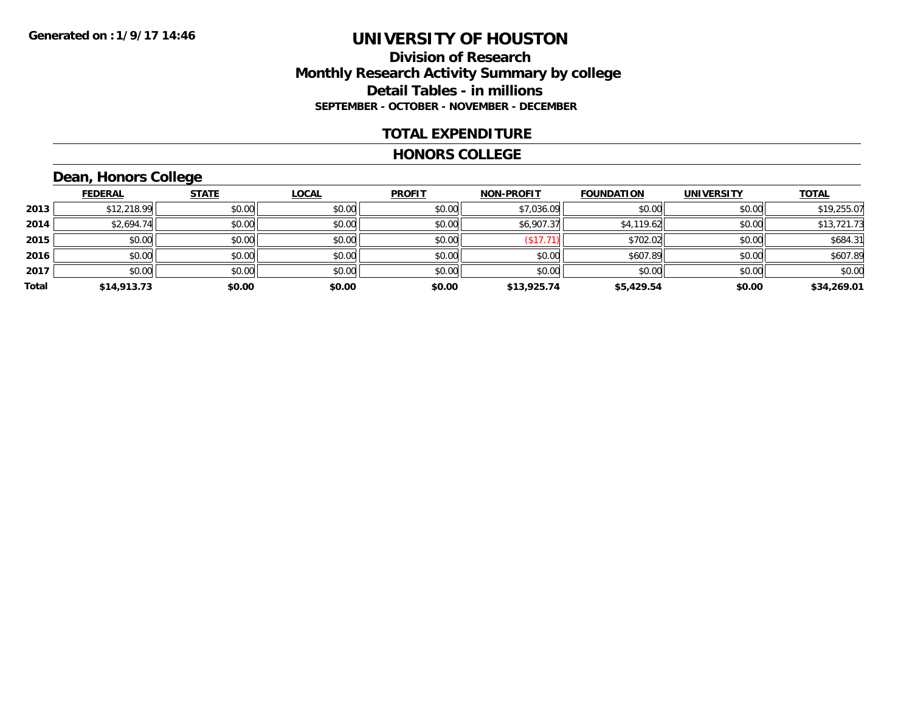#### **Division of Research Monthly Research Activity Summary by college Detail Tables - in millions SEPTEMBER - OCTOBER - NOVEMBER - DECEMBER**

#### **TOTAL EXPENDITURE**

#### **HONORS COLLEGE**

### **Dean, Honors College**

|       |                | $\sim$       |              |               |                   |                   |                   |              |
|-------|----------------|--------------|--------------|---------------|-------------------|-------------------|-------------------|--------------|
|       | <b>FEDERAL</b> | <b>STATE</b> | <b>LOCAL</b> | <b>PROFIT</b> | <b>NON-PROFIT</b> | <b>FOUNDATION</b> | <b>UNIVERSITY</b> | <b>TOTAL</b> |
| 2013  | \$12,218.99    | \$0.00       | \$0.00       | \$0.00        | \$7,036.09        | \$0.00            | \$0.00            | \$19,255.07  |
| 2014  | \$2,694.74     | \$0.00       | \$0.00       | \$0.00        | \$6,907.37        | \$4,119.62        | \$0.00            | \$13,721.73  |
| 2015  | \$0.00         | \$0.00       | \$0.00       | \$0.00        | \$17.7            | \$702.02          | \$0.00            | \$684.31     |
| 2016  | \$0.00         | \$0.00       | \$0.00       | \$0.00        | \$0.00            | \$607.89          | \$0.00            | \$607.89     |
| 2017  | \$0.00         | \$0.00       | \$0.00       | \$0.00        | \$0.00            | \$0.00            | \$0.00            | \$0.00       |
| Total | \$14,913.73    | \$0.00       | \$0.00       | \$0.00        | \$13,925.74       | \$5,429.54        | \$0.00            | \$34,269.01  |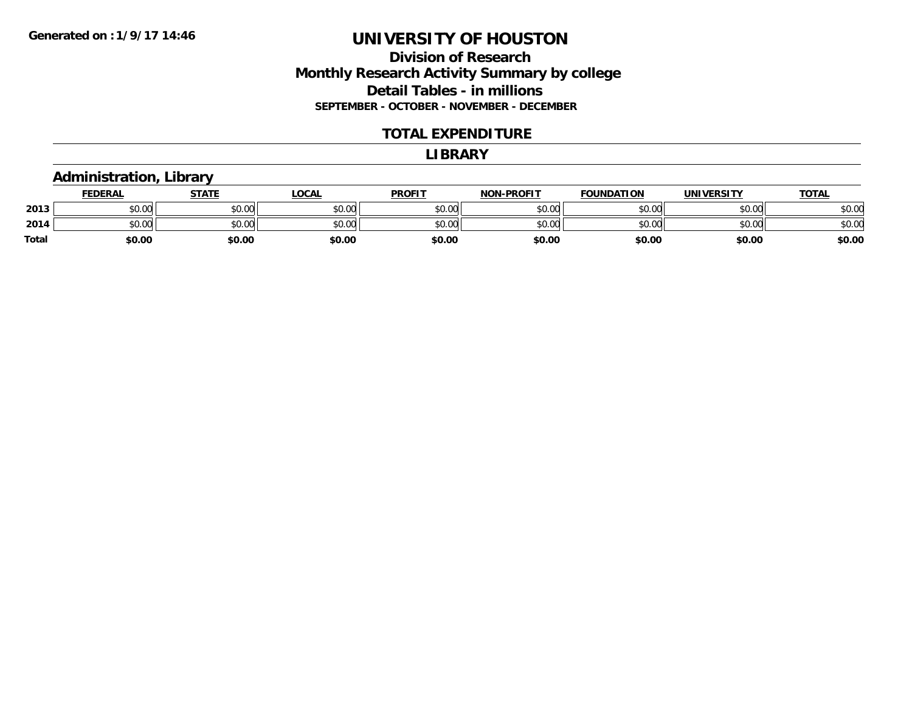#### **Division of Research Monthly Research Activity Summary by college Detail Tables - in millions SEPTEMBER - OCTOBER - NOVEMBER - DECEMBER**

#### **TOTAL EXPENDITURE**

#### **LIBRARY**

#### **Administration, Library**

|              | <b>FEDERAL</b> | <b>STATE</b> | LOCAL                  | <b>PROFIT</b> | <b>N-PROFIT</b><br><b>NON</b> | <b>FOUNDATION</b> | <b>UNIVERSITY</b> | <u>TOTAL</u> |
|--------------|----------------|--------------|------------------------|---------------|-------------------------------|-------------------|-------------------|--------------|
| 2013         | 0000<br>งบ.บบ  | \$0.00       | $\sim$ $\sim$<br>JU.UU | \$0.00        | \$0.00                        | \$0.00            | \$0.00            | \$0.00       |
| 2014         | 0000<br>DU.UU  | \$0.00       | <b>JU.UU</b>           | \$0.00        | \$0.00                        | \$0.00            | \$0.00            | \$0.00       |
| <b>Total</b> | \$0.00         | \$0.00       | \$0.00                 | \$0.00        | \$0.00                        | \$0.00            | \$0.00            | \$0.00       |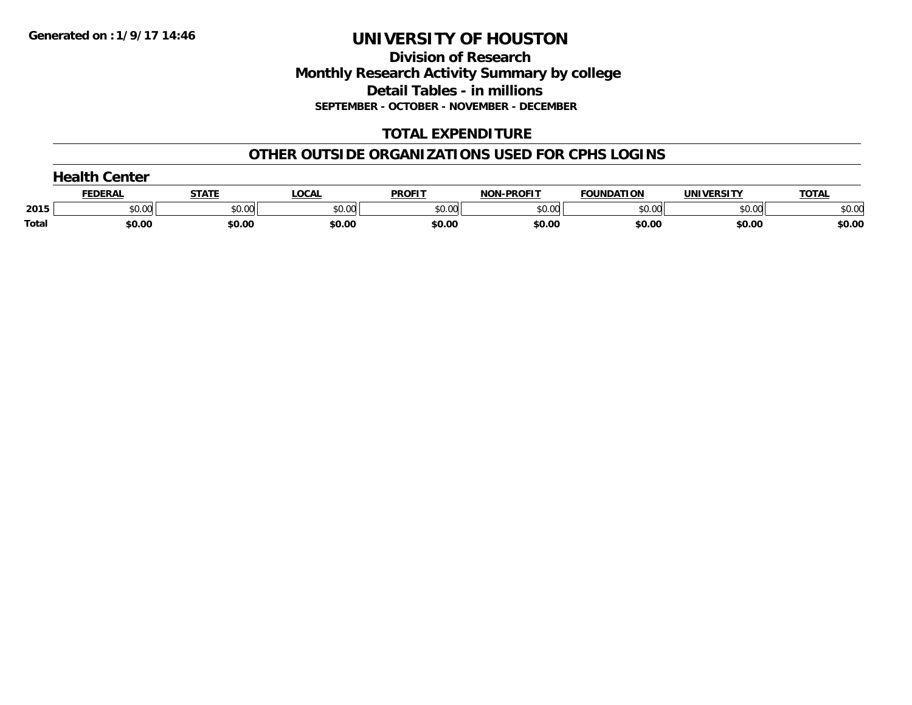**Division of Research Monthly Research Activity Summary by college Detail Tables - in millions SEPTEMBER - OCTOBER - NOVEMBER - DECEMBER**

### **TOTAL EXPENDITURE**

#### **OTHER OUTSIDE ORGANIZATIONS USED FOR CPHS LOGINS**

|              | <b>Health Center</b> |        |        |               |                   |                   |            |              |  |  |  |
|--------------|----------------------|--------|--------|---------------|-------------------|-------------------|------------|--------------|--|--|--|
|              | <u>FEDERAL</u>       | STATE  | _OCAL  | <b>PROFIT</b> | <b>NON-PROFIT</b> | <b>FOUNDATION</b> | UNIVERSITY | <b>TOTAL</b> |  |  |  |
| 2015         | \$0.00               | \$0.00 | \$0.00 | \$0.00        | \$0.00            | \$0.00            | \$0.00     | \$0.00       |  |  |  |
| <b>Total</b> | \$0.00               | \$0.00 | \$0.00 | \$0.00        | \$0.00            | \$0.00            | \$0.00     | \$0.00       |  |  |  |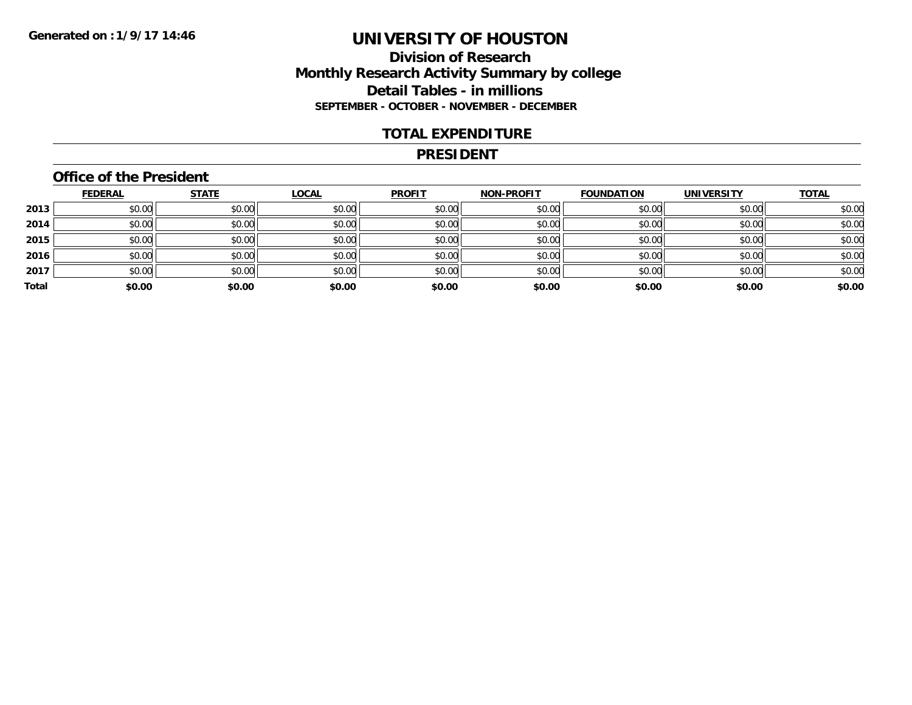#### **Division of Research Monthly Research Activity Summary by college Detail Tables - in millions SEPTEMBER - OCTOBER - NOVEMBER - DECEMBER**

#### **TOTAL EXPENDITURE**

#### **PRESIDENT**

### **Office of the President**

|       | <b>FEDERAL</b> | <b>STATE</b> | <b>LOCAL</b> | <b>PROFIT</b> | <b>NON-PROFIT</b> | <b>FOUNDATION</b> | <b>UNIVERSITY</b> | <b>TOTAL</b> |
|-------|----------------|--------------|--------------|---------------|-------------------|-------------------|-------------------|--------------|
| 2013  | \$0.00         | \$0.00       | \$0.00       | \$0.00        | \$0.00            | \$0.00            | \$0.00            | \$0.00       |
| 2014  | \$0.00         | \$0.00       | \$0.00       | \$0.00        | \$0.00            | \$0.00            | \$0.00            | \$0.00       |
| 2015  | \$0.00         | \$0.00       | \$0.00       | \$0.00        | \$0.00            | \$0.00            | \$0.00            | \$0.00       |
| 2016  | \$0.00         | \$0.00       | \$0.00       | \$0.00        | \$0.00            | \$0.00            | \$0.00            | \$0.00       |
| 2017  | \$0.00         | \$0.00       | \$0.00       | \$0.00        | \$0.00            | \$0.00            | \$0.00            | \$0.00       |
| Total | \$0.00         | \$0.00       | \$0.00       | \$0.00        | \$0.00            | \$0.00            | \$0.00            | \$0.00       |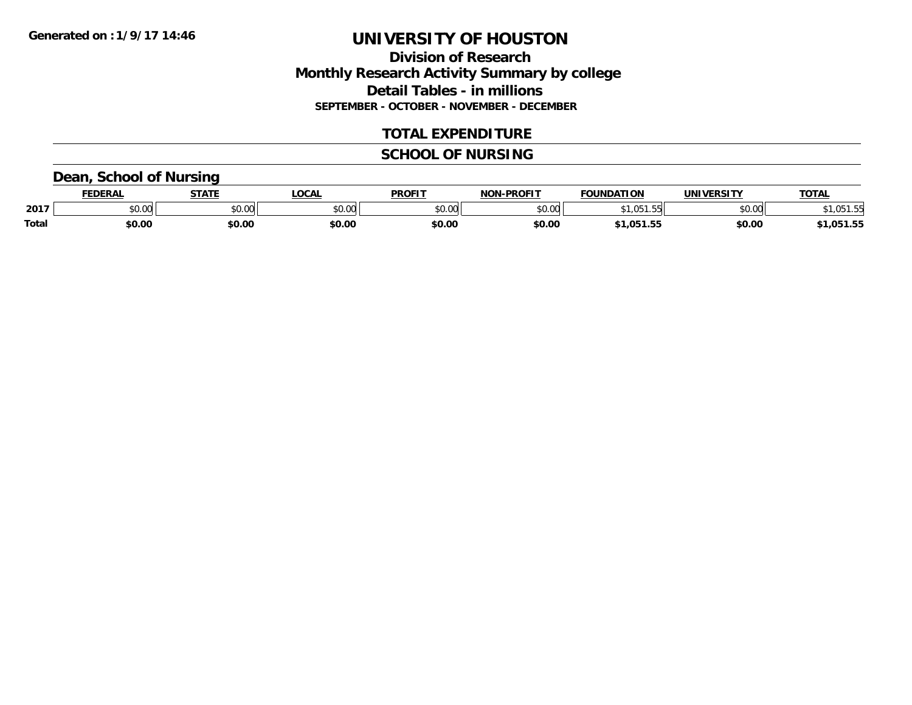#### **Division of Research Monthly Research Activity Summary by college Detail Tables - in millions SEPTEMBER - OCTOBER - NOVEMBER - DECEMBER**

#### **TOTAL EXPENDITURE**

#### **SCHOOL OF NURSING**

#### **Dean, School of Nursing**

|              | FEDEDA | <b>CTATE</b>  | LOCA          | <b>PROFIT</b> | <b>DDOEIT</b><br>הרוח | <b>EQUINDATION</b> | . <i>.</i> <del>.</del> | <b>TOT</b> |
|--------------|--------|---------------|---------------|---------------|-----------------------|--------------------|-------------------------|------------|
| 2017         | しいい    | 0.00<br>JU.UL | 0000<br>pu.uu | 0000<br>וט.טי | $\sim$ 00<br>₽∪.∪⊌    |                    | ሶስ ሰሰ<br>JU.UU          |            |
| <b>Total</b> | \$0.00 | \$0.00        | \$0.00        | \$0.00        | \$0.00                | .                  | \$0.00                  | .051.55    |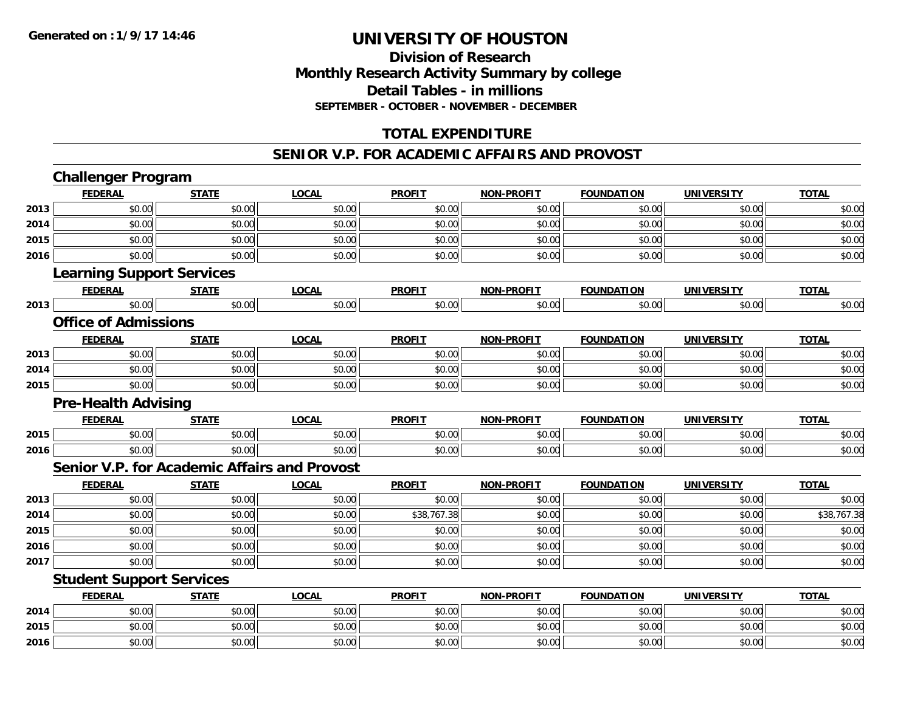**2016**

# **UNIVERSITY OF HOUSTON**

#### **Division of ResearchMonthly Research Activity Summary by college Detail Tables - in millions SEPTEMBER - OCTOBER - NOVEMBER - DECEMBER**

### **TOTAL EXPENDITURE**

#### **SENIOR V.P. FOR ACADEMIC AFFAIRS AND PROVOST**

|      | <b>Challenger Program</b>        |              |                                              |               |                   |                   |                   |              |
|------|----------------------------------|--------------|----------------------------------------------|---------------|-------------------|-------------------|-------------------|--------------|
|      | <b>FEDERAL</b>                   | <b>STATE</b> | <b>LOCAL</b>                                 | <b>PROFIT</b> | <b>NON-PROFIT</b> | <b>FOUNDATION</b> | <b>UNIVERSITY</b> | <b>TOTAL</b> |
| 2013 | \$0.00                           | \$0.00       | \$0.00                                       | \$0.00        | \$0.00            | \$0.00            | \$0.00            | \$0.00       |
| 2014 | \$0.00                           | \$0.00       | \$0.00                                       | \$0.00        | \$0.00            | \$0.00            | \$0.00            | \$0.00       |
| 2015 | \$0.00                           | \$0.00       | \$0.00                                       | \$0.00        | \$0.00            | \$0.00            | \$0.00            | \$0.00       |
| 2016 | \$0.00                           | \$0.00       | \$0.00                                       | \$0.00        | \$0.00            | \$0.00            | \$0.00            | \$0.00       |
|      | <b>Learning Support Services</b> |              |                                              |               |                   |                   |                   |              |
|      | <b>FEDERAL</b>                   | <b>STATE</b> | <b>LOCAL</b>                                 | <b>PROFIT</b> | <b>NON-PROFIT</b> | <b>FOUNDATION</b> | <b>UNIVERSITY</b> | <b>TOTAL</b> |
| 2013 | \$0.00                           | \$0.00       | \$0.00                                       | \$0.00        | \$0.00            | \$0.00            | \$0.00            | \$0.00       |
|      | <b>Office of Admissions</b>      |              |                                              |               |                   |                   |                   |              |
|      | <b>FEDERAL</b>                   | <b>STATE</b> | <b>LOCAL</b>                                 | <b>PROFIT</b> | <b>NON-PROFIT</b> | <b>FOUNDATION</b> | <b>UNIVERSITY</b> | <b>TOTAL</b> |
| 2013 | \$0.00                           | \$0.00       | \$0.00                                       | \$0.00        | \$0.00            | \$0.00            | \$0.00            | \$0.00       |
| 2014 | \$0.00                           | \$0.00       | \$0.00                                       | \$0.00        | \$0.00            | \$0.00            | \$0.00            | \$0.00       |
| 2015 | \$0.00                           | \$0.00       | \$0.00                                       | \$0.00        | \$0.00            | \$0.00            | \$0.00            | \$0.00       |
|      | <b>Pre-Health Advising</b>       |              |                                              |               |                   |                   |                   |              |
|      | <b>FEDERAL</b>                   | <b>STATE</b> | <b>LOCAL</b>                                 | <b>PROFIT</b> | <b>NON-PROFIT</b> | <b>FOUNDATION</b> | <b>UNIVERSITY</b> | <b>TOTAL</b> |
| 2015 | \$0.00                           | \$0.00       | \$0.00                                       | \$0.00        | \$0.00            | \$0.00            | \$0.00            | \$0.00       |
| 2016 | \$0.00                           | \$0.00       | \$0.00                                       | \$0.00        | \$0.00            | \$0.00            | \$0.00            | \$0.00       |
|      |                                  |              | Senior V.P. for Academic Affairs and Provost |               |                   |                   |                   |              |
|      | <b>FEDERAL</b>                   | <b>STATE</b> | <b>LOCAL</b>                                 | <b>PROFIT</b> | <b>NON-PROFIT</b> | <b>FOUNDATION</b> | <b>UNIVERSITY</b> | <b>TOTAL</b> |
| 2013 | \$0.00                           | \$0.00       | \$0.00                                       | \$0.00        | \$0.00            | \$0.00            | \$0.00            | \$0.00       |
| 2014 | \$0.00                           | \$0.00       | \$0.00                                       | \$38,767.38   | \$0.00            | \$0.00            | \$0.00            | \$38,767.38  |
| 2015 | \$0.00                           | \$0.00       | \$0.00                                       | \$0.00        | \$0.00            | \$0.00            | \$0.00            | \$0.00       |
| 2016 | \$0.00                           | \$0.00       | \$0.00                                       | \$0.00        | \$0.00            | \$0.00            | \$0.00            | \$0.00       |
| 2017 | \$0.00                           | \$0.00       | \$0.00                                       | \$0.00        | \$0.00            | \$0.00            | \$0.00            | \$0.00       |
|      | <b>Student Support Services</b>  |              |                                              |               |                   |                   |                   |              |
|      | <b>FEDERAL</b>                   | <b>STATE</b> | <b>LOCAL</b>                                 | <b>PROFIT</b> | <b>NON-PROFIT</b> | <b>FOUNDATION</b> | <b>UNIVERSITY</b> | <b>TOTAL</b> |
| 2014 | \$0.00                           | \$0.00       | \$0.00                                       | \$0.00        | \$0.00            | \$0.00            | \$0.00            | \$0.00       |
| 2015 | \$0.00                           | \$0.00       | \$0.00                                       | \$0.00        | \$0.00            | \$0.00            | \$0.00            | \$0.00       |

\$0.00 \$0.00 \$0.00 \$0.00 \$0.00 \$0.00 \$0.00 \$0.00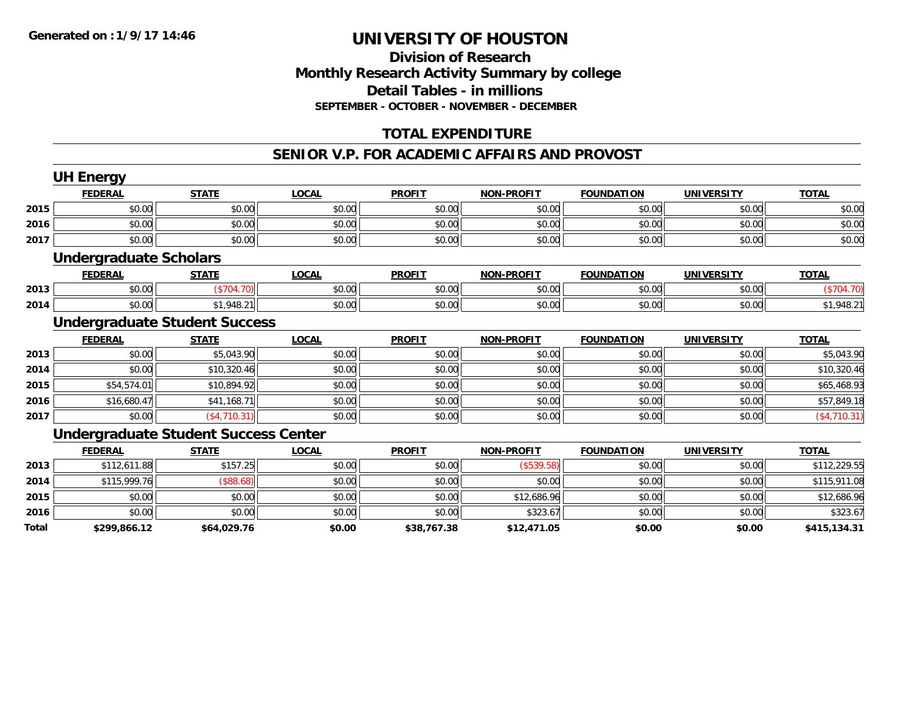#### **Division of Research Monthly Research Activity Summary by college Detail Tables - in millions SEPTEMBER - OCTOBER - NOVEMBER - DECEMBER**

#### **TOTAL EXPENDITURE**

#### **SENIOR V.P. FOR ACADEMIC AFFAIRS AND PROVOST**

|       | <b>UH Energy</b>              |                                             |              |               |                   |                   |                   |              |
|-------|-------------------------------|---------------------------------------------|--------------|---------------|-------------------|-------------------|-------------------|--------------|
|       | <b>FEDERAL</b>                | <b>STATE</b>                                | <b>LOCAL</b> | <b>PROFIT</b> | <b>NON-PROFIT</b> | <b>FOUNDATION</b> | <b>UNIVERSITY</b> | <b>TOTAL</b> |
| 2015  | \$0.00                        | \$0.00                                      | \$0.00       | \$0.00        | \$0.00            | \$0.00            | \$0.00            | \$0.00       |
| 2016  | \$0.00                        | \$0.00                                      | \$0.00       | \$0.00        | \$0.00            | \$0.00            | \$0.00            | \$0.00       |
| 2017  | \$0.00                        | \$0.00                                      | \$0.00       | \$0.00        | \$0.00            | \$0.00            | \$0.00            | \$0.00       |
|       | <b>Undergraduate Scholars</b> |                                             |              |               |                   |                   |                   |              |
|       | <b>FEDERAL</b>                | <b>STATE</b>                                | <b>LOCAL</b> | <b>PROFIT</b> | <b>NON-PROFIT</b> | <b>FOUNDATION</b> | <b>UNIVERSITY</b> | <b>TOTAL</b> |
| 2013  | \$0.00                        | (\$704.70)                                  | \$0.00       | \$0.00        | \$0.00            | \$0.00            | \$0.00            | (\$704.70)   |
| 2014  | \$0.00                        | \$1,948.21                                  | \$0.00       | \$0.00        | \$0.00            | \$0.00            | \$0.00            | \$1,948.21   |
|       |                               | <b>Undergraduate Student Success</b>        |              |               |                   |                   |                   |              |
|       | <b>FEDERAL</b>                | <b>STATE</b>                                | <b>LOCAL</b> | <b>PROFIT</b> | <b>NON-PROFIT</b> | <b>FOUNDATION</b> | <b>UNIVERSITY</b> | <b>TOTAL</b> |
| 2013  | \$0.00                        | \$5,043.90                                  | \$0.00       | \$0.00        | \$0.00            | \$0.00            | \$0.00            | \$5,043.90   |
| 2014  | \$0.00                        | \$10,320.46                                 | \$0.00       | \$0.00        | \$0.00            | \$0.00            | \$0.00            | \$10,320.46  |
| 2015  | \$54,574.01                   | \$10,894.92                                 | \$0.00       | \$0.00        | \$0.00            | \$0.00            | \$0.00            | \$65,468.93  |
| 2016  | \$16,680.47                   | \$41,168.71                                 | \$0.00       | \$0.00        | \$0.00            | \$0.00            | \$0.00            | \$57,849.18  |
| 2017  | \$0.00                        | (\$4,710.31)                                | \$0.00       | \$0.00        | \$0.00            | \$0.00            | \$0.00            | (\$4,710.31) |
|       |                               | <b>Undergraduate Student Success Center</b> |              |               |                   |                   |                   |              |
|       | <b>FEDERAL</b>                | <b>STATE</b>                                | <b>LOCAL</b> | <b>PROFIT</b> | <b>NON-PROFIT</b> | <b>FOUNDATION</b> | <b>UNIVERSITY</b> | <b>TOTAL</b> |
| 2013  | \$112,611.88                  | \$157.25                                    | \$0.00       | \$0.00        | ( \$539.58)       | \$0.00            | \$0.00            | \$112,229.55 |
| 2014  | \$115,999.76                  | (\$88.68)                                   | \$0.00       | \$0.00        | \$0.00            | \$0.00            | \$0.00            | \$115,911.08 |
| 2015  | \$0.00                        | \$0.00                                      | \$0.00       | \$0.00        | \$12,686.96       | \$0.00            | \$0.00            | \$12,686.96  |
| 2016  | \$0.00                        | \$0.00                                      | \$0.00       | \$0.00        | \$323.67          | \$0.00            | \$0.00            | \$323.67     |
| Total | \$299,866.12                  | \$64,029.76                                 | \$0.00       | \$38,767.38   | \$12,471.05       | \$0.00            | \$0.00            | \$415,134.31 |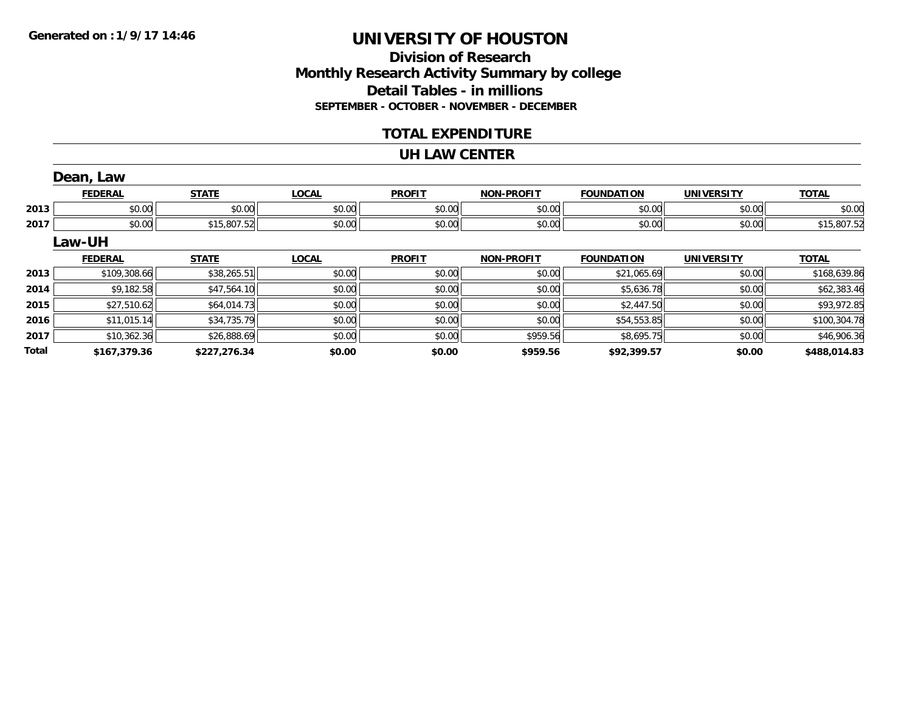### **Division of ResearchMonthly Research Activity Summary by college Detail Tables - in millions SEPTEMBER - OCTOBER - NOVEMBER - DECEMBER**

#### **TOTAL EXPENDITURE**

#### **UH LAW CENTER**

|              | Dean, Law      |              |              |               |                   |                   |                   |              |
|--------------|----------------|--------------|--------------|---------------|-------------------|-------------------|-------------------|--------------|
|              | <b>FEDERAL</b> | <b>STATE</b> | <b>LOCAL</b> | <b>PROFIT</b> | <b>NON-PROFIT</b> | <b>FOUNDATION</b> | <b>UNIVERSITY</b> | <b>TOTAL</b> |
| 2013         | \$0.00         | \$0.00       | \$0.00       | \$0.00        | \$0.00            | \$0.00            | \$0.00            | \$0.00       |
| 2017         | \$0.00         | \$15,807.52  | \$0.00       | \$0.00        | \$0.00            | \$0.00            | \$0.00            | \$15,807.52  |
|              | Law-UH         |              |              |               |                   |                   |                   |              |
|              | <b>FEDERAL</b> | <b>STATE</b> | <b>LOCAL</b> | <b>PROFIT</b> | <b>NON-PROFIT</b> | <b>FOUNDATION</b> | <b>UNIVERSITY</b> | <b>TOTAL</b> |
| 2013         | \$109,308.66   | \$38,265.51  | \$0.00       | \$0.00        | \$0.00            | \$21,065.69       | \$0.00            | \$168,639.86 |
| 2014         | \$9,182.58     | \$47,564.10  | \$0.00       | \$0.00        | \$0.00            | \$5,636.78        | \$0.00            | \$62,383.46  |
| 2015         | \$27,510.62    | \$64,014.73  | \$0.00       | \$0.00        | \$0.00            | \$2,447.50        | \$0.00            | \$93,972.85  |
| 2016         | \$11,015.14    | \$34,735.79  | \$0.00       | \$0.00        | \$0.00            | \$54,553.85       | \$0.00            | \$100,304.78 |
| 2017         | \$10,362.36    | \$26,888.69  | \$0.00       | \$0.00        | \$959.56          | \$8,695.75        | \$0.00            | \$46,906.36  |
| <b>Total</b> | \$167.379.36   | \$227.276.34 | \$0.00       | \$0.00        | \$959.56          | \$92,399.57       | \$0.00            | \$488,014.83 |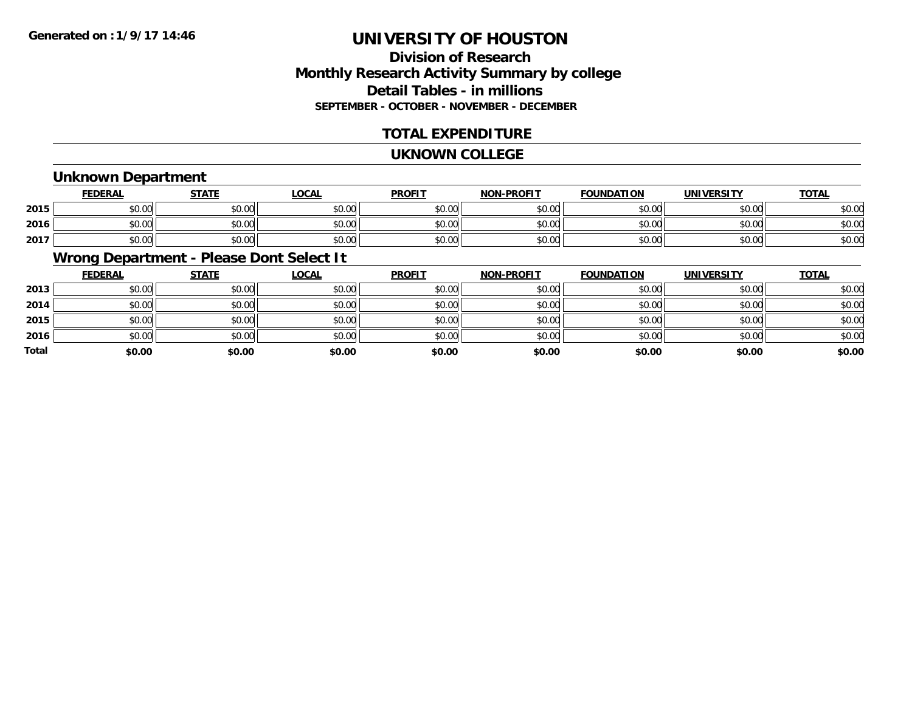### **Division of ResearchMonthly Research Activity Summary by college Detail Tables - in millions SEPTEMBER - OCTOBER - NOVEMBER - DECEMBER**

#### **TOTAL EXPENDITURE**

#### **UKNOWN COLLEGE**

#### **Unknown Department**

|      | <b>FEDERAL</b> | <b>STATE</b> | <u>LOCAL</u>  | <b>PROFIT</b> | <b>NON-PROFIT</b> | <b>FOUNDATION</b> | UNIVERSITY | <b>TOTAL</b> |
|------|----------------|--------------|---------------|---------------|-------------------|-------------------|------------|--------------|
| 2015 | \$0.00         | ¢∩<br>PU.UU  | 0000<br>JU.UU | \$0.00        | \$0.00            | \$0.00            | \$0.00     | \$0.0C       |
| 2016 | \$0.00         | \$0.00       | 0000<br>JU.UU | \$0.00        | \$0.00            | \$0.00            | \$0.00     | \$0.00       |
| 2017 | \$0.00         | \$0.00       | \$0.00        | \$0.00        | \$0.00            | \$0.00            | \$0.00     | \$0.00       |

### **Wrong Department - Please Dont Select It**

|       | <b>FEDERAL</b> | <b>STATE</b> | <b>LOCAL</b> | <b>PROFIT</b> | <b>NON-PROFIT</b> | <b>FOUNDATION</b> | <b>UNIVERSITY</b> | <b>TOTAL</b> |
|-------|----------------|--------------|--------------|---------------|-------------------|-------------------|-------------------|--------------|
| 2013  | \$0.00         | \$0.00       | \$0.00       | \$0.00        | \$0.00            | \$0.00            | \$0.00            | \$0.00       |
| 2014  | \$0.00         | \$0.00       | \$0.00       | \$0.00        | \$0.00            | \$0.00            | \$0.00            | \$0.00       |
| 2015  | \$0.00         | \$0.00       | \$0.00       | \$0.00        | \$0.00            | \$0.00            | \$0.00            | \$0.00       |
| 2016  | \$0.00         | \$0.00       | \$0.00       | \$0.00        | \$0.00            | \$0.00            | \$0.00            | \$0.00       |
| Total | \$0.00         | \$0.00       | \$0.00       | \$0.00        | \$0.00            | \$0.00            | \$0.00            | \$0.00       |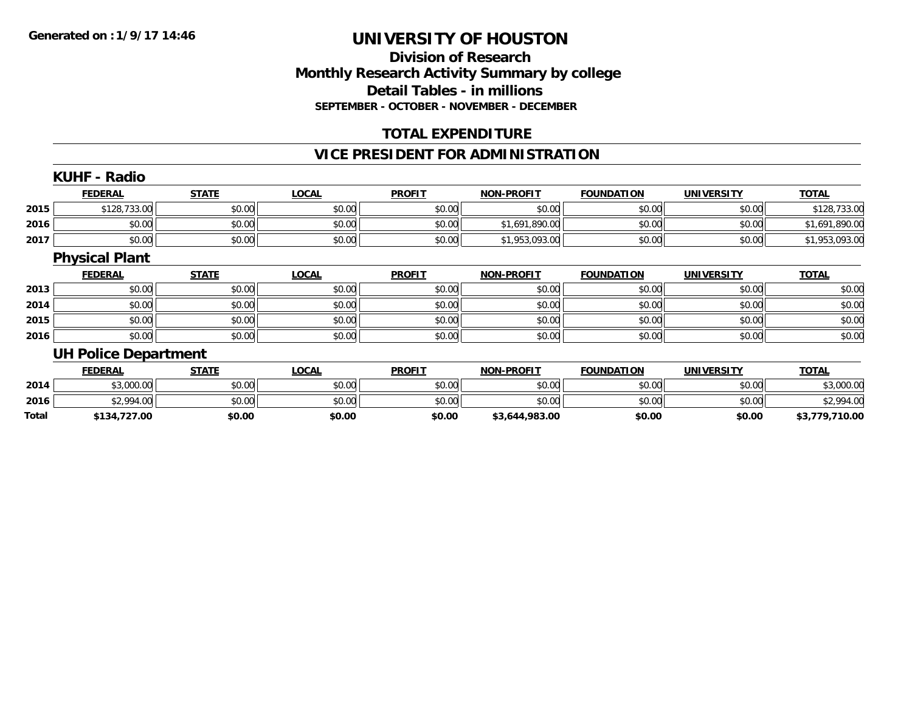#### **Division of ResearchMonthly Research Activity Summary by college Detail Tables - in millions SEPTEMBER - OCTOBER - NOVEMBER - DECEMBER**

#### **TOTAL EXPENDITURE**

#### **VICE PRESIDENT FOR ADMINISTRATION**

### **KUHF - Radio**

|      | <b>FEDERAL</b> | <b>STATE</b> | <u>LOCAL</u> | <b>PROFIT</b> | <b>NON-PROFIT</b> | <b>FOUNDATION</b> | <b>UNIVERSITY</b> | <b>TOTAL</b>      |
|------|----------------|--------------|--------------|---------------|-------------------|-------------------|-------------------|-------------------|
| 2015 | \$128,733.00   | \$0.00       | \$0.00       | \$0.00        | \$0.00            | \$0.00            | \$0.00            | ,733.00<br>128.   |
| 2016 | \$0.00         | \$0.00       | \$0.00       | \$0.00        | .691<br>.890.00   | \$0.00            | \$0.00            | .890.00<br>. .691 |
| 2017 | \$0.00         | \$0.00       | \$0.00       | \$0.00        | ,953,093.00       | \$0.00            | \$0.00            | 1,953,093.00      |

#### **Physical Plant**

|      | <u>FEDERAL</u> | <b>STATE</b> | <u>LOCAL</u> | <b>PROFIT</b> | <b>NON-PROFIT</b> | <b>FOUNDATION</b> | <b>UNIVERSITY</b> | <b>TOTAL</b> |
|------|----------------|--------------|--------------|---------------|-------------------|-------------------|-------------------|--------------|
| 2013 | \$0.00         | \$0.00       | \$0.00       | \$0.00        | \$0.00            | \$0.00            | \$0.00            | \$0.00       |
| 2014 | \$0.00         | \$0.00       | \$0.00       | \$0.00        | \$0.00            | \$0.00            | \$0.00            | \$0.00       |
| 2015 | \$0.00         | \$0.00       | \$0.00       | \$0.00        | \$0.00            | \$0.00            | \$0.00            | \$0.00       |
| 2016 | \$0.00         | \$0.00       | \$0.00       | \$0.00        | \$0.00            | \$0.00            | \$0.00            | \$0.00       |

#### **UH Police Department**

|       | <b>FEDERAL</b> | <u>STATE</u> | <u>LOCAL</u> | <b>PROFIT</b> | <b>NON-PROFIT</b> | <b>FOUNDATION</b> | <b>UNIVERSITY</b> | <b>TOTAL</b>   |
|-------|----------------|--------------|--------------|---------------|-------------------|-------------------|-------------------|----------------|
| 2014  | \$3,000.00     | \$0.00       | \$0.00       | \$0.00        | \$0.00            | \$0.00            | \$0.00            | \$3,000.00     |
| 2016  | \$2,994.00     | \$0.00       | \$0.00       | \$0.00        | \$0.00            | \$0.00            | \$0.00            | \$2,994.00     |
| Total | \$134,727.00   | \$0.00       | \$0.00       | \$0.00        | \$3,644,983.00    | \$0.00            | \$0.00            | \$3,779,710.00 |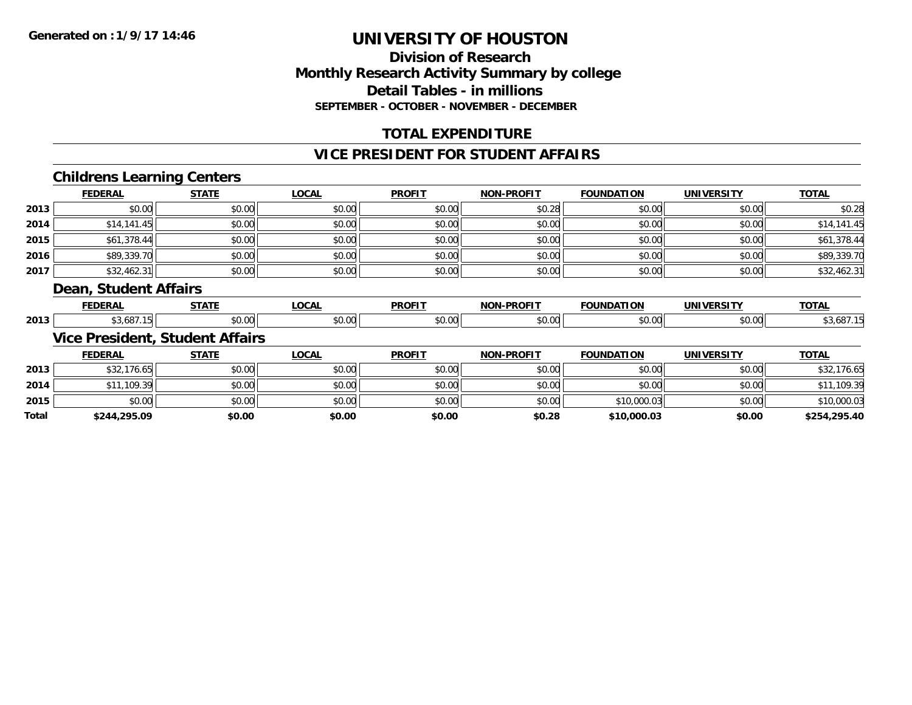### **Division of ResearchMonthly Research Activity Summary by college Detail Tables - in millions SEPTEMBER - OCTOBER - NOVEMBER - DECEMBER**

### **TOTAL EXPENDITURE**

#### **VICE PRESIDENT FOR STUDENT AFFAIRS**

### **Childrens Learning Centers**

|      | <b>FEDERAL</b>        | <b>STATE</b>                           | <b>LOCAL</b> | <b>PROFIT</b> | <b>NON-PROFIT</b> | <b>FOUNDATION</b> | <b>UNIVERSITY</b> | <b>TOTAL</b> |
|------|-----------------------|----------------------------------------|--------------|---------------|-------------------|-------------------|-------------------|--------------|
| 2013 | \$0.00                | \$0.00                                 | \$0.00       | \$0.00        | \$0.28            | \$0.00            | \$0.00            | \$0.28       |
| 2014 | \$14,141.45           | \$0.00                                 | \$0.00       | \$0.00        | \$0.00            | \$0.00            | \$0.00            | \$14,141.45  |
| 2015 | \$61,378.44           | \$0.00                                 | \$0.00       | \$0.00        | \$0.00            | \$0.00            | \$0.00            | \$61,378.44  |
| 2016 | \$89,339.70           | \$0.00                                 | \$0.00       | \$0.00        | \$0.00            | \$0.00            | \$0.00            | \$89,339.70  |
| 2017 | \$32,462.31           | \$0.00                                 | \$0.00       | \$0.00        | \$0.00            | \$0.00            | \$0.00            | \$32,462.31  |
|      | Dean, Student Affairs |                                        |              |               |                   |                   |                   |              |
|      | <b>FEDERAL</b>        | <b>STATE</b>                           | <b>LOCAL</b> | <b>PROFIT</b> | <b>NON-PROFIT</b> | <b>FOUNDATION</b> | <b>UNIVERSITY</b> | <b>TOTAL</b> |
| 2013 | \$3,687.15            | \$0.00                                 | \$0.00       | \$0.00        | \$0.00            | \$0.00            | \$0.00            | \$3,687.15   |
|      |                       | <b>Vice President, Student Affairs</b> |              |               |                   |                   |                   |              |
|      | <b>FEDERAL</b>        | <b>STATE</b>                           | <b>LOCAL</b> | <b>PROFIT</b> | <b>NON-PROFIT</b> | <b>FOUNDATION</b> | <b>UNIVERSITY</b> | <b>TOTAL</b> |
| 2013 | \$32,176.65           | \$0.00                                 | \$0.00       | \$0.00        | \$0.00            | \$0.00            | \$0.00            | \$32,176.65  |

| 2014  | .109.39      | \$0.00 | \$0.00 | \$0.00 | \$0.00 | \$0.00      | \$0.00 | 11.109.39    |
|-------|--------------|--------|--------|--------|--------|-------------|--------|--------------|
| 2015  | \$0.00       | \$0.00 | \$0.00 | \$0.00 | \$0.00 | \$10,000.03 | \$0.00 | \$10,000.03  |
| Total | \$244,295.09 | \$0.00 | \$0.00 | \$0.00 | \$0.28 | \$10,000.03 | \$0.00 | \$254,295.40 |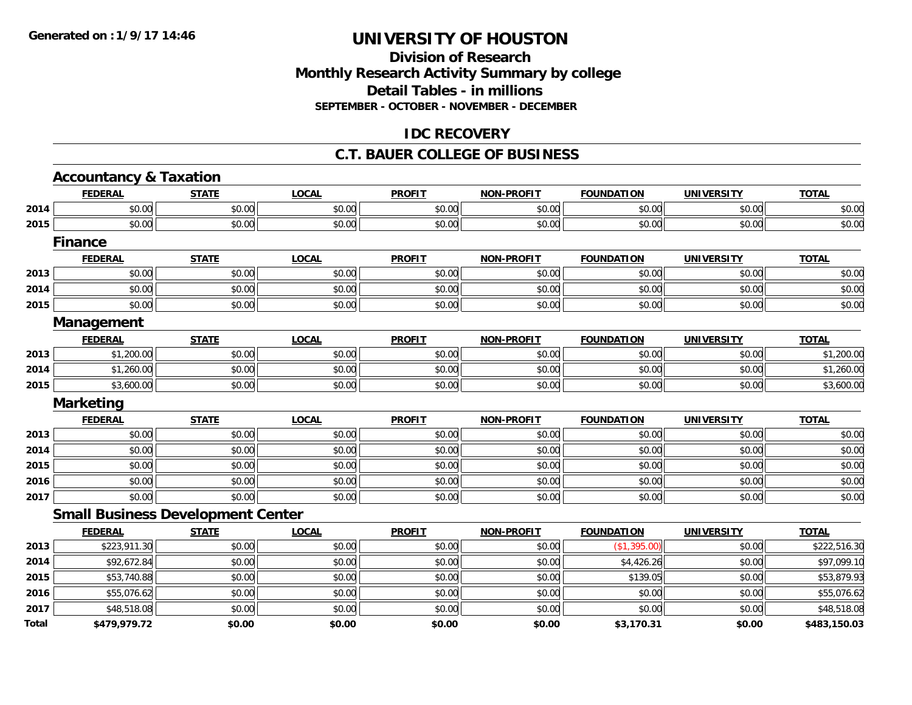#### **Division of Research Monthly Research Activity Summary by college Detail Tables - in millions SEPTEMBER - OCTOBER - NOVEMBER - DECEMBER**

#### **IDC RECOVERY**

#### **C.T. BAUER COLLEGE OF BUSINESS**

|       | <b>Accountancy &amp; Taxation</b>        |              |              |               |                   |                   |                   |              |
|-------|------------------------------------------|--------------|--------------|---------------|-------------------|-------------------|-------------------|--------------|
|       | <b>FEDERAL</b>                           | <b>STATE</b> | <b>LOCAL</b> | <b>PROFIT</b> | <b>NON-PROFIT</b> | <b>FOUNDATION</b> | <b>UNIVERSITY</b> | <b>TOTAL</b> |
| 2014  | \$0.00                                   | \$0.00       | \$0.00       | \$0.00        | \$0.00            | \$0.00            | \$0.00            | \$0.00       |
| 2015  | \$0.00                                   | \$0.00       | \$0.00       | \$0.00        | \$0.00            | \$0.00            | \$0.00            | \$0.00       |
|       | <b>Finance</b>                           |              |              |               |                   |                   |                   |              |
|       | <b>FEDERAL</b>                           | <b>STATE</b> | <b>LOCAL</b> | <b>PROFIT</b> | <b>NON-PROFIT</b> | <b>FOUNDATION</b> | <b>UNIVERSITY</b> | <b>TOTAL</b> |
| 2013  | \$0.00                                   | \$0.00       | \$0.00       | \$0.00        | \$0.00            | \$0.00            | \$0.00            | \$0.00       |
| 2014  | \$0.00                                   | \$0.00       | \$0.00       | \$0.00        | \$0.00            | \$0.00            | \$0.00            | \$0.00       |
| 2015  | \$0.00                                   | \$0.00       | \$0.00       | \$0.00        | \$0.00            | \$0.00            | \$0.00            | \$0.00       |
|       | <b>Management</b>                        |              |              |               |                   |                   |                   |              |
|       | <b>FEDERAL</b>                           | <b>STATE</b> | <b>LOCAL</b> | <b>PROFIT</b> | <b>NON-PROFIT</b> | <b>FOUNDATION</b> | <b>UNIVERSITY</b> | <b>TOTAL</b> |
| 2013  | \$1,200.00                               | \$0.00       | \$0.00       | \$0.00        | \$0.00            | \$0.00            | \$0.00            | \$1,200.00   |
| 2014  | \$1,260.00                               | \$0.00       | \$0.00       | \$0.00        | \$0.00            | \$0.00            | \$0.00            | \$1,260.00   |
| 2015  | \$3,600.00                               | \$0.00       | \$0.00       | \$0.00        | \$0.00            | \$0.00            | \$0.00            | \$3,600.00   |
|       | <b>Marketing</b>                         |              |              |               |                   |                   |                   |              |
|       | <b>FEDERAL</b>                           | <b>STATE</b> | <b>LOCAL</b> | <b>PROFIT</b> | <b>NON-PROFIT</b> | <b>FOUNDATION</b> | <b>UNIVERSITY</b> | <b>TOTAL</b> |
| 2013  | \$0.00                                   | \$0.00       | \$0.00       | \$0.00        | \$0.00            | \$0.00            | \$0.00            | \$0.00       |
| 2014  | \$0.00                                   | \$0.00       | \$0.00       | \$0.00        | \$0.00            | \$0.00            | \$0.00            | \$0.00       |
| 2015  | \$0.00                                   | \$0.00       | \$0.00       | \$0.00        | \$0.00            | \$0.00            | \$0.00            | \$0.00       |
| 2016  | \$0.00                                   | \$0.00       | \$0.00       | \$0.00        | \$0.00            | \$0.00            | \$0.00            | \$0.00       |
| 2017  | \$0.00                                   | \$0.00       | \$0.00       | \$0.00        | \$0.00            | \$0.00            | \$0.00            | \$0.00       |
|       | <b>Small Business Development Center</b> |              |              |               |                   |                   |                   |              |
|       | <b>FEDERAL</b>                           | <b>STATE</b> | <b>LOCAL</b> | <b>PROFIT</b> | <b>NON-PROFIT</b> | <b>FOUNDATION</b> | <b>UNIVERSITY</b> | <b>TOTAL</b> |
| 2013  | \$223,911.30                             | \$0.00       | \$0.00       | \$0.00        | \$0.00            | (\$1,395.00)      | \$0.00            | \$222,516.30 |
| 2014  | \$92,672.84                              | \$0.00       | \$0.00       | \$0.00        | \$0.00            | \$4,426.26        | \$0.00            | \$97,099.10  |
| 2015  | \$53,740.88                              | \$0.00       | \$0.00       | \$0.00        | \$0.00            | \$139.05          | \$0.00            | \$53,879.93  |
| 2016  | \$55,076.62                              | \$0.00       | \$0.00       | \$0.00        | \$0.00            | \$0.00            | \$0.00            | \$55,076.62  |
| 2017  | \$48,518.08                              | \$0.00       | \$0.00       | \$0.00        | \$0.00            | \$0.00            | \$0.00            | \$48,518.08  |
| Total | \$479,979.72                             | \$0.00       | \$0.00       | \$0.00        | \$0.00            | \$3,170.31        | \$0.00            | \$483,150.03 |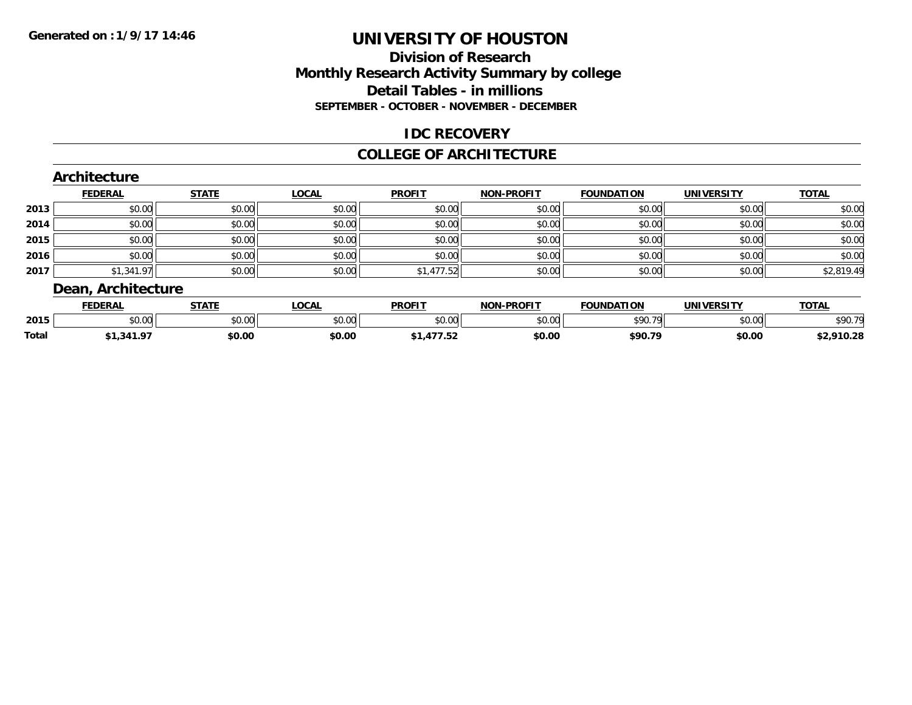#### **Division of ResearchMonthly Research Activity Summary by college Detail Tables - in millionsSEPTEMBER - OCTOBER - NOVEMBER - DECEMBER**

#### **IDC RECOVERY**

#### **COLLEGE OF ARCHITECTURE**

#### **Architecture FEDERAL STATE LOCAL PROFIT NON-PROFIT FOUNDATION UNIVERSITY TOTALTOTAL 2013** \$0.00 \$0.00 \$0.00 \$0.00 \$0.00 \$0.00 \$0.00 \$0.00 **2014**4 \$0.00 \$0.00 \$0.00 \$0.00 \$0.00 \$0.00 \$0.00 \$0.00 \$0.00 \$0.00 \$0.00 \$0.00 \$0.00 \$0.00 \$0.00 \$0.00 \$0.00 **2015** \$0.00 \$0.00 \$0.00 \$0.00 \$0.00 \$0.00 \$0.00 \$0.00 **2016** \$0.00 \$0.00 \$0.00 \$0.00 \$0.00 \$0.00 \$0.00 \$0.00 **2017**7 | \$1,341.97|| \$0.00|| \$0.00|| \$0.00|| \$1,477.52|| \$0.00|| \$0.00|| \$0.00|| \$0.00|| \$2,819.49| **Dean, Architecture**

|              | ------            | $- - - - -$           | $\sim$<br>,,,,    | <b>PROFIT</b> | <b>DDAEIT</b><br>NIAR | <b>FOUNDATION</b>                                                                                                                                                                                                                                                                                                                                                                                                                  | $\frac{1}{1}$  | <b>TOTA</b><br>$\mathbf{v}$ |
|--------------|-------------------|-----------------------|-------------------|---------------|-----------------------|------------------------------------------------------------------------------------------------------------------------------------------------------------------------------------------------------------------------------------------------------------------------------------------------------------------------------------------------------------------------------------------------------------------------------------|----------------|-----------------------------|
| 2015         | $\cdots$<br>vv.vv | $n \cap \neg$<br>ט.טע | $\sim$ 00<br>₽∪.∪ | 0000<br>JU.UU | $\sim$ 00<br>ט.טע     | $\begin{array}{c} \n\text{A} & \text{B} & \text{B} \\ \text{B} & \text{B} & \text{B} \\ \text{C} & \text{D} & \text{A} \\ \text{D} & \text{A} & \text{B} \\ \text{D} & \text{B} & \text{B} \\ \text{D} & \text{B} & \text{B} \\ \text{E} & \text{B} & \text{B} \\ \text{F} & \text{B} & \text{B} \\ \text{F} & \text{B} & \text{B} \\ \text{F} & \text{B} & \text{B} \\ \text{F} & \text{B} & \text{B} \\ \text{F} & \text{B} & \$ | 0.001<br>pv.uu | <b>¢OO 70</b>               |
| <b>Total</b> |                   | \$0.00                | \$0.00            |               | \$0.00                | \$90.79                                                                                                                                                                                                                                                                                                                                                                                                                            | \$0.00         |                             |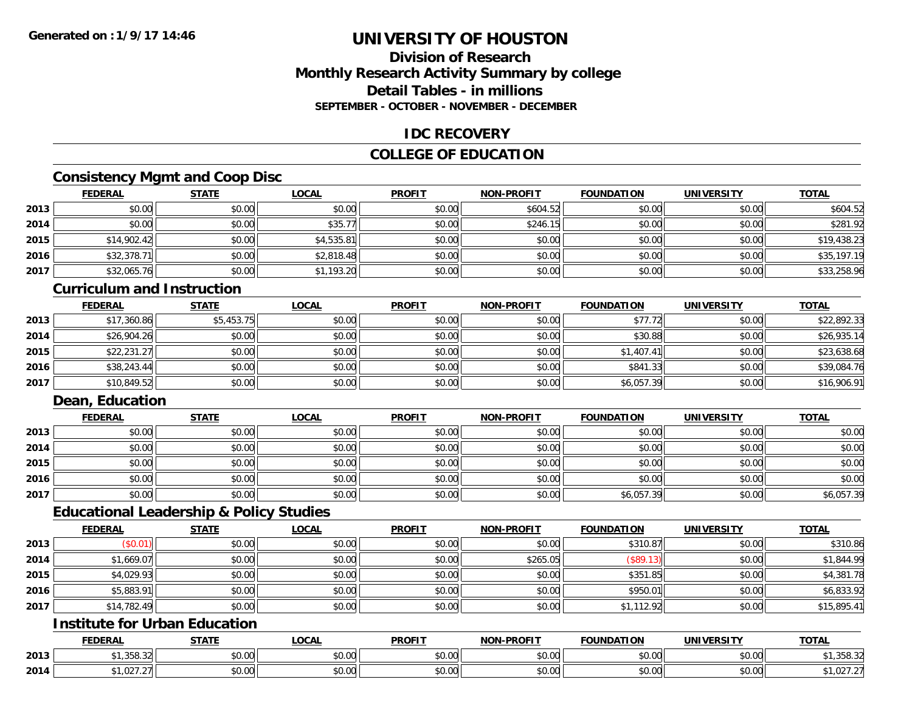#### **Division of ResearchMonthly Research Activity Summary by college Detail Tables - in millionsSEPTEMBER - OCTOBER - NOVEMBER - DECEMBER**

#### **IDC RECOVERY**

#### **COLLEGE OF EDUCATION**

### **Consistency Mgmt and Coop Disc**

|      | <b>FEDERAL</b> | <b>STATE</b> | <b>LOCAL</b> | <b>PROFIT</b> | <b>NON-PROFIT</b> | <b>FOUNDATION</b> | <b>UNIVERSITY</b> | <b>TOTAL</b> |
|------|----------------|--------------|--------------|---------------|-------------------|-------------------|-------------------|--------------|
| 2013 | \$0.00         | \$0.00       | \$0.00       | \$0.00        | \$604.52          | \$0.00            | \$0.00            | \$604.52     |
| 2014 | \$0.00         | \$0.00       | \$35.77      | \$0.00        | \$246.15          | \$0.00            | \$0.00            | \$281.92     |
| 2015 | \$14,902.42    | \$0.00       | \$4,535.81   | \$0.00        | \$0.00            | \$0.00            | \$0.00            | \$19,438.23  |
| 2016 | \$32,378.71    | \$0.00       | \$2,818.48   | \$0.00        | \$0.00            | \$0.00            | \$0.00            | \$35,197.19  |
| 2017 | \$32,065.76    | \$0.00       | \$1,193.20   | \$0.00        | \$0.00            | \$0.00            | \$0.00            | \$33,258.96  |

#### **Curriculum and Instruction**

|      | <u>FEDERAL</u> | <b>STATE</b> | <b>LOCAL</b> | <b>PROFIT</b> | <b>NON-PROFIT</b> | <b>FOUNDATION</b> | <b>UNIVERSITY</b> | <b>TOTAL</b> |
|------|----------------|--------------|--------------|---------------|-------------------|-------------------|-------------------|--------------|
| 2013 | \$17,360.86    | \$5,453.75   | \$0.00       | \$0.00        | \$0.00            | \$77.72           | \$0.00            | \$22,892.33  |
| 2014 | \$26,904.26    | \$0.00       | \$0.00       | \$0.00        | \$0.00            | \$30.88           | \$0.00            | \$26,935.14  |
| 2015 | \$22,231.27    | \$0.00       | \$0.00       | \$0.00        | \$0.00            | \$1,407.41        | \$0.00            | \$23,638.68  |
| 2016 | \$38,243.44    | \$0.00       | \$0.00       | \$0.00        | \$0.00            | \$841.33          | \$0.00            | \$39,084.76  |
| 2017 | \$10,849.52    | \$0.00       | \$0.00       | \$0.00        | \$0.00            | \$6,057.39        | \$0.00            | \$16,906.91  |

### **Dean, Education**

|      | <b>FEDERAL</b> | <b>STATE</b> | <u>LOCAL</u> | <b>PROFIT</b> | <b>NON-PROFIT</b> | <b>FOUNDATION</b> | <b>UNIVERSITY</b> | <b>TOTAL</b> |
|------|----------------|--------------|--------------|---------------|-------------------|-------------------|-------------------|--------------|
| 2013 | \$0.00         | \$0.00       | \$0.00       | \$0.00        | \$0.00            | \$0.00            | \$0.00            | \$0.00       |
| 2014 | \$0.00         | \$0.00       | \$0.00       | \$0.00        | \$0.00            | \$0.00            | \$0.00            | \$0.00       |
| 2015 | \$0.00         | \$0.00       | \$0.00       | \$0.00        | \$0.00            | \$0.00            | \$0.00            | \$0.00       |
| 2016 | \$0.00         | \$0.00       | \$0.00       | \$0.00        | \$0.00            | \$0.00            | \$0.00            | \$0.00       |
| 2017 | \$0.00         | \$0.00       | \$0.00       | \$0.00        | \$0.00            | \$6,057.39        | \$0.00            | \$6,057.39   |

#### **Educational Leadership & Policy Studies**

|      | <b>FEDERAL</b> | <b>STATE</b> | <u>LOCAL</u> | <b>PROFIT</b> | <b>NON-PROFIT</b> | <b>FOUNDATION</b> | <b>UNIVERSITY</b> | <b>TOTAL</b> |
|------|----------------|--------------|--------------|---------------|-------------------|-------------------|-------------------|--------------|
| 2013 | (\$0.01)       | \$0.00       | \$0.00       | \$0.00        | \$0.00            | \$310.87          | \$0.00            | \$310.86     |
| 2014 | \$1,669.07     | \$0.00       | \$0.00       | \$0.00        | \$265.05          | (\$89.13)         | \$0.00            | \$1,844.99   |
| 2015 | \$4,029.93     | \$0.00       | \$0.00       | \$0.00        | \$0.00            | \$351.85          | \$0.00            | \$4,381.78   |
| 2016 | \$5,883.91     | \$0.00       | \$0.00       | \$0.00        | \$0.00            | \$950.01          | \$0.00            | \$6,833.92   |
| 2017 | \$14,782.49    | \$0.00       | \$0.00       | \$0.00        | \$0.00            | \$1,112.92        | \$0.00            | \$15,895.41  |

### **Institute for Urban Education**

|      | <b>FEDERAL</b>                           | <b>STATE</b> | <b>LOCAL</b>                  | <b>PROFIT</b> | <b>NON-PROFIT</b>    | <b>FOUNDATION</b> | <b>UNIVERSITY</b>                                            | <b>TOTAL</b>   |
|------|------------------------------------------|--------------|-------------------------------|---------------|----------------------|-------------------|--------------------------------------------------------------|----------------|
| 2013 | $\sim$ 0.50 $\sim$<br>. , JJU. JZ        | \$0.00       | $\sim$<br><b>↑∩</b><br>vv.vv  | 0000<br>vu.vu | 0000<br><b>JU.UU</b> | JU.UU             | 0.000<br><b>DU.UG</b>                                        | 1,358.32       |
| 2014 | $\sim$ 0.0 $^{\circ}$<br>. JZ 7.<br>$-1$ | \$0.00       | ሖ ∩<br>$\sim$ $\sim$<br>vu.uu | 0000<br>PO.OO | 0000<br><b>JU.UU</b> | JU.UU             | $\mathsf{A} \cap \mathsf{A} \cap \mathsf{A}$<br><b>JU.UU</b> | 0272<br>1.1.21 |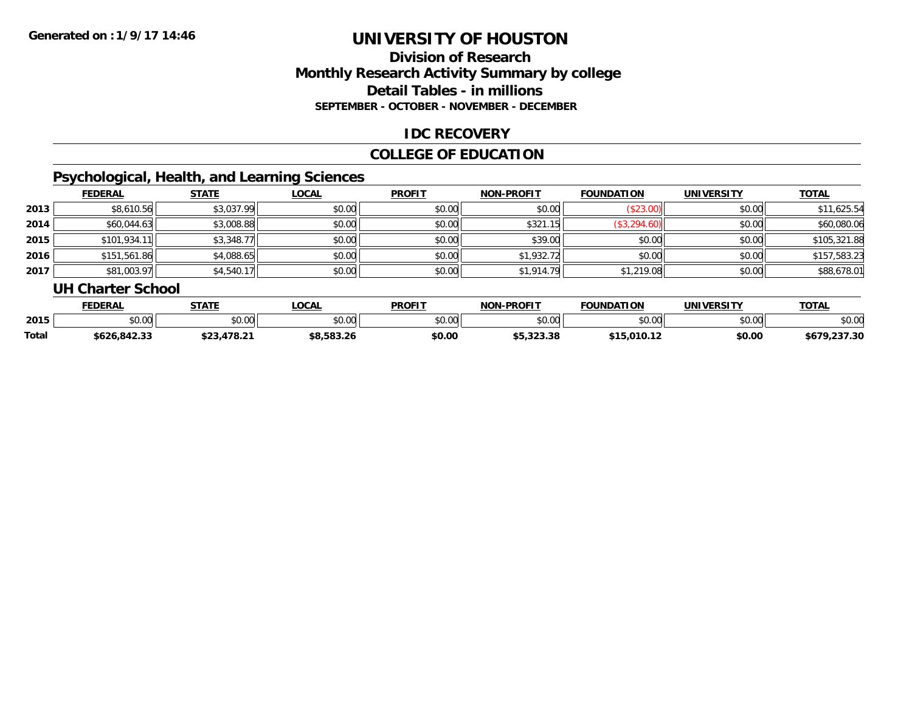### **Division of ResearchMonthly Research Activity Summary by college Detail Tables - in millions SEPTEMBER - OCTOBER - NOVEMBER - DECEMBER**

#### **IDC RECOVERY**

#### **COLLEGE OF EDUCATION**

# **Psychological, Health, and Learning Sciences**

|      | <b>FEDERAL</b> | <b>STATE</b> | <b>LOCAL</b> | <b>PROFIT</b> | <b>NON-PROFIT</b> | <b>FOUNDATION</b> | <b>UNIVERSITY</b> | <b>TOTAL</b> |
|------|----------------|--------------|--------------|---------------|-------------------|-------------------|-------------------|--------------|
| 2013 | \$8,610.56     | \$3,037.99   | \$0.00       | \$0.00        | \$0.00            | \$23.00           | \$0.00            | \$11,625.54  |
| 2014 | \$60,044.63    | \$3,008.88   | \$0.00       | \$0.00        | \$321.15          | \$3,294.60        | \$0.00            | \$60,080.06  |
| 2015 | \$101,934.1    | \$3,348.77   | \$0.00       | \$0.00        | \$39.00           | \$0.00            | \$0.00            | \$105,321.88 |
| 2016 | \$151,561.86   | \$4,088.65   | \$0.00       | \$0.00        | \$1,932.72        | \$0.00            | \$0.00            | \$157,583.23 |
| 2017 | \$81,003.97    | \$4,540.17   | \$0.00       | \$0.00        | \$1,914.79        | \$1,219.08        | \$0.00            | \$88,678.01  |

#### **UH Charter School**

|       | <b>FEDERAL</b> | <b>STATE</b>           | <b>OCAL</b> | <b>PROFIT</b> | <b>NON-PROFIT</b> | <b>FOUNDATION</b> | UNIVERSITY | <b>TOTAL</b>          |
|-------|----------------|------------------------|-------------|---------------|-------------------|-------------------|------------|-----------------------|
| 2015  | ሶስ ስስ<br>ט.טע  | \$0.00                 | \$0.00      | \$0.00        | 0000<br>JU.UU     | \$0.00            | \$0.00     | \$0.00                |
| Total | \$626,842.33   | ሖጣጣ<br>$478.2^{\circ}$ | 90.JOJ.ZU   | \$0.00        | 55.323.38         | \$15,010.12       | \$0.00     | .237.30<br>1470<br>ספ |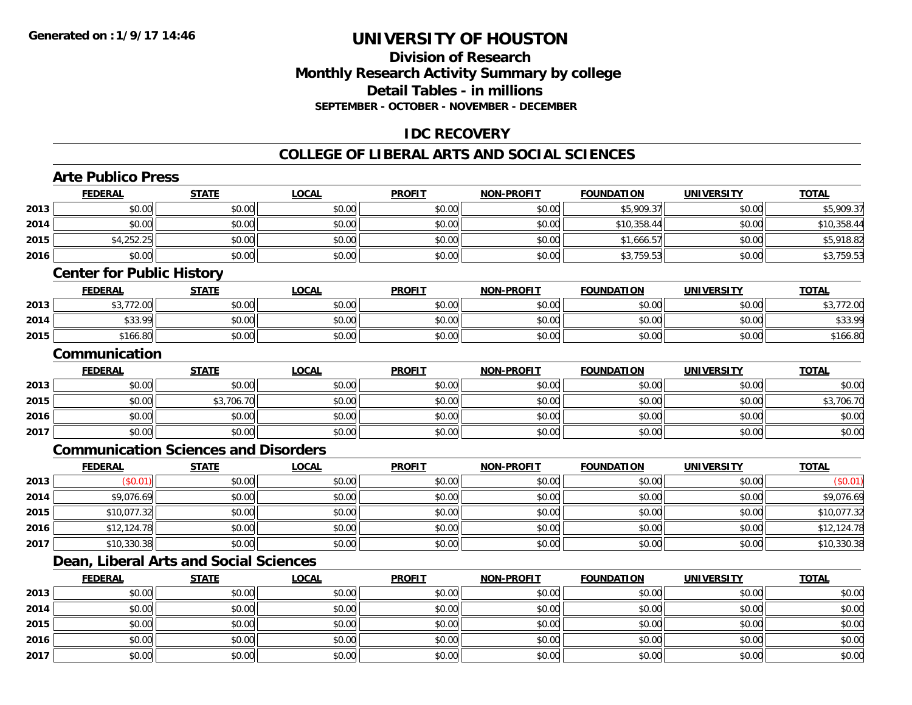#### **Division of ResearchMonthly Research Activity Summary by college Detail Tables - in millionsSEPTEMBER - OCTOBER - NOVEMBER - DECEMBER**

#### **IDC RECOVERY**

#### **COLLEGE OF LIBERAL ARTS AND SOCIAL SCIENCES**

### **Arte Publico Press**

**2016**

**2017**

|      | <b>FEDERAL</b>                   | <b>STATE</b>                                | <b>LOCAL</b> | <b>PROFIT</b> | <b>NON-PROFIT</b> | <b>FOUNDATION</b> | <b>UNIVERSITY</b> | <b>TOTAL</b> |
|------|----------------------------------|---------------------------------------------|--------------|---------------|-------------------|-------------------|-------------------|--------------|
| 2013 | \$0.00                           | \$0.00                                      | \$0.00       | \$0.00        | \$0.00            | \$5,909.37        | \$0.00            | \$5,909.37   |
| 2014 | \$0.00                           | \$0.00                                      | \$0.00       | \$0.00        | \$0.00            | \$10,358.44       | \$0.00            | \$10,358.44  |
| 2015 | \$4,252.25                       | \$0.00                                      | \$0.00       | \$0.00        | \$0.00            | \$1,666.57        | \$0.00            | \$5,918.82   |
| 2016 | \$0.00                           | \$0.00                                      | \$0.00       | \$0.00        | \$0.00            | \$3,759.53        | \$0.00            | \$3,759.53   |
|      | <b>Center for Public History</b> |                                             |              |               |                   |                   |                   |              |
|      | <b>FEDERAL</b>                   | <b>STATE</b>                                | <b>LOCAL</b> | <b>PROFIT</b> | <b>NON-PROFIT</b> | <b>FOUNDATION</b> | <b>UNIVERSITY</b> | <b>TOTAL</b> |
| 2013 | \$3,772.00                       | \$0.00                                      | \$0.00       | \$0.00        | \$0.00            | \$0.00            | \$0.00            | \$3,772.00   |
| 2014 | \$33.99                          | \$0.00                                      | \$0.00       | \$0.00        | \$0.00            | \$0.00            | \$0.00            | \$33.99      |
| 2015 | \$166.80                         | \$0.00                                      | \$0.00       | \$0.00        | \$0.00            | \$0.00            | \$0.00            | \$166.80     |
|      | Communication                    |                                             |              |               |                   |                   |                   |              |
|      | <b>FEDERAL</b>                   | <b>STATE</b>                                | <b>LOCAL</b> | <b>PROFIT</b> | <b>NON-PROFIT</b> | <b>FOUNDATION</b> | <b>UNIVERSITY</b> | <b>TOTAL</b> |
| 2013 | \$0.00                           | \$0.00                                      | \$0.00       | \$0.00        | \$0.00            | \$0.00            | \$0.00            | \$0.00       |
| 2015 | \$0.00                           | \$3,706.70                                  | \$0.00       | \$0.00        | \$0.00            | \$0.00            | \$0.00            | \$3,706.70   |
| 2016 | \$0.00                           | \$0.00                                      | \$0.00       | \$0.00        | \$0.00            | \$0.00            | \$0.00            | \$0.00       |
| 2017 | \$0.00                           | \$0.00                                      | \$0.00       | \$0.00        | \$0.00            | \$0.00            | \$0.00            | \$0.00       |
|      |                                  | <b>Communication Sciences and Disorders</b> |              |               |                   |                   |                   |              |
|      | <b>FEDERAL</b>                   | <b>STATE</b>                                | <b>LOCAL</b> | <b>PROFIT</b> | <b>NON-PROFIT</b> | <b>FOUNDATION</b> | <b>UNIVERSITY</b> | <b>TOTAL</b> |
| 2013 | (\$0.01)                         | \$0.00                                      | \$0.00       | \$0.00        | \$0.00            | \$0.00            | \$0.00            | (\$0.01)     |
| 2014 | \$9,076.69                       | \$0.00                                      | \$0.00       | \$0.00        | \$0.00            | \$0.00            | \$0.00            | \$9,076.69   |
| 2015 | \$10,077.32                      | \$0.00                                      | \$0.00       | \$0.00        | \$0.00            | \$0.00            | \$0.00            | \$10,077.32  |
| 2016 | \$12,124.78                      | \$0.00                                      | \$0.00       | \$0.00        | \$0.00            | \$0.00            | \$0.00            | \$12,124.78  |
| 2017 | \$10,330.38                      | \$0.00                                      | \$0.00       | \$0.00        | \$0.00            | \$0.00            | \$0.00            | \$10,330.38  |
|      |                                  | Dean, Liberal Arts and Social Sciences      |              |               |                   |                   |                   |              |
|      | <b>FEDERAL</b>                   | <b>STATE</b>                                | <b>LOCAL</b> | <b>PROFIT</b> | <b>NON-PROFIT</b> | <b>FOUNDATION</b> | <b>UNIVERSITY</b> | <b>TOTAL</b> |
| 2013 | \$0.00                           | \$0.00                                      | \$0.00       | \$0.00        | \$0.00            | \$0.00            | \$0.00            | \$0.00       |
| 2014 | \$0.00                           | \$0.00                                      | \$0.00       | \$0.00        | \$0.00            | \$0.00            | \$0.00            | \$0.00       |
| 2015 | \$0.00                           | \$0.00                                      | \$0.00       | \$0.00        | \$0.00            | \$0.00            | \$0.00            | \$0.00       |

\$0.00 \$0.00 \$0.00 \$0.00 \$0.00 \$0.00 \$0.00 \$0.00

7 | \$0.00 \$0.00 \$0.00 \$0.00 \$0.00 \$0.00 \$0.00 \$0.00 \$0.00 \$0.00 \$0.00 \$0.00 \$0.00 \$0.00 \$0.00 \$0.00 \$0.00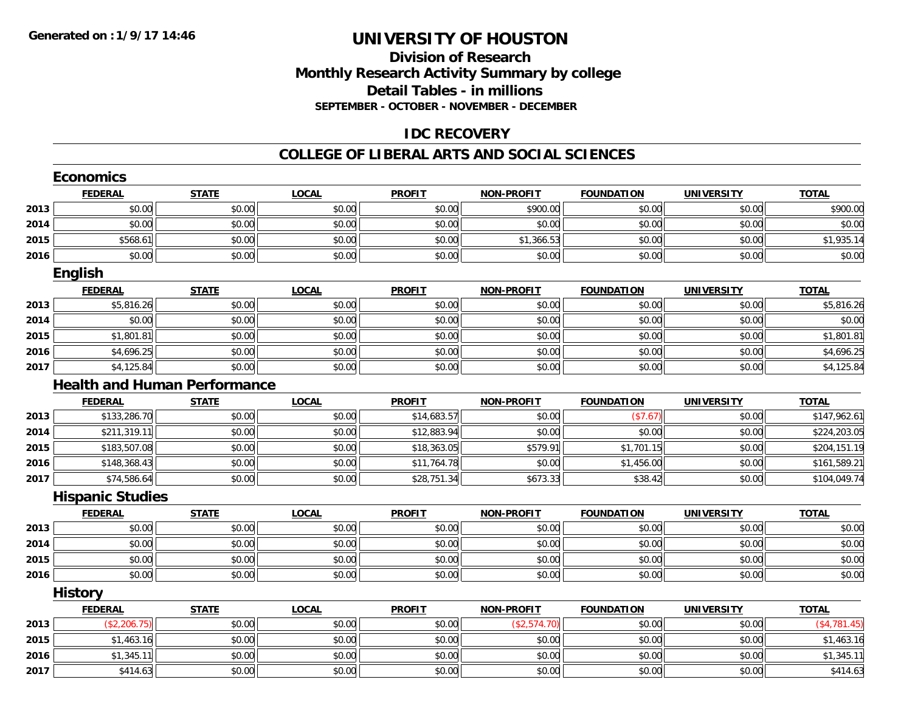### **Division of ResearchMonthly Research Activity Summary by college Detail Tables - in millions SEPTEMBER - OCTOBER - NOVEMBER - DECEMBER**

#### **IDC RECOVERY**

#### **COLLEGE OF LIBERAL ARTS AND SOCIAL SCIENCES**

|      | <b>Economics</b>        |                                     |              |               |                   |                   |                   |               |
|------|-------------------------|-------------------------------------|--------------|---------------|-------------------|-------------------|-------------------|---------------|
|      | <b>FEDERAL</b>          | <b>STATE</b>                        | <b>LOCAL</b> | <b>PROFIT</b> | <b>NON-PROFIT</b> | <b>FOUNDATION</b> | <b>UNIVERSITY</b> | <b>TOTAL</b>  |
| 2013 | \$0.00                  | \$0.00                              | \$0.00       | \$0.00        | \$900.00          | \$0.00            | \$0.00            | \$900.00      |
| 2014 | \$0.00                  | \$0.00                              | \$0.00       | \$0.00        | \$0.00            | \$0.00            | \$0.00            | \$0.00        |
| 2015 | \$568.61                | \$0.00                              | \$0.00       | \$0.00        | \$1,366.53        | \$0.00            | \$0.00            | \$1,935.14    |
| 2016 | \$0.00                  | \$0.00                              | \$0.00       | \$0.00        | \$0.00            | \$0.00            | \$0.00            | \$0.00        |
|      | <b>English</b>          |                                     |              |               |                   |                   |                   |               |
|      | <b>FEDERAL</b>          | <b>STATE</b>                        | <b>LOCAL</b> | <b>PROFIT</b> | <b>NON-PROFIT</b> | <b>FOUNDATION</b> | <b>UNIVERSITY</b> | <b>TOTAL</b>  |
| 2013 | \$5,816.26              | \$0.00                              | \$0.00       | \$0.00        | \$0.00            | \$0.00            | \$0.00            | \$5,816.26    |
| 2014 | \$0.00                  | \$0.00                              | \$0.00       | \$0.00        | \$0.00            | \$0.00            | \$0.00            | \$0.00        |
| 2015 | \$1,801.81              | \$0.00                              | \$0.00       | \$0.00        | \$0.00            | \$0.00            | \$0.00            | \$1,801.81    |
| 2016 | \$4,696.25              | \$0.00                              | \$0.00       | \$0.00        | \$0.00            | \$0.00            | \$0.00            | \$4,696.25    |
| 2017 | \$4,125.84              | \$0.00                              | \$0.00       | \$0.00        | \$0.00            | \$0.00            | \$0.00            | \$4,125.84    |
|      |                         | <b>Health and Human Performance</b> |              |               |                   |                   |                   |               |
|      | <b>FEDERAL</b>          | <b>STATE</b>                        | <b>LOCAL</b> | <b>PROFIT</b> | <b>NON-PROFIT</b> | <b>FOUNDATION</b> | <b>UNIVERSITY</b> | <b>TOTAL</b>  |
| 2013 | \$133,286.70            | \$0.00                              | \$0.00       | \$14,683.57   | \$0.00            | (\$7.67)          | \$0.00            | \$147,962.61  |
| 2014 | \$211,319.11            | \$0.00                              | \$0.00       | \$12,883.94   | \$0.00            | \$0.00            | \$0.00            | \$224,203.05  |
| 2015 | \$183,507.08            | \$0.00                              | \$0.00       | \$18,363.05   | \$579.91          | \$1,701.15        | \$0.00            | \$204,151.19  |
| 2016 | \$148,368.43            | \$0.00                              | \$0.00       | \$11,764.78   | \$0.00            | \$1,456.00        | \$0.00            | \$161,589.21  |
| 2017 | \$74,586.64             | \$0.00                              | \$0.00       | \$28,751.34   | \$673.33          | \$38.42           | \$0.00            | \$104,049.74  |
|      | <b>Hispanic Studies</b> |                                     |              |               |                   |                   |                   |               |
|      | <b>FEDERAL</b>          | <b>STATE</b>                        | <b>LOCAL</b> | <b>PROFIT</b> | <b>NON-PROFIT</b> | <b>FOUNDATION</b> | <b>UNIVERSITY</b> | <b>TOTAL</b>  |
| 2013 | \$0.00                  | \$0.00                              | \$0.00       | \$0.00        | \$0.00            | \$0.00            | \$0.00            | \$0.00        |
| 2014 | \$0.00                  | \$0.00                              | \$0.00       | \$0.00        | \$0.00            | \$0.00            | \$0.00            | \$0.00        |
| 2015 | \$0.00                  | \$0.00                              | \$0.00       | \$0.00        | \$0.00            | \$0.00            | \$0.00            | \$0.00        |
| 2016 | \$0.00                  | \$0.00                              | \$0.00       | \$0.00        | \$0.00            | \$0.00            | \$0.00            | \$0.00        |
|      | <b>History</b>          |                                     |              |               |                   |                   |                   |               |
|      | <b>FEDERAL</b>          | <b>STATE</b>                        | <b>LOCAL</b> | <b>PROFIT</b> | <b>NON-PROFIT</b> | <b>FOUNDATION</b> | <b>UNIVERSITY</b> | <b>TOTAL</b>  |
| 2013 | (\$2,206.75)            | \$0.00                              | \$0.00       | \$0.00        | (\$2,574.70)      | \$0.00            | \$0.00            | ( \$4,781.45) |
| 2015 | \$1,463.16              | \$0.00                              | \$0.00       | \$0.00        | \$0.00            | \$0.00            | \$0.00            | \$1,463.16    |
| 2016 | \$1,345.11              | \$0.00                              | \$0.00       | \$0.00        | \$0.00            | \$0.00            | \$0.00            | \$1,345.11    |
| 2017 | \$414.63                | \$0.00                              | \$0.00       | \$0.00        | \$0.00            | \$0.00            | \$0.00            | \$414.63      |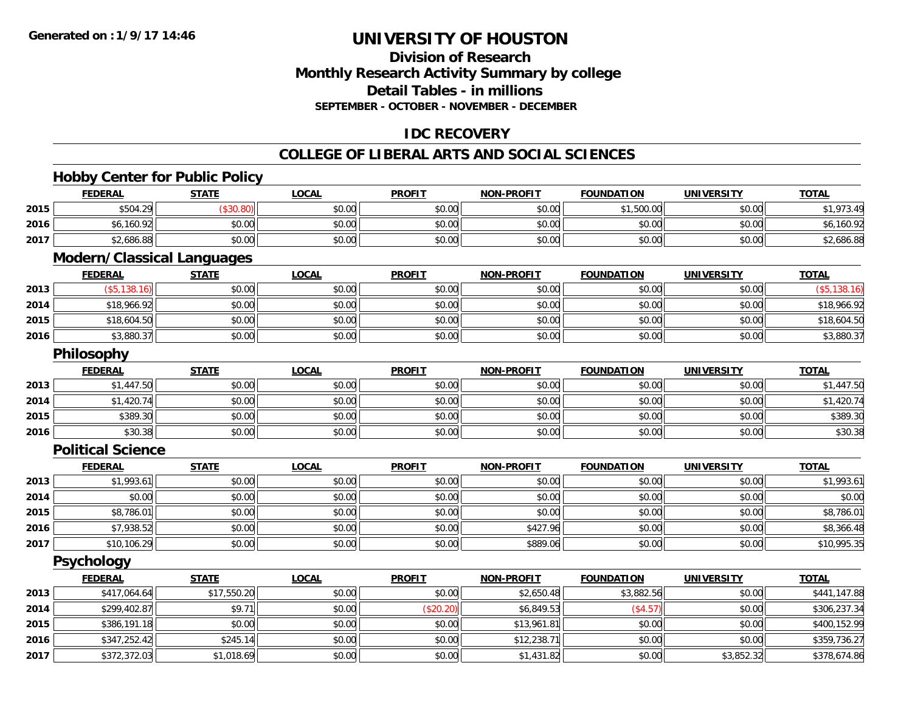### **Division of ResearchMonthly Research Activity Summary by college Detail Tables - in millions SEPTEMBER - OCTOBER - NOVEMBER - DECEMBER**

### **IDC RECOVERY**

#### **COLLEGE OF LIBERAL ARTS AND SOCIAL SCIENCES**

### **Hobby Center for Public Policy**

|      | <b>FEDERAL</b>                    | <b>STATE</b> | <b>LOCAL</b> | <b>PROFIT</b> | <b>NON-PROFIT</b> | <b>FOUNDATION</b> | <b>UNIVERSITY</b> | <b>TOTAL</b> |
|------|-----------------------------------|--------------|--------------|---------------|-------------------|-------------------|-------------------|--------------|
| 2015 | \$504.29                          | (\$30.80)    | \$0.00       | \$0.00        | \$0.00            | \$1,500.00        | \$0.00            | \$1,973.49   |
| 2016 | \$6,160.92                        | \$0.00       | \$0.00       | \$0.00        | \$0.00            | \$0.00            | \$0.00            | \$6,160.92   |
| 2017 | \$2,686.88                        | \$0.00       | \$0.00       | \$0.00        | \$0.00            | \$0.00            | \$0.00            | \$2,686.88   |
|      | <b>Modern/Classical Languages</b> |              |              |               |                   |                   |                   |              |
|      | <b>FEDERAL</b>                    | <b>STATE</b> | <b>LOCAL</b> | <b>PROFIT</b> | <b>NON-PROFIT</b> | <b>FOUNDATION</b> | <b>UNIVERSITY</b> | <b>TOTAL</b> |
| 2013 | (\$5,138.16)                      | \$0.00       | \$0.00       | \$0.00        | \$0.00            | \$0.00            | \$0.00            | (\$5,138.16) |
| 2014 | \$18,966.92                       | \$0.00       | \$0.00       | \$0.00        | \$0.00            | \$0.00            | \$0.00            | \$18,966.92  |
| 2015 | \$18,604.50                       | \$0.00       | \$0.00       | \$0.00        | \$0.00            | \$0.00            | \$0.00            | \$18,604.50  |
| 2016 | \$3,880.37                        | \$0.00       | \$0.00       | \$0.00        | \$0.00            | \$0.00            | \$0.00            | \$3,880.37   |
|      | <b>Philosophy</b>                 |              |              |               |                   |                   |                   |              |
|      | <b>FEDERAL</b>                    | <b>STATE</b> | <b>LOCAL</b> | <b>PROFIT</b> | <b>NON-PROFIT</b> | <b>FOUNDATION</b> | <b>UNIVERSITY</b> | <b>TOTAL</b> |
| 2013 | \$1,447.50                        | \$0.00       | \$0.00       | \$0.00        | \$0.00            | \$0.00            | \$0.00            | \$1,447.50   |
| 2014 | \$1,420.74                        | \$0.00       | \$0.00       | \$0.00        | \$0.00            | \$0.00            | \$0.00            | \$1,420.74   |
| 2015 | \$389.30                          | \$0.00       | \$0.00       | \$0.00        | \$0.00            | \$0.00            | \$0.00            | \$389.30     |
| 2016 | \$30.38                           | \$0.00       | \$0.00       | \$0.00        | \$0.00            | \$0.00            | \$0.00            | \$30.38      |
|      | <b>Political Science</b>          |              |              |               |                   |                   |                   |              |
|      | <b>FEDERAL</b>                    | <b>STATE</b> | <b>LOCAL</b> | <b>PROFIT</b> | <b>NON-PROFIT</b> | <b>FOUNDATION</b> | <b>UNIVERSITY</b> | <b>TOTAL</b> |
| 2013 | \$1,993.61                        | \$0.00       | \$0.00       | \$0.00        | \$0.00            | \$0.00            | \$0.00            | \$1,993.61   |
| 2014 | \$0.00                            | \$0.00       | \$0.00       | \$0.00        | \$0.00            | \$0.00            | \$0.00            | \$0.00       |
| 2015 | \$8,786.01                        | \$0.00       | \$0.00       | \$0.00        | \$0.00            | \$0.00            | \$0.00            | \$8,786.01   |
| 2016 | \$7,938.52                        | \$0.00       | \$0.00       | \$0.00        | \$427.96          | \$0.00            | \$0.00            | \$8,366.48   |
| 2017 | \$10,106.29                       | \$0.00       | \$0.00       | \$0.00        | \$889.06          | \$0.00            | \$0.00            | \$10,995.35  |
|      | <b>Psychology</b>                 |              |              |               |                   |                   |                   |              |
|      | <b>FEDERAL</b>                    | <b>STATE</b> | <b>LOCAL</b> | <b>PROFIT</b> | <b>NON-PROFIT</b> | <b>FOUNDATION</b> | <b>UNIVERSITY</b> | <b>TOTAL</b> |
| 2013 | \$417,064.64                      | \$17,550.20  | \$0.00       | \$0.00        | \$2,650.48        | \$3,882.56        | \$0.00            | \$441,147.88 |
| 2014 | \$299,402.87                      | \$9.71       | \$0.00       | (\$20.20)     | \$6,849.53        | (\$4.57)          | \$0.00            | \$306,237.34 |
| 2015 | \$386,191.18                      | \$0.00       | \$0.00       | \$0.00        | \$13,961.81       | \$0.00            | \$0.00            | \$400,152.99 |
| 2016 | \$347,252.42                      | \$245.14     | \$0.00       | \$0.00        | \$12,238.71       | \$0.00            | \$0.00            | \$359,736.27 |
| 2017 | \$372,372.03                      | \$1,018.69   | \$0.00       | \$0.00        | \$1,431.82        | \$0.00            | \$3,852.32        | \$378,674.86 |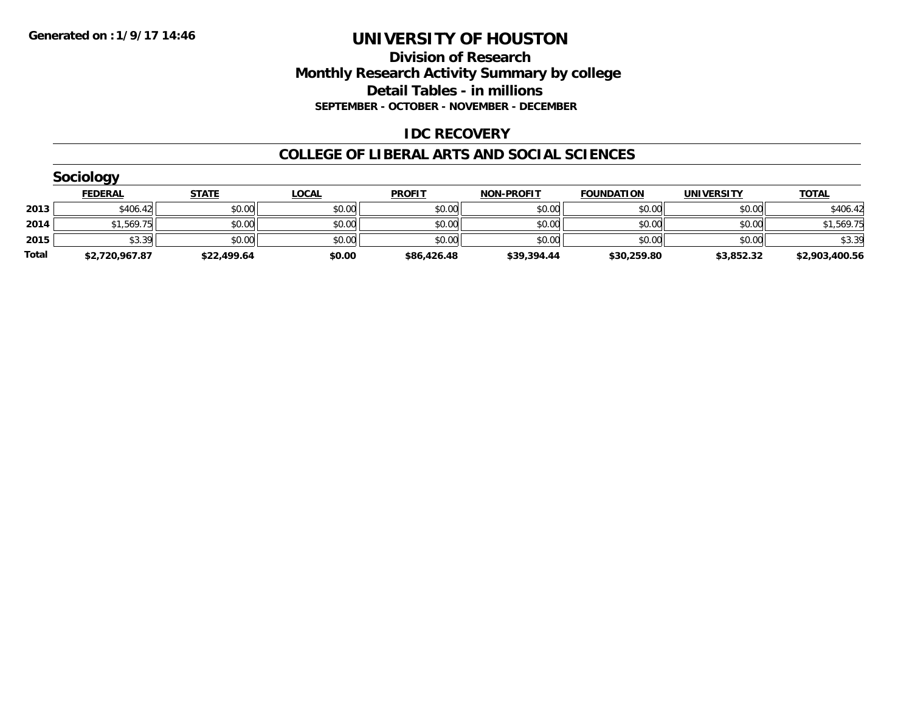#### **Division of Research Monthly Research Activity Summary by college Detail Tables - in millions SEPTEMBER - OCTOBER - NOVEMBER - DECEMBER**

#### **IDC RECOVERY**

#### **COLLEGE OF LIBERAL ARTS AND SOCIAL SCIENCES**

|       | Sociology      |              |              |               |                   |                   |                   |                |  |  |  |  |
|-------|----------------|--------------|--------------|---------------|-------------------|-------------------|-------------------|----------------|--|--|--|--|
|       | <b>FEDERAL</b> | <b>STATE</b> | <b>LOCAL</b> | <b>PROFIT</b> | <b>NON-PROFIT</b> | <b>FOUNDATION</b> | <b>UNIVERSITY</b> | <b>TOTAL</b>   |  |  |  |  |
| 2013  | \$406.42       | \$0.00       | \$0.00       | \$0.00        | \$0.00            | \$0.00            | \$0.00            | \$406.42       |  |  |  |  |
| 2014  | \$1,569.75     | \$0.00       | \$0.00       | \$0.00        | \$0.00            | \$0.00            | \$0.00            | \$1,569.75     |  |  |  |  |
| 2015  | \$3.39         | \$0.00       | \$0.00       | \$0.00        | \$0.00            | \$0.00            | \$0.00            | \$3.39         |  |  |  |  |
| Total | \$2,720,967.87 | \$22,499.64  | \$0.00       | \$86,426.48   | \$39,394.44       | \$30,259.80       | \$3,852.32        | \$2,903,400.56 |  |  |  |  |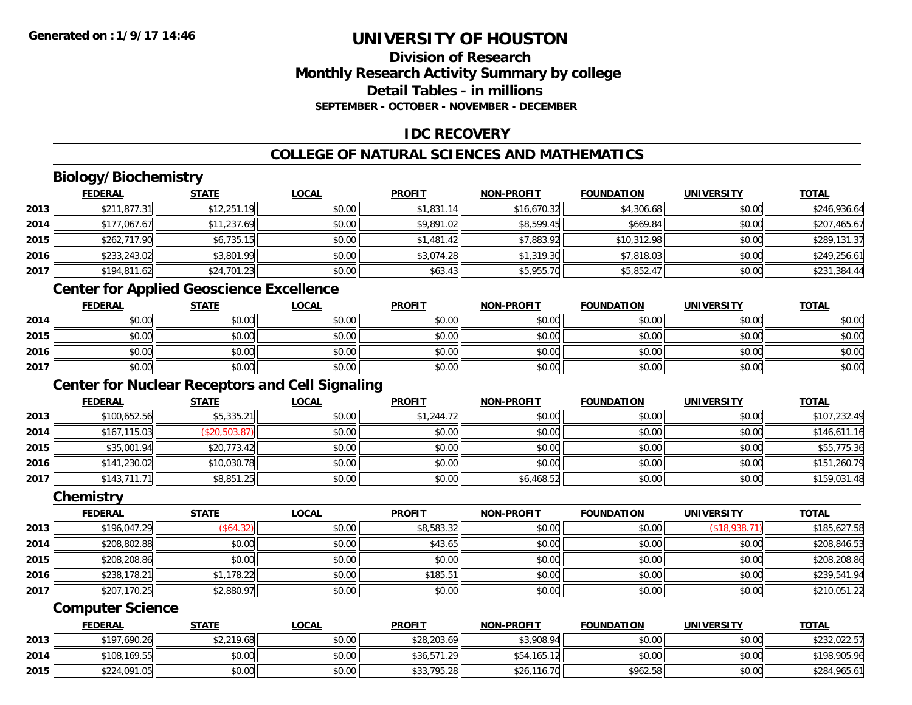#### **Division of ResearchMonthly Research Activity Summary by college Detail Tables - in millionsSEPTEMBER - OCTOBER - NOVEMBER - DECEMBER**

### **IDC RECOVERY**

### **COLLEGE OF NATURAL SCIENCES AND MATHEMATICS**

### **Biology/Biochemistry**

|      | <b>FEDERAL</b> | <b>STATE</b> | <b>LOCAL</b> | <b>PROFIT</b> | <b>NON-PROFIT</b> | <b>FOUNDATION</b> | <b>UNIVERSITY</b> | <b>TOTAL</b> |
|------|----------------|--------------|--------------|---------------|-------------------|-------------------|-------------------|--------------|
| 2013 | \$211,877.31   | \$12,251.19  | \$0.00       | \$1,831.14    | \$16,670.32       | \$4,306.68        | \$0.00            | \$246,936.64 |
| 2014 | \$177,067.67   | \$11,237.69  | \$0.00       | \$9,891.02    | \$8,599.45        | \$669.84          | \$0.00            | \$207,465.67 |
| 2015 | \$262,717.90   | \$6,735.15   | \$0.00       | \$1,481.42    | \$7,883.92        | \$10,312.98       | \$0.00            | \$289,131.37 |
| 2016 | \$233,243.02   | \$3,801.99   | \$0.00       | \$3,074.28    | \$1,319.30        | \$7,818.03        | \$0.00            | \$249,256.61 |
| 2017 | \$194,811.62   | \$24,701.23  | \$0.00       | \$63.43       | \$5,955.70        | \$5,852.47        | \$0.00            | \$231,384.44 |

### **Center for Applied Geoscience Excellence**

|      | <b>FEDERAL</b> | <b>STATE</b> | <u>LOCAL</u> | <b>PROFIT</b> | <b>NON-PROFIT</b> | <b>FOUNDATION</b> | <b>UNIVERSITY</b> | <b>TOTAL</b> |
|------|----------------|--------------|--------------|---------------|-------------------|-------------------|-------------------|--------------|
| 2014 | \$0.00         | \$0.00       | \$0.00       | \$0.00        | \$0.00            | \$0.00            | \$0.00            | \$0.00       |
| 2015 | \$0.00         | \$0.00       | \$0.00       | \$0.00        | \$0.00            | \$0.00            | \$0.00            | \$0.00       |
| 2016 | \$0.00         | \$0.00       | \$0.00       | \$0.00        | \$0.00            | \$0.00            | \$0.00            | \$0.00       |
| 2017 | \$0.00         | \$0.00       | \$0.00       | \$0.00        | \$0.00            | \$0.00            | \$0.00            | \$0.00       |

### **Center for Nuclear Receptors and Cell Signaling**

|      | <b>FEDERAL</b> | <u>STATE</u>  | <b>LOCAL</b> | <b>PROFIT</b> | <b>NON-PROFIT</b> | <b>FOUNDATION</b> | <b>UNIVERSITY</b> | <b>TOTAL</b> |
|------|----------------|---------------|--------------|---------------|-------------------|-------------------|-------------------|--------------|
| 2013 | \$100,652.56   | \$5,335.21    | \$0.00       | \$1,244.72    | \$0.00            | \$0.00            | \$0.00            | \$107,232.49 |
| 2014 | \$167,115.03   | (\$20,503.87) | \$0.00       | \$0.00        | \$0.00            | \$0.00            | \$0.00            | \$146,611.16 |
| 2015 | \$35,001.94    | \$20,773.42   | \$0.00       | \$0.00        | \$0.00            | \$0.00            | \$0.00            | \$55,775.36  |
| 2016 | \$141,230.02   | \$10,030.78   | \$0.00       | \$0.00        | \$0.00            | \$0.00            | \$0.00            | \$151,260.79 |
| 2017 | \$143,711.71   | \$8,851.25    | \$0.00       | \$0.00        | \$6,468.52        | \$0.00            | \$0.00            | \$159,031.48 |

#### **Chemistry**

|      | <b>FEDERAL</b> | <u>STATE</u> | <b>LOCAL</b> | <b>PROFIT</b> | <b>NON-PROFIT</b> | <b>FOUNDATION</b> | <b>UNIVERSITY</b> | <b>TOTAL</b> |
|------|----------------|--------------|--------------|---------------|-------------------|-------------------|-------------------|--------------|
| 2013 | \$196,047.29   | (\$64.32)    | \$0.00       | \$8,583.32    | \$0.00            | \$0.00            | (\$18,938.71)     | \$185,627.58 |
| 2014 | \$208,802.88   | \$0.00       | \$0.00       | \$43.65       | \$0.00            | \$0.00            | \$0.00            | \$208,846.53 |
| 2015 | \$208,208.86   | \$0.00       | \$0.00       | \$0.00        | \$0.00            | \$0.00            | \$0.00            | \$208,208.86 |
| 2016 | \$238,178.21   | \$1,178.22   | \$0.00       | \$185.51      | \$0.00            | \$0.00            | \$0.00            | \$239,541.94 |
| 2017 | \$207,170.25   | \$2,880.97   | \$0.00       | \$0.00        | \$0.00            | \$0.00            | \$0.00            | \$210,051.22 |

#### **Computer Science**

|      | <u>FEDERAL</u> | <u>STATE</u> | <b>LOCAL</b> | <b>PROFIT</b> | <b>NON-PROFIT</b> | <b>FOUNDATION</b> | UNIVERSITY | <b>TOTAL</b> |
|------|----------------|--------------|--------------|---------------|-------------------|-------------------|------------|--------------|
| 2013 | \$197,690.26   | \$2,219.68   | \$0.00       | \$28,203.69   | \$3,908.94        | \$0.00            | \$0.00     | \$232,022.57 |
| 2014 | \$108,169.55   | \$0.00       | \$0.00       | \$36,571.29   | \$54,165.12       | \$0.00            | \$0.00     | \$198,905.96 |
| 2015 | \$224,091.05   | \$0.00       | \$0.00       | \$33,795.28   | \$26,116.70       | \$962.58          | \$0.00     | \$284,965.61 |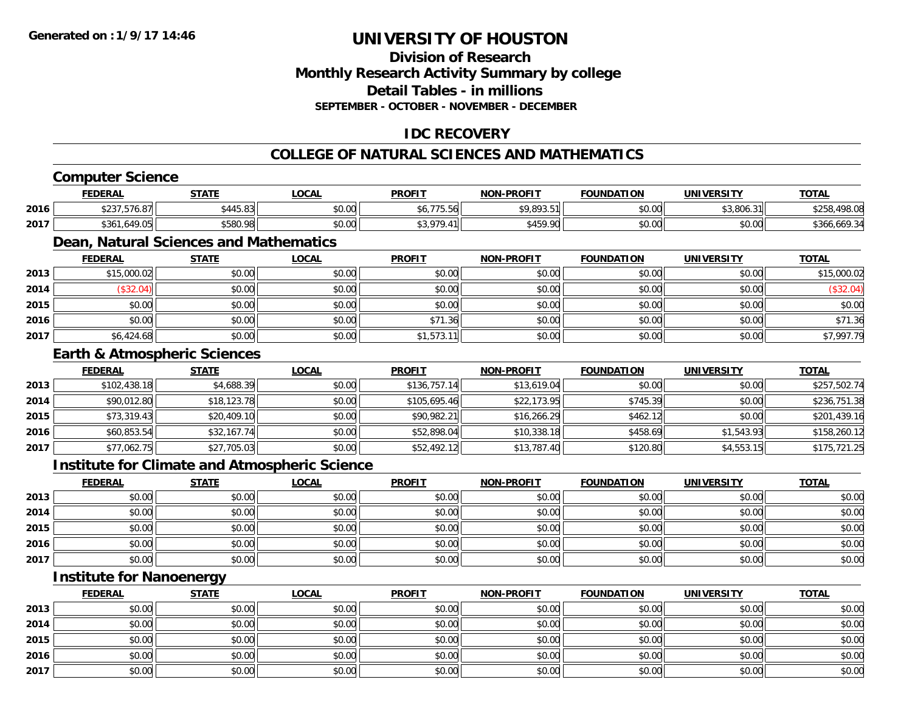#### **Division of ResearchMonthly Research Activity Summary by college Detail Tables - in millions SEPTEMBER - OCTOBER - NOVEMBER - DECEMBER**

### **IDC RECOVERY**

### **COLLEGE OF NATURAL SCIENCES AND MATHEMATICS**

### **Computer Science**

|      | <b>FEDERAL</b>               | <b>STATE</b>                       | LOCAI                                   | <b>PROFIT</b>        | <b>NON-PROFIT</b> | <b>FOUNDATION</b> | UNIVERSITY                | <b>TOTAL</b>             |
|------|------------------------------|------------------------------------|-----------------------------------------|----------------------|-------------------|-------------------|---------------------------|--------------------------|
| 2016 | 0.0277<br>$.$ J/U.O<br>ັ∠ປ   | 0.115<br>/I /I F<br>ا 2<br>~440.0J | $\circ$ $\circ$ $\circ$<br><b>DU.UU</b> | - - - - - - - - - -  | 0.0000<br>.<br>.  | \$0.00            | 0.001<br>.311<br>,3,8U6.3 | ሐ ጣ г<br>70 U            |
| 2017 | $\sqrt{2}$<br>\$361<br>7. UJ | 0.5000<br>DY.VÖGG                  | ስ ለሰ<br><b>DU.UU</b>                    | 0.220<br>$\Lambda$ 1 | QABQ<br>,45Y.YU   | \$0.00            | \$0.00                    | \$366<br>.669<br>. 1. 34 |

### **Dean, Natural Sciences and Mathematics**

|      | <b>FEDERAL</b> | <u>STATE</u> | <b>LOCAL</b> | <b>PROFIT</b>  | <b>NON-PROFIT</b> | <b>FOUNDATION</b> | <b>UNIVERSITY</b> | <b>TOTAL</b> |
|------|----------------|--------------|--------------|----------------|-------------------|-------------------|-------------------|--------------|
| 2013 | \$15,000.02    | \$0.00       | \$0.00       | \$0.00         | \$0.00            | \$0.00            | \$0.00            | \$15,000.02  |
| 2014 | \$32.04        | \$0.00       | \$0.00       | \$0.00         | \$0.00            | \$0.00            | \$0.00            | (\$32.04)    |
| 2015 | \$0.00         | \$0.00       | \$0.00       | \$0.00         | \$0.00            | \$0.00            | \$0.00            | \$0.00       |
| 2016 | \$0.00         | \$0.00       | \$0.00       | \$71.<br>. .36 | \$0.00            | \$0.00            | \$0.00            | \$71.36      |
| 2017 | \$6,424.68     | \$0.00       | \$0.00       | \$1,573.11     | \$0.00            | \$0.00            | \$0.00            | \$7,997.79   |

#### **Earth & Atmospheric Sciences**

|      | <b>FEDERAL</b> | <b>STATE</b> | <b>LOCAL</b> | <b>PROFIT</b> | <b>NON-PROFIT</b> | <b>FOUNDATION</b> | <b>UNIVERSITY</b> | <b>TOTAL</b> |
|------|----------------|--------------|--------------|---------------|-------------------|-------------------|-------------------|--------------|
| 2013 | \$102,438.18   | \$4,688.39   | \$0.00       | \$136,757.14  | \$13.619.04       | \$0.00            | \$0.00            | \$257,502.74 |
| 2014 | \$90,012.80    | \$18,123.78  | \$0.00       | \$105,695.46  | \$22,173.95       | \$745.39          | \$0.00            | \$236,751.38 |
| 2015 | \$73,319.43    | \$20,409.10  | \$0.00       | \$90,982.21   | \$16,266.29       | \$462.12          | \$0.00            | \$201,439.16 |
| 2016 | \$60,853.54    | \$32,167.74  | \$0.00       | \$52,898.04   | \$10,338.18       | \$458.69          | \$1,543.93        | \$158,260.12 |
| 2017 | \$77,062.75    | \$27,705.03  | \$0.00       | \$52,492.12   | \$13,787.40       | \$120.80          | \$4,553.15        | \$175,721.25 |

#### **Institute for Climate and Atmospheric Science**

|      | <u>FEDERAL</u> | <u>STATE</u> | <b>LOCAL</b> | <b>PROFIT</b> | <b>NON-PROFIT</b> | <b>FOUNDATION</b> | <b>UNIVERSITY</b> | <b>TOTAL</b> |
|------|----------------|--------------|--------------|---------------|-------------------|-------------------|-------------------|--------------|
| 2013 | \$0.00         | \$0.00       | \$0.00       | \$0.00        | \$0.00            | \$0.00            | \$0.00            | \$0.00       |
| 2014 | \$0.00         | \$0.00       | \$0.00       | \$0.00        | \$0.00            | \$0.00            | \$0.00            | \$0.00       |
| 2015 | \$0.00         | \$0.00       | \$0.00       | \$0.00        | \$0.00            | \$0.00            | \$0.00            | \$0.00       |
| 2016 | \$0.00         | \$0.00       | \$0.00       | \$0.00        | \$0.00            | \$0.00            | \$0.00            | \$0.00       |
| 2017 | \$0.00         | \$0.00       | \$0.00       | \$0.00        | \$0.00            | \$0.00            | \$0.00            | \$0.00       |

### **Institute for Nanoenergy**

|      | <b>FEDERAL</b> | <b>STATE</b> | <u>LOCAL</u> | <b>PROFIT</b> | <b>NON-PROFIT</b> | <b>FOUNDATION</b> | <b>UNIVERSITY</b> | <b>TOTAL</b> |
|------|----------------|--------------|--------------|---------------|-------------------|-------------------|-------------------|--------------|
| 2013 | \$0.00         | \$0.00       | \$0.00       | \$0.00        | \$0.00            | \$0.00            | \$0.00            | \$0.00       |
| 2014 | \$0.00         | \$0.00       | \$0.00       | \$0.00        | \$0.00            | \$0.00            | \$0.00            | \$0.00       |
| 2015 | \$0.00         | \$0.00       | \$0.00       | \$0.00        | \$0.00            | \$0.00            | \$0.00            | \$0.00       |
| 2016 | \$0.00         | \$0.00       | \$0.00       | \$0.00        | \$0.00            | \$0.00            | \$0.00            | \$0.00       |
| 2017 | \$0.00         | \$0.00       | \$0.00       | \$0.00        | \$0.00            | \$0.00            | \$0.00            | \$0.00       |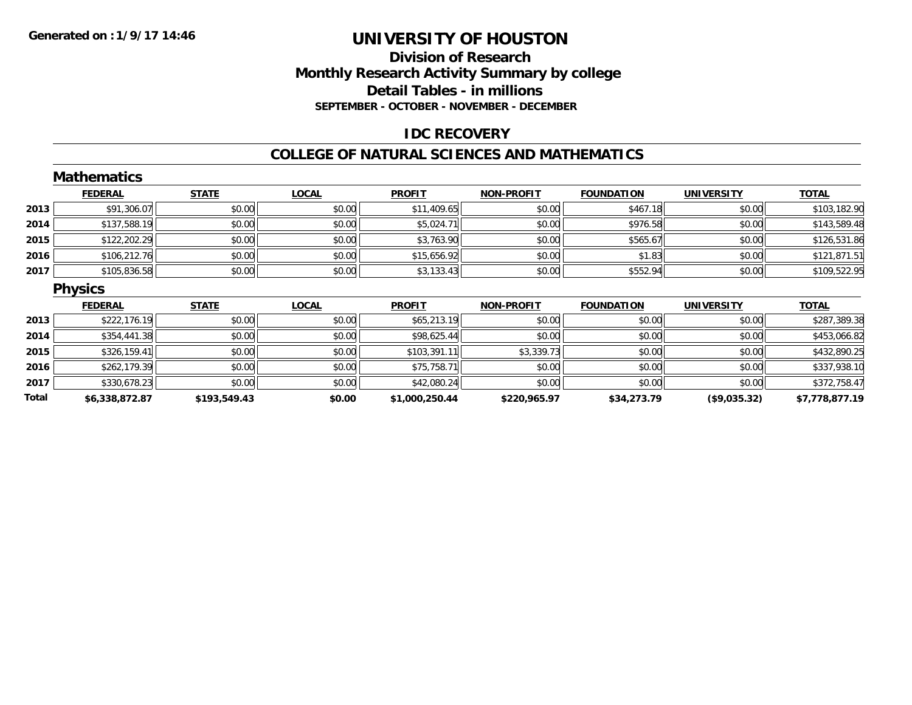### **Division of Research Monthly Research Activity Summary by college Detail Tables - in millions SEPTEMBER - OCTOBER - NOVEMBER - DECEMBER**

### **IDC RECOVERY**

#### **COLLEGE OF NATURAL SCIENCES AND MATHEMATICS**

|       | <b>Mathematics</b> |              |              |                |                   |                   |                   |                |
|-------|--------------------|--------------|--------------|----------------|-------------------|-------------------|-------------------|----------------|
|       | <b>FEDERAL</b>     | <b>STATE</b> | <b>LOCAL</b> | <b>PROFIT</b>  | <b>NON-PROFIT</b> | <b>FOUNDATION</b> | <b>UNIVERSITY</b> | <b>TOTAL</b>   |
| 2013  | \$91,306.07        | \$0.00       | \$0.00       | \$11,409.65    | \$0.00            | \$467.18          | \$0.00            | \$103,182.90   |
| 2014  | \$137,588.19       | \$0.00       | \$0.00       | \$5,024.71     | \$0.00            | \$976.58          | \$0.00            | \$143,589.48   |
| 2015  | \$122,202.29       | \$0.00       | \$0.00       | \$3,763.90     | \$0.00            | \$565.67          | \$0.00            | \$126,531.86   |
| 2016  | \$106,212.76       | \$0.00       | \$0.00       | \$15,656.92    | \$0.00            | \$1.83            | \$0.00            | \$121,871.51   |
| 2017  | \$105,836.58       | \$0.00       | \$0.00       | \$3,133.43     | \$0.00            | \$552.94          | \$0.00            | \$109,522.95   |
|       | <b>Physics</b>     |              |              |                |                   |                   |                   |                |
|       | <b>FEDERAL</b>     | <b>STATE</b> | <b>LOCAL</b> | <b>PROFIT</b>  | <b>NON-PROFIT</b> | <b>FOUNDATION</b> | <b>UNIVERSITY</b> | <b>TOTAL</b>   |
| 2013  | \$222,176.19       | \$0.00       | \$0.00       | \$65,213.19    | \$0.00            | \$0.00            | \$0.00            | \$287,389.38   |
| 2014  | \$354,441.38       | \$0.00       | \$0.00       | \$98,625.44    | \$0.00            | \$0.00            | \$0.00            | \$453,066.82   |
| 2015  | \$326,159.41       | \$0.00       | \$0.00       | \$103,391.11   | \$3,339.73        | \$0.00            | \$0.00            | \$432,890.25   |
| 2016  | \$262,179.39       | \$0.00       | \$0.00       | \$75,758.71    | \$0.00            | \$0.00            | \$0.00            | \$337,938.10   |
| 2017  | \$330,678.23       | \$0.00       | \$0.00       | \$42,080.24    | \$0.00            | \$0.00            | \$0.00            | \$372,758.47   |
| Total | \$6,338,872.87     | \$193,549.43 | \$0.00       | \$1,000,250.44 | \$220,965.97      | \$34,273.79       | (\$9,035.32)      | \$7,778,877.19 |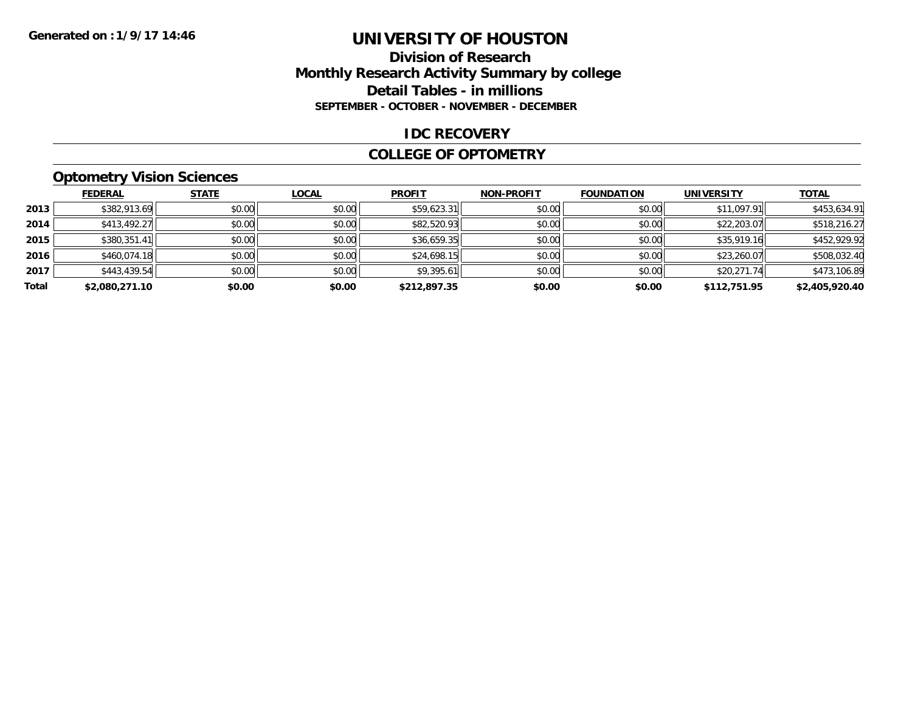### **Division of Research Monthly Research Activity Summary by college Detail Tables - in millions SEPTEMBER - OCTOBER - NOVEMBER - DECEMBER**

#### **IDC RECOVERY**

#### **COLLEGE OF OPTOMETRY**

# **Optometry Vision Sciences**

|       | <b>FEDERAL</b> | <b>STATE</b> | <b>LOCAL</b> | <b>PROFIT</b> | <b>NON-PROFIT</b> | <b>FOUNDATION</b> | <b>UNIVERSITY</b> | <b>TOTAL</b>   |
|-------|----------------|--------------|--------------|---------------|-------------------|-------------------|-------------------|----------------|
| 2013  | \$382,913.69   | \$0.00       | \$0.00       | \$59,623.31   | \$0.00            | \$0.00            | \$11,097.91       | \$453,634.91   |
| 2014  | \$413,492.27   | \$0.00       | \$0.00       | \$82,520.93   | \$0.00            | \$0.00            | \$22,203.07       | \$518,216.27   |
| 2015  | \$380,351.41   | \$0.00       | \$0.00       | \$36,659.35   | \$0.00            | \$0.00            | \$35,919.16       | \$452,929.92   |
| 2016  | \$460,074.18   | \$0.00       | \$0.00       | \$24,698.15   | \$0.00            | \$0.00            | \$23,260.07       | \$508,032.40   |
| 2017  | \$443,439.54   | \$0.00       | \$0.00       | \$9,395.61    | \$0.00            | \$0.00            | \$20,271.74       | \$473,106.89   |
| Total | \$2,080,271.10 | \$0.00       | \$0.00       | \$212,897.35  | \$0.00            | \$0.00            | \$112,751.95      | \$2,405,920.40 |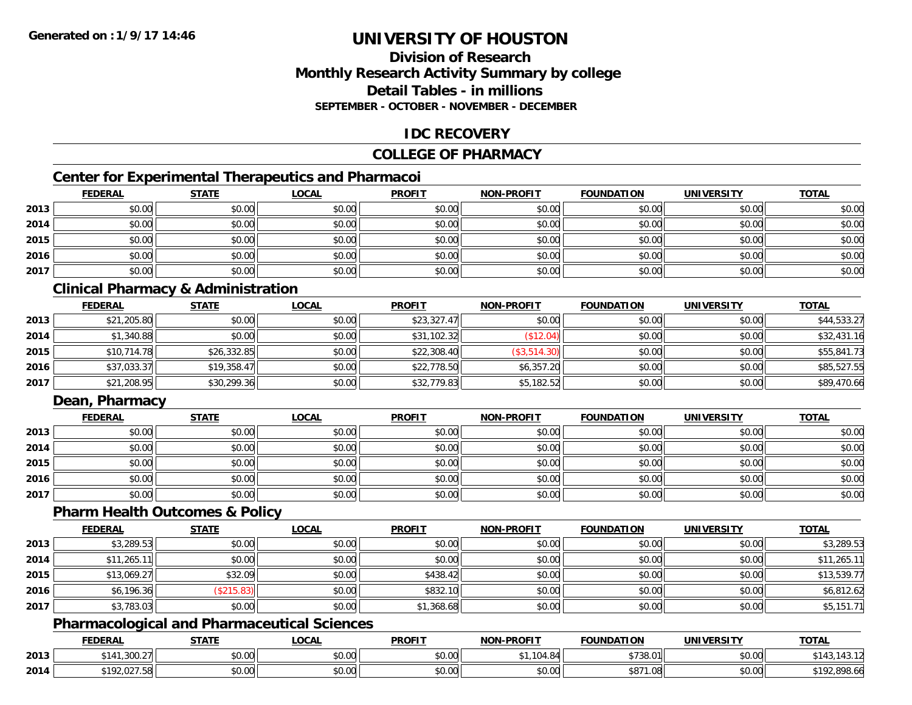# **Division of ResearchMonthly Research Activity Summary by college Detail Tables - in millionsSEPTEMBER - OCTOBER - NOVEMBER - DECEMBER**

# **IDC RECOVERY**

# **COLLEGE OF PHARMACY**

# **Center for Experimental Therapeutics and Pharmacoi**

|      | <b>FEDERAL</b> | <b>STATE</b> | <b>LOCAL</b> | <b>PROFIT</b> | <b>NON-PROFIT</b> | <b>FOUNDATION</b> | <b>UNIVERSITY</b> | <b>TOTAL</b> |
|------|----------------|--------------|--------------|---------------|-------------------|-------------------|-------------------|--------------|
| 2013 | \$0.00         | \$0.00       | \$0.00       | \$0.00        | \$0.00            | \$0.00            | \$0.00            | \$0.00       |
| 2014 | \$0.00         | \$0.00       | \$0.00       | \$0.00        | \$0.00            | \$0.00            | \$0.00            | \$0.00       |
| 2015 | \$0.00         | \$0.00       | \$0.00       | \$0.00        | \$0.00            | \$0.00            | \$0.00            | \$0.00       |
| 2016 | \$0.00         | \$0.00       | \$0.00       | \$0.00        | \$0.00            | \$0.00            | \$0.00            | \$0.00       |
| 2017 | \$0.00         | \$0.00       | \$0.00       | \$0.00        | \$0.00            | \$0.00            | \$0.00            | \$0.00       |

# **Clinical Pharmacy & Administration**

|      | <b>FEDERAL</b> | <b>STATE</b> | <u>LOCAL</u> | <b>PROFIT</b> | <b>NON-PROFIT</b> | <b>FOUNDATION</b> | <b>UNIVERSITY</b> | <b>TOTAL</b> |
|------|----------------|--------------|--------------|---------------|-------------------|-------------------|-------------------|--------------|
| 2013 | \$21,205.80    | \$0.00       | \$0.00       | \$23,327.47   | \$0.00            | \$0.00            | \$0.00            | \$44,533.27  |
| 2014 | \$1,340.88     | \$0.00       | \$0.00       | \$31,102.32   | \$12.04)          | \$0.00            | \$0.00            | \$32,431.16  |
| 2015 | \$10,714.78    | \$26,332.85  | \$0.00       | \$22,308.40   | (\$3,514.30)      | \$0.00            | \$0.00            | \$55,841.73  |
| 2016 | \$37,033.37    | \$19,358.47  | \$0.00       | \$22,778.50   | \$6,357.20        | \$0.00            | \$0.00            | \$85,527.55  |
| 2017 | \$21,208.95    | \$30,299.36  | \$0.00       | \$32,779.83   | \$5,182.52        | \$0.00            | \$0.00            | \$89,470.66  |

# **Dean, Pharmacy**

|      | <b>FEDERAL</b> | <b>STATE</b> | <u>LOCAL</u> | <b>PROFIT</b> | <b>NON-PROFIT</b> | <b>FOUNDATION</b> | <b>UNIVERSITY</b> | <b>TOTAL</b> |
|------|----------------|--------------|--------------|---------------|-------------------|-------------------|-------------------|--------------|
| 2013 | \$0.00         | \$0.00       | \$0.00       | \$0.00        | \$0.00            | \$0.00            | \$0.00            | \$0.00       |
| 2014 | \$0.00         | \$0.00       | \$0.00       | \$0.00        | \$0.00            | \$0.00            | \$0.00            | \$0.00       |
| 2015 | \$0.00         | \$0.00       | \$0.00       | \$0.00        | \$0.00            | \$0.00            | \$0.00            | \$0.00       |
| 2016 | \$0.00         | \$0.00       | \$0.00       | \$0.00        | \$0.00            | \$0.00            | \$0.00            | \$0.00       |
| 2017 | \$0.00         | \$0.00       | \$0.00       | \$0.00        | \$0.00            | \$0.00            | \$0.00            | \$0.00       |

#### **Pharm Health Outcomes & Policy**

|      | <b>FEDERAL</b> | <b>STATE</b> | <b>LOCAL</b> | <b>PROFIT</b> | <b>NON-PROFIT</b> | <b>FOUNDATION</b> | <b>UNIVERSITY</b> | <b>TOTAL</b> |
|------|----------------|--------------|--------------|---------------|-------------------|-------------------|-------------------|--------------|
| 2013 | \$3,289.53     | \$0.00       | \$0.00       | \$0.00        | \$0.00            | \$0.00            | \$0.00            | \$3,289.53   |
| 2014 | \$11,265.11    | \$0.00       | \$0.00       | \$0.00        | \$0.00            | \$0.00            | \$0.00            | \$11,265.1   |
| 2015 | \$13,069.27    | \$32.09      | \$0.00       | \$438.42      | \$0.00            | \$0.00            | \$0.00            | \$13,539.77  |
| 2016 | \$6,196.36     | \$215.83     | \$0.00       | \$832.10      | \$0.00            | \$0.00            | \$0.00            | \$6,812.62   |
| 2017 | \$3,783.03     | \$0.00       | \$0.00       | \$1,368.68    | \$0.00            | \$0.00            | \$0.00            | \$5,151.71   |

# **Pharmacological and Pharmaceutical Sciences**

|      | <b>FEDERAL</b>               | <b>STATE</b>  | <b>_OCAL</b>       | <b>PROFIT</b>        | <b>NON-PROFIT</b>             | <b>FOUNDATION</b> | <b>UNIVERSITY</b> | <b>TOTAL</b>      |
|------|------------------------------|---------------|--------------------|----------------------|-------------------------------|-------------------|-------------------|-------------------|
| 2013 | .300.27<br>\$14"             | ሖ ^<br>JU.UU  | $\sim$ 00<br>vu.uu | 0000<br><b>JU.UU</b> | $\mathbf{r} \cdot \mathbf{O}$ | $+700$            | 0000<br>\$0.00    | $\sim$            |
| 2014 | 0275<br>$+100$<br>192.UZ7.30 | 0000<br>JU.UU | $\sim$ 00<br>JU.UU | 0000<br>JU.UU        | 0.00<br>JU.UU                 | \$871             | \$0.00            | 000<br>.92,898.66 |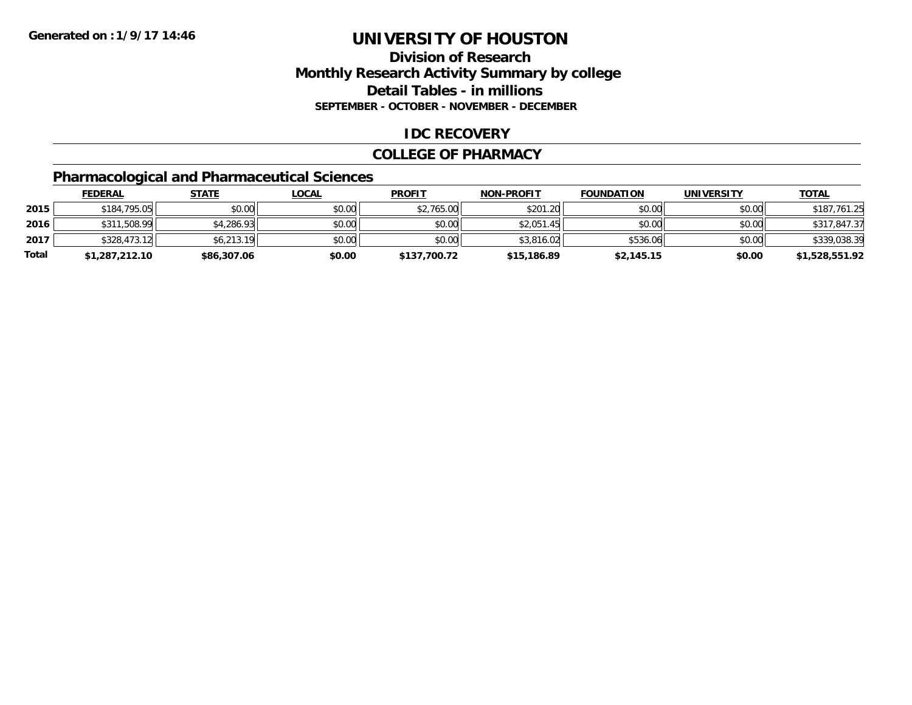# **Division of ResearchMonthly Research Activity Summary by college Detail Tables - in millions SEPTEMBER - OCTOBER - NOVEMBER - DECEMBER**

### **IDC RECOVERY**

#### **COLLEGE OF PHARMACY**

# **Pharmacological and Pharmaceutical Sciences**

|       | <b>FEDERAL</b> | <u>STATE</u> | <u>LOCAL</u> | <b>PROFIT</b> | <b>NON-PROFIT</b> | <b>FOUNDATION</b> | <b>UNIVERSITY</b> | <b>TOTAL</b>   |
|-------|----------------|--------------|--------------|---------------|-------------------|-------------------|-------------------|----------------|
| 2015  | \$184,795.05   | \$0.00       | \$0.00       | \$2,765.00    | \$201.20          | \$0.00            | \$0.00            | \$187,761.25   |
| 2016  | \$311,508.99   | \$4,286.93   | \$0.00       | \$0.00        | \$2.051.45        | \$0.00            | \$0.00            | \$317,847.37   |
| 2017  | \$328,473.12   | \$6,213.19   | \$0.00       | \$0.00        | \$3,816.02        | \$536.06          | \$0.00            | \$339,038.39   |
| Total | \$1,287,212.10 | \$86,307.06  | \$0.00       | \$137,700.72  | \$15,186.89       | \$2,145.15        | \$0.00            | \$1,528,551.92 |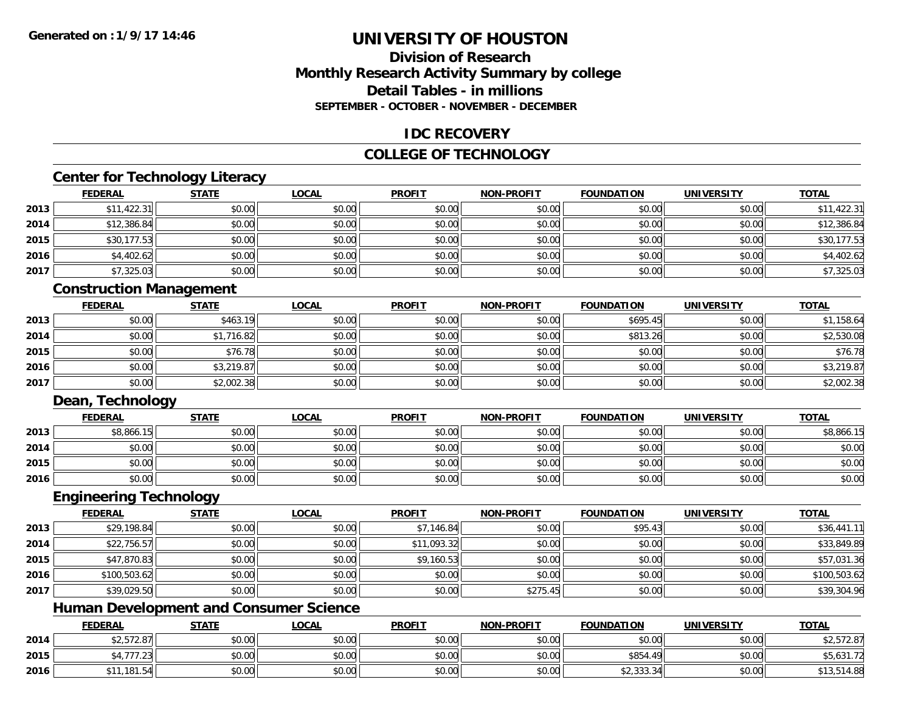# **Division of ResearchMonthly Research Activity Summary by college Detail Tables - in millionsSEPTEMBER - OCTOBER - NOVEMBER - DECEMBER**

### **IDC RECOVERY**

# **COLLEGE OF TECHNOLOGY**

# **Center for Technology Literacy**

|      | <b>FEDERAL</b> | <b>STATE</b> | <u>LOCAL</u> | <b>PROFIT</b> | <b>NON-PROFIT</b> | <b>FOUNDATION</b> | <b>UNIVERSITY</b> | <b>TOTAL</b> |
|------|----------------|--------------|--------------|---------------|-------------------|-------------------|-------------------|--------------|
| 2013 | \$11,422.31    | \$0.00       | \$0.00       | \$0.00        | \$0.00            | \$0.00            | \$0.00            | \$11,422.31  |
| 2014 | \$12,386.84    | \$0.00       | \$0.00       | \$0.00        | \$0.00            | \$0.00            | \$0.00            | \$12,386.84  |
| 2015 | \$30,177.53    | \$0.00       | \$0.00       | \$0.00        | \$0.00            | \$0.00            | \$0.00            | \$30,177.53  |
| 2016 | \$4,402.62     | \$0.00       | \$0.00       | \$0.00        | \$0.00            | \$0.00            | \$0.00            | \$4,402.62   |
| 2017 | \$7,325.03     | \$0.00       | \$0.00       | \$0.00        | \$0.00            | \$0.00            | \$0.00            | \$7,325.03   |

### **Construction Management**

|      | <b>FEDERAL</b> | <b>STATE</b> | <b>LOCAL</b> | <b>PROFIT</b> | <b>NON-PROFIT</b> | <b>FOUNDATION</b> | <b>UNIVERSITY</b> | <b>TOTAL</b> |
|------|----------------|--------------|--------------|---------------|-------------------|-------------------|-------------------|--------------|
| 2013 | \$0.00         | \$463.19     | \$0.00       | \$0.00        | \$0.00            | \$695.45          | \$0.00            | \$1,158.64   |
| 2014 | \$0.00         | \$1,716.82   | \$0.00       | \$0.00        | \$0.00            | \$813.26          | \$0.00            | \$2,530.08   |
| 2015 | \$0.00         | \$76.78      | \$0.00       | \$0.00        | \$0.00            | \$0.00            | \$0.00            | \$76.78      |
| 2016 | \$0.00         | \$3,219.87   | \$0.00       | \$0.00        | \$0.00            | \$0.00            | \$0.00            | \$3,219.87   |
| 2017 | \$0.00         | \$2,002.38   | \$0.00       | \$0.00        | \$0.00            | \$0.00            | \$0.00            | \$2,002.38   |

### **Dean, Technology**

|      | <b>FEDERAL</b> | <b>STATE</b> | <u>LOCAL</u> | <b>PROFIT</b> | <b>NON-PROFIT</b> | <b>FOUNDATION</b> | <b>UNIVERSITY</b> | <b>TOTAL</b> |
|------|----------------|--------------|--------------|---------------|-------------------|-------------------|-------------------|--------------|
| 2013 | \$8,866.15     | \$0.00       | \$0.00       | \$0.00        | \$0.00            | \$0.00            | \$0.00            | \$8,866.15   |
| 2014 | \$0.00         | \$0.00       | \$0.00       | \$0.00        | \$0.00            | \$0.00            | \$0.00            | \$0.00       |
| 2015 | \$0.00         | \$0.00       | \$0.00       | \$0.00        | \$0.00            | \$0.00            | \$0.00            | \$0.00       |
| 2016 | \$0.00         | \$0.00       | \$0.00       | \$0.00        | \$0.00            | \$0.00            | \$0.00            | \$0.00       |

### **Engineering Technology**

|      | <b>FEDERAL</b> | <b>STATE</b> | <u>LOCAL</u> | <b>PROFIT</b> | <b>NON-PROFIT</b> | <b>FOUNDATION</b> | <b>UNIVERSITY</b> | <b>TOTAL</b> |
|------|----------------|--------------|--------------|---------------|-------------------|-------------------|-------------------|--------------|
| 2013 | \$29,198.84    | \$0.00       | \$0.00       | \$7,146.84    | \$0.00            | \$95.43           | \$0.00            | \$36,441.11  |
| 2014 | \$22,756.57    | \$0.00       | \$0.00       | \$11,093.32   | \$0.00            | \$0.00            | \$0.00            | \$33,849.89  |
| 2015 | \$47,870.83    | \$0.00       | \$0.00       | \$9,160.53    | \$0.00            | \$0.00            | \$0.00            | \$57,031.36  |
| 2016 | \$100,503.62   | \$0.00       | \$0.00       | \$0.00        | \$0.00            | \$0.00            | \$0.00            | \$100,503.62 |
| 2017 | \$39,029.50    | \$0.00       | \$0.00       | \$0.00        | \$275.45          | \$0.00            | \$0.00            | \$39,304.96  |

# **Human Development and Consumer Science**

|      | <b>FEDERAL</b>            | <b>STATE</b> | <u>LOCAL</u> | <b>PROFIT</b> | <b>NON-PROFIT</b> | <b>FOUNDATION</b> | <b>UNIVERSITY</b> | <b>TOTAL</b>             |
|------|---------------------------|--------------|--------------|---------------|-------------------|-------------------|-------------------|--------------------------|
| 2014 | \$2,572.87                | \$0.00       | \$0.00       | \$0.00        | \$0.00            | \$0.00            | \$0.00            | \$2,572.87               |
| 2015 | 177<br>.<br>94, / / / .2J | \$0.00       | \$0.00       | \$0.00        | \$0.00            | \$854.49          | \$0.00            | $1.21 - 7$<br>\$5,031.72 |
| 2016 | .181.54                   | \$0.00       | \$0.00       | \$0.00        | \$0.00            | \$2,333.34        | \$0.00            | \$13,514.88              |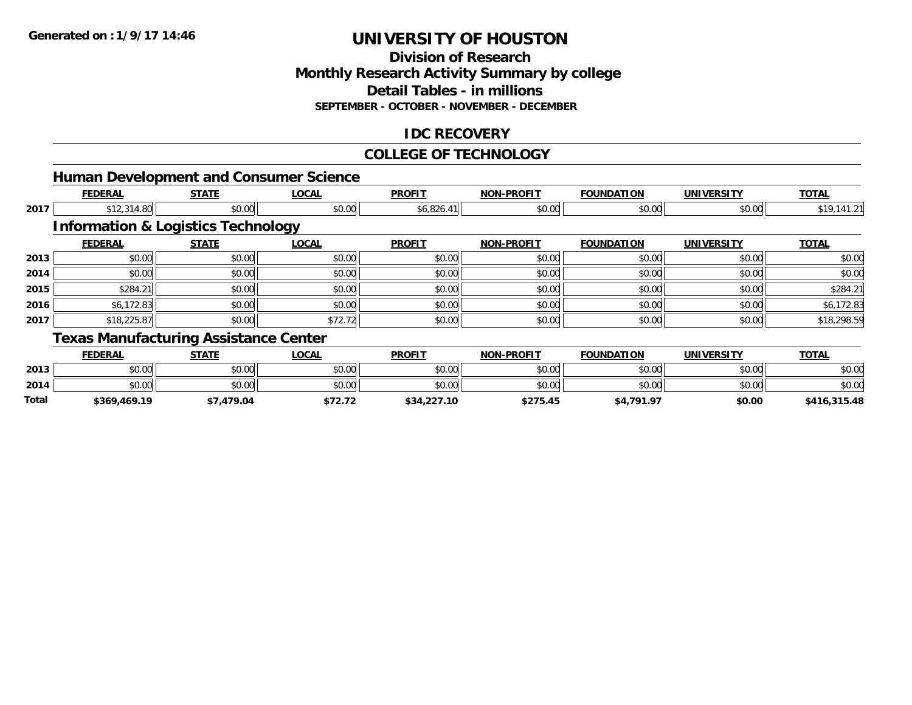**Total**

# **UNIVERSITY OF HOUSTON**

### **Division of Research Monthly Research Activity Summary by college Detail Tables - in millions SEPTEMBER - OCTOBER - NOVEMBER - DECEMBER**

# **IDC RECOVERY**

#### **COLLEGE OF TECHNOLOGY**

|      |                                               |              | <b>Human Development and Consumer Science</b> |               |                   |                   |                   |              |
|------|-----------------------------------------------|--------------|-----------------------------------------------|---------------|-------------------|-------------------|-------------------|--------------|
|      | <b>FEDERAL</b>                                | <b>STATE</b> | <b>LOCAL</b>                                  | <b>PROFIT</b> | <b>NON-PROFIT</b> | <b>FOUNDATION</b> | <b>UNIVERSITY</b> | <b>TOTAL</b> |
| 2017 | \$12,314.80                                   | \$0.00       | \$0.00                                        | \$6,826.41    | \$0.00            | \$0.00            | \$0.00            | \$19,141.21  |
|      | <b>Information &amp; Logistics Technology</b> |              |                                               |               |                   |                   |                   |              |
|      | <b>FEDERAL</b>                                | <b>STATE</b> | <b>LOCAL</b>                                  | <b>PROFIT</b> | <b>NON-PROFIT</b> | <b>FOUNDATION</b> | <b>UNIVERSITY</b> | <b>TOTAL</b> |
| 2013 | \$0.00                                        | \$0.00       | \$0.00                                        | \$0.00        | \$0.00            | \$0.00            | \$0.00            | \$0.00       |
| 2014 | \$0.00                                        | \$0.00       | \$0.00                                        | \$0.00        | \$0.00            | \$0.00            | \$0.00            | \$0.00       |
| 2015 | \$284.21                                      | \$0.00       | \$0.00                                        | \$0.00        | \$0.00            | \$0.00            | \$0.00            | \$284.21     |
| 2016 | \$6,172.83                                    | \$0.00       | \$0.00                                        | \$0.00        | \$0.00            | \$0.00            | \$0.00            | \$6,172.83   |
| 2017 | \$18,225.87                                   | \$0.00       | \$72.72                                       | \$0.00        | \$0.00            | \$0.00            | \$0.00            | \$18,298.59  |
|      | <b>Texas Manufacturing Assistance Center</b>  |              |                                               |               |                   |                   |                   |              |
|      | <b>FEDERAL</b>                                | <b>STATE</b> | <b>LOCAL</b>                                  | <b>PROFIT</b> | <b>NON-PROFIT</b> | <b>FOUNDATION</b> | <b>UNIVERSITY</b> | <b>TOTAL</b> |
| 2013 | \$0.00                                        | \$0.00       | \$0.00                                        | \$0.00        | \$0.00            | \$0.00            | \$0.00            | \$0.00       |
| 2014 | \$0.00                                        | \$0.00       | \$0.00                                        | \$0.00        | \$0.00            | \$0.00            | \$0.00            | \$0.00       |

**\$369,469.19 \$7,479.04 \$72.72 \$34,227.10 \$275.45 \$4,791.97 \$0.00 \$416,315.48**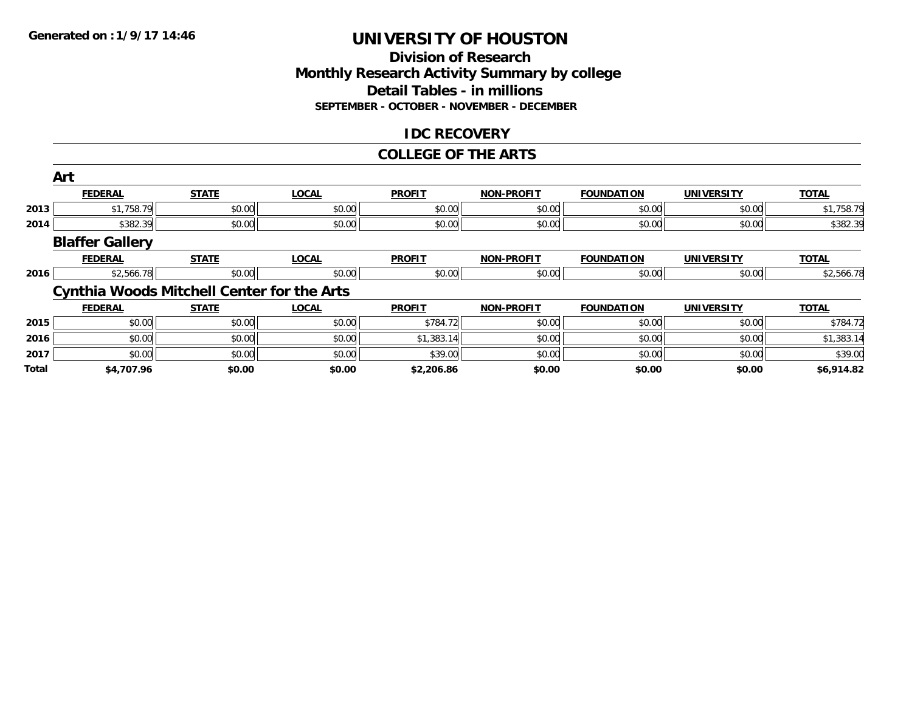### **Division of Research Monthly Research Activity Summary by college Detail Tables - in millions SEPTEMBER - OCTOBER - NOVEMBER - DECEMBER**

# **IDC RECOVERY**

#### **COLLEGE OF THE ARTS**

|              | Art                                               |              |              |               |                   |                   |                   |              |
|--------------|---------------------------------------------------|--------------|--------------|---------------|-------------------|-------------------|-------------------|--------------|
|              | <b>FEDERAL</b>                                    | <b>STATE</b> | <b>LOCAL</b> | <b>PROFIT</b> | <b>NON-PROFIT</b> | <b>FOUNDATION</b> | <b>UNIVERSITY</b> | <b>TOTAL</b> |
| 2013         | \$1,758.79                                        | \$0.00       | \$0.00       | \$0.00        | \$0.00            | \$0.00            | \$0.00            | \$1,758.79   |
| 2014         | \$382.39                                          | \$0.00       | \$0.00       | \$0.00        | \$0.00            | \$0.00            | \$0.00            | \$382.39     |
|              | <b>Blaffer Gallery</b>                            |              |              |               |                   |                   |                   |              |
|              | <b>FEDERAL</b>                                    | <b>STATE</b> | <b>LOCAL</b> | <b>PROFIT</b> | <b>NON-PROFIT</b> | <b>FOUNDATION</b> | <b>UNIVERSITY</b> | <b>TOTAL</b> |
| 2016         | \$2,566.78                                        | \$0.00       | \$0.00       | \$0.00        | \$0.00            | \$0.00            | \$0.00            | \$2,566.78   |
|              | <b>Cynthia Woods Mitchell Center for the Arts</b> |              |              |               |                   |                   |                   |              |
|              | <b>FEDERAL</b>                                    | <b>STATE</b> | <b>LOCAL</b> | <b>PROFIT</b> | <b>NON-PROFIT</b> | <b>FOUNDATION</b> | <b>UNIVERSITY</b> | <b>TOTAL</b> |
| 2015         | \$0.00                                            | \$0.00       | \$0.00       | \$784.72      | \$0.00            | \$0.00            | \$0.00            | \$784.72     |
| 2016         | \$0.00                                            | \$0.00       | \$0.00       | \$1,383.14    | \$0.00            | \$0.00            | \$0.00            | \$1,383.14   |
| 2017         | \$0.00                                            | \$0.00       | \$0.00       | \$39.00       | \$0.00            | \$0.00            | \$0.00            | \$39.00      |
| <b>Total</b> | \$4,707.96                                        | \$0.00       | \$0.00       | \$2,206.86    | \$0.00            | \$0.00            | \$0.00            | \$6,914.82   |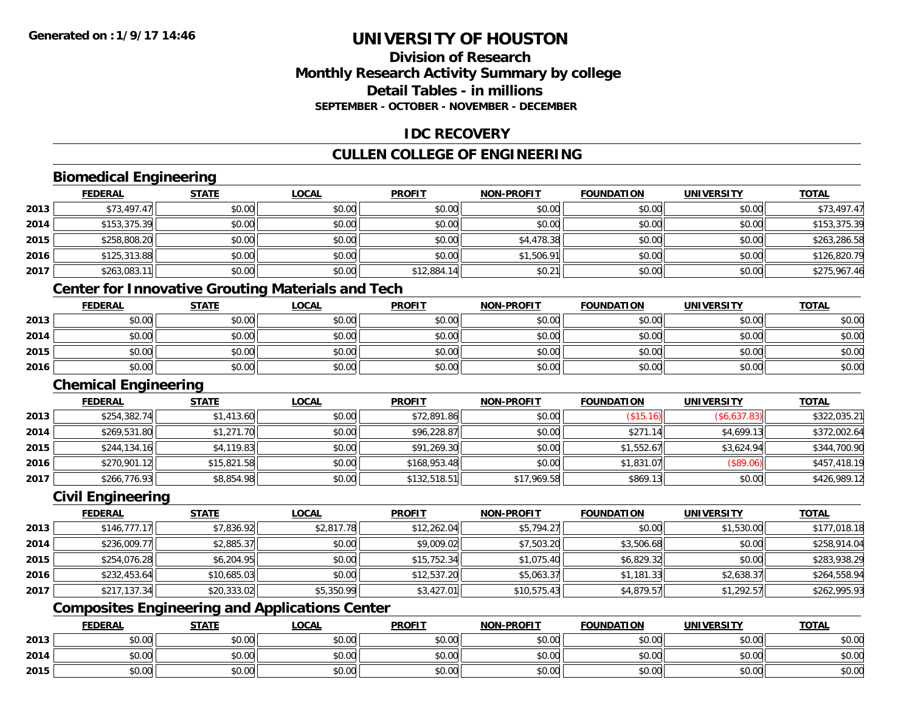# **Division of ResearchMonthly Research Activity Summary by college Detail Tables - in millionsSEPTEMBER - OCTOBER - NOVEMBER - DECEMBER**

# **IDC RECOVERY**

# **CULLEN COLLEGE OF ENGINEERING**

# **Biomedical Engineering**

|      | <b>FEDERAL</b> | <b>STATE</b> | <u>LOCAL</u> | <b>PROFIT</b> | <b>NON-PROFIT</b> | <b>FOUNDATION</b> | <b>UNIVERSITY</b> | <b>TOTAL</b> |
|------|----------------|--------------|--------------|---------------|-------------------|-------------------|-------------------|--------------|
| 2013 | \$73,497.47    | \$0.00       | \$0.00       | \$0.00        | \$0.00            | \$0.00            | \$0.00            | \$73,497.47  |
| 2014 | \$153,375.39   | \$0.00       | \$0.00       | \$0.00        | \$0.00            | \$0.00            | \$0.00            | \$153,375.39 |
| 2015 | \$258,808.20   | \$0.00       | \$0.00       | \$0.00        | \$4,478.38        | \$0.00            | \$0.00            | \$263,286.58 |
| 2016 | \$125,313.88   | \$0.00       | \$0.00       | \$0.00        | \$1,506.91        | \$0.00            | \$0.00            | \$126,820.79 |
| 2017 | \$263,083.11   | \$0.00       | \$0.00       | \$12,884.14   | \$0.21            | \$0.00            | \$0.00            | \$275,967.46 |

# **Center for Innovative Grouting Materials and Tech**

|      | <b>FEDERAL</b> | <b>STATE</b> | <b>LOCAL</b> | <b>PROFIT</b> | <b>NON-PROFIT</b> | <b>FOUNDATION</b> | UNIVERSITY | <b>TOTAL</b> |
|------|----------------|--------------|--------------|---------------|-------------------|-------------------|------------|--------------|
| 2013 | \$0.00         | \$0.00       | \$0.00       | \$0.00        | \$0.00            | \$0.00            | \$0.00     | \$0.00       |
| 2014 | \$0.00         | \$0.00       | \$0.00       | \$0.00        | \$0.00            | \$0.00            | \$0.00     | \$0.00       |
| 2015 | \$0.00         | \$0.00       | \$0.00       | \$0.00        | \$0.00            | \$0.00            | \$0.00     | \$0.00       |
| 2016 | \$0.00         | \$0.00       | \$0.00       | \$0.00        | \$0.00            | \$0.00            | \$0.00     | \$0.00       |

### **Chemical Engineering**

|      | <u>FEDERAL</u> | <b>STATE</b> | <b>LOCAL</b> | <b>PROFIT</b> | <b>NON-PROFIT</b> | <b>FOUNDATION</b> | <b>UNIVERSITY</b> | <b>TOTAL</b> |
|------|----------------|--------------|--------------|---------------|-------------------|-------------------|-------------------|--------------|
| 2013 | \$254,382.74   | \$1,413.60   | \$0.00       | \$72,891.86   | \$0.00            | (\$15.16)         | (\$6,637.83)      | \$322,035.21 |
| 2014 | \$269,531.80   | \$1,271.70   | \$0.00       | \$96,228.87   | \$0.00            | \$271.14          | \$4,699.13        | \$372,002.64 |
| 2015 | \$244,134.16   | \$4,119.83   | \$0.00       | \$91,269.30   | \$0.00            | \$1.552.67        | \$3,624.94        | \$344,700.90 |
| 2016 | \$270,901.12   | \$15,821.58  | \$0.00       | \$168,953.48  | \$0.00            | \$1,831.07        | \$89.06           | \$457,418.19 |
| 2017 | \$266,776.93   | \$8,854.98   | \$0.00       | \$132,518.51  | \$17,969.58       | \$869.13          | \$0.00            | \$426,989.12 |

#### **Civil Engineering**

|      | <b>FEDERAL</b> | <b>STATE</b> | <b>LOCAL</b> | <b>PROFIT</b> | <b>NON-PROFIT</b> | <b>FOUNDATION</b> | <b>UNIVERSITY</b> | <b>TOTAL</b> |
|------|----------------|--------------|--------------|---------------|-------------------|-------------------|-------------------|--------------|
| 2013 | \$146.777.17   | \$7,836.92   | \$2,817.78   | \$12,262.04   | \$5,794.27        | \$0.00            | \$1,530.00        | \$177,018.18 |
| 2014 | \$236,009.77   | \$2,885.37   | \$0.00       | \$9,009.02    | \$7,503.20        | \$3,506.68        | \$0.00            | \$258,914.04 |
| 2015 | \$254,076.28   | \$6,204.95   | \$0.00       | \$15,752.34   | \$1,075.40        | \$6,829.32        | \$0.00            | \$283,938.29 |
| 2016 | \$232,453.64   | \$10,685.03  | \$0.00       | \$12,537.20   | \$5,063.37        | \$1,181.33        | \$2,638.37        | \$264,558.94 |
| 2017 | \$217,137.34   | \$20,333.02  | \$5,350.99   | \$3,427.01    | \$10,575.43       | \$4,879.57        | \$1,292.57        | \$262,995.93 |

# **Composites Engineering and Applications Center**

|      | <b>FEDERAL</b>     | <b>STATE</b> | <u>LOCAL</u> | <b>PROFIT</b> | <b>I-PROFIT</b><br>NON- | <b>FOUNDATION</b> | <b>UNIVERSITY</b> | <b>TOTAL</b> |
|------|--------------------|--------------|--------------|---------------|-------------------------|-------------------|-------------------|--------------|
| 2013 | <b>00</b><br>JU.UU | \$0.00       | \$0.00       | \$0.00        | \$0.00                  | \$0.00            | \$0.00            | \$0.00       |
| 2014 | ሶስ ሰሰ<br>PU.UU     | \$0.00       | \$0.00       | \$0.00        | \$0.00                  | \$0.00            | \$0.00            | \$0.00       |
| 2015 | 0000<br>JU.UU      | \$0.00       | \$0.00       | \$0.00        | \$0.00                  | \$0.00            | \$0.00            | \$0.00       |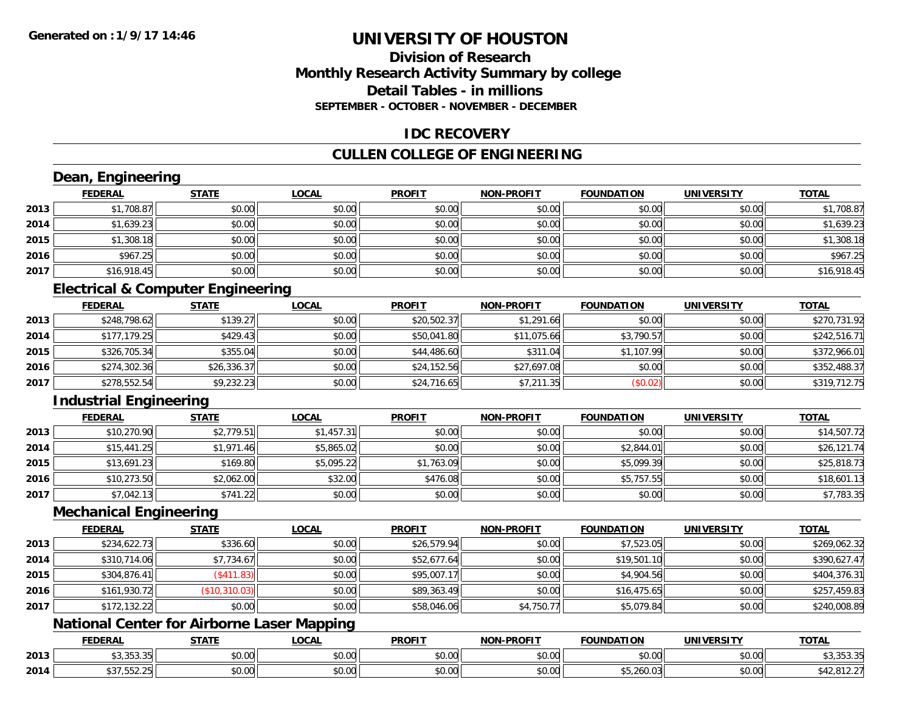# **Division of ResearchMonthly Research Activity Summary by college Detail Tables - in millionsSEPTEMBER - OCTOBER - NOVEMBER - DECEMBER**

### **IDC RECOVERY**

# **CULLEN COLLEGE OF ENGINEERING**

# **Dean, Engineering**

|      | <b>FEDERAL</b> | <b>STATE</b> | <b>LOCAL</b> | <b>PROFIT</b> | <b>NON-PROFIT</b> | <b>FOUNDATION</b> | <b>UNIVERSITY</b> | <b>TOTAL</b> |
|------|----------------|--------------|--------------|---------------|-------------------|-------------------|-------------------|--------------|
| 2013 | \$1,708.87     | \$0.00       | \$0.00       | \$0.00        | \$0.00            | \$0.00            | \$0.00            | \$1,708.87   |
| 2014 | \$1,639.23     | \$0.00       | \$0.00       | \$0.00        | \$0.00            | \$0.00            | \$0.00            | \$1,639.23   |
| 2015 | \$1,308.18     | \$0.00       | \$0.00       | \$0.00        | \$0.00            | \$0.00            | \$0.00            | \$1,308.18   |
| 2016 | \$967.25       | \$0.00       | \$0.00       | \$0.00        | \$0.00            | \$0.00            | \$0.00            | \$967.25     |
| 2017 | \$16,918.45    | \$0.00       | \$0.00       | \$0.00        | \$0.00            | \$0.00            | \$0.00            | \$16,918.45  |

# **Electrical & Computer Engineering**

|      | <b>FEDERAL</b> | <b>STATE</b> | <u>LOCAL</u> | <b>PROFIT</b> | <b>NON-PROFIT</b> | <b>FOUNDATION</b> | <b>UNIVERSITY</b> | <b>TOTAL</b> |
|------|----------------|--------------|--------------|---------------|-------------------|-------------------|-------------------|--------------|
| 2013 | \$248,798.62   | \$139.27     | \$0.00       | \$20,502.37   | \$1,291.66        | \$0.00            | \$0.00            | \$270.731.92 |
| 2014 | \$177,179.25   | \$429.43     | \$0.00       | \$50,041.80   | \$11,075.66       | \$3,790.57        | \$0.00            | \$242,516.71 |
| 2015 | \$326,705.34   | \$355.04     | \$0.00       | \$44,486.60   | \$311.04          | \$1,107.99        | \$0.00            | \$372,966.01 |
| 2016 | \$274,302.36   | \$26,336.37  | \$0.00       | \$24,152.56   | \$27,697.08       | \$0.00            | \$0.00            | \$352,488.37 |
| 2017 | \$278,552.54   | \$9,232.23   | \$0.00       | \$24,716.65   | \$7,211.35        | (\$0.02)          | \$0.00            | \$319,712.75 |

# **Industrial Engineering**

|      | <u>FEDERAL</u> | <b>STATE</b> | <b>LOCAL</b> | <b>PROFIT</b> | <b>NON-PROFIT</b> | <b>FOUNDATION</b> | <b>UNIVERSITY</b> | <b>TOTAL</b> |
|------|----------------|--------------|--------------|---------------|-------------------|-------------------|-------------------|--------------|
| 2013 | \$10,270.90    | \$2,779.51   | \$1,457.31   | \$0.00        | \$0.00            | \$0.00            | \$0.00            | \$14,507.72  |
| 2014 | \$15,441.25    | \$1,971.46   | \$5,865.02   | \$0.00        | \$0.00            | \$2,844.01        | \$0.00            | \$26,121.74  |
| 2015 | \$13,691.23    | \$169.80     | \$5,095.22   | \$1,763.09    | \$0.00            | \$5,099.39        | \$0.00            | \$25,818.73  |
| 2016 | \$10,273.50    | \$2,062.00   | \$32.00      | \$476.08      | \$0.00            | \$5,757.55        | \$0.00            | \$18,601.13  |
| 2017 | \$7,042.13     | \$741.22     | \$0.00       | \$0.00        | \$0.00            | \$0.00            | \$0.00            | \$7,783.35   |

#### **Mechanical Engineering**

|      | <b>FEDERAL</b> | <b>STATE</b>  | <u>LOCAL</u> | <b>PROFIT</b> | <b>NON-PROFIT</b> | <b>FOUNDATION</b> | <b>UNIVERSITY</b> | <b>TOTAL</b> |
|------|----------------|---------------|--------------|---------------|-------------------|-------------------|-------------------|--------------|
| 2013 | \$234,622.73   | \$336.60      | \$0.00       | \$26,579.94   | \$0.00            | \$7,523.05        | \$0.00            | \$269,062.32 |
| 2014 | \$310,714.06   | \$7,734.67    | \$0.00       | \$52,677.64   | \$0.00            | \$19,501.10       | \$0.00            | \$390,627.47 |
| 2015 | \$304,876.41   | $($ \$411.83) | \$0.00       | \$95,007.17   | \$0.00            | \$4,904.56        | \$0.00            | \$404,376.31 |
| 2016 | \$161,930.72   | (\$10,310.03) | \$0.00       | \$89,363.49   | \$0.00            | \$16,475.65       | \$0.00            | \$257,459.83 |
| 2017 | \$172,132.22   | \$0.00        | \$0.00       | \$58,046.06   | \$4,750.77        | \$5,079.84        | \$0.00            | \$240,008.89 |

# **National Center for Airborne Laser Mapping**

|      | <b>FEDERAL</b>                 | <b>STATE</b> | <b>_OCAL</b>       | <b>PROFIT</b> | <b>DDAEIT</b><br>וחרות | DATION                    | UNIVERSITY                    | <b>TOTAL</b>                                   |
|------|--------------------------------|--------------|--------------------|---------------|------------------------|---------------------------|-------------------------------|------------------------------------------------|
| 2013 | $\sim$ $-$<br><b>UU.UUU.UU</b> | ሖ ^<br>JU.UU | $\sim$ 00<br>vv.vv | 0000<br>vu.vu | 0000<br>pu.uu          | \$0.00                    | $\sim$ $\sim$<br>PO.OO        | $\sim$ $\sim$ $\sim$ $\sim$<br><b>JUUU</b> .JU |
| 2014 | $\sim$ $-$<br>.JJZ.ZJ<br>د. د  | 0000<br>JU.U | $\sim$ 00<br>vv.vv | 0000<br>PO.OO | 0.00<br>JU.UU          | $- - - - -$<br>ან,∠60.∪ა. | $\sim$ $\sim$<br><b>DU.UG</b> | .01 <sup>o</sup><br>42,012.Z                   |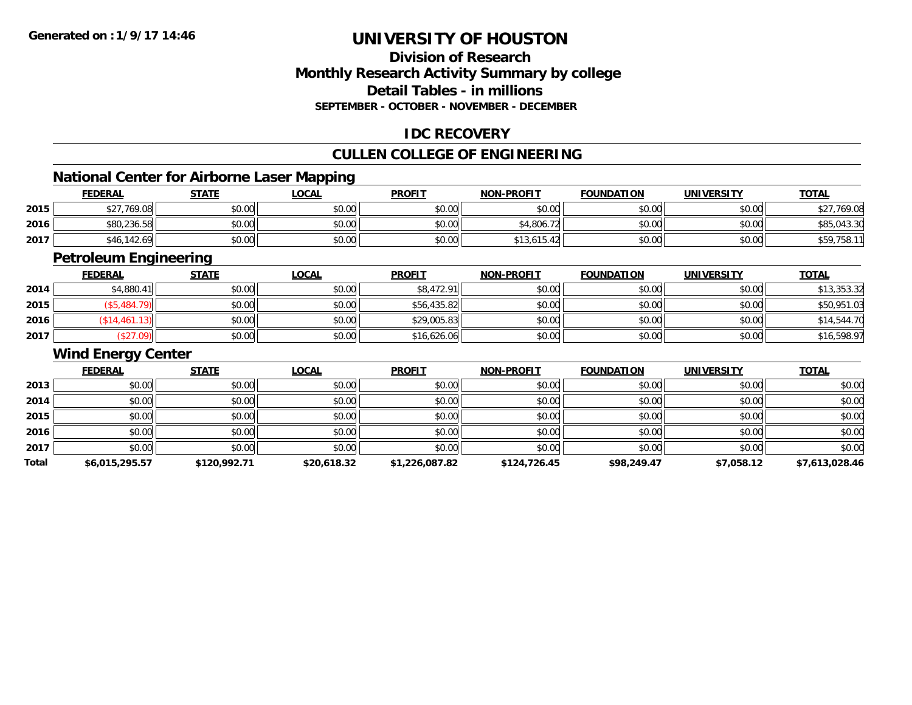# **Division of ResearchMonthly Research Activity Summary by college Detail Tables - in millionsSEPTEMBER - OCTOBER - NOVEMBER - DECEMBER**

# **IDC RECOVERY**

# **CULLEN COLLEGE OF ENGINEERING**

<u> 1980 - Johann Barbara, martxa amerikan bashkar (</u>

# **National Center for Airborne Laser Mapping**

|      | <b>FEDERAL</b> | <b>STATE</b> | _OCAL  | <b>PROFIT</b> | <b>NON-PROFIT</b> | <b>FOUNDATION</b> | <b>UNIVERSITY</b> | <b>TOTAL</b> |
|------|----------------|--------------|--------|---------------|-------------------|-------------------|-------------------|--------------|
| 2015 | \$27,769.08    | \$0.00       | \$0.00 | \$0.00        | \$0.00            | \$0.00            | \$0.00            | \$27,769.08  |
| 2016 | \$80,236.58    | \$0.00       | \$0.00 | \$0.00        | \$4.806.72        | \$0.00            | \$0.00            | \$85,043.30  |
| 2017 | \$46,142.69    | \$0.00       | \$0.00 | \$0.00        | \$13,61.<br>15.42 | \$0.00            | \$0.00            | \$59,758.11  |

<u> 1989 - Johann Stoff, amerikansk politiker (d. 1989)</u>

# **Petroleum Engineering**

|      | <b>FEDERAL</b>  | <b>STATE</b> | <u>LOCAL</u> | <b>PROFIT</b> | <b>NON-PROFIT</b> | <b>FOUNDATION</b> | <b>UNIVERSITY</b> | <u>TOTAL</u> |
|------|-----------------|--------------|--------------|---------------|-------------------|-------------------|-------------------|--------------|
| 2014 | \$4,880.41      | \$0.00       | \$0.00       | \$8,472.91    | \$0.00            | \$0.00            | \$0.00            | \$13,353.32  |
| 2015 | $\degree$ 484., | \$0.00       | \$0.00       | \$56,435.82   | \$0.00            | \$0.00            | \$0.00            | \$50,951.03  |
| 2016 | \$14,461.13]    | \$0.00       | \$0.00       | \$29,005.83   | \$0.00            | \$0.00            | \$0.00            | \$14,544.70  |
| 2017 | \$27.09         | \$0.00       | \$0.00       | \$16,626.06   | \$0.00            | \$0.00            | \$0.00            | \$16,598.97  |

#### **Wind Energy Center**

|       | <b>FEDERAL</b> | <b>STATE</b> | <b>LOCAL</b> | <b>PROFIT</b>  | <b>NON-PROFIT</b> | <b>FOUNDATION</b> | <b>UNIVERSITY</b> | <b>TOTAL</b>   |
|-------|----------------|--------------|--------------|----------------|-------------------|-------------------|-------------------|----------------|
| 2013  | \$0.00         | \$0.00       | \$0.00       | \$0.00         | \$0.00            | \$0.00            | \$0.00            | \$0.00         |
| 2014  | \$0.00         | \$0.00       | \$0.00       | \$0.00         | \$0.00            | \$0.00            | \$0.00            | \$0.00         |
| 2015  | \$0.00         | \$0.00       | \$0.00       | \$0.00         | \$0.00            | \$0.00            | \$0.00            | \$0.00         |
| 2016  | \$0.00         | \$0.00       | \$0.00       | \$0.00         | \$0.00            | \$0.00            | \$0.00            | \$0.00         |
| 2017  | \$0.00         | \$0.00       | \$0.00       | \$0.00         | \$0.00            | \$0.00            | \$0.00            | \$0.00         |
| Total | \$6,015,295.57 | \$120,992.71 | \$20,618.32  | \$1,226,087.82 | \$124,726.45      | \$98,249.47       | \$7,058.12        | \$7,613,028.46 |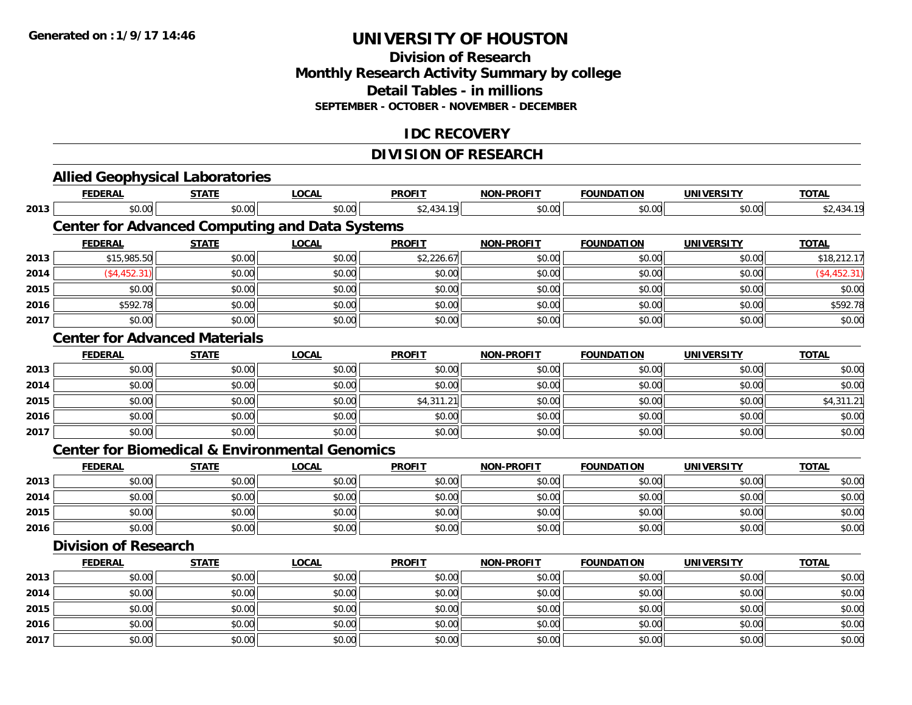### **Division of Research Monthly Research Activity Summary by college Detail Tables - in millions SEPTEMBER - OCTOBER - NOVEMBER - DECEMBER**

# **IDC RECOVERY**

# **DIVISION OF RESEARCH**

|      | <b>Allied Geophysical Laboratories</b>                    |              |              |               |                   |                   |                   |                 |
|------|-----------------------------------------------------------|--------------|--------------|---------------|-------------------|-------------------|-------------------|-----------------|
|      | <b>FEDERAL</b>                                            | <b>STATE</b> | <b>LOCAL</b> | <b>PROFIT</b> | <b>NON-PROFIT</b> | <b>FOUNDATION</b> | <b>UNIVERSITY</b> | <b>TOTAL</b>    |
| 2013 | \$0.00                                                    | \$0.00       | \$0.00       | \$2,434.19    | \$0.00            | \$0.00            | \$0.00            | \$2,434.19      |
|      | <b>Center for Advanced Computing and Data Systems</b>     |              |              |               |                   |                   |                   |                 |
|      | <b>FEDERAL</b>                                            | <b>STATE</b> | <b>LOCAL</b> | <b>PROFIT</b> | <b>NON-PROFIT</b> | <b>FOUNDATION</b> | <b>UNIVERSITY</b> | <b>TOTAL</b>    |
| 2013 | \$15,985.50                                               | \$0.00       | \$0.00       | \$2,226.67    | \$0.00            | \$0.00            | \$0.00            | \$18,212.17     |
| 2014 | (\$4,452.31)                                              | \$0.00       | \$0.00       | \$0.00        | \$0.00            | \$0.00            | \$0.00            | $($ \$4,452.31) |
| 2015 | \$0.00                                                    | \$0.00       | \$0.00       | \$0.00        | \$0.00            | \$0.00            | \$0.00            | \$0.00          |
| 2016 | \$592.78                                                  | \$0.00       | \$0.00       | \$0.00        | \$0.00            | \$0.00            | \$0.00            | \$592.78        |
| 2017 | \$0.00                                                    | \$0.00       | \$0.00       | \$0.00        | \$0.00            | \$0.00            | \$0.00            | \$0.00          |
|      | <b>Center for Advanced Materials</b>                      |              |              |               |                   |                   |                   |                 |
|      | <b>FEDERAL</b>                                            | <b>STATE</b> | <b>LOCAL</b> | <b>PROFIT</b> | <b>NON-PROFIT</b> | <b>FOUNDATION</b> | <b>UNIVERSITY</b> | <b>TOTAL</b>    |
| 2013 | \$0.00                                                    | \$0.00       | \$0.00       | \$0.00        | \$0.00            | \$0.00            | \$0.00            | \$0.00          |
| 2014 | \$0.00                                                    | \$0.00       | \$0.00       | \$0.00        | \$0.00            | \$0.00            | \$0.00            | \$0.00          |
| 2015 | \$0.00                                                    | \$0.00       | \$0.00       | \$4,311.21    | \$0.00            | \$0.00            | \$0.00            | \$4,311.21      |
| 2016 | \$0.00                                                    | \$0.00       | \$0.00       | \$0.00        | \$0.00            | \$0.00            | \$0.00            | \$0.00          |
| 2017 | \$0.00                                                    | \$0.00       | \$0.00       | \$0.00        | \$0.00            | \$0.00            | \$0.00            | \$0.00          |
|      | <b>Center for Biomedical &amp; Environmental Genomics</b> |              |              |               |                   |                   |                   |                 |
|      | <b>FEDERAL</b>                                            | <b>STATE</b> | <b>LOCAL</b> | <b>PROFIT</b> | <b>NON-PROFIT</b> | <b>FOUNDATION</b> | <b>UNIVERSITY</b> | <b>TOTAL</b>    |
| 2013 | \$0.00                                                    | \$0.00       | \$0.00       | \$0.00        | \$0.00            | \$0.00            | \$0.00            | \$0.00          |
| 2014 | \$0.00                                                    | \$0.00       | \$0.00       | \$0.00        | \$0.00            | \$0.00            | \$0.00            | \$0.00          |
| 2015 | \$0.00                                                    | \$0.00       | \$0.00       | \$0.00        | \$0.00            | \$0.00            | \$0.00            | \$0.00          |
| 2016 | \$0.00                                                    | \$0.00       | \$0.00       | \$0.00        | \$0.00            | \$0.00            | \$0.00            | \$0.00          |
|      | <b>Division of Research</b>                               |              |              |               |                   |                   |                   |                 |
|      | <b>FEDERAL</b>                                            | <b>STATE</b> | <b>LOCAL</b> | <b>PROFIT</b> | <b>NON-PROFIT</b> | <b>FOUNDATION</b> | <b>UNIVERSITY</b> | <b>TOTAL</b>    |
| 2013 | \$0.00                                                    | \$0.00       | \$0.00       | \$0.00        | \$0.00            | \$0.00            | \$0.00            | \$0.00          |
| 2014 | \$0.00                                                    | \$0.00       | \$0.00       | \$0.00        | \$0.00            | \$0.00            | \$0.00            | \$0.00          |
| 2015 | \$0.00                                                    | \$0.00       | \$0.00       | \$0.00        | \$0.00            | \$0.00            | \$0.00            | \$0.00          |
| 2016 | \$0.00                                                    | \$0.00       | \$0.00       | \$0.00        | \$0.00            | \$0.00            | \$0.00            | \$0.00          |
| 2017 | \$0.00                                                    | \$0.00       | \$0.00       | \$0.00        | \$0.00            | \$0.00            | \$0.00            | \$0.00          |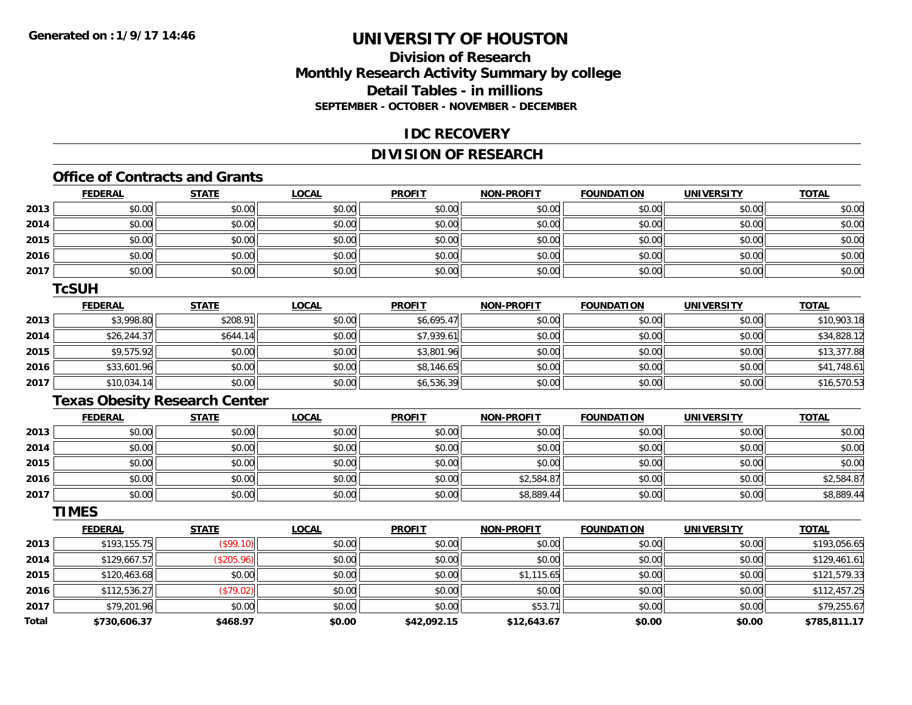# **Division of ResearchMonthly Research Activity Summary by college Detail Tables - in millions SEPTEMBER - OCTOBER - NOVEMBER - DECEMBER**

### **IDC RECOVERY**

# **DIVISION OF RESEARCH**

# **Office of Contracts and Grants**

|      | <b>FEDERAL</b> | <b>STATE</b> | <u>LOCAL</u> | <b>PROFIT</b> | <b>NON-PROFIT</b> | <b>FOUNDATION</b> | <b>UNIVERSITY</b> | <b>TOTAL</b> |
|------|----------------|--------------|--------------|---------------|-------------------|-------------------|-------------------|--------------|
| 2013 | \$0.00         | \$0.00       | \$0.00       | \$0.00        | \$0.00            | \$0.00            | \$0.00            | \$0.00       |
| 2014 | \$0.00         | \$0.00       | \$0.00       | \$0.00        | \$0.00            | \$0.00            | \$0.00            | \$0.00       |
| 2015 | \$0.00         | \$0.00       | \$0.00       | \$0.00        | \$0.00            | \$0.00            | \$0.00            | \$0.00       |
| 2016 | \$0.00         | \$0.00       | \$0.00       | \$0.00        | \$0.00            | \$0.00            | \$0.00            | \$0.00       |
| 2017 | \$0.00         | \$0.00       | \$0.00       | \$0.00        | \$0.00            | \$0.00            | \$0.00            | \$0.00       |

#### **TcSUH**

|      | <u>FEDERAL</u> | <b>STATE</b> | <b>LOCAL</b> | <b>PROFIT</b> | <b>NON-PROFIT</b> | <b>FOUNDATION</b> | <b>UNIVERSITY</b> | <b>TOTAL</b> |
|------|----------------|--------------|--------------|---------------|-------------------|-------------------|-------------------|--------------|
| 2013 | \$3,998.80     | \$208.91     | \$0.00       | \$6,695.47    | \$0.00            | \$0.00            | \$0.00            | \$10,903.18  |
| 2014 | \$26,244.37    | \$644.14     | \$0.00       | \$7.939.61    | \$0.00            | \$0.00            | \$0.00            | \$34,828.12  |
| 2015 | \$9,575.92     | \$0.00       | \$0.00       | \$3,801.96    | \$0.00            | \$0.00            | \$0.00            | \$13,377.88  |
| 2016 | \$33,601.96    | \$0.00       | \$0.00       | \$8,146.65    | \$0.00            | \$0.00            | \$0.00            | \$41,748.61  |
| 2017 | \$10,034.14    | \$0.00       | \$0.00       | \$6,536.39    | \$0.00            | \$0.00            | \$0.00            | \$16,570.53  |

# **Texas Obesity Research Center**

|      | <u>FEDERAL</u> | <u>STATE</u> | <u>LOCAL</u> | <b>PROFIT</b> | <b>NON-PROFIT</b> | <b>FOUNDATION</b> | <b>UNIVERSITY</b> | <b>TOTAL</b> |
|------|----------------|--------------|--------------|---------------|-------------------|-------------------|-------------------|--------------|
| 2013 | \$0.00         | \$0.00       | \$0.00       | \$0.00        | \$0.00            | \$0.00            | \$0.00            | \$0.00       |
| 2014 | \$0.00         | \$0.00       | \$0.00       | \$0.00        | \$0.00            | \$0.00            | \$0.00            | \$0.00       |
| 2015 | \$0.00         | \$0.00       | \$0.00       | \$0.00        | \$0.00            | \$0.00            | \$0.00            | \$0.00       |
| 2016 | \$0.00         | \$0.00       | \$0.00       | \$0.00        | \$2,584.87        | \$0.00            | \$0.00            | \$2,584.87   |
| 2017 | \$0.00         | \$0.00       | \$0.00       | \$0.00        | \$8,889.44        | \$0.00            | \$0.00            | \$8,889.44   |

### **TIMES**

|              | <b>FEDERAL</b> | <b>STATE</b> | LOCAL  | <b>PROFIT</b> | <b>NON-PROFIT</b> | <b>FOUNDATION</b> | <b>UNIVERSITY</b> | <b>TOTAL</b> |
|--------------|----------------|--------------|--------|---------------|-------------------|-------------------|-------------------|--------------|
| 2013         | \$193,155.75   | (\$99.10)    | \$0.00 | \$0.00        | \$0.00            | \$0.00            | \$0.00            | \$193,056.65 |
| 2014         | \$129,667.57   | (\$205.96)   | \$0.00 | \$0.00        | \$0.00            | \$0.00            | \$0.00            | \$129,461.61 |
| 2015         | \$120,463.68   | \$0.00       | \$0.00 | \$0.00        | \$1,115.65        | \$0.00            | \$0.00            | \$121,579.33 |
| 2016         | \$112,536.27   | (\$79.02)    | \$0.00 | \$0.00        | \$0.00            | \$0.00            | \$0.00            | \$112,457.25 |
| 2017         | \$79,201.96    | \$0.00       | \$0.00 | \$0.00        | \$53.71           | \$0.00            | \$0.00            | \$79,255.67  |
| <b>Total</b> | \$730,606.37   | \$468.97     | \$0.00 | \$42,092.15   | \$12,643.67       | \$0.00            | \$0.00            | \$785,811.17 |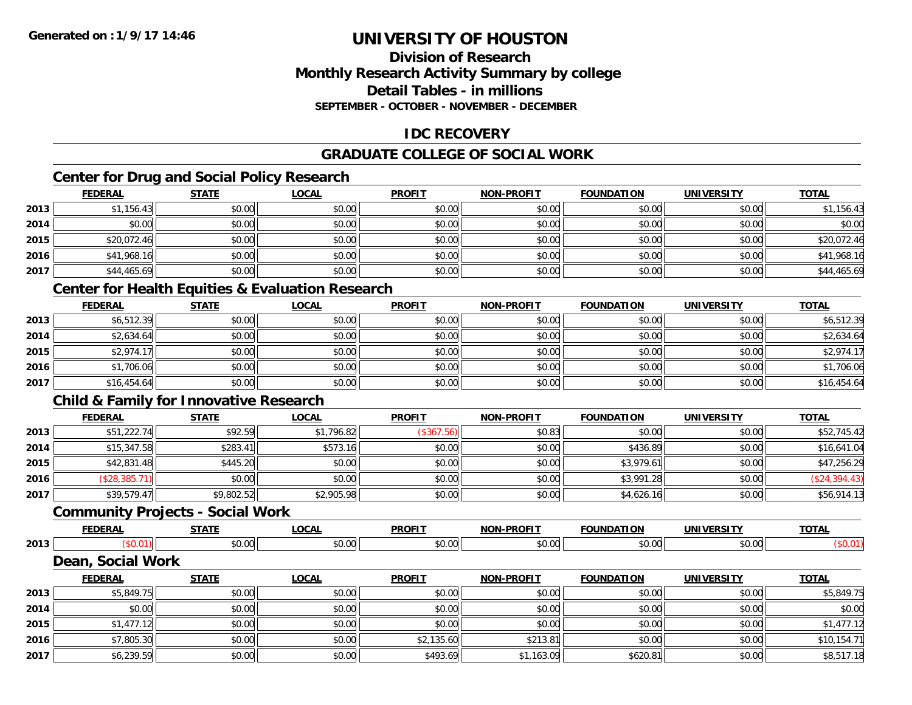### **Division of ResearchMonthly Research Activity Summary by college Detail Tables - in millionsSEPTEMBER - OCTOBER - NOVEMBER - DECEMBER**

# **IDC RECOVERY**

### **GRADUATE COLLEGE OF SOCIAL WORK**

# **Center for Drug and Social Policy Research**

|      | <b>FEDERAL</b> | <b>STATE</b> | <b>LOCAL</b> | <b>PROFIT</b> | <b>NON-PROFIT</b> | <b>FOUNDATION</b> | <b>UNIVERSITY</b> | <b>TOTAL</b> |
|------|----------------|--------------|--------------|---------------|-------------------|-------------------|-------------------|--------------|
| 2013 | \$1,156.43     | \$0.00       | \$0.00       | \$0.00        | \$0.00            | \$0.00            | \$0.00            | \$1,156.43   |
| 2014 | \$0.00         | \$0.00       | \$0.00       | \$0.00        | \$0.00            | \$0.00            | \$0.00            | \$0.00       |
| 2015 | \$20,072.46    | \$0.00       | \$0.00       | \$0.00        | \$0.00            | \$0.00            | \$0.00            | \$20,072.46  |
| 2016 | \$41,968.16    | \$0.00       | \$0.00       | \$0.00        | \$0.00            | \$0.00            | \$0.00            | \$41,968.16  |
| 2017 | \$44,465.69    | \$0.00       | \$0.00       | \$0.00        | \$0.00            | \$0.00            | \$0.00            | \$44,465.69  |

# **Center for Health Equities & Evaluation Research**

|      | <u>FEDERAL</u> | <b>STATE</b> | <b>LOCAL</b> | <b>PROFIT</b> | <b>NON-PROFIT</b> | <b>FOUNDATION</b> | <b>UNIVERSITY</b> | <b>TOTAL</b> |
|------|----------------|--------------|--------------|---------------|-------------------|-------------------|-------------------|--------------|
| 2013 | \$6,512.39     | \$0.00       | \$0.00       | \$0.00        | \$0.00            | \$0.00            | \$0.00            | \$6,512.39   |
| 2014 | \$2,634.64     | \$0.00       | \$0.00       | \$0.00        | \$0.00            | \$0.00            | \$0.00            | \$2,634.64   |
| 2015 | \$2,974.17     | \$0.00       | \$0.00       | \$0.00        | \$0.00            | \$0.00            | \$0.00            | \$2,974.17   |
| 2016 | \$1,706.06     | \$0.00       | \$0.00       | \$0.00        | \$0.00            | \$0.00            | \$0.00            | \$1,706.06   |
| 2017 | \$16,454.64    | \$0.00       | \$0.00       | \$0.00        | \$0.00            | \$0.00            | \$0.00            | \$16,454.64  |

# **Child & Family for Innovative Research**

|      | <b>FEDERAL</b> | <b>STATE</b> | <b>LOCAL</b> | <b>PROFIT</b> | <b>NON-PROFIT</b> | <b>FOUNDATION</b> | <b>UNIVERSITY</b> | <b>TOTAL</b>  |
|------|----------------|--------------|--------------|---------------|-------------------|-------------------|-------------------|---------------|
| 2013 | \$51,222.74    | \$92.59      | \$1,796.82   | (\$367.56)    | \$0.83            | \$0.00            | \$0.00            | \$52,745.42   |
| 2014 | \$15,347.58    | \$283.41     | \$573.16     | \$0.00        | \$0.00            | \$436.89          | \$0.00            | \$16,641.04   |
| 2015 | \$42,831.48    | \$445.20     | \$0.00       | \$0.00        | \$0.00            | \$3,979.61        | \$0.00            | \$47,256.29   |
| 2016 | \$28,385.7     | \$0.00       | \$0.00       | \$0.00        | \$0.00            | \$3,991.28        | \$0.00            | (\$24,394.43) |
| 2017 | \$39,579.47    | \$9,802.52   | \$2,905.98   | \$0.00        | \$0.00            | \$4,626.16        | \$0.00            | \$56,914.13   |

#### **Community Projects - Social Work**

|      | <b>FEDERAL</b> | <b>CTATE</b>   | <b>OCAI</b>    | <b>PROFIT</b> | <b>PROFIT</b><br><b>NON</b> | <b>FOUNDATION</b> | <b>IINIVEDSITY</b> | <b>TOTAL</b> |
|------|----------------|----------------|----------------|---------------|-----------------------------|-------------------|--------------------|--------------|
| 2013 |                | ሶስ ሰሰ<br>טט.טע | ሶስ ሰሰ<br>PO.OO | \$0.00        | \$0.00                      | JU.UU             | 0.001<br>PO.OO     |              |
|      | $  -$<br>2וחה  | Work           |                |               |                             |                   |                    |              |

#### **FEDERAL STATE LOCAL PROFIT NON-PROFIT FOUNDATION UNIVERSITY TOTALTOTAL 2013** \$5,849.75 \$0.00 \$0.00 \$0.00 \$0.00 \$0.00 \$0.00 \$5,849.75 **2014**4 \$0.00 \$0.00 \$0.00 \$0.00 \$0.00 \$0.00 \$0.00 \$0.00 \$0.00 \$0.00 \$0.00 \$0.00 \$0.00 \$0.00 \$0.00 \$0.00 \$0.00 **2015** \$1,477.12 \$0.00 \$0.00 \$0.00 \$0.00 \$0.00 \$0.00 \$1,477.12 **2016**6 \$7,805.30 \\$0.00 \$0.00 \$0.00 \$0.00 \$2,135.60 \$2,135.60 \$2.13.81 \$2.13.81 \$10,154.71 **2017**7 | \$6,239.59|| \$0.00|| \$0.00|| \$0.00|| \$8,517.18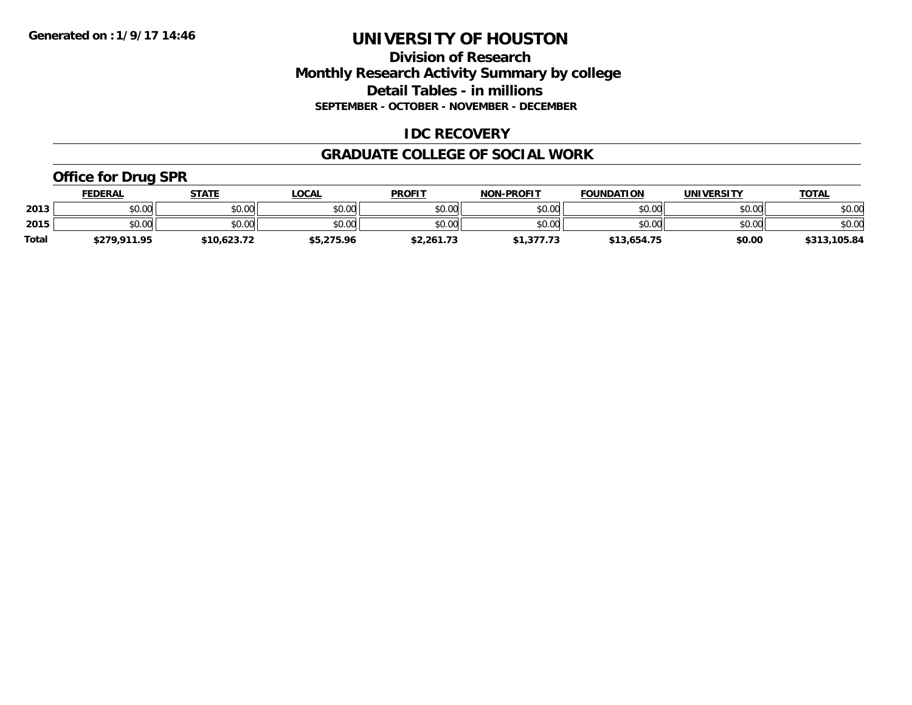### **Division of Research Monthly Research Activity Summary by college Detail Tables - in millions SEPTEMBER - OCTOBER - NOVEMBER - DECEMBER**

### **IDC RECOVERY**

#### **GRADUATE COLLEGE OF SOCIAL WORK**

# **Office for Drug SPR**

|              | <u>FEDERAL</u> | <b>STATE</b> | _OCAL      | <b>PROFIT</b> | <b>NON-PROFIT</b> | <b>FOUNDATION</b> | <b>UNIVERSITY</b> | <b>TOTAL</b> |
|--------------|----------------|--------------|------------|---------------|-------------------|-------------------|-------------------|--------------|
| 2013         | \$0.00         | \$0.00       | \$0.00     | \$0.00        | \$0.00            | \$0.00            | \$0.00            | \$0.00       |
| 2015         | \$0.00         | \$0.00       | \$0.00     | \$0.00        | \$0.00            | \$0.00            | \$0.00            | \$0.00       |
| <b>Total</b> | \$279.911.95   | \$10,623.72  | \$5,275.96 | \$2,261.73    | 1,377.73          | \$13,654.75       | \$0.00            | \$313,105.84 |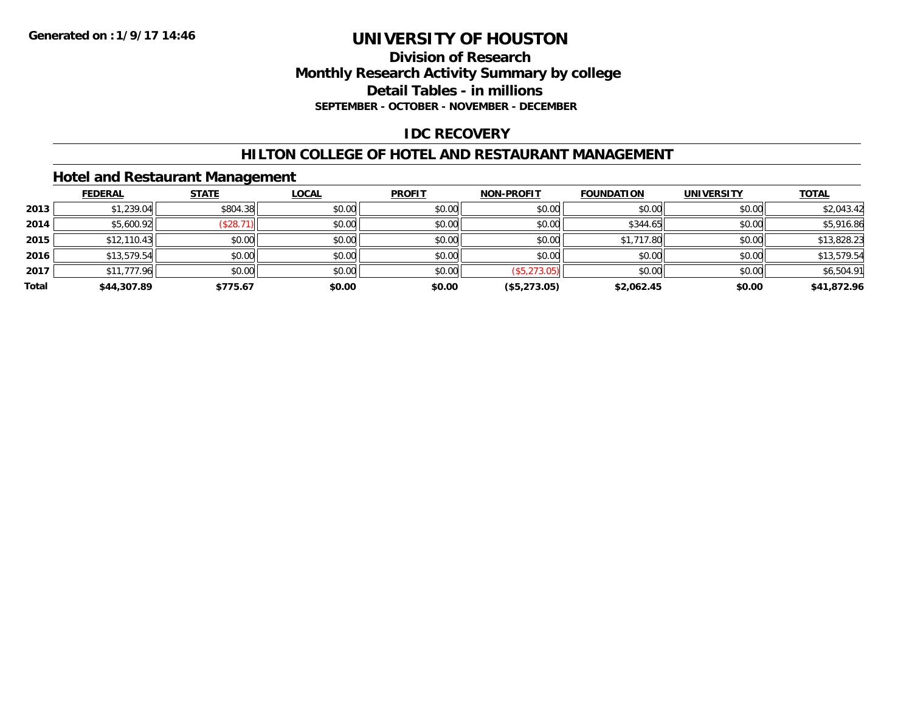### **Division of Research Monthly Research Activity Summary by college Detail Tables - in millions SEPTEMBER - OCTOBER - NOVEMBER - DECEMBER**

# **IDC RECOVERY**

### **HILTON COLLEGE OF HOTEL AND RESTAURANT MANAGEMENT**

# **Hotel and Restaurant Management**

|       | <b>FEDERAL</b> | <b>STATE</b> | <b>LOCAL</b> | <b>PROFIT</b> | <b>NON-PROFIT</b> | <b>FOUNDATION</b> | <b>UNIVERSITY</b> | <b>TOTAL</b> |
|-------|----------------|--------------|--------------|---------------|-------------------|-------------------|-------------------|--------------|
| 2013  | \$1,239.04     | \$804.38     | \$0.00       | \$0.00        | \$0.00            | \$0.00            | \$0.00            | \$2,043.42   |
| 2014  | \$5,600.92     | (\$28.71)    | \$0.00       | \$0.00        | \$0.00            | \$344.65          | \$0.00            | \$5,916.86   |
| 2015  | \$12,110.43    | \$0.00       | \$0.00       | \$0.00        | \$0.00            | \$1,717.80        | \$0.00            | \$13,828.23  |
| 2016  | \$13,579.54    | \$0.00       | \$0.00       | \$0.00        | \$0.00            | \$0.00            | \$0.00            | \$13,579.54  |
| 2017  | \$11,777.96    | \$0.00       | \$0.00       | \$0.00        | (\$5,273.05)      | \$0.00            | \$0.00            | \$6,504.91   |
| Total | \$44,307.89    | \$775.67     | \$0.00       | \$0.00        | (\$5,273.05)      | \$2,062.45        | \$0.00            | \$41,872.96  |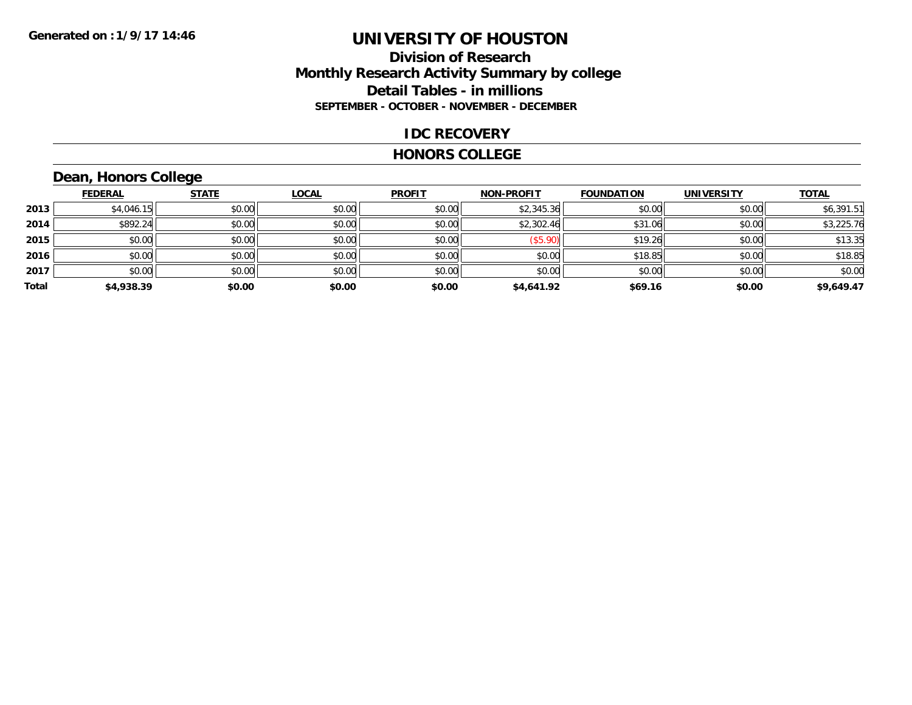# **Division of Research Monthly Research Activity Summary by college Detail Tables - in millions SEPTEMBER - OCTOBER - NOVEMBER - DECEMBER**

#### **IDC RECOVERY**

#### **HONORS COLLEGE**

# **Dean, Honors College**

|       | <b>FEDERAL</b> | <b>STATE</b> | <b>LOCAL</b> | <b>PROFIT</b> | <b>NON-PROFIT</b> | <b>FOUNDATION</b> | <b>UNIVERSITY</b> | <b>TOTAL</b> |
|-------|----------------|--------------|--------------|---------------|-------------------|-------------------|-------------------|--------------|
| 2013  | \$4,046.15     | \$0.00       | \$0.00       | \$0.00        | \$2,345.36        | \$0.00            | \$0.00            | \$6,391.51   |
| 2014  | \$892.24       | \$0.00       | \$0.00       | \$0.00        | \$2,302.46        | \$31.06           | \$0.00            | \$3,225.76   |
| 2015  | \$0.00         | \$0.00       | \$0.00       | \$0.00        | (\$5.90)          | \$19.26           | \$0.00            | \$13.35      |
| 2016  | \$0.00         | \$0.00       | \$0.00       | \$0.00        | \$0.00            | \$18.85           | \$0.00            | \$18.85      |
| 2017  | \$0.00         | \$0.00       | \$0.00       | \$0.00        | \$0.00            | \$0.00            | \$0.00            | \$0.00       |
| Total | \$4,938.39     | \$0.00       | \$0.00       | \$0.00        | \$4,641.92        | \$69.16           | \$0.00            | \$9,649.47   |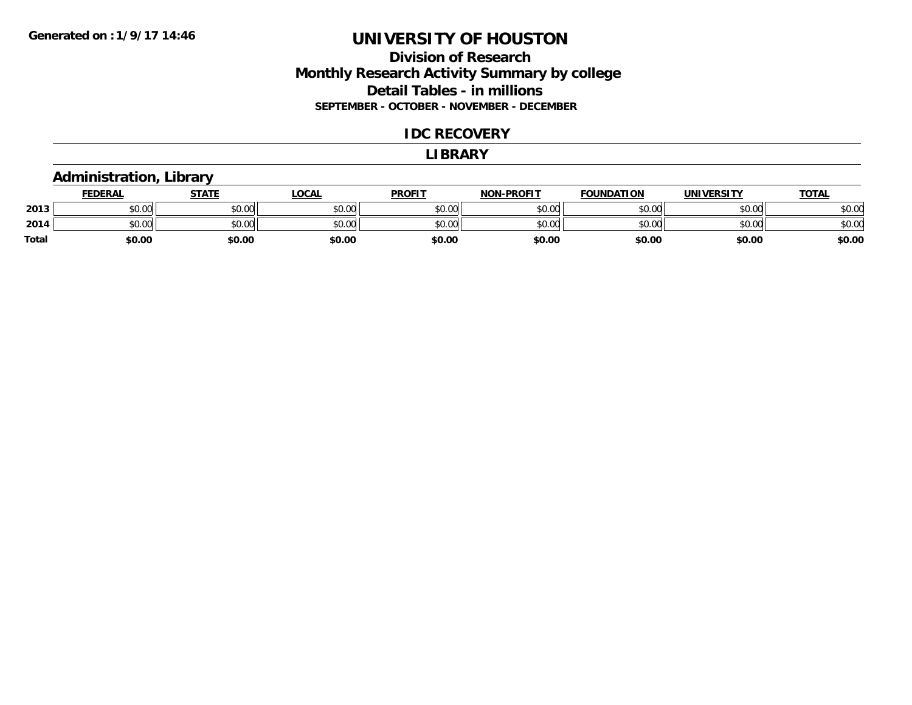# **Division of Research Monthly Research Activity Summary by college Detail Tables - in millions SEPTEMBER - OCTOBER - NOVEMBER - DECEMBER**

#### **IDC RECOVERY**

#### **LIBRARY**

### **Administration, Library**

|       | <b>FEDERAL</b> | STATE  | <u>LOCAL</u> | <b>PROFIT</b> | <b>NON-PROFIT</b> | <b>FOUNDATION</b> | <b>UNIVERSITY</b> | <u>TOTAL</u> |
|-------|----------------|--------|--------------|---------------|-------------------|-------------------|-------------------|--------------|
| 2013  | ሶስ ሰሰ<br>JU.UU | \$0.00 | \$0.00       | \$0.00        | \$0.00            | \$0.00            | \$0.00            | \$0.00       |
| 2014  | ስስ ስስ<br>JU.UU | \$0.00 | \$0.00       | \$0.00        | \$0.00            | \$0.00            | \$0.00            | \$0.00       |
| Total | \$0.00         | \$0.00 | \$0.00       | \$0.00        | \$0.00            | \$0.00            | \$0.00            | \$0.00       |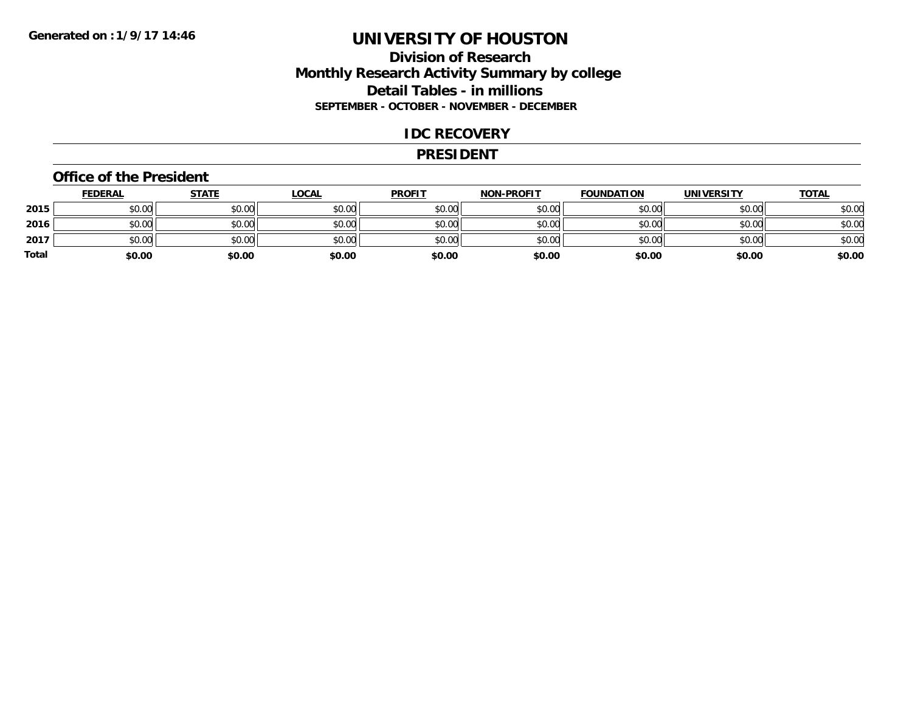# **Division of Research Monthly Research Activity Summary by college Detail Tables - in millions SEPTEMBER - OCTOBER - NOVEMBER - DECEMBER**

#### **IDC RECOVERY**

#### **PRESIDENT**

#### **Office of the President**

|       | <b>FEDERAL</b> | <u>STATE</u> | <b>LOCAL</b> | <b>PROFIT</b> | <b>NON-PROFIT</b> | <b>FOUNDATION</b> | <b>UNIVERSITY</b> | <b>TOTAL</b> |
|-------|----------------|--------------|--------------|---------------|-------------------|-------------------|-------------------|--------------|
| 2015  | \$0.00         | \$0.00       | \$0.00       | \$0.00        | \$0.00            | \$0.00            | \$0.00            | \$0.00       |
| 2016  | \$0.00         | \$0.00       | \$0.00       | \$0.00        | \$0.00            | \$0.00            | \$0.00            | \$0.00       |
| 2017  | \$0.00         | \$0.00       | \$0.00       | \$0.00        | \$0.00            | \$0.00            | \$0.00            | \$0.00       |
| Total | \$0.00         | \$0.00       | \$0.00       | \$0.00        | \$0.00            | \$0.00            | \$0.00            | \$0.00       |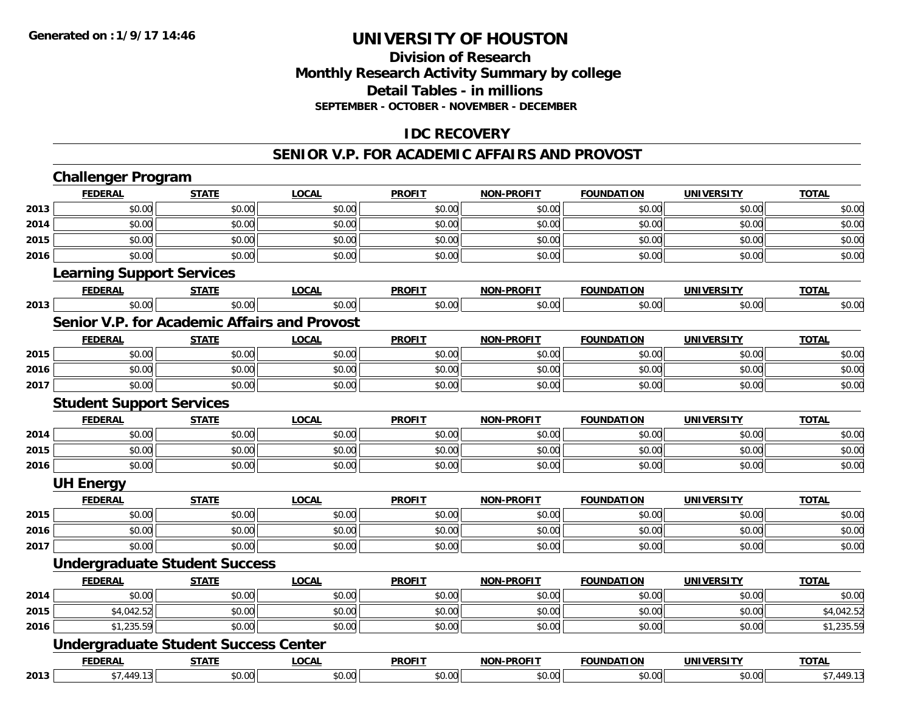# **Division of ResearchMonthly Research Activity Summary by college Detail Tables - in millions SEPTEMBER - OCTOBER - NOVEMBER - DECEMBER**

# **IDC RECOVERY**

#### **SENIOR V.P. FOR ACADEMIC AFFAIRS AND PROVOST**

|      | <b>Challenger Program</b>                    |              |              |               |                   |                   |                   |              |
|------|----------------------------------------------|--------------|--------------|---------------|-------------------|-------------------|-------------------|--------------|
|      | <b>FEDERAL</b>                               | <b>STATE</b> | <b>LOCAL</b> | <b>PROFIT</b> | <b>NON-PROFIT</b> | <b>FOUNDATION</b> | <b>UNIVERSITY</b> | <b>TOTAL</b> |
| 2013 | \$0.00                                       | \$0.00       | \$0.00       | \$0.00        | \$0.00            | \$0.00            | \$0.00            | \$0.00       |
| 2014 | \$0.00                                       | \$0.00       | \$0.00       | \$0.00        | \$0.00            | \$0.00            | \$0.00            | \$0.00       |
| 2015 | \$0.00                                       | \$0.00       | \$0.00       | \$0.00        | \$0.00            | \$0.00            | \$0.00            | \$0.00       |
| 2016 | \$0.00                                       | \$0.00       | \$0.00       | \$0.00        | \$0.00            | \$0.00            | \$0.00            | \$0.00       |
|      | <b>Learning Support Services</b>             |              |              |               |                   |                   |                   |              |
|      | <b>FEDERAL</b>                               | <b>STATE</b> | <b>LOCAL</b> | <b>PROFIT</b> | <b>NON-PROFIT</b> | <b>FOUNDATION</b> | <b>UNIVERSITY</b> | <b>TOTAL</b> |
| 2013 | \$0.00                                       | \$0.00       | \$0.00       | \$0.00        | \$0.00            | \$0.00            | \$0.00            | \$0.00       |
|      | Senior V.P. for Academic Affairs and Provost |              |              |               |                   |                   |                   |              |
|      | <b>FEDERAL</b>                               | <b>STATE</b> | <b>LOCAL</b> | <b>PROFIT</b> | <b>NON-PROFIT</b> | <b>FOUNDATION</b> | <b>UNIVERSITY</b> | <b>TOTAL</b> |
| 2015 | \$0.00                                       | \$0.00       | \$0.00       | \$0.00        | \$0.00            | \$0.00            | \$0.00            | \$0.00       |
| 2016 | \$0.00                                       | \$0.00       | \$0.00       | \$0.00        | \$0.00            | \$0.00            | \$0.00            | \$0.00       |
| 2017 | \$0.00                                       | \$0.00       | \$0.00       | \$0.00        | \$0.00            | \$0.00            | \$0.00            | \$0.00       |
|      | <b>Student Support Services</b>              |              |              |               |                   |                   |                   |              |
|      | <b>FEDERAL</b>                               | <b>STATE</b> | <b>LOCAL</b> | <b>PROFIT</b> | <b>NON-PROFIT</b> | <b>FOUNDATION</b> | <b>UNIVERSITY</b> | <b>TOTAL</b> |
| 2014 | \$0.00                                       | \$0.00       | \$0.00       | \$0.00        | \$0.00            | \$0.00            | \$0.00            | \$0.00       |
| 2015 | \$0.00                                       | \$0.00       | \$0.00       | \$0.00        | \$0.00            | \$0.00            | \$0.00            | \$0.00       |
| 2016 | \$0.00                                       | \$0.00       | \$0.00       | \$0.00        | \$0.00            | \$0.00            | \$0.00            | \$0.00       |
|      | <b>UH Energy</b>                             |              |              |               |                   |                   |                   |              |
|      | <b>FEDERAL</b>                               | <b>STATE</b> | <b>LOCAL</b> | <b>PROFIT</b> | <b>NON-PROFIT</b> | <b>FOUNDATION</b> | <b>UNIVERSITY</b> | <b>TOTAL</b> |
| 2015 | \$0.00                                       | \$0.00       | \$0.00       | \$0.00        | \$0.00            | \$0.00            | \$0.00            | \$0.00       |
| 2016 | \$0.00                                       | \$0.00       | \$0.00       | \$0.00        | \$0.00            | \$0.00            | \$0.00            | \$0.00       |
| 2017 | \$0.00                                       | \$0.00       | \$0.00       | \$0.00        | \$0.00            | \$0.00            | \$0.00            | \$0.00       |
|      | <b>Undergraduate Student Success</b>         |              |              |               |                   |                   |                   |              |
|      | <b>FEDERAL</b>                               | <b>STATE</b> | <b>LOCAL</b> | <b>PROFIT</b> | <b>NON-PROFIT</b> | <b>FOUNDATION</b> | <b>UNIVERSITY</b> | <b>TOTAL</b> |
| 2014 | \$0.00                                       | \$0.00       | \$0.00       | \$0.00        | \$0.00            | \$0.00            | \$0.00            | \$0.00       |
| 2015 | \$4,042.52                                   | \$0.00       | \$0.00       | \$0.00        | \$0.00            | \$0.00            | \$0.00            | \$4,042.52   |
| 2016 | \$1,235.59                                   | \$0.00       | \$0.00       | \$0.00        | \$0.00            | \$0.00            | \$0.00            | \$1,235.59   |
|      | <b>Undergraduate Student Success Center</b>  |              |              |               |                   |                   |                   |              |
|      | <b>FEDERAL</b>                               | <b>STATE</b> | <b>LOCAL</b> | <b>PROFIT</b> | <b>NON-PROFIT</b> | <b>FOUNDATION</b> | <b>UNIVERSITY</b> | <b>TOTAL</b> |
| 2013 | \$7,449.13                                   | \$0.00       | \$0.00       | \$0.00        | \$0.00            | \$0.00            | \$0.00            | \$7,449.13   |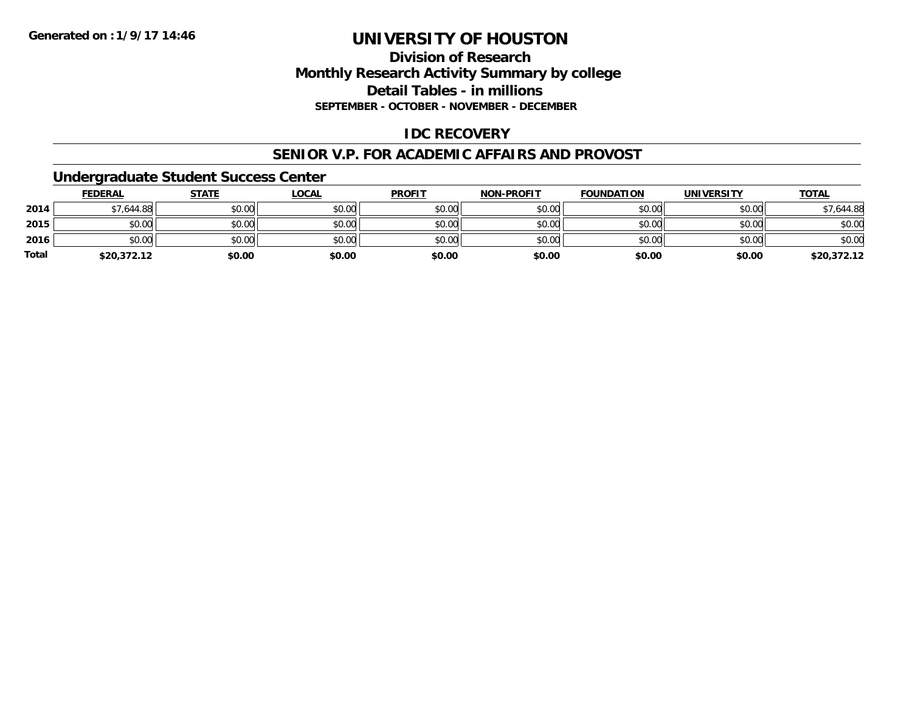# **Division of ResearchMonthly Research Activity Summary by college Detail Tables - in millions SEPTEMBER - OCTOBER - NOVEMBER - DECEMBER**

# **IDC RECOVERY**

#### **SENIOR V.P. FOR ACADEMIC AFFAIRS AND PROVOST**

### **Undergraduate Student Success Center**

|              | <b>FEDERAL</b> | <b>STATE</b> | <u>LOCAL</u> | <b>PROFIT</b> | <b>NON-PROFIT</b> | <b>FOUNDATION</b> | <b>UNIVERSITY</b> | <b>TOTAL</b> |
|--------------|----------------|--------------|--------------|---------------|-------------------|-------------------|-------------------|--------------|
| 2014         | \$7,644.88     | \$0.00       | \$0.00       | \$0.00        | \$0.00            | \$0.00            | \$0.00            | \$7,644.88   |
| 2015         | \$0.00         | \$0.00       | \$0.00       | \$0.00        | \$0.00            | \$0.00            | \$0.00            | \$0.00       |
| 2016         | \$0.00         | \$0.00       | \$0.00       | \$0.00        | \$0.00            | \$0.00            | \$0.00            | \$0.00       |
| <b>Total</b> | \$20,372.12    | \$0.00       | \$0.00       | \$0.00        | \$0.00            | \$0.00            | \$0.00            | \$20,372.12  |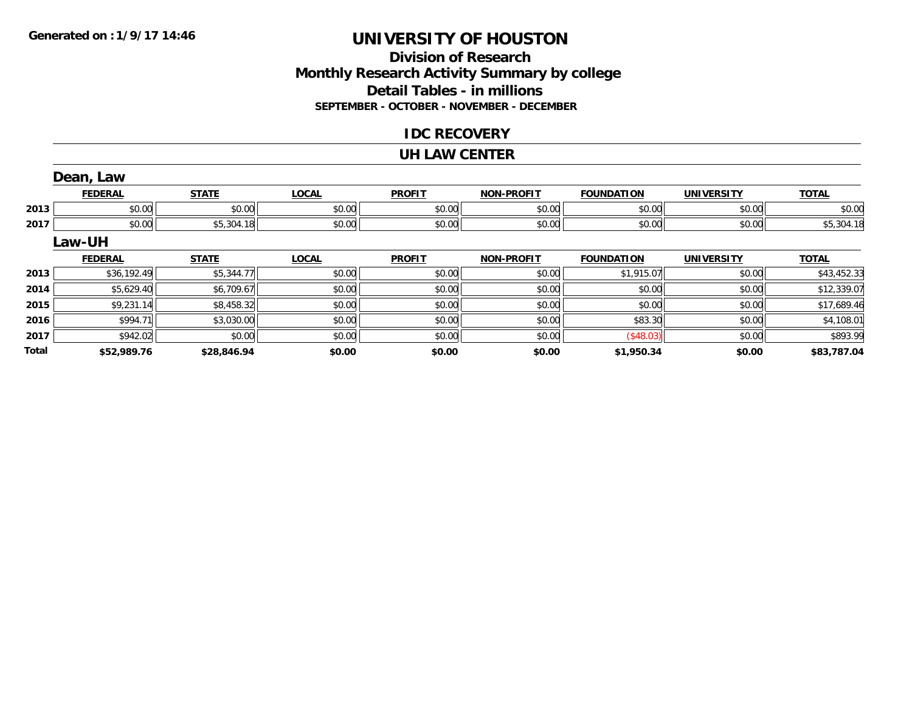# **Division of ResearchMonthly Research Activity Summary by college Detail Tables - in millions SEPTEMBER - OCTOBER - NOVEMBER - DECEMBER**

### **IDC RECOVERY**

#### **UH LAW CENTER**

|              | Dean, Law      |              |              |               |                   |                   |                   |              |
|--------------|----------------|--------------|--------------|---------------|-------------------|-------------------|-------------------|--------------|
|              | <b>FEDERAL</b> | <b>STATE</b> | <b>LOCAL</b> | <b>PROFIT</b> | <b>NON-PROFIT</b> | <b>FOUNDATION</b> | <b>UNIVERSITY</b> | <b>TOTAL</b> |
| 2013         | \$0.00         | \$0.00       | \$0.00       | \$0.00        | \$0.00            | \$0.00            | \$0.00            | \$0.00       |
| 2017         | \$0.00         | \$5,304.18   | \$0.00       | \$0.00        | \$0.00            | \$0.00            | \$0.00            | \$5,304.18   |
|              | Law-UH         |              |              |               |                   |                   |                   |              |
|              | <b>FEDERAL</b> | <b>STATE</b> | <b>LOCAL</b> | <b>PROFIT</b> | <b>NON-PROFIT</b> | <b>FOUNDATION</b> | <b>UNIVERSITY</b> | <b>TOTAL</b> |
| 2013         | \$36,192.49    | \$5,344.77   | \$0.00       | \$0.00        | \$0.00            | \$1,915.07        | \$0.00            | \$43,452.33  |
| 2014         | \$5,629.40     | \$6,709.67   | \$0.00       | \$0.00        | \$0.00            | \$0.00            | \$0.00            | \$12,339.07  |
| 2015         | \$9,231.14     | \$8,458.32   | \$0.00       | \$0.00        | \$0.00            | \$0.00            | \$0.00            | \$17,689.46  |
| 2016         | \$994.71       | \$3,030.00   | \$0.00       | \$0.00        | \$0.00            | \$83.30           | \$0.00            | \$4,108.01   |
| 2017         | \$942.02       | \$0.00       | \$0.00       | \$0.00        | \$0.00            | (\$48.03)         | \$0.00            | \$893.99     |
| <b>Total</b> | \$52,989.76    | \$28,846.94  | \$0.00       | \$0.00        | \$0.00            | \$1,950.34        | \$0.00            | \$83.787.04  |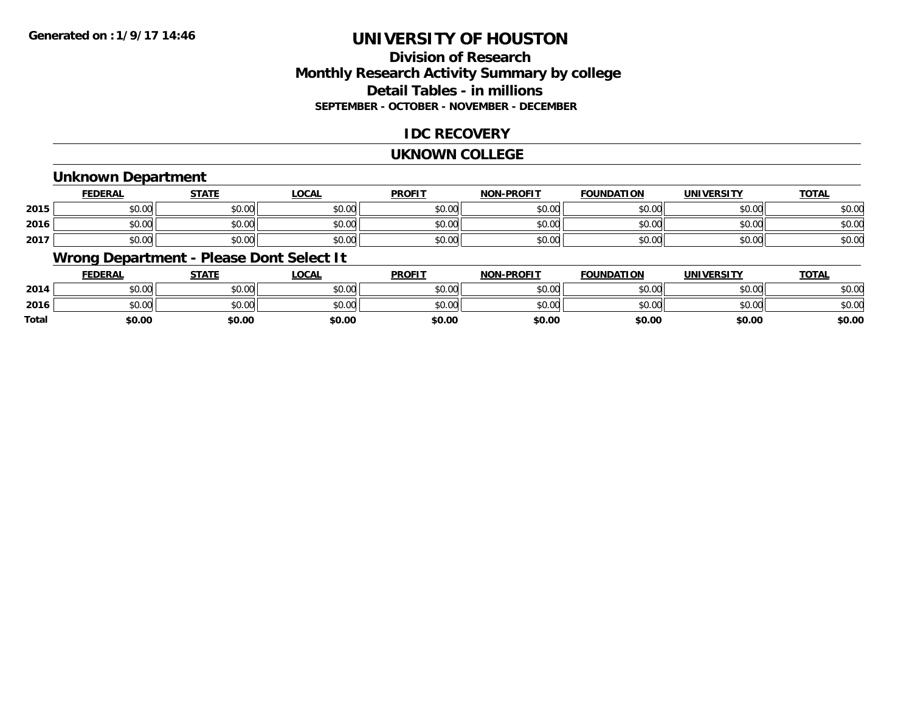# **Division of ResearchMonthly Research Activity Summary by college Detail Tables - in millions SEPTEMBER - OCTOBER - NOVEMBER - DECEMBER**

# **IDC RECOVERY**

#### **UKNOWN COLLEGE**

### **Unknown Department**

|      | FEDERAL | <b>STATE</b> | <u>LOCAI</u> | <b>PROFIT</b> | <b>NON-PROFIT</b> | <b>FOUNDATION</b> | <b>UNIVERSITY</b> | <b>TOTAL</b> |
|------|---------|--------------|--------------|---------------|-------------------|-------------------|-------------------|--------------|
| 2015 | \$0.00  | \$0.00       | \$0.00       | \$0.00        | ደሰ ሰሰ<br>JU.UU    | \$0.00            | \$0.00            | \$0.00       |
| 2016 | \$0.00  | \$0.00       | \$0.00       | \$0.00        | ku uy<br>ง∪.∪บ    | \$0.00            | \$0.00            | \$0.00       |
| 2017 | \$0.00  | \$0.00       | \$0.00       | \$0.00        | \$0.00            | \$0.00            | \$0.00            | \$0.00       |

# **Wrong Department - Please Dont Select It**

|              | <b>FEDERAL</b> | <b>STATE</b> | <u>LOCAL</u> | <b>PROFIT</b> | <b>NON-PROFIT</b> | <b>FOUNDATION</b> | <b>UNIVERSITY</b> | <u>TOTAL</u> |
|--------------|----------------|--------------|--------------|---------------|-------------------|-------------------|-------------------|--------------|
| 2014         | \$0.00         | \$0.00       | \$0.00       | \$0.00        | \$0.00            | \$0.00            | \$0.00            | \$0.00       |
| 2016         | \$0.00         | \$0.00       | \$0.00       | \$0.00        | \$0.00            | \$0.00            | \$0.00            | \$0.00       |
| <b>Total</b> | \$0.00         | \$0.00       | \$0.00       | \$0.00        | \$0.00            | \$0.00            | \$0.00            | \$0.00       |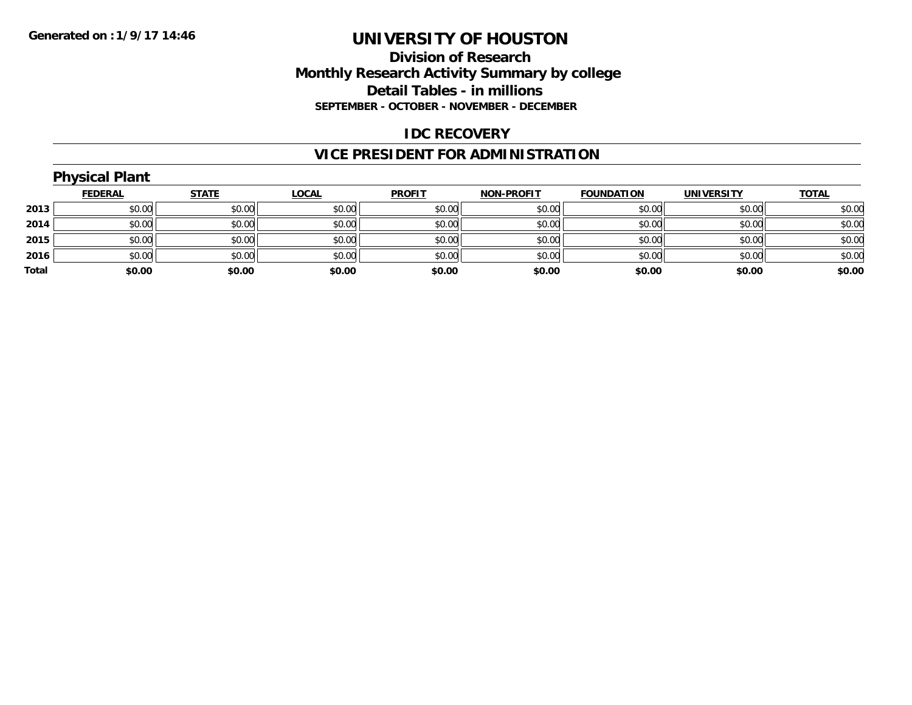# **Division of Research Monthly Research Activity Summary by college Detail Tables - in millions SEPTEMBER - OCTOBER - NOVEMBER - DECEMBER**

### **IDC RECOVERY**

# **VICE PRESIDENT FOR ADMINISTRATION**

|       | <b>Physical Plant</b> |              |              |               |                   |                   |                   |              |
|-------|-----------------------|--------------|--------------|---------------|-------------------|-------------------|-------------------|--------------|
|       | <b>FEDERAL</b>        | <b>STATE</b> | <b>LOCAL</b> | <b>PROFIT</b> | <b>NON-PROFIT</b> | <b>FOUNDATION</b> | <b>UNIVERSITY</b> | <b>TOTAL</b> |
| 2013  | \$0.00                | \$0.00       | \$0.00       | \$0.00        | \$0.00            | \$0.00            | \$0.00            | \$0.00       |
| 2014  | \$0.00                | \$0.00       | \$0.00       | \$0.00        | \$0.00            | \$0.00            | \$0.00            | \$0.00       |
| 2015  | \$0.00                | \$0.00       | \$0.00       | \$0.00        | \$0.00            | \$0.00            | \$0.00            | \$0.00       |
| 2016  | \$0.00                | \$0.00       | \$0.00       | \$0.00        | \$0.00            | \$0.00            | \$0.00            | \$0.00       |
| Total | \$0.00                | \$0.00       | \$0.00       | \$0.00        | \$0.00            | \$0.00            | \$0.00            | \$0.00       |
|       |                       |              |              |               |                   |                   |                   |              |

# **Physical Plant**